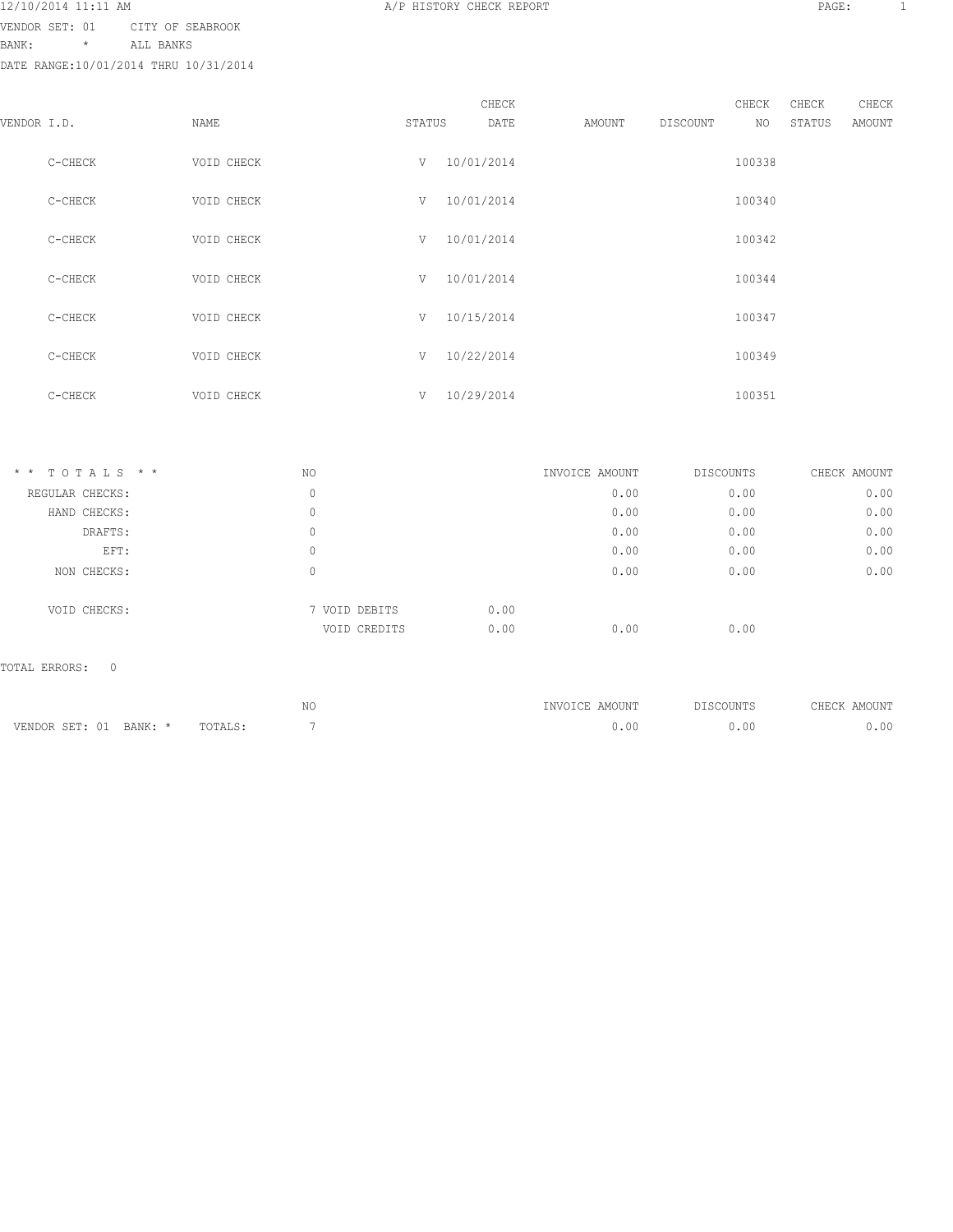VENDOR SET: 01 CITY OF SEABROOK

BANK: \* ALL BANKS

DATE RANGE:10/01/2014 THRU 10/31/2014

|             |         |            |        |            | CHECK |        |          | CHECK  | CHECK  | CHECK         |
|-------------|---------|------------|--------|------------|-------|--------|----------|--------|--------|---------------|
| VENDOR I.D. |         | NAME       | STATUS |            | DATE  | AMOUNT | DISCOUNT | NO     | STATUS | <b>AMOUNT</b> |
|             | C-CHECK | VOID CHECK | V      | 10/01/2014 |       |        |          | 100338 |        |               |
|             | C-CHECK | VOID CHECK | V      | 10/01/2014 |       |        |          | 100340 |        |               |
|             | C-CHECK | VOID CHECK | V      | 10/01/2014 |       |        |          | 100342 |        |               |
|             | C-CHECK | VOID CHECK | V      | 10/01/2014 |       |        |          | 100344 |        |               |
|             | C-CHECK | VOID CHECK | V      | 10/15/2014 |       |        |          | 100347 |        |               |
|             | C-CHECK | VOID CHECK | V      | 10/22/2014 |       |        |          | 100349 |        |               |
|             | C-CHECK | VOID CHECK | V      | 10/29/2014 |       |        |          | 100351 |        |               |

| $*$ * TOTALS * * | NO            |                      | INVOICE AMOUNT | DISCOUNTS | CHECK AMOUNT |
|------------------|---------------|----------------------|----------------|-----------|--------------|
| REGULAR CHECKS:  | 0             |                      | 0.00           | 0.00      | 0.00         |
| HAND CHECKS:     | 0             |                      | 0.00           | 0.00      | 0.00         |
| DRAFTS:          | 0             |                      | 0.00           | 0.00      | 0.00         |
| EFT:             | 0             |                      | 0.00           | 0.00      | 0.00         |
| NON CHECKS:      | 0             |                      | 0.00           | 0.00      | 0.00         |
| VOID CHECKS:     | 7 VOID DEBITS | 0.00                 |                |           |              |
|                  |               | 0.00<br>VOID CREDITS | 0.00           | 0.00      |              |

# TOTAL ERRORS: 0

|                            |          | N | INVOICE AMOUNT | DISCOUNTS | CHECK AMOUNT |
|----------------------------|----------|---|----------------|-----------|--------------|
| VENDOR SET: 01<br>RANK · * | ™NTAIS • |   | 0.01           | .00       | .00          |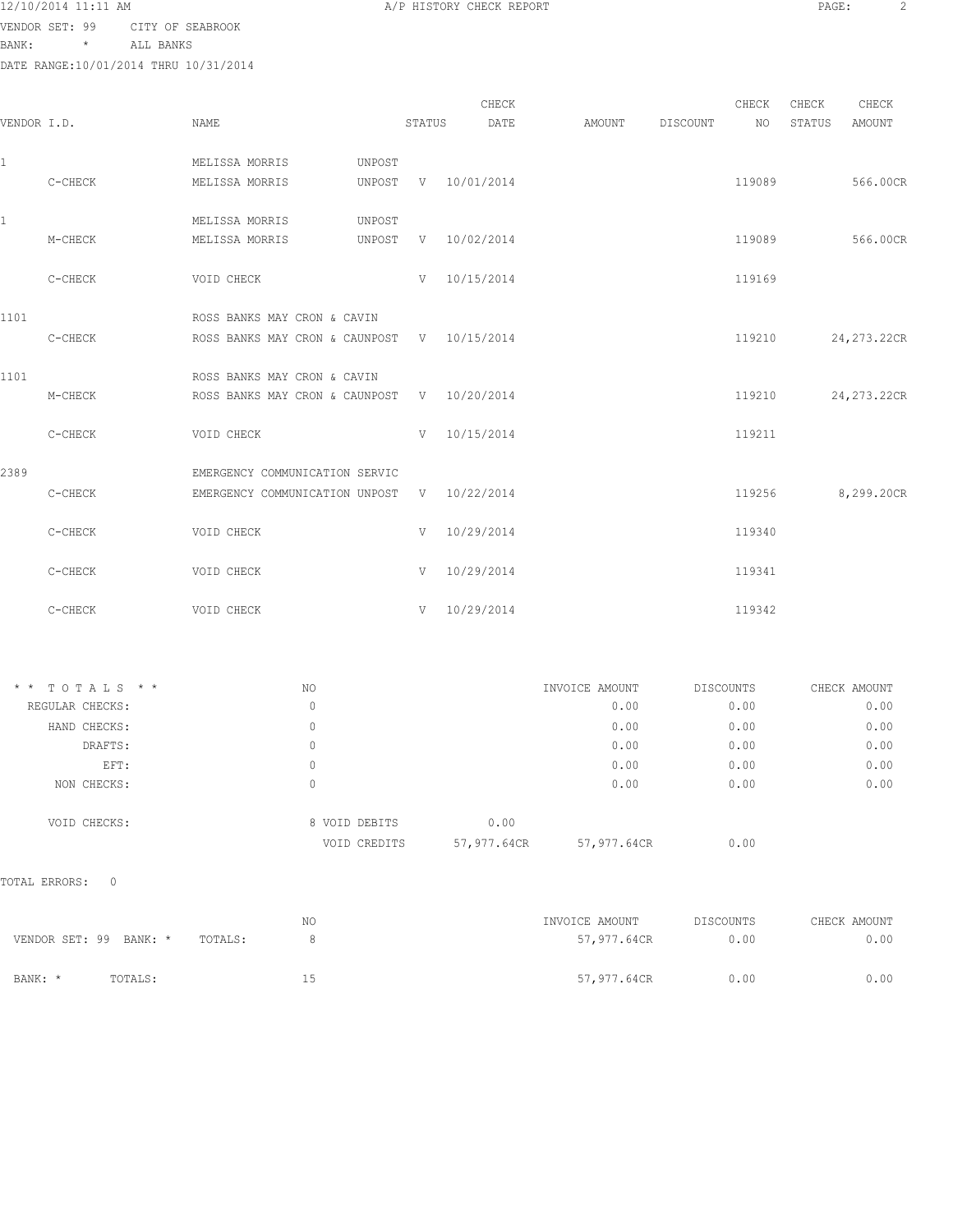| 12/10/2014 11:11 AM |
|---------------------|
|---------------------|

VENDOR SET: 99 CITY OF SEABROOK

BANK: \* ALL BANKS

DATE RANGE:10/01/2014 THRU 10/31/2014

|             | DATE RANGE:10/01/2014 THRU 10/31/2014 |                                             |        |        |                     |        |          |        |        |             |
|-------------|---------------------------------------|---------------------------------------------|--------|--------|---------------------|--------|----------|--------|--------|-------------|
|             |                                       |                                             |        |        | CHECK               |        |          | CHECK  | CHECK  | CHECK       |
| VENDOR I.D. |                                       | NAME                                        |        | STATUS | DATE                | AMOUNT | DISCOUNT | NO     | STATUS | AMOUNT      |
| 1           |                                       | MELISSA MORRIS                              | UNPOST |        |                     |        |          |        |        |             |
|             | C-CHECK                               | MELISSA MORRIS                              |        |        | UNPOST V 10/01/2014 |        |          | 119089 |        | 566.00CR    |
| 1           |                                       | MELISSA MORRIS                              | UNPOST |        |                     |        |          |        |        |             |
|             | M-CHECK                               | MELISSA MORRIS                              | UNPOST |        | V 10/02/2014        |        |          | 119089 |        | 566.00CR    |
|             | C-CHECK                               | VOID CHECK                                  |        |        | $V = 10/15/2014$    |        |          | 119169 |        |             |
| 1101        |                                       | ROSS BANKS MAY CRON & CAVIN                 |        |        |                     |        |          |        |        |             |
|             | C-CHECK                               | ROSS BANKS MAY CRON & CAUNPOST V 10/15/2014 |        |        |                     |        |          | 119210 |        | 24,273.22CR |
| 1101        |                                       | ROSS BANKS MAY CRON & CAVIN                 |        |        |                     |        |          |        |        |             |
|             | M-CHECK                               | ROSS BANKS MAY CRON & CAUNPOST V 10/20/2014 |        |        |                     |        |          | 119210 |        | 24,273.22CR |
|             | C-CHECK                               | VOID CHECK                                  |        |        | $V = 10/15/2014$    |        |          | 119211 |        |             |
| 2389        |                                       | EMERGENCY COMMUNICATION SERVIC              |        |        |                     |        |          |        |        |             |
|             | C-CHECK                               | EMERGENCY COMMUNICATION UNPOST V 10/22/2014 |        |        |                     |        |          | 119256 |        | 8,299.20CR  |
|             | C-CHECK                               | VOID CHECK                                  |        |        | $V = 10/29/2014$    |        |          | 119340 |        |             |
|             | C-CHECK                               | VOID CHECK                                  |        |        | $V = 10/29/2014$    |        |          | 119341 |        |             |
|             | C-CHECK                               | VOID CHECK                                  |        |        | $V = 10/29/2014$    |        |          | 119342 |        |             |

| $*$ * TOTALS * * | NO |               | INVOICE AMOUNT |             | DISCOUNTS | CHECK AMOUNT |
|------------------|----|---------------|----------------|-------------|-----------|--------------|
| REGULAR CHECKS:  | 0  |               |                | 0.00        | 0.00      | 0.00         |
| HAND CHECKS:     | 0  |               |                | 0.00        | 0.00      | 0.00         |
| DRAFTS:          | 0  |               |                | 0.00        | 0.00      | 0.00         |
| EFT:             | 0  |               |                | 0.00        | 0.00      | 0.00         |
| NON CHECKS:      | 0  |               |                | 0.00        | 0.00      | 0.00         |
| VOID CHECKS:     |    | 8 VOID DEBITS | 0.00           |             |           |              |
|                  |    | VOID CREDITS  | 57,977.64CR    | 57,977.64CR | 0.00      |              |

TOTAL ERRORS: 0

|                        |         |         | NO. | INVOICE AMOUNT | DISCOUNTS | CHECK AMOUNT |
|------------------------|---------|---------|-----|----------------|-----------|--------------|
| VENDOR SET: 99 BANK: * |         | TOTALS: |     | 57,977.64CR    | 0.00      | 0.00         |
| BANK: *                | TOTALS: |         | 15  | 57,977.64CR    | 0.00      | 0.00         |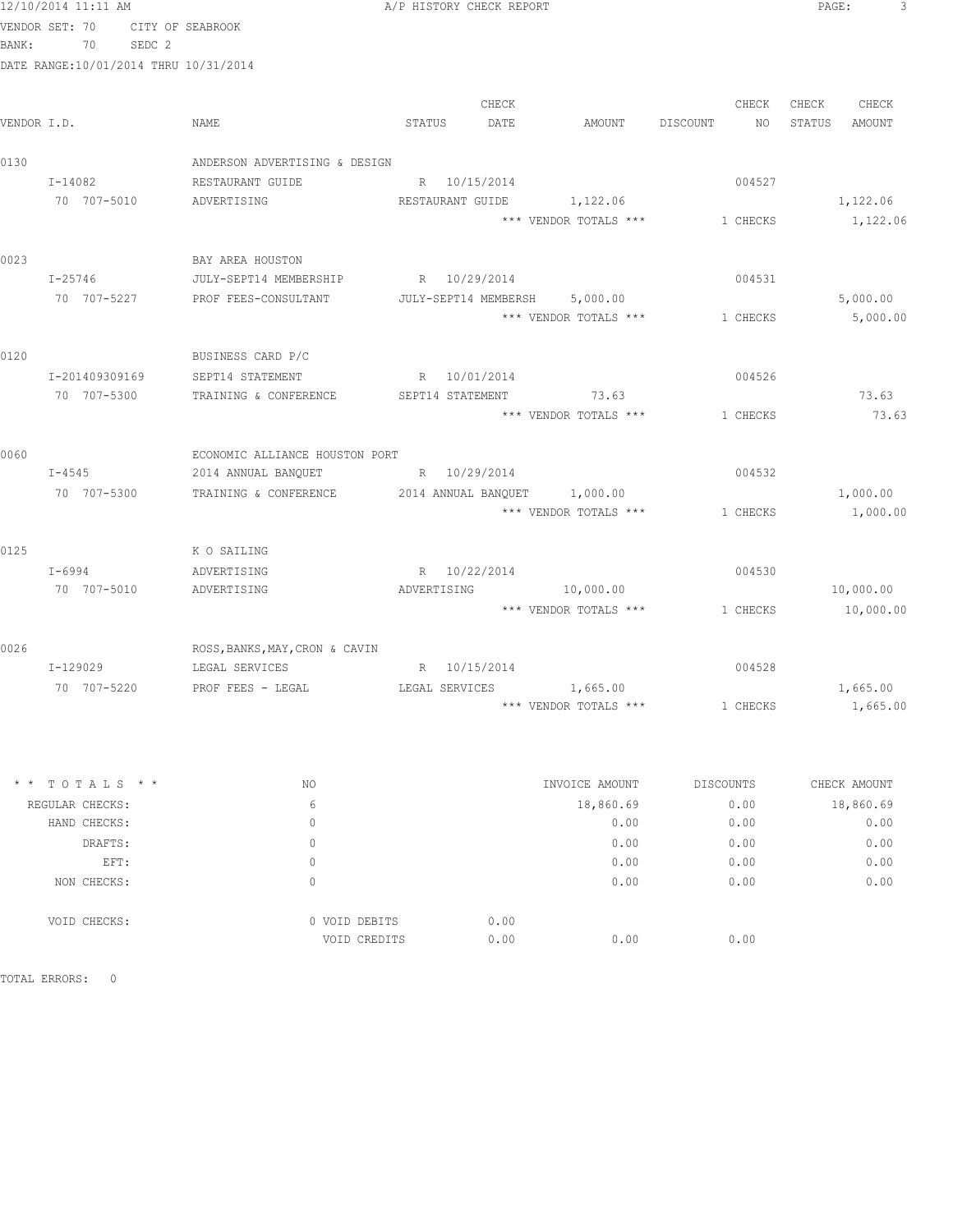|      | 12/10/2014 11:11 AM                   |                                                                | A/P HISTORY CHECK REPORT |                                |                       | PAGE:<br>3       |
|------|---------------------------------------|----------------------------------------------------------------|--------------------------|--------------------------------|-----------------------|------------------|
|      | VENDOR SET: 70                        | CITY OF SEABROOK                                               |                          |                                |                       |                  |
|      | SEDC <sub>2</sub><br>BANK: 70         |                                                                |                          |                                |                       |                  |
|      | DATE RANGE:10/01/2014 THRU 10/31/2014 |                                                                |                          |                                |                       |                  |
|      |                                       |                                                                |                          |                                |                       |                  |
|      |                                       |                                                                | CHECK                    |                                | CHECK                 | CHECK CHECK      |
|      | VENDOR I.D.                           | NAME                                                           | STATUS<br>DATE           |                                | AMOUNT DISCOUNT<br>NO | STATUS<br>AMOUNT |
| 0130 |                                       | ANDERSON ADVERTISING & DESIGN                                  |                          |                                |                       |                  |
|      | I-14082                               | RESTAURANT GUIDE                                               | R 10/15/2014             |                                | 004527                |                  |
|      | 70 707-5010                           | ADVERTISING                                                    |                          | RESTAURANT GUIDE 1,122.06      |                       | 1,122.06         |
|      |                                       |                                                                |                          | *** VENDOR TOTALS ***          | 1 CHECKS              | 1,122.06         |
| 0023 |                                       | BAY AREA HOUSTON                                               |                          |                                |                       |                  |
|      | $I - 25746$                           | JULY-SEPT14 MEMBERSHIP R 10/29/2014                            |                          |                                | 004531                |                  |
|      |                                       | 70 707-5227 PROF FEES-CONSULTANT JULY-SEPT14 MEMBERSH 5,000.00 |                          |                                |                       | 5,000.00         |
|      |                                       |                                                                |                          | *** VENDOR TOTALS ***          | 1 CHECKS              | 5,000.00         |
| 0120 |                                       | BUSINESS CARD P/C                                              |                          |                                |                       |                  |
|      | I-201409309169                        | SEPT14 STATEMENT R 10/01/2014                                  |                          |                                | 004526                |                  |
|      | 70 707-5300                           | TRAINING & CONFERENCE                                          |                          | SEPT14 STATEMENT 73.63         |                       | 73.63            |
|      |                                       |                                                                |                          | *** VENDOR TOTALS *** 1 CHECKS |                       | 73.63            |
|      |                                       |                                                                |                          |                                |                       |                  |
| 0060 |                                       | ECONOMIC ALLIANCE HOUSTON PORT                                 |                          |                                |                       |                  |
|      | $I - 4545$                            | 2014 ANNUAL BANQUET                                            | R 10/29/2014             |                                | 004532                |                  |
|      | 70 707-5300                           | TRAINING & CONFERENCE 2014 ANNUAL BANQUET 1,000.00             |                          |                                |                       | 1,000.00         |
|      |                                       |                                                                |                          | *** VENDOR TOTALS *** 1 CHECKS |                       | 1,000.00         |
| 0125 |                                       | K O SAILING                                                    |                          |                                |                       |                  |
|      | I-6994                                | ADVERTISING                                                    | R 10/22/2014             |                                | 004530                |                  |
|      | 70 707-5010                           | ADVERTISING                                                    | ADVERTISING              | 10,000.00                      |                       | 10,000.00        |
|      |                                       |                                                                |                          | *** VENDOR TOTALS *** 1 CHECKS |                       | 10,000.00        |
| 0026 |                                       | ROSS, BANKS, MAY, CRON & CAVIN                                 |                          |                                |                       |                  |
|      |                                       | I-129029 LEGAL SERVICES                                        | R 10/15/2014             |                                | 004528                |                  |
|      | 70 707-5220                           | PROF FEES - LEGAL                                              | LEGAL SERVICES 1,665.00  |                                |                       | 1,665.00         |
|      |                                       |                                                                |                          | *** VENDOR TOTALS ***          | 1 CHECKS              | 1,665.00         |
|      |                                       |                                                                |                          |                                |                       |                  |
|      | * * TOTALS * *                        | NO                                                             |                          | INVOICE AMOUNT                 | DISCOUNTS             | CHECK AMOUNT     |
|      | REGULAR CHECKS:                       | 6                                                              |                          | 18,860.69                      | 0.00                  | 18,860.69        |
|      | HAND CHECKS:                          | $\mathbf{0}$                                                   |                          | 0.00                           | 0.00                  | 0.00             |
|      | DRAFTS:                               | 0                                                              |                          | 0.00                           | 0.00                  | 0.00             |
|      | EFT:                                  | $\circ$                                                        |                          | 0.00                           | 0.00                  | 0.00             |

 VOID CHECKS: 0 VOID DEBITS 0.00 VOID CREDITS 0.00 0.00 0.00

NON CHECKS: 0 0.00 0.00 0.00

TOTAL ERRORS: 0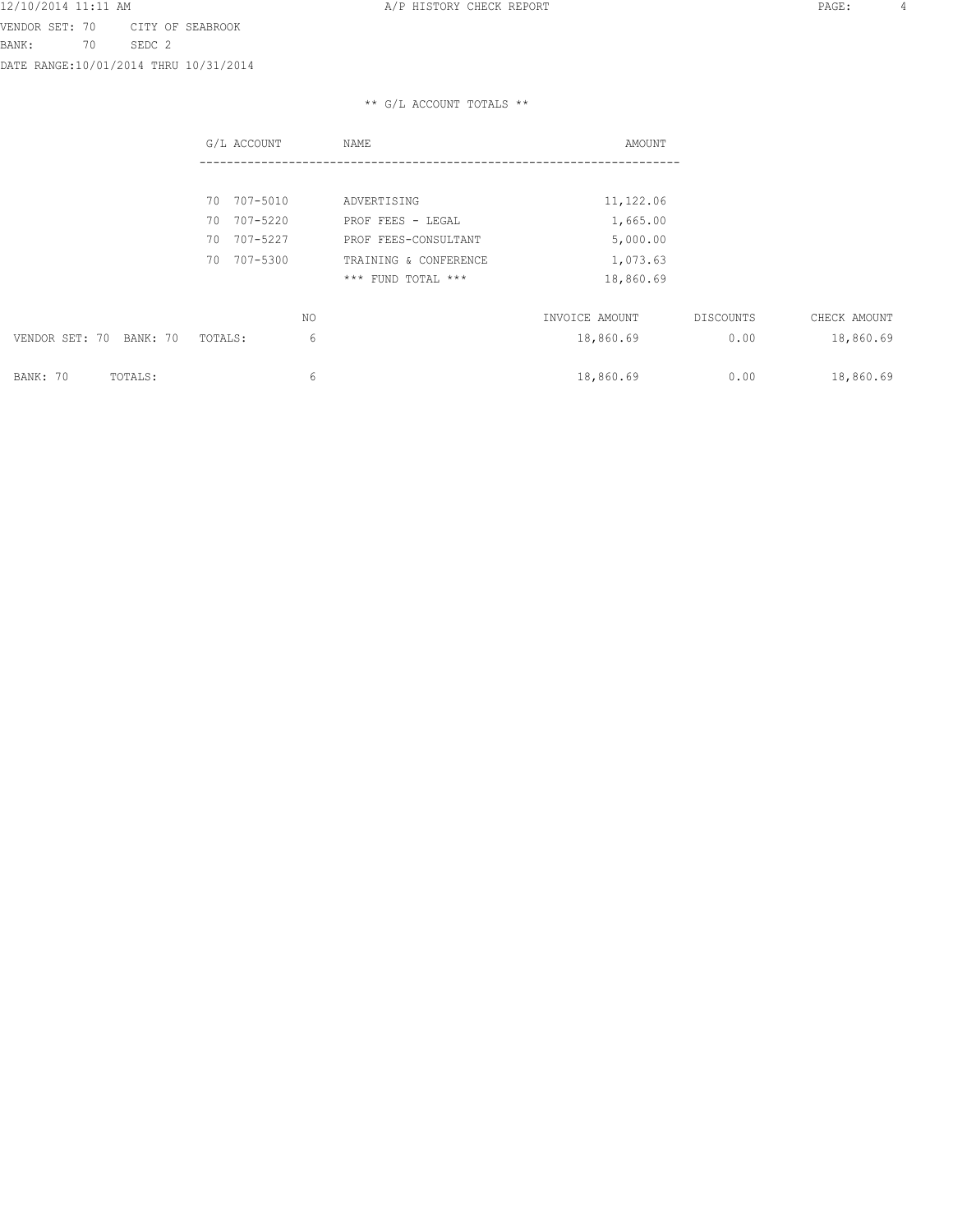DATE RANGE:10/01/2014 THRU 10/31/2014

|                         | G/L ACCOUNT    | NAME                  | AMOUNT         |           |              |
|-------------------------|----------------|-----------------------|----------------|-----------|--------------|
|                         |                |                       |                |           |              |
|                         | 70 707-5010    | ADVERTISING           | 11,122.06      |           |              |
|                         | 70 707-5220    | PROF FEES - LEGAL     | 1,665.00       |           |              |
|                         | 70 707-5227    | PROF FEES-CONSULTANT  | 5,000.00       |           |              |
|                         | 707-5300<br>70 | TRAINING & CONFERENCE | 1,073.63       |           |              |
|                         |                | *** FUND TOTAL ***    | 18,860.69      |           |              |
|                         |                | NO.                   | INVOICE AMOUNT | DISCOUNTS | CHECK AMOUNT |
|                         |                |                       |                |           |              |
| VENDOR SET: 70 BANK: 70 | TOTALS:        | 6                     | 18,860.69      | 0.00      | 18,860.69    |
| BANK: 70<br>TOTALS:     |                | 6                     | 18,860.69      | 0.00      | 18,860.69    |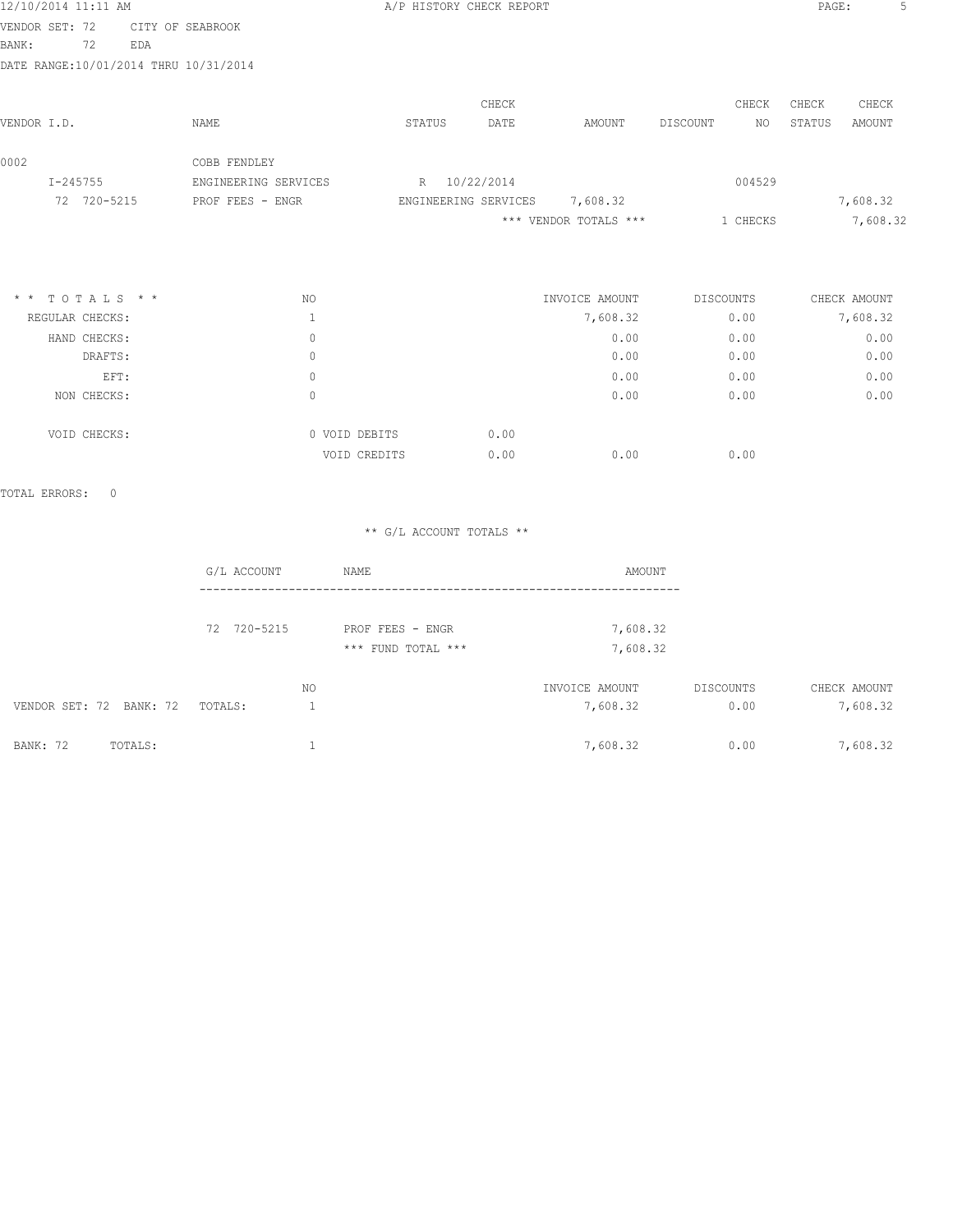| 12/10/2014 11:11 AM                   |                 |     |                      | A/P HISTORY CHECK REPORT |                      |       |                       |          |           | PAGE:  | 5            |
|---------------------------------------|-----------------|-----|----------------------|--------------------------|----------------------|-------|-----------------------|----------|-----------|--------|--------------|
| VENDOR SET: 72                        |                 |     | CITY OF SEABROOK     |                          |                      |       |                       |          |           |        |              |
| BANK:                                 | 72              | EDA |                      |                          |                      |       |                       |          |           |        |              |
| DATE RANGE:10/01/2014 THRU 10/31/2014 |                 |     |                      |                          |                      |       |                       |          |           |        |              |
|                                       |                 |     |                      |                          |                      | CHECK |                       |          | CHECK     | CHECK  | CHECK        |
| VENDOR I.D.                           |                 |     | NAME                 | STATUS                   |                      | DATE  | AMOUNT                | DISCOUNT | NO.       | STATUS | AMOUNT       |
| 0002                                  |                 |     | COBB FENDLEY         |                          |                      |       |                       |          |           |        |              |
| $I - 245755$                          |                 |     | ENGINEERING SERVICES | R                        | 10/22/2014           |       |                       |          | 004529    |        |              |
|                                       | 72 720-5215     |     | PROF FEES - ENGR     |                          | ENGINEERING SERVICES |       | 7,608.32              |          |           |        | 7,608.32     |
|                                       |                 |     |                      |                          |                      |       | *** VENDOR TOTALS *** |          | 1 CHECKS  |        | 7,608.32     |
|                                       |                 |     |                      |                          |                      |       |                       |          |           |        |              |
| $\star$ $\star$                       | TOTALS * *      |     | NO.                  |                          |                      |       | INVOICE AMOUNT        |          | DISCOUNTS |        | CHECK AMOUNT |
|                                       | REGULAR CHECKS: |     |                      |                          |                      |       | 7,608.32              |          | 0.00      |        | 7,608.32     |

| HAND CHECKS: | 0             |      | 0.00 | 0.00 | 0.00 |
|--------------|---------------|------|------|------|------|
| DRAFTS:      | 0             |      | 0.00 | 0.00 | 0.00 |
| EFT:         | $\Omega$      |      | 0.00 | 0.00 | 0.00 |
| NON CHECKS:  | 0             |      | 0.00 | 0.00 | 0.00 |
| VOID CHECKS: | 0 VOID DEBITS | 0.00 |      |      |      |
|              | VOID CREDITS  | 0.00 | 0.00 | 0.00 |      |
|              |               |      |      |      |      |

TOTAL ERRORS: 0

|                            | G/L ACCOUNT | NAME               | AMOUNT         |           |              |
|----------------------------|-------------|--------------------|----------------|-----------|--------------|
|                            | 72 720-5215 | PROF FEES - ENGR   | 7,608.32       |           |              |
|                            |             | *** FUND TOTAL *** | 7,608.32       |           |              |
|                            |             | ΝO                 | INVOICE AMOUNT | DISCOUNTS | CHECK AMOUNT |
| VENDOR SET: 72 BANK: 72    | TOTALS:     |                    | 7,608.32       | 0.00      | 7,608.32     |
| <b>BANK: 72</b><br>TOTALS: |             |                    | 7,608.32       | 0.00      | 7,608.32     |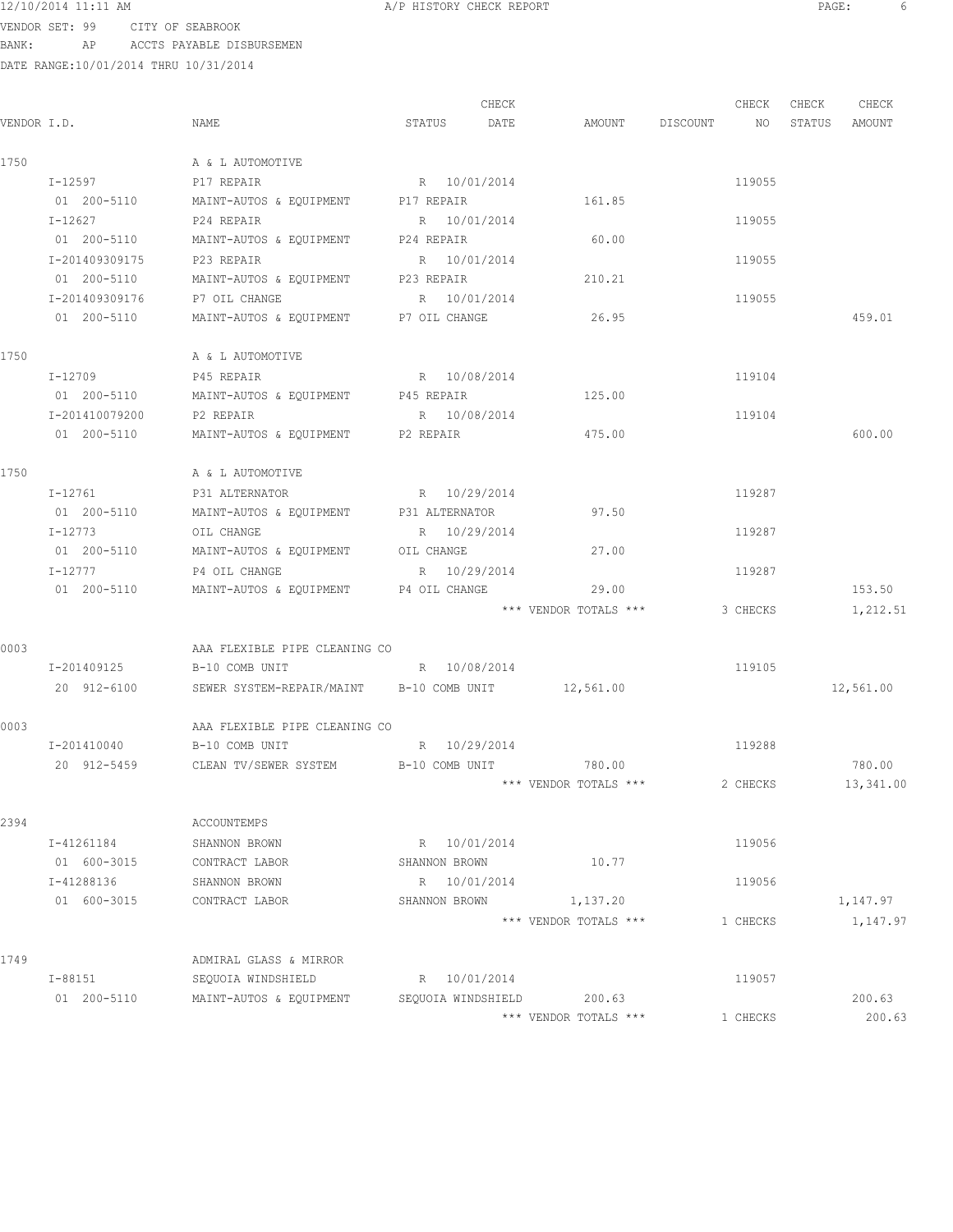12/10/2014 11:11 AM A/P HISTORY CHECK REPORT PAGE: 6

VENDOR SET: 99 CITY OF SEABROOK BANK: AP ACCTS PAYABLE DISBURSEMEN

|             |                |                                                         | CHECK          |                           |             | CHECK    | CHECK  | CHECK     |
|-------------|----------------|---------------------------------------------------------|----------------|---------------------------|-------------|----------|--------|-----------|
| VENDOR I.D. |                | NAME                                                    | DATE<br>STATUS | AMOUNT                    | DISCOUNT NO |          | STATUS | AMOUNT    |
| 1750        |                | A & L AUTOMOTIVE                                        |                |                           |             |          |        |           |
|             | I-12597        | P17 REPAIR                                              | R 10/01/2014   |                           |             | 119055   |        |           |
|             | 01 200-5110    | MAINT-AUTOS & EQUIPMENT P17 REPAIR                      |                | 161.85                    |             |          |        |           |
|             | I-12627        | P24 REPAIR                                              | R 10/01/2014   |                           |             | 119055   |        |           |
|             | 01 200-5110    | MAINT-AUTOS & EQUIPMENT P24 REPAIR                      |                | 60.00                     |             |          |        |           |
|             | I-201409309175 | P23 REPAIR                                              | R 10/01/2014   |                           |             | 119055   |        |           |
|             | 01 200-5110    | MAINT-AUTOS & EQUIPMENT P23 REPAIR                      |                | 210.21                    |             |          |        |           |
|             | I-201409309176 | P7 OIL CHANGE                                           | R 10/01/2014   |                           |             | 119055   |        |           |
|             | 01 200-5110    | MAINT-AUTOS & EQUIPMENT P7 OIL CHANGE                   |                | 26.95                     |             |          |        | 459.01    |
| 1750        |                | A & L AUTOMOTIVE                                        |                |                           |             |          |        |           |
|             | I-12709        | P45 REPAIR                                              | R 10/08/2014   |                           |             | 119104   |        |           |
|             | 01 200-5110    | MAINT-AUTOS & EQUIPMENT                                 | P45 REPAIR     | 125.00                    |             |          |        |           |
|             | I-201410079200 | P2 REPAIR                                               | R 10/08/2014   |                           |             | 119104   |        |           |
|             | 01 200-5110    | MAINT-AUTOS & EQUIPMENT P2 REPAIR                       |                | 475.00                    |             |          |        | 600.00    |
| 1750        |                | A & L AUTOMOTIVE                                        |                |                           |             |          |        |           |
|             | I-12761        | P31 ALTERNATOR                                          | R 10/29/2014   |                           |             | 119287   |        |           |
|             | 01 200-5110    | MAINT-AUTOS & EQUIPMENT P31 ALTERNATOR                  |                | 97.50                     |             |          |        |           |
|             | I-12773        | OIL CHANGE                                              | R 10/29/2014   |                           |             | 119287   |        |           |
|             | 01 200-5110    | MAINT-AUTOS & EQUIPMENT OIL CHANGE                      |                | 27.00                     |             |          |        |           |
|             | I-12777        | P4 OIL CHANGE                                           | R 10/29/2014   |                           |             | 119287   |        |           |
|             | 01 200-5110    | MAINT-AUTOS & EQUIPMENT P4 OIL CHANGE                   |                | 29.00                     |             |          |        | 153.50    |
|             |                |                                                         |                | *** VENDOR TOTALS ***     |             | 3 CHECKS |        | 1,212.51  |
| 0003        |                | AAA FLEXIBLE PIPE CLEANING CO                           |                |                           |             |          |        |           |
|             | I-201409125    | B-10 COMB UNIT                                          | R 10/08/2014   |                           |             | 119105   |        |           |
|             | 20 912-6100    | SEWER SYSTEM-REPAIR/MAINT B-10 COMB UNIT 12,561.00      |                |                           |             |          |        | 12,561.00 |
| 0003        |                | AAA FLEXIBLE PIPE CLEANING CO                           |                |                           |             |          |        |           |
|             | I-201410040    | B-10 COMB UNIT                                          | R 10/29/2014   |                           |             | 119288   |        |           |
|             |                | 20 912-5459 CLEAN TV/SEWER SYSTEM B-10 COMB UNIT 780.00 |                |                           |             |          |        | 780.00    |
|             |                |                                                         |                | *** VENDOR TOTALS ***     |             | 2 CHECKS |        | 13,341.00 |
| 2394        |                | ACCOUNTEMPS                                             |                |                           |             |          |        |           |
|             | I-41261184     | SHANNON BROWN                                           | R 10/01/2014   |                           |             | 119056   |        |           |
|             | 01 600-3015    | CONTRACT LABOR                                          | SHANNON BROWN  | 10.77                     |             |          |        |           |
|             | I-41288136     | SHANNON BROWN                                           | R 10/01/2014   |                           |             | 119056   |        |           |
|             | 01 600-3015    | CONTRACT LABOR                                          | SHANNON BROWN  | 1,137.20                  |             |          |        | 1,147.97  |
|             |                |                                                         |                | *** VENDOR TOTALS ***     |             | 1 CHECKS |        | 1,147.97  |
| 1749        |                | ADMIRAL GLASS & MIRROR                                  |                |                           |             |          |        |           |
|             | I-88151        | SEQUOIA WINDSHIELD                                      | R 10/01/2014   |                           |             | 119057   |        |           |
|             | 01 200-5110    | MAINT-AUTOS & EQUIPMENT                                 |                | SEQUOIA WINDSHIELD 200.63 |             |          |        | 200.63    |
|             |                |                                                         |                | *** VENDOR TOTALS ***     |             | 1 CHECKS |        | 200.63    |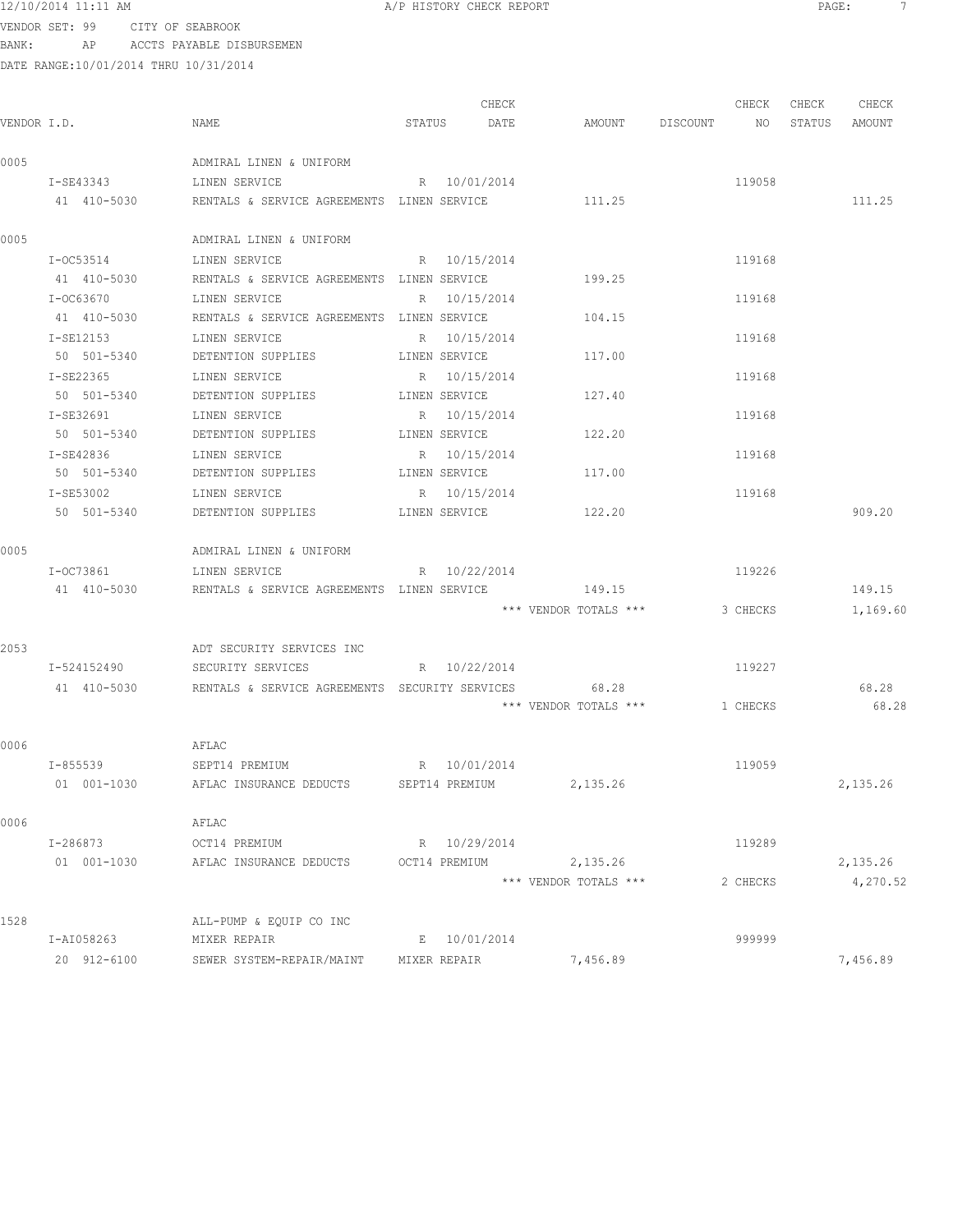VENDOR SET: 99 CITY OF SEABROOK BANK: AP ACCTS PAYABLE DISBURSEMEN

|      |             |                                                              |               | CHECK |                         | CHECK    | CHECK | CHECK         |
|------|-------------|--------------------------------------------------------------|---------------|-------|-------------------------|----------|-------|---------------|
|      | VENDOR I.D. | NAME                                                         | STATUS DATE   |       | AMOUNT DISCOUNT NO      |          |       | STATUS AMOUNT |
| 0005 |             | ADMIRAL LINEN & UNIFORM                                      |               |       |                         |          |       |               |
|      | I-SE43343   | LINEN SERVICE                                                | R 10/01/2014  |       |                         | 119058   |       |               |
|      | 41 410-5030 | RENTALS & SERVICE AGREEMENTS LINEN SERVICE                   |               |       | 111.25                  |          |       | 111.25        |
| 0005 |             | ADMIRAL LINEN & UNIFORM                                      |               |       |                         |          |       |               |
|      | I-OC53514   | LINEN SERVICE                                                | R 10/15/2014  |       |                         | 119168   |       |               |
|      | 41 410-5030 | RENTALS & SERVICE AGREEMENTS LINEN SERVICE                   |               |       | 199.25                  |          |       |               |
|      | I-OC63670   | LINEN SERVICE                                                | R 10/15/2014  |       |                         | 119168   |       |               |
|      |             | 41 410-5030 RENTALS & SERVICE AGREEMENTS LINEN SERVICE       |               |       | 104.15                  |          |       |               |
|      |             | I-SE12153 LINEN SERVICE                                      | R 10/15/2014  |       |                         | 119168   |       |               |
|      |             | 50 501-5340 DETENTION SUPPLIES LINEN SERVICE                 |               |       | 117.00                  |          |       |               |
|      | I-SE22365   | LINEN SERVICE                                                | R 10/15/2014  |       |                         | 119168   |       |               |
|      |             | 50 501-5340 DETENTION SUPPLIES                               | LINEN SERVICE |       | 127.40                  |          |       |               |
|      | I-SE32691   | LINEN SERVICE                                                | R 10/15/2014  |       |                         | 119168   |       |               |
|      | 50 501-5340 | DETENTION SUPPLIES                                           | LINEN SERVICE |       | 122.20                  |          |       |               |
|      | I-SE42836   | LINEN SERVICE                                                | R 10/15/2014  |       |                         | 119168   |       |               |
|      | 50 501-5340 | DETENTION SUPPLIES                                           | LINEN SERVICE |       | 117.00                  |          |       |               |
|      | I-SE53002   | LINEN SERVICE                                                | R 10/15/2014  |       |                         | 119168   |       |               |
|      | 50 501-5340 | DETENTION SUPPLIES                                           | LINEN SERVICE |       | 122.20                  |          |       | 909.20        |
| 0005 |             | ADMIRAL LINEN & UNIFORM                                      |               |       |                         |          |       |               |
|      |             | I-OC73861 LINEN SERVICE                                      | R 10/22/2014  |       |                         | 119226   |       |               |
|      |             | 41 410-5030 RENTALS & SERVICE AGREEMENTS LINEN SERVICE 49.15 |               |       |                         |          |       | 149.15        |
|      |             |                                                              |               |       | *** VENDOR TOTALS ***   | 3 CHECKS |       | 1,169.60      |
| 2053 |             | ADT SECURITY SERVICES INC                                    |               |       |                         |          |       |               |
|      | I-524152490 | SECURITY SERVICES                                            | R 10/22/2014  |       |                         | 119227   |       |               |
|      |             | 41 410-5030 RENTALS & SERVICE AGREEMENTS SECURITY SERVICES   |               |       | 68.28                   |          |       | 68.28         |
|      |             |                                                              |               |       | *** VENDOR TOTALS ***   | 1 CHECKS |       | 68.28         |
| 0006 |             | AFLAC                                                        |               |       |                         |          |       |               |
|      |             | I-855539 SEPT14 PREMIUM                                      | R 10/01/2014  |       |                         | 119059   |       |               |
|      | 01 001-1030 | AFLAC INSURANCE DEDUCTS                                      |               |       | SEPT14 PREMIUM 2,135.26 |          |       | 2,135.26      |
| 0006 |             | AFLAC                                                        |               |       |                         |          |       |               |
|      | I-286873    | OCT14 PREMIUM                                                | R 10/29/2014  |       |                         | 119289   |       |               |
|      | 01 001-1030 | AFLAC INSURANCE DEDUCTS                                      | OCT14 PREMIUM |       | 2,135.26                |          |       | 2,135.26      |
|      |             |                                                              |               |       | *** VENDOR TOTALS ***   | 2 CHECKS |       | 4,270.52      |
| 1528 |             | ALL-PUMP & EQUIP CO INC                                      |               |       |                         |          |       |               |
|      | I-AI058263  | MIXER REPAIR                                                 | E 10/01/2014  |       |                         | 999999   |       |               |
|      | 20 912-6100 | SEWER SYSTEM-REPAIR/MAINT                                    | MIXER REPAIR  |       | 7,456.89                |          |       | 7,456.89      |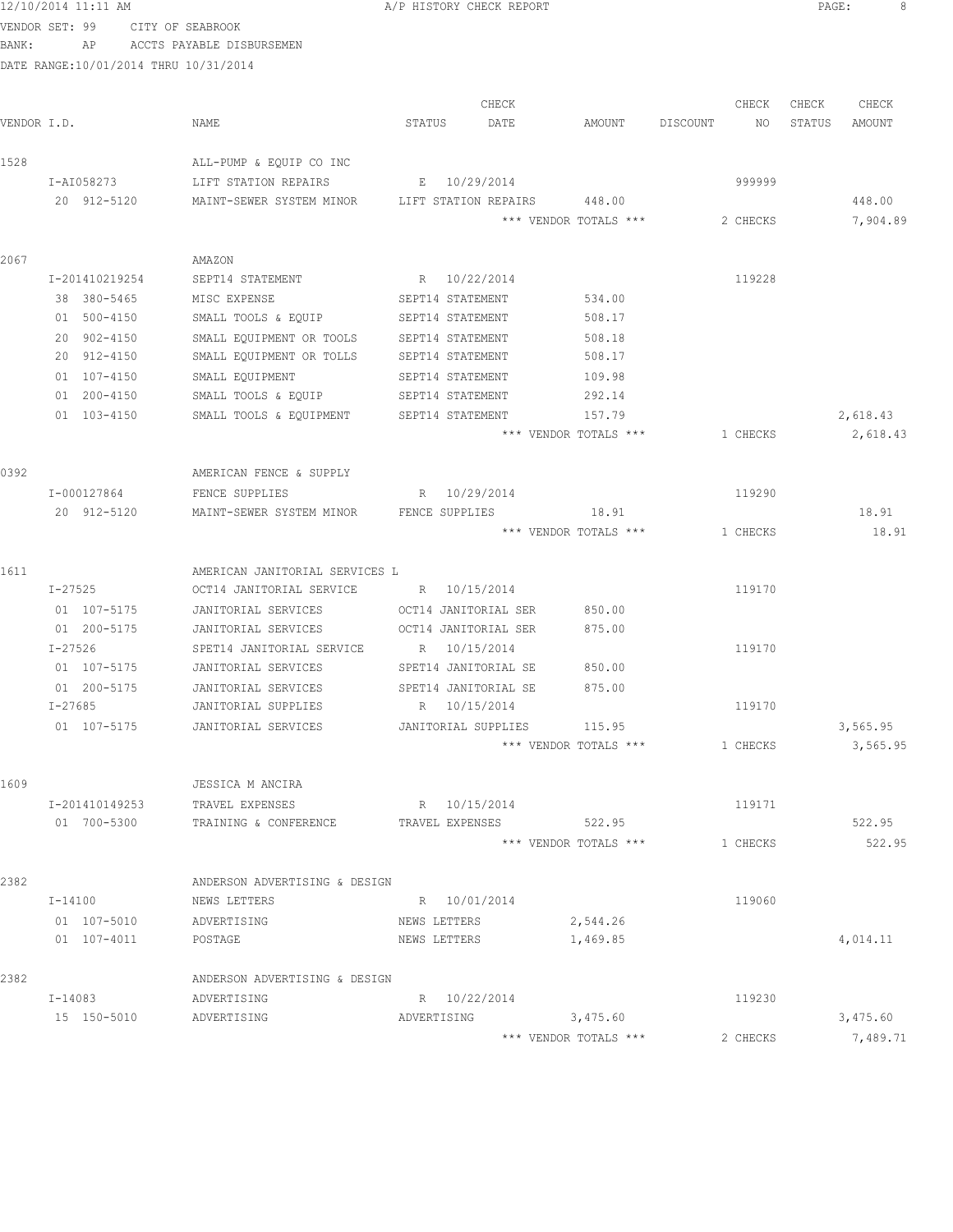| BANK:       | VENDOR SET: 99<br>ΑP          | CITY OF SEABROOK                      | ACCTS PAYABLE DISBURSEMEN                                  |              |                                      |          |                                 |          |          |        |                  |
|-------------|-------------------------------|---------------------------------------|------------------------------------------------------------|--------------|--------------------------------------|----------|---------------------------------|----------|----------|--------|------------------|
|             |                               | DATE RANGE:10/01/2014 THRU 10/31/2014 |                                                            |              |                                      |          |                                 |          |          |        |                  |
|             |                               |                                       |                                                            |              |                                      |          |                                 |          |          |        |                  |
|             |                               |                                       |                                                            |              | CHECK                                |          |                                 |          | CHECK    | CHECK  | CHECK            |
| VENDOR I.D. |                               | NAME                                  |                                                            | STATUS       | DATE                                 |          | AMOUNT                          | DISCOUNT | NO       | STATUS | AMOUNT           |
| 1528        |                               |                                       | ALL-PUMP & EQUIP CO INC                                    |              |                                      |          |                                 |          |          |        |                  |
|             | I-AI058273                    |                                       | LIFT STATION REPAIRS                                       |              | E 10/29/2014                         |          |                                 |          | 999999   |        |                  |
|             | 20 912-5120                   |                                       | MAINT-SEWER SYSTEM MINOR                                   |              | LIFT STATION REPAIRS                 |          | 448.00                          |          |          |        | 448.00           |
|             |                               |                                       |                                                            |              |                                      |          | *** VENDOR TOTALS ***           |          | 2 CHECKS |        | 7,904.89         |
|             |                               |                                       |                                                            |              |                                      |          |                                 |          |          |        |                  |
| 2067        |                               | AMAZON                                |                                                            |              |                                      |          |                                 |          |          |        |                  |
|             | I-201410219254                |                                       | SEPT14 STATEMENT                                           |              | R 10/22/2014                         |          |                                 |          | 119228   |        |                  |
|             | 38 380-5465                   |                                       | MISC EXPENSE                                               |              | SEPT14 STATEMENT                     |          | 534.00                          |          |          |        |                  |
|             | 01 500-4150<br>20 902-4150    |                                       | SMALL TOOLS & EQUIP                                        |              | SEPT14 STATEMENT<br>SEPT14 STATEMENT |          | 508.17<br>508.18                |          |          |        |                  |
|             | 20 912-4150                   |                                       | SMALL EQUIPMENT OR TOOLS<br>SMALL EQUIPMENT OR TOLLS       |              | SEPT14 STATEMENT                     |          | 508.17                          |          |          |        |                  |
|             | 01 107-4150                   |                                       | SMALL EQUIPMENT                                            |              | SEPT14 STATEMENT                     |          | 109.98                          |          |          |        |                  |
|             | 01 200-4150                   |                                       | SMALL TOOLS & EQUIP                                        |              | SEPT14 STATEMENT                     |          | 292.14                          |          |          |        |                  |
|             | 01 103-4150                   |                                       | SMALL TOOLS & EQUIPMENT                                    |              | SEPT14 STATEMENT                     |          | 157.79                          |          |          |        | 2,618.43         |
|             |                               |                                       |                                                            |              |                                      |          | *** VENDOR TOTALS ***           |          | 1 CHECKS |        | 2,618.43         |
|             |                               |                                       |                                                            |              |                                      |          |                                 |          |          |        |                  |
| 0392        |                               |                                       | AMERICAN FENCE & SUPPLY                                    |              |                                      |          |                                 |          |          |        |                  |
|             | I-000127864                   |                                       | FENCE SUPPLIES                                             |              | R 10/29/2014                         |          |                                 |          | 119290   |        |                  |
|             | 20 912-5120                   |                                       | MAINT-SEWER SYSTEM MINOR                                   |              | FENCE SUPPLIES                       |          | 18.91                           |          |          |        | 18.91            |
|             |                               |                                       |                                                            |              |                                      |          | *** VENDOR TOTALS ***           |          | 1 CHECKS |        | 18.91            |
|             |                               |                                       |                                                            |              |                                      |          |                                 |          |          |        |                  |
| 1611        | I-27525                       |                                       | AMERICAN JANITORIAL SERVICES L<br>OCT14 JANITORIAL SERVICE |              | R 10/15/2014                         |          |                                 |          | 119170   |        |                  |
|             | 01 107-5175                   |                                       | JANITORIAL SERVICES                                        |              | OCT14 JANITORIAL SER                 |          | 850.00                          |          |          |        |                  |
|             | 01 200-5175                   |                                       | JANITORIAL SERVICES                                        |              | OCT14 JANITORIAL SER                 |          | 875.00                          |          |          |        |                  |
|             | I-27526                       |                                       | SPET14 JANITORIAL SERVICE                                  |              | R 10/15/2014                         |          |                                 |          | 119170   |        |                  |
|             | 01 107-5175                   |                                       | JANITORIAL SERVICES                                        |              | SPET14 JANITORIAL SE                 |          | 850.00                          |          |          |        |                  |
|             | 01 200-5175                   |                                       | JANITORIAL SERVICES                                        |              | SPET14 JANITORIAL SE                 |          | 875.00                          |          |          |        |                  |
|             | $I - 27685$                   |                                       | JANITORIAL SUPPLIES                                        |              | R 10/15/2014                         |          |                                 |          | 119170   |        |                  |
|             | 01 107-5175                   |                                       | JANITORIAL SERVICES                                        |              | JANITORIAL SUPPLIES                  |          | 115.95                          |          |          |        | 3,565.95         |
|             |                               |                                       |                                                            |              |                                      |          | *** VENDOR TOTALS ***           |          | 1 CHECKS |        | 3,565.95         |
|             |                               |                                       |                                                            |              |                                      |          |                                 |          |          |        |                  |
| 1609        |                               |                                       | JESSICA M ANCIRA                                           |              |                                      |          |                                 |          |          |        |                  |
|             | I-201410149253<br>01 700-5300 |                                       | TRAVEL EXPENSES                                            |              | R 10/15/2014                         |          |                                 |          | 119171   |        |                  |
|             |                               |                                       | TRAINING & CONFERENCE                                      |              | TRAVEL EXPENSES                      |          | 522.95<br>*** VENDOR TOTALS *** |          | 1 CHECKS |        | 522.95<br>522.95 |
|             |                               |                                       |                                                            |              |                                      |          |                                 |          |          |        |                  |
| 2382        |                               |                                       | ANDERSON ADVERTISING & DESIGN                              |              |                                      |          |                                 |          |          |        |                  |
|             | I-14100                       |                                       | NEWS LETTERS                                               |              | R 10/01/2014                         |          |                                 |          | 119060   |        |                  |
|             | 01 107-5010                   |                                       | ADVERTISING                                                | NEWS LETTERS |                                      |          | 2,544.26                        |          |          |        |                  |
|             | 01 107-4011                   |                                       | POSTAGE                                                    | NEWS LETTERS |                                      |          | 1,469.85                        |          |          |        | 4,014.11         |
|             |                               |                                       |                                                            |              |                                      |          |                                 |          |          |        |                  |
| 2382        |                               |                                       | ANDERSON ADVERTISING & DESIGN                              |              |                                      |          |                                 |          |          |        |                  |
|             | I-14083                       |                                       | ADVERTISING                                                |              | R 10/22/2014                         |          |                                 |          | 119230   |        |                  |
|             | 15 150-5010                   |                                       | ADVERTISING                                                | ADVERTISING  |                                      | 3,475.60 |                                 |          |          |        | 3,475.60         |
|             |                               |                                       |                                                            |              |                                      |          | *** VENDOR TOTALS ***           |          | 2 CHECKS |        | 7,489.71         |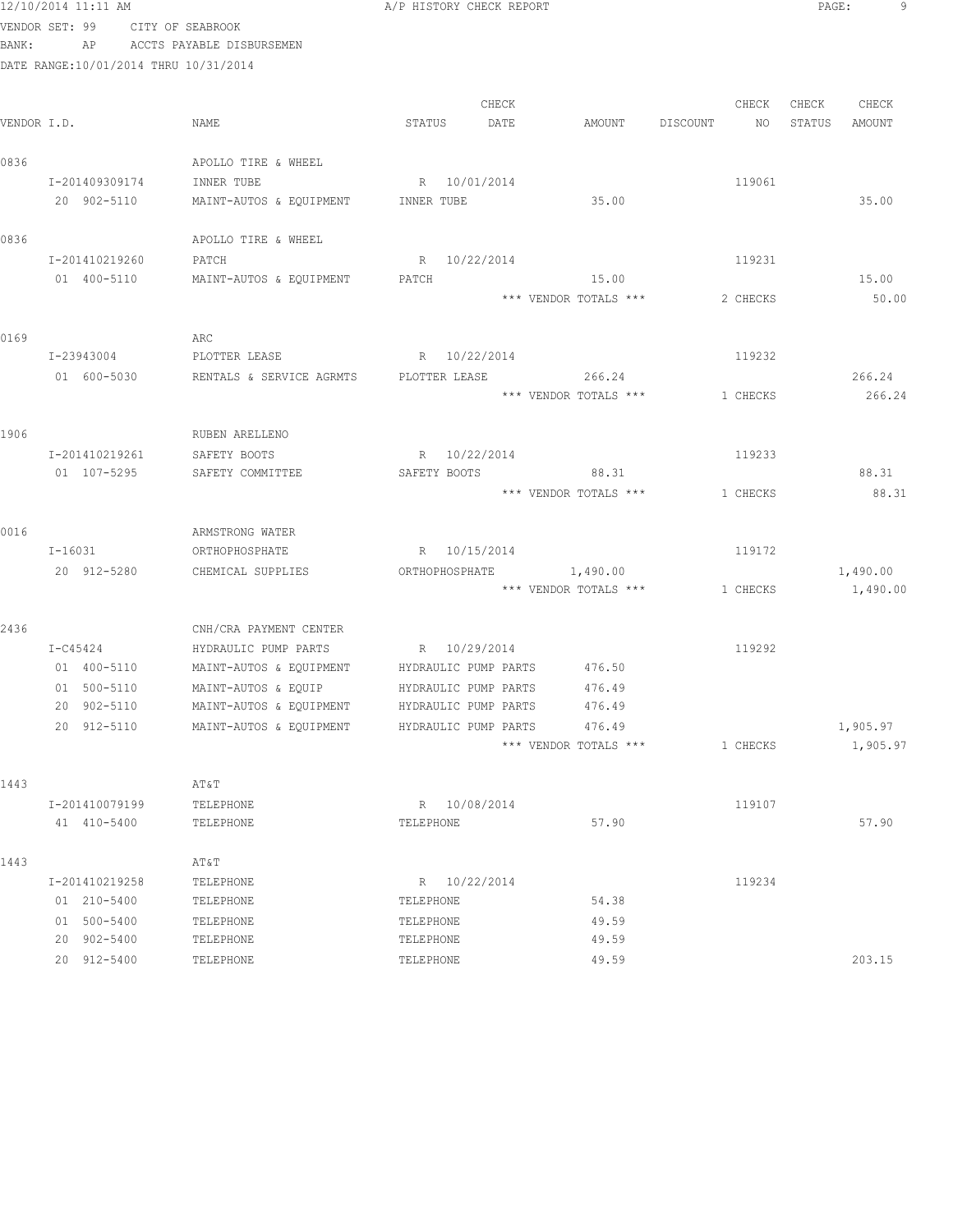|             | 12/10/2014 11:11 AM                   |                                    | A/P HISTORY CHECK REPORT    |                                |                | PAGE:<br>9       |
|-------------|---------------------------------------|------------------------------------|-----------------------------|--------------------------------|----------------|------------------|
|             | VENDOR SET: 99                        | CITY OF SEABROOK                   |                             |                                |                |                  |
| BANK:       | AP                                    | ACCTS PAYABLE DISBURSEMEN          |                             |                                |                |                  |
|             | DATE RANGE:10/01/2014 THRU 10/31/2014 |                                    |                             |                                |                |                  |
|             |                                       |                                    | CHECK                       |                                | CHECK          | CHECK<br>CHECK   |
| VENDOR I.D. |                                       | NAME                               | STATUS<br>DATE              | AMOUNT                         | DISCOUNT<br>NO | AMOUNT<br>STATUS |
|             |                                       |                                    |                             |                                |                |                  |
| 0836        |                                       | APOLLO TIRE & WHEEL                |                             |                                |                |                  |
|             | I-201409309174                        | INNER TUBE                         | R 10/01/2014                |                                | 119061         |                  |
|             | 20 902-5110                           | MAINT-AUTOS & EQUIPMENT INNER TUBE |                             | 35.00                          |                | 35.00            |
| 0836        |                                       | APOLLO TIRE & WHEEL                |                             |                                |                |                  |
|             | I-201410219260                        | PATCH                              | R 10/22/2014                |                                | 119231         |                  |
|             | 01 400-5110                           | MAINT-AUTOS & EQUIPMENT            | PATCH                       | 15.00                          |                | 15.00            |
|             |                                       |                                    |                             | *** VENDOR TOTALS ***          | 2 CHECKS       | 50.00            |
| 0169        |                                       | ARC                                |                             |                                |                |                  |
|             | I-23943004                            | PLOTTER LEASE                      | R 10/22/2014                |                                | 119232         |                  |
|             | 01 600-5030                           | RENTALS & SERVICE AGRMTS           | PLOTTER LEASE 266.24        |                                |                | 266.24           |
|             |                                       |                                    |                             | *** VENDOR TOTALS ***          | 1 CHECKS       | 266.24           |
|             |                                       |                                    |                             |                                |                |                  |
| 1906        |                                       | RUBEN ARELLENO                     |                             |                                |                |                  |
|             | I-201410219261                        | SAFETY BOOTS                       | R 10/22/2014                |                                | 119233         |                  |
|             | 01 107-5295                           | SAFETY COMMITTEE                   | SAFETY BOOTS                | 88.31                          |                | 88.31            |
|             |                                       |                                    |                             | *** VENDOR TOTALS ***          | 1 CHECKS       | 88.31            |
|             |                                       |                                    |                             |                                |                |                  |
| 0016        | I-16031                               | ARMSTRONG WATER<br>ORTHOPHOSPHATE  | R 10/15/2014                |                                | 119172         |                  |
|             | 20 912-5280                           | CHEMICAL SUPPLIES                  | ORTHOPHOSPHATE              | 1,490.00                       |                | 1,490.00         |
|             |                                       |                                    |                             | *** VENDOR TOTALS *** 1 CHECKS |                | 1,490.00         |
|             |                                       |                                    |                             |                                |                |                  |
| 2436        |                                       | CNH/CRA PAYMENT CENTER             |                             |                                |                |                  |
|             | I-C45424                              | HYDRAULIC PUMP PARTS               | R 10/29/2014                |                                | 119292         |                  |
|             | 01 400-5110                           | MAINT-AUTOS & EQUIPMENT            | HYDRAULIC PUMP PARTS 476.50 |                                |                |                  |
|             | 01 500-5110                           | MAINT-AUTOS & EQUIP                | HYDRAULIC PUMP PARTS        | 476.49                         |                |                  |
|             | 20 902-5110                           | MAINT-AUTOS & EQUIPMENT            | HYDRAULIC PUMP PARTS        | 476.49                         |                |                  |
|             | 20 912-5110                           | MAINT-AUTOS & EQUIPMENT            | HYDRAULIC PUMP PARTS        | 476.49                         |                | 1,905.97         |
|             |                                       |                                    |                             | *** VENDOR TOTALS ***          | 1 CHECKS       | 1,905.97         |
| 1443        |                                       | AT&T                               |                             |                                |                |                  |
|             | I-201410079199                        | TELEPHONE                          | R 10/08/2014                |                                | 119107         |                  |
|             | 41 410-5400                           | TELEPHONE                          | TELEPHONE                   | 57.90                          |                | 57.90            |
| 1443        |                                       | AT&T                               |                             |                                |                |                  |
|             | I-201410219258                        | TELEPHONE                          | R 10/22/2014                |                                | 119234         |                  |
|             | 01 210-5400                           | TELEPHONE                          | TELEPHONE                   | 54.38                          |                |                  |
|             | 01 500-5400                           | TELEPHONE                          | TELEPHONE                   | 49.59                          |                |                  |
|             | 20 902-5400                           | TELEPHONE                          | TELEPHONE                   | 49.59                          |                |                  |
|             | 20 912-5400                           | TELEPHONE                          | TELEPHONE                   | 49.59                          |                | 203.15           |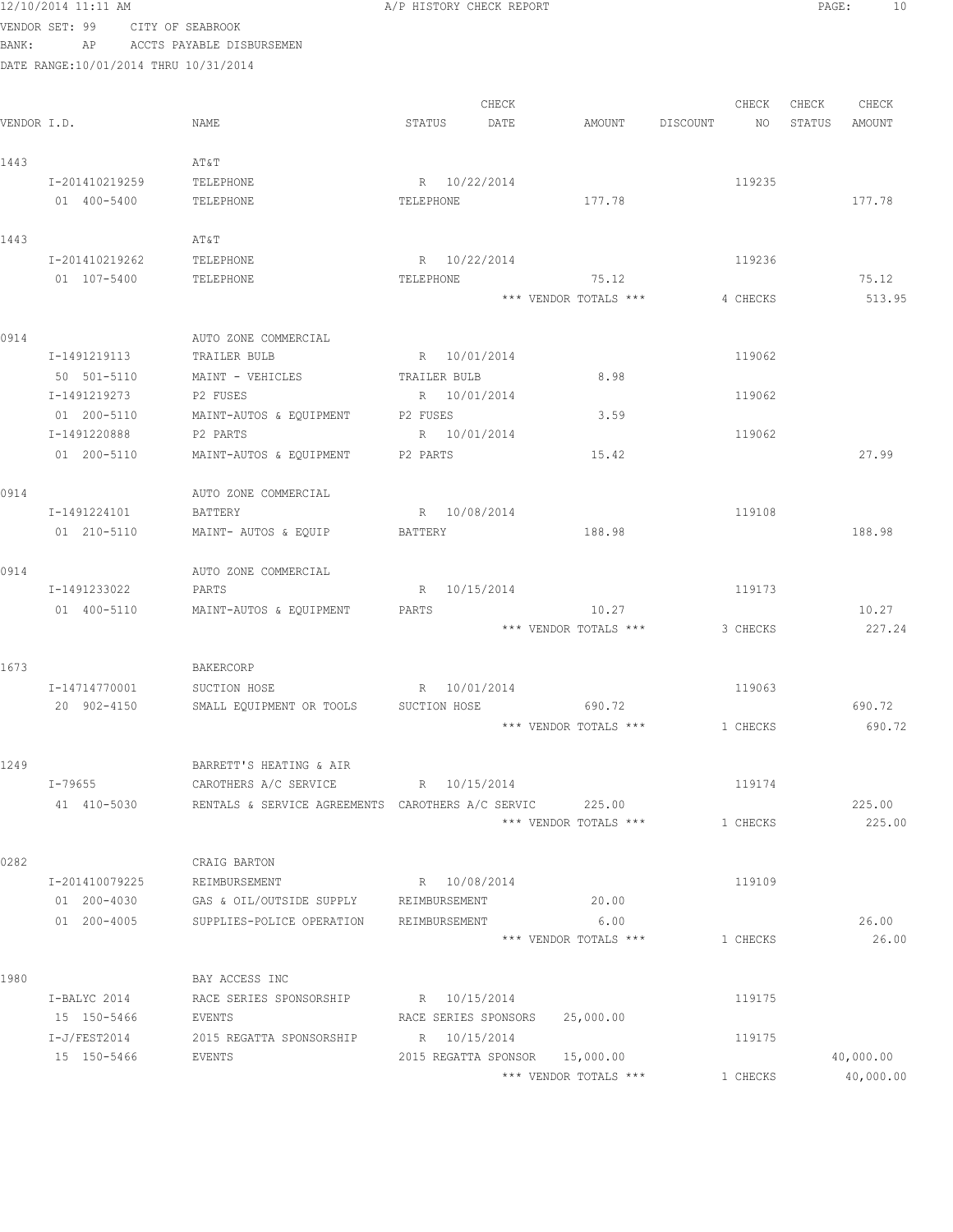|             | 12/10/2014 11:11 AM                   |                                                   | A/P HISTORY CHECK REPORT |                                |                 | PAGE:<br>10      |
|-------------|---------------------------------------|---------------------------------------------------|--------------------------|--------------------------------|-----------------|------------------|
|             | VENDOR SET: 99                        | CITY OF SEABROOK                                  |                          |                                |                 |                  |
| BANK:       | AP                                    | ACCTS PAYABLE DISBURSEMEN                         |                          |                                |                 |                  |
|             | DATE RANGE:10/01/2014 THRU 10/31/2014 |                                                   |                          |                                |                 |                  |
|             |                                       |                                                   |                          |                                |                 |                  |
|             |                                       |                                                   | CHECK                    |                                | CHECK           | CHECK<br>CHECK   |
| VENDOR I.D. |                                       | NAME                                              | STATUS<br>DATE           | AMOUNT                         | DISCOUNT<br>NO. | STATUS<br>AMOUNT |
| 1443        |                                       | AT&T                                              |                          |                                |                 |                  |
|             | I-201410219259                        | TELEPHONE                                         | R 10/22/2014             |                                | 119235          |                  |
|             | 01 400-5400                           | TELEPHONE                                         | TELEPHONE                | 177.78                         |                 | 177.78           |
|             |                                       |                                                   |                          |                                |                 |                  |
| 1443        |                                       | AT&T                                              |                          |                                |                 |                  |
|             | I-201410219262                        | TELEPHONE                                         | R 10/22/2014             |                                | 119236          |                  |
|             | 01 107-5400                           | TELEPHONE                                         | TELEPHONE                | 75.12                          |                 | 75.12            |
|             |                                       |                                                   |                          | *** VENDOR TOTALS ***          | 4 CHECKS        | 513.95           |
|             |                                       |                                                   |                          |                                |                 |                  |
| 0914        |                                       | AUTO ZONE COMMERCIAL                              |                          |                                |                 |                  |
|             | I-1491219113                          | TRAILER BULB                                      | R 10/01/2014             |                                | 119062          |                  |
|             | 50 501-5110                           | MAINT - VEHICLES                                  | TRAILER BULB             | 8.98                           |                 |                  |
|             | I-1491219273                          | P2 FUSES                                          | R 10/01/2014             |                                | 119062          |                  |
|             | 01 200-5110                           | MAINT-AUTOS & EQUIPMENT                           | P2 FUSES                 | 3.59                           |                 |                  |
|             | I-1491220888                          | P2 PARTS                                          | R 10/01/2014             |                                | 119062          |                  |
|             | 01 200-5110                           | MAINT-AUTOS & EQUIPMENT                           | P2 PARTS                 | 15.42                          |                 | 27.99            |
| 0914        |                                       | AUTO ZONE COMMERCIAL                              |                          |                                |                 |                  |
|             | I-1491224101                          | BATTERY                                           | R 10/08/2014             |                                | 119108          |                  |
|             | 01 210-5110                           | MAINT- AUTOS & EQUIP                              | BATTERY                  | 188.98                         |                 | 188.98           |
|             |                                       |                                                   |                          |                                |                 |                  |
| 0914        |                                       | AUTO ZONE COMMERCIAL                              |                          |                                |                 |                  |
|             | I-1491233022                          | PARTS                                             | R 10/15/2014             |                                | 119173          |                  |
|             | 01 400-5110                           | MAINT-AUTOS & EQUIPMENT                           | PARTS                    | 10.27                          |                 | 10.27            |
|             |                                       |                                                   |                          | *** VENDOR TOTALS ***          | 3 CHECKS        | 227.24           |
|             |                                       |                                                   |                          |                                |                 |                  |
| 1673        |                                       | BAKERCORP                                         |                          |                                |                 |                  |
|             | I-14714770001                         | SUCTION HOSE                                      | R 10/01/2014             |                                | 119063          |                  |
|             | 20 902-4150                           | SMALL EQUIPMENT OR TOOLS                          | SUCTION HOSE             | 690.72                         |                 | 690.72           |
|             |                                       |                                                   |                          | *** VENDOR TOTALS ***          | 1 CHECKS        | 690.72           |
|             |                                       |                                                   |                          |                                |                 |                  |
| 1249        |                                       | BARRETT'S HEATING & AIR                           |                          |                                |                 |                  |
|             | I-79655                               | CAROTHERS A/C SERVICE                             | R 10/15/2014             |                                | 119174          |                  |
|             | 41 410-5030                           | RENTALS & SERVICE AGREEMENTS CAROTHERS A/C SERVIC |                          | 225.00                         |                 | 225.00           |
|             |                                       |                                                   |                          | *** VENDOR TOTALS ***          | 1 CHECKS        | 225.00           |
| 0282        |                                       | CRAIG BARTON                                      |                          |                                |                 |                  |
|             | I-201410079225                        | REIMBURSEMENT                                     | R 10/08/2014             |                                | 119109          |                  |
|             | 01 200-4030                           | GAS & OIL/OUTSIDE SUPPLY                          | REIMBURSEMENT            | 20.00                          |                 |                  |
|             | 01 200-4005                           | SUPPLIES-POLICE OPERATION                         | REIMBURSEMENT            | 6.00                           |                 | 26.00            |
|             |                                       |                                                   |                          | *** VENDOR TOTALS ***          | 1 CHECKS        | 26.00            |
|             |                                       |                                                   |                          |                                |                 |                  |
| 1980        |                                       | BAY ACCESS INC                                    |                          |                                |                 |                  |
|             | I-BALYC 2014                          | RACE SERIES SPONSORSHIP                           | R 10/15/2014             |                                | 119175          |                  |
|             | 15 150-5466                           | EVENTS                                            |                          | RACE SERIES SPONSORS 25,000.00 |                 |                  |
|             | $I-J/FEST2014$                        | 2015 REGATTA SPONSORSHIP                          | R 10/15/2014             |                                | 119175          |                  |
|             | 15 150-5466                           | EVENTS                                            |                          | 2015 REGATTA SPONSOR 15,000.00 |                 | 40,000.00        |
|             |                                       |                                                   |                          | *** VENDOR TOTALS ***          | 1 CHECKS        | 40,000.00        |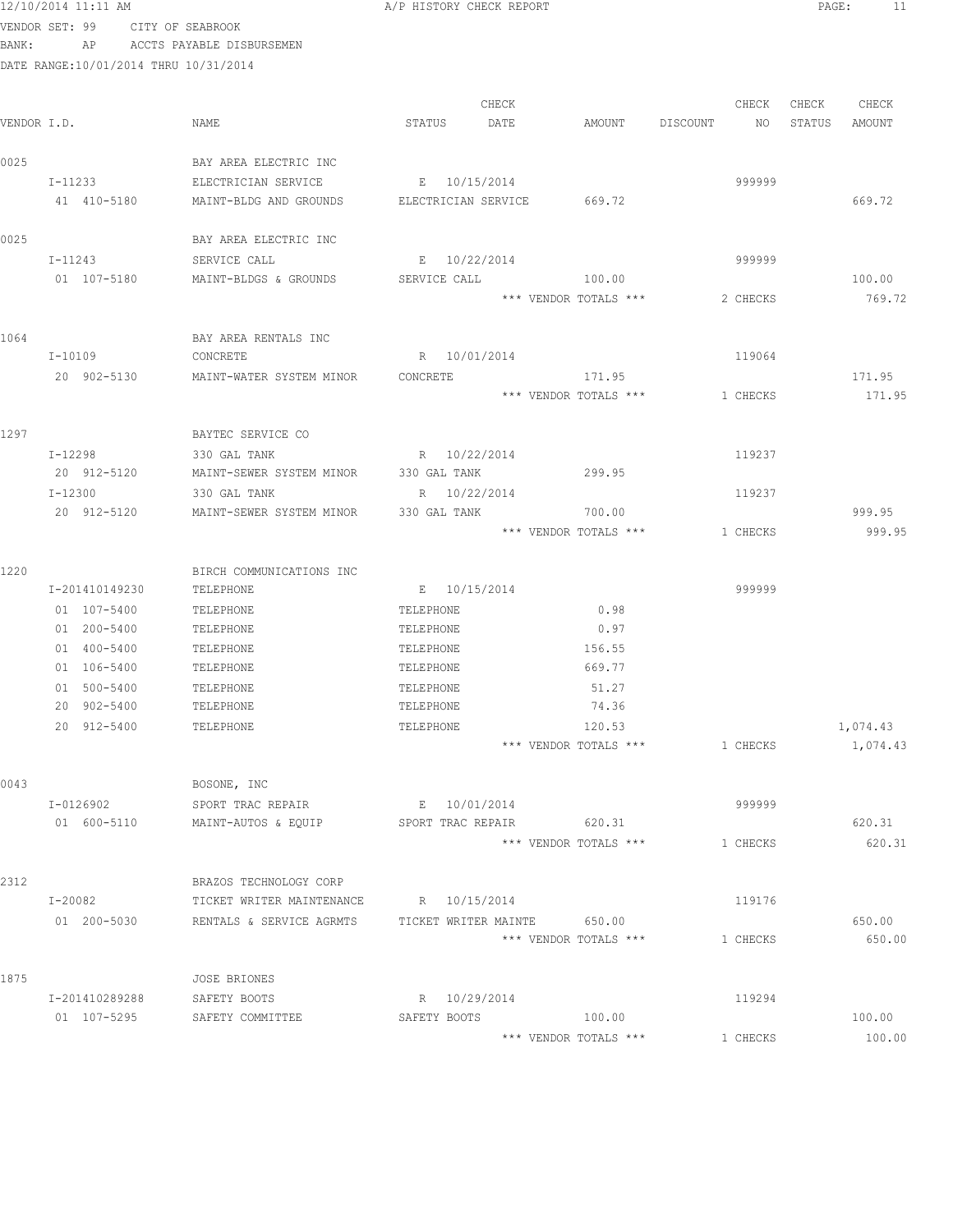|             | 12/10/2014 11:11 AM                   |                                               | A/P HISTORY CHECK REPORT                   |                                 |          |          | PAGE:  | 11               |
|-------------|---------------------------------------|-----------------------------------------------|--------------------------------------------|---------------------------------|----------|----------|--------|------------------|
|             | VENDOR SET: 99 CITY OF SEABROOK       |                                               |                                            |                                 |          |          |        |                  |
| BANK:       |                                       | AP ACCTS PAYABLE DISBURSEMEN                  |                                            |                                 |          |          |        |                  |
|             | DATE RANGE:10/01/2014 THRU 10/31/2014 |                                               |                                            |                                 |          |          |        |                  |
|             |                                       |                                               |                                            |                                 |          |          |        |                  |
|             |                                       |                                               | CHECK                                      |                                 |          | CHECK    | CHECK  | CHECK            |
| VENDOR I.D. |                                       | NAME                                          | STATUS<br>DATE                             | AMOUNT                          | DISCOUNT | NO.      | STATUS | AMOUNT           |
|             |                                       |                                               |                                            |                                 |          |          |        |                  |
| 0025        |                                       | BAY AREA ELECTRIC INC                         |                                            |                                 |          |          |        |                  |
|             | I-11233<br>41 410-5180                | ELECTRICIAN SERVICE<br>MAINT-BLDG AND GROUNDS | E 10/15/2014<br>ELECTRICIAN SERVICE 669.72 |                                 |          | 999999   |        | 669.72           |
|             |                                       |                                               |                                            |                                 |          |          |        |                  |
| 0025        |                                       | BAY AREA ELECTRIC INC                         |                                            |                                 |          |          |        |                  |
|             | I-11243                               | SERVICE CALL                                  | E 10/22/2014                               |                                 |          | 999999   |        |                  |
|             | 01 107-5180                           | MAINT-BLDGS & GROUNDS                         | SERVICE CALL                               | 100.00                          |          |          |        | 100.00           |
|             |                                       |                                               |                                            | *** VENDOR TOTALS ***           |          | 2 CHECKS |        | 769.72           |
|             |                                       |                                               |                                            |                                 |          |          |        |                  |
| 1064        |                                       | BAY AREA RENTALS INC                          |                                            |                                 |          |          |        |                  |
|             | $I-10109$                             | CONCRETE                                      | R 10/01/2014                               |                                 |          | 119064   |        |                  |
|             | 20 902-5130                           | MAINT-WATER SYSTEM MINOR                      | CONCRETE                                   | 171.95                          |          |          |        | 171.95           |
|             |                                       |                                               |                                            | *** VENDOR TOTALS ***           |          | 1 CHECKS |        | 171.95           |
|             |                                       |                                               |                                            |                                 |          |          |        |                  |
| 1297        |                                       | BAYTEC SERVICE CO                             |                                            |                                 |          |          |        |                  |
|             | $I - 12298$                           | 330 GAL TANK                                  | R 10/22/2014                               |                                 |          | 119237   |        |                  |
|             | 20 912-5120                           | MAINT-SEWER SYSTEM MINOR                      | 330 GAL TANK                               | 299.95                          |          |          |        |                  |
|             | I-12300                               | 330 GAL TANK                                  | R 10/22/2014                               |                                 |          | 119237   |        |                  |
|             | 20 912-5120                           | MAINT-SEWER SYSTEM MINOR                      | 330 GAL TANK                               | 700.00<br>*** VENDOR TOTALS *** |          |          |        | 999.95<br>999.95 |
|             |                                       |                                               |                                            |                                 |          | 1 CHECKS |        |                  |
| 1220        |                                       | BIRCH COMMUNICATIONS INC                      |                                            |                                 |          |          |        |                  |
|             | I-201410149230                        | TELEPHONE                                     | E 10/15/2014                               |                                 |          | 999999   |        |                  |
|             | 01 107-5400                           | TELEPHONE                                     | TELEPHONE                                  | 0.98                            |          |          |        |                  |
|             | 01 200-5400                           | TELEPHONE                                     | TELEPHONE                                  | 0.97                            |          |          |        |                  |
|             | 01 400-5400                           | TELEPHONE                                     | TELEPHONE                                  | 156.55                          |          |          |        |                  |
|             | 01 106-5400                           | TELEPHONE                                     | TELEPHONE                                  | 669.77                          |          |          |        |                  |
|             | 01 500-5400                           | TELEPHONE                                     | TELEPHONE                                  | 51.27                           |          |          |        |                  |
|             | 20 902-5400                           | TELEPHONE                                     | TELEPHONE                                  | 74.36                           |          |          |        |                  |
|             | 20 912-5400                           | TELEPHONE                                     | TELEPHONE                                  | 120.53                          |          |          |        | 1,074.43         |
|             |                                       |                                               |                                            | *** VENDOR TOTALS ***           |          | 1 CHECKS |        | 1,074.43         |
|             |                                       |                                               |                                            |                                 |          |          |        |                  |
| 0043        |                                       | BOSONE, INC                                   |                                            |                                 |          |          |        |                  |
|             | I-0126902                             | SPORT TRAC REPAIR                             | E 10/01/2014                               |                                 |          | 999999   |        |                  |
|             | 01 600-5110                           | MAINT-AUTOS & EQUIP                           | SPORT TRAC REPAIR                          | 620.31                          |          |          |        | 620.31           |
|             |                                       |                                               |                                            | *** VENDOR TOTALS ***           |          | 1 CHECKS |        | 620.31           |
| 2312        |                                       | BRAZOS TECHNOLOGY CORP                        |                                            |                                 |          |          |        |                  |
|             | I-20082                               | TICKET WRITER MAINTENANCE                     | R 10/15/2014                               |                                 |          | 119176   |        |                  |
|             | 01 200-5030                           | RENTALS & SERVICE AGRMTS                      | TICKET WRITER MAINTE                       | 650.00                          |          |          |        | 650.00           |
|             |                                       |                                               |                                            | *** VENDOR TOTALS ***           |          | 1 CHECKS |        | 650.00           |
|             |                                       |                                               |                                            |                                 |          |          |        |                  |
| 1875        |                                       | <b>JOSE BRIONES</b>                           |                                            |                                 |          |          |        |                  |
|             | I-201410289288                        | SAFETY BOOTS                                  | R 10/29/2014                               |                                 |          | 119294   |        |                  |
|             | 01 107-5295                           | SAFETY COMMITTEE                              | SAFETY BOOTS                               | 100.00                          |          |          |        | 100.00           |

\*\*\* VENDOR TOTALS \*\*\* 1 CHECKS 100.00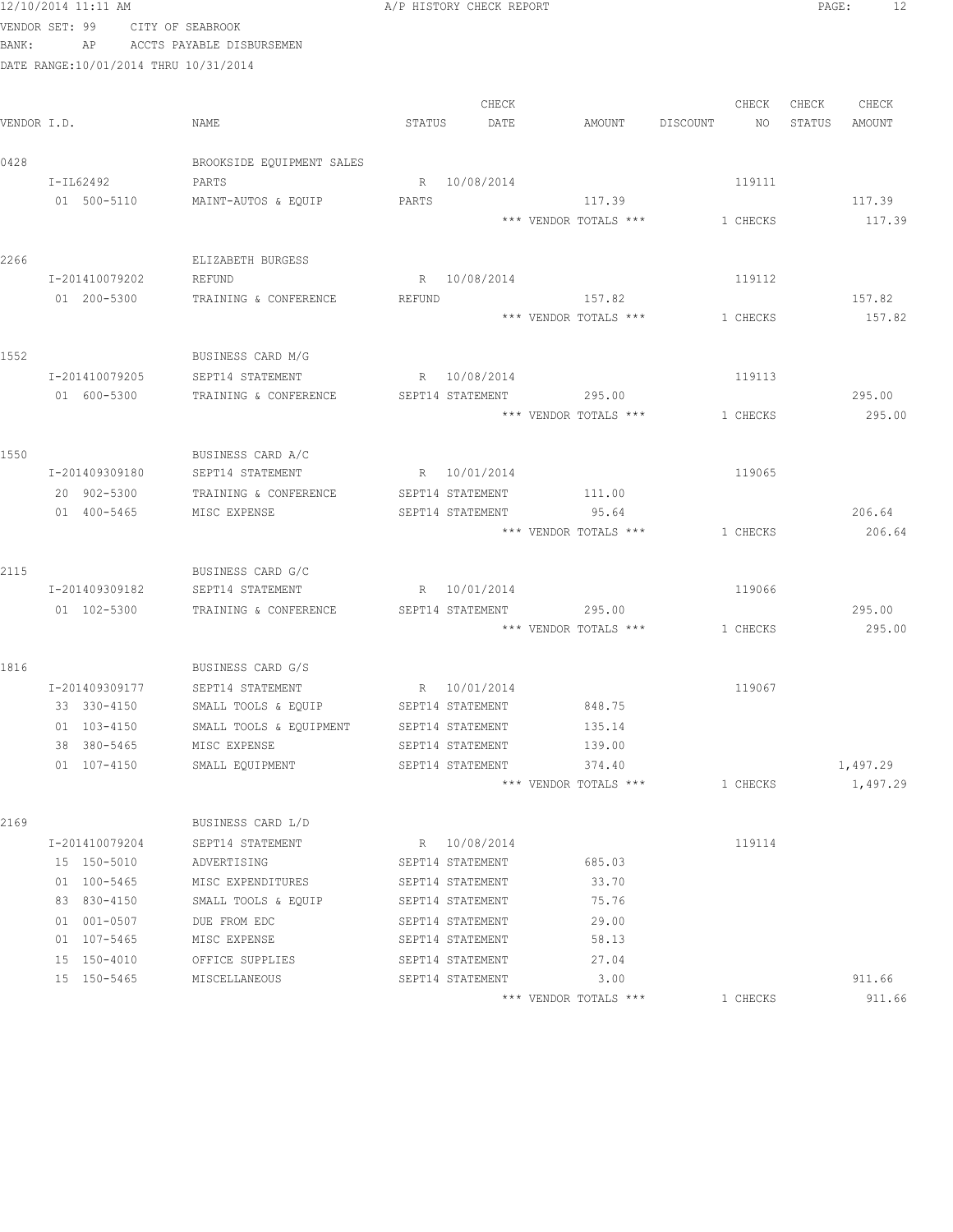|      | 12/10/2014 11:11 AM                   |                                       |        | A/P HISTORY CHECK REPORT             |                                |          |          | PAGE:  | 12       |
|------|---------------------------------------|---------------------------------------|--------|--------------------------------------|--------------------------------|----------|----------|--------|----------|
|      | VENDOR SET: 99 CITY OF SEABROOK       |                                       |        |                                      |                                |          |          |        |          |
|      | BANK:                                 | AP ACCTS PAYABLE DISBURSEMEN          |        |                                      |                                |          |          |        |          |
|      | DATE RANGE:10/01/2014 THRU 10/31/2014 |                                       |        |                                      |                                |          |          |        |          |
|      |                                       |                                       |        |                                      |                                |          |          |        |          |
|      |                                       |                                       |        | CHECK                                |                                |          | CHECK    | CHECK  | CHECK    |
|      | VENDOR I.D.                           | NAME                                  | STATUS | DATE                                 | AMOUNT                         | DISCOUNT | NO       | STATUS | AMOUNT   |
| 0428 |                                       | BROOKSIDE EQUIPMENT SALES             |        |                                      |                                |          |          |        |          |
|      | I-IL62492                             | PARTS                                 |        | R 10/08/2014                         |                                |          | 119111   |        |          |
|      | 01 500-5110                           | MAINT-AUTOS & EQUIP                   | PARTS  |                                      | 117.39                         |          |          |        | 117.39   |
|      |                                       |                                       |        |                                      | *** VENDOR TOTALS ***          |          | 1 CHECKS |        | 117.39   |
|      |                                       |                                       |        |                                      |                                |          |          |        |          |
| 2266 |                                       | ELIZABETH BURGESS                     |        |                                      |                                |          |          |        |          |
|      | I-201410079202                        | REFUND                                |        | R 10/08/2014                         |                                |          | 119112   |        |          |
|      | 01 200-5300                           | TRAINING & CONFERENCE                 | REFUND |                                      | 157.82                         |          |          |        | 157.82   |
|      |                                       |                                       |        |                                      | *** VENDOR TOTALS ***          |          | 1 CHECKS |        | 157.82   |
|      |                                       |                                       |        |                                      |                                |          |          |        |          |
| 1552 |                                       | BUSINESS CARD M/G                     |        |                                      |                                |          |          |        |          |
|      | I-201410079205                        | SEPT14 STATEMENT                      |        | R 10/08/2014                         |                                |          | 119113   |        |          |
|      | 01 600-5300                           | TRAINING & CONFERENCE                 |        |                                      | SEPT14 STATEMENT 295.00        |          |          |        | 295.00   |
|      |                                       |                                       |        |                                      | *** VENDOR TOTALS ***          |          | 1 CHECKS |        | 295.00   |
|      |                                       |                                       |        |                                      |                                |          |          |        |          |
| 1550 |                                       | BUSINESS CARD A/C                     |        |                                      |                                |          |          |        |          |
|      | I-201409309180                        | SEPT14 STATEMENT                      |        | R 10/01/2014                         |                                |          | 119065   |        |          |
|      | 20 902-5300<br>01 400-5465            | TRAINING & CONFERENCE<br>MISC EXPENSE |        | SEPT14 STATEMENT<br>SEPT14 STATEMENT | 111.00<br>95.64                |          |          |        | 206.64   |
|      |                                       |                                       |        |                                      | *** VENDOR TOTALS ***          |          | 1 CHECKS |        | 206.64   |
|      |                                       |                                       |        |                                      |                                |          |          |        |          |
| 2115 |                                       | BUSINESS CARD G/C                     |        |                                      |                                |          |          |        |          |
|      | I-201409309182                        | SEPT14 STATEMENT                      |        | R 10/01/2014                         |                                |          | 119066   |        |          |
|      | 01 102-5300                           | TRAINING & CONFERENCE                 |        | SEPT14 STATEMENT                     | 295.00                         |          |          |        | 295.00   |
|      |                                       |                                       |        |                                      | *** VENDOR TOTALS *** 1 CHECKS |          |          |        | 295.00   |
|      |                                       |                                       |        |                                      |                                |          |          |        |          |
| 1816 |                                       | BUSINESS CARD G/S                     |        |                                      |                                |          |          |        |          |
|      | I-201409309177                        | SEPT14 STATEMENT                      |        | R 10/01/2014                         |                                |          | 119067   |        |          |
|      | 33 330-4150                           | SMALL TOOLS & EQUIP                   |        | SEPT14 STATEMENT                     | 848.75                         |          |          |        |          |
|      | 01 103-4150                           | SMALL TOOLS & EQUIPMENT               |        | SEPT14 STATEMENT                     | 135.14                         |          |          |        |          |
|      | 38 380-5465                           | MISC EXPENSE                          |        | SEPT14 STATEMENT                     | 139.00                         |          |          |        |          |
|      | 01 107-4150                           | SMALL EQUIPMENT                       |        | SEPT14 STATEMENT                     | 374.40                         |          |          |        | 1,497.29 |
|      |                                       |                                       |        |                                      | *** VENDOR TOTALS ***          |          | 1 CHECKS |        | 1,497.29 |
| 2169 |                                       | BUSINESS CARD L/D                     |        |                                      |                                |          |          |        |          |
|      | I-201410079204                        | SEPT14 STATEMENT                      |        | R 10/08/2014                         |                                |          | 119114   |        |          |
|      | 15 150-5010                           | ADVERTISING                           |        | SEPT14 STATEMENT                     | 685.03                         |          |          |        |          |
|      | 01 100-5465                           | MISC EXPENDITURES                     |        | SEPT14 STATEMENT                     | 33.70                          |          |          |        |          |
|      | 83 830-4150                           | SMALL TOOLS & EQUIP                   |        | SEPT14 STATEMENT                     | 75.76                          |          |          |        |          |
|      | 01 001-0507                           | DUE FROM EDC                          |        | SEPT14 STATEMENT                     | 29.00                          |          |          |        |          |
|      | 01 107-5465                           | MISC EXPENSE                          |        | SEPT14 STATEMENT                     | 58.13                          |          |          |        |          |
|      | 15 150-4010                           | OFFICE SUPPLIES                       |        | SEPT14 STATEMENT                     | 27.04                          |          |          |        |          |
|      | 15 150-5465                           | MISCELLANEOUS                         |        | SEPT14 STATEMENT                     | 3.00                           |          |          |        | 911.66   |
|      |                                       |                                       |        |                                      | *** VENDOR TOTALS ***          |          | 1 CHECKS |        | 911.66   |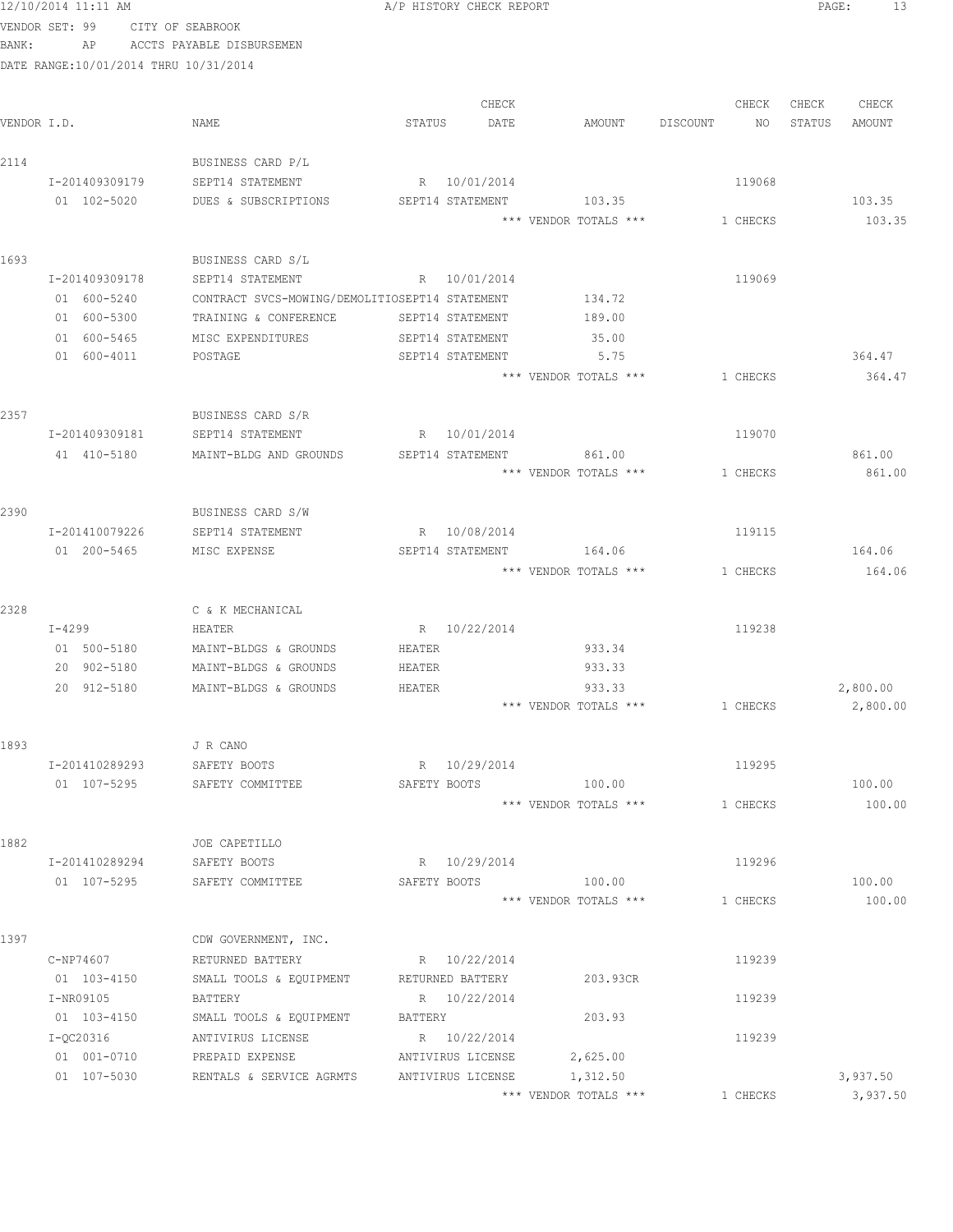|             | 12/10/2014 11:11 AM                   |                                                |         | A/P HISTORY CHECK REPORT |                       |          |          | PAGE:  | 13       |
|-------------|---------------------------------------|------------------------------------------------|---------|--------------------------|-----------------------|----------|----------|--------|----------|
|             | VENDOR SET: 99                        | CITY OF SEABROOK                               |         |                          |                       |          |          |        |          |
| BANK:       | AP                                    | ACCTS PAYABLE DISBURSEMEN                      |         |                          |                       |          |          |        |          |
|             | DATE RANGE:10/01/2014 THRU 10/31/2014 |                                                |         |                          |                       |          |          |        |          |
|             |                                       |                                                |         | CHECK                    |                       |          | CHECK    | CHECK  | CHECK    |
| VENDOR I.D. |                                       | NAME                                           | STATUS  | DATE                     | AMOUNT                | DISCOUNT | NO       | STATUS | AMOUNT   |
| 2114        |                                       | BUSINESS CARD P/L                              |         |                          |                       |          |          |        |          |
|             | I-201409309179                        | SEPT14 STATEMENT                               |         | R 10/01/2014             |                       |          | 119068   |        |          |
|             | 01 102-5020                           | DUES & SUBSCRIPTIONS                           |         | SEPT14 STATEMENT         | 103.35                |          |          |        | 103.35   |
|             |                                       |                                                |         |                          | *** VENDOR TOTALS *** |          | 1 CHECKS |        | 103.35   |
| 1693        |                                       | BUSINESS CARD S/L                              |         |                          |                       |          |          |        |          |
|             | I-201409309178                        | SEPT14 STATEMENT                               |         | R 10/01/2014             |                       |          | 119069   |        |          |
|             | 01 600-5240                           | CONTRACT SVCS-MOWING/DEMOLITIOSEPT14 STATEMENT |         |                          | 134.72                |          |          |        |          |
|             | 01 600-5300                           | TRAINING & CONFERENCE                          |         | SEPT14 STATEMENT         | 189.00                |          |          |        |          |
|             | 01 600-5465                           | MISC EXPENDITURES                              |         | SEPT14 STATEMENT         | 35.00                 |          |          |        |          |
|             | 01 600-4011                           | POSTAGE                                        |         | SEPT14 STATEMENT         | 5.75                  |          |          |        | 364.47   |
|             |                                       |                                                |         |                          | *** VENDOR TOTALS *** |          | 1 CHECKS |        | 364.47   |
| 2357        |                                       | BUSINESS CARD S/R                              |         |                          |                       |          |          |        |          |
|             | I-201409309181                        | SEPT14 STATEMENT                               |         | R 10/01/2014             |                       |          | 119070   |        |          |
|             | 41 410-5180                           | MAINT-BLDG AND GROUNDS                         |         | SEPT14 STATEMENT         | 861.00                |          |          |        | 861.00   |
|             |                                       |                                                |         |                          | *** VENDOR TOTALS *** |          | 1 CHECKS |        | 861.00   |
| 2390        |                                       | BUSINESS CARD S/W                              |         |                          |                       |          |          |        |          |
|             | I-201410079226                        | SEPT14 STATEMENT                               |         | R 10/08/2014             |                       |          | 119115   |        |          |
|             | 01 200-5465                           | MISC EXPENSE                                   |         | SEPT14 STATEMENT         | 164.06                |          |          |        | 164.06   |
|             |                                       |                                                |         |                          | *** VENDOR TOTALS *** |          | 1 CHECKS |        | 164.06   |
| 2328        |                                       | C & K MECHANICAL                               |         |                          |                       |          |          |        |          |
|             | $I-4299$                              | HEATER                                         |         | R 10/22/2014             |                       |          | 119238   |        |          |
|             | 01 500-5180                           | MAINT-BLDGS & GROUNDS                          | HEATER  |                          | 933.34                |          |          |        |          |
|             | 20 902-5180                           | MAINT-BLDGS & GROUNDS                          | HEATER  |                          | 933.33                |          |          |        |          |
|             | 20 912-5180                           | MAINT-BLDGS & GROUNDS                          | HEATER  |                          | 933.33                |          |          |        | 2,800.00 |
|             |                                       |                                                |         |                          | *** VENDOR TOTALS *** |          | 1 CHECKS |        | 2,800.00 |
| 1893        |                                       | J R CANO                                       |         |                          |                       |          |          |        |          |
|             | I-201410289293                        | SAFETY BOOTS                                   |         | R 10/29/2014             |                       |          | 119295   |        |          |
|             | 01 107-5295                           | SAFETY COMMITTEE                               |         | SAFETY BOOTS             | 100.00                |          |          |        | 100.00   |
|             |                                       |                                                |         |                          | *** VENDOR TOTALS *** |          | 1 CHECKS |        | 100.00   |
| 1882        |                                       | JOE CAPETILLO                                  |         |                          |                       |          |          |        |          |
|             | I-201410289294                        | SAFETY BOOTS                                   |         | R 10/29/2014             |                       |          | 119296   |        |          |
|             | 01 107-5295                           | SAFETY COMMITTEE                               |         | SAFETY BOOTS             | 100.00                |          |          |        | 100.00   |
|             |                                       |                                                |         |                          | *** VENDOR TOTALS *** |          | 1 CHECKS |        | 100.00   |
| 1397        |                                       | CDW GOVERNMENT, INC.                           |         |                          |                       |          |          |        |          |
|             | C-NP74607                             | RETURNED BATTERY                               |         | R 10/22/2014             |                       |          | 119239   |        |          |
|             | 01 103-4150                           | SMALL TOOLS & EQUIPMENT                        |         | RETURNED BATTERY         | 203.93CR              |          |          |        |          |
|             | I-NR09105                             | BATTERY                                        |         | R 10/22/2014             |                       |          | 119239   |        |          |
|             | 01 103-4150                           | SMALL TOOLS & EQUIPMENT                        | BATTERY |                          | 203.93                |          |          |        |          |
|             | I-QC20316                             | ANTIVIRUS LICENSE                              |         | R 10/22/2014             |                       |          | 119239   |        |          |
|             | 01 001-0710                           | PREPAID EXPENSE                                |         | ANTIVIRUS LICENSE        | 2,625.00              |          |          |        |          |
|             | 01 107-5030                           | RENTALS & SERVICE AGRMTS                       |         | ANTIVIRUS LICENSE        | 1,312.50              |          |          |        | 3,937.50 |

\*\*\* VENDOR TOTALS \*\*\* 1 CHECKS 3,937.50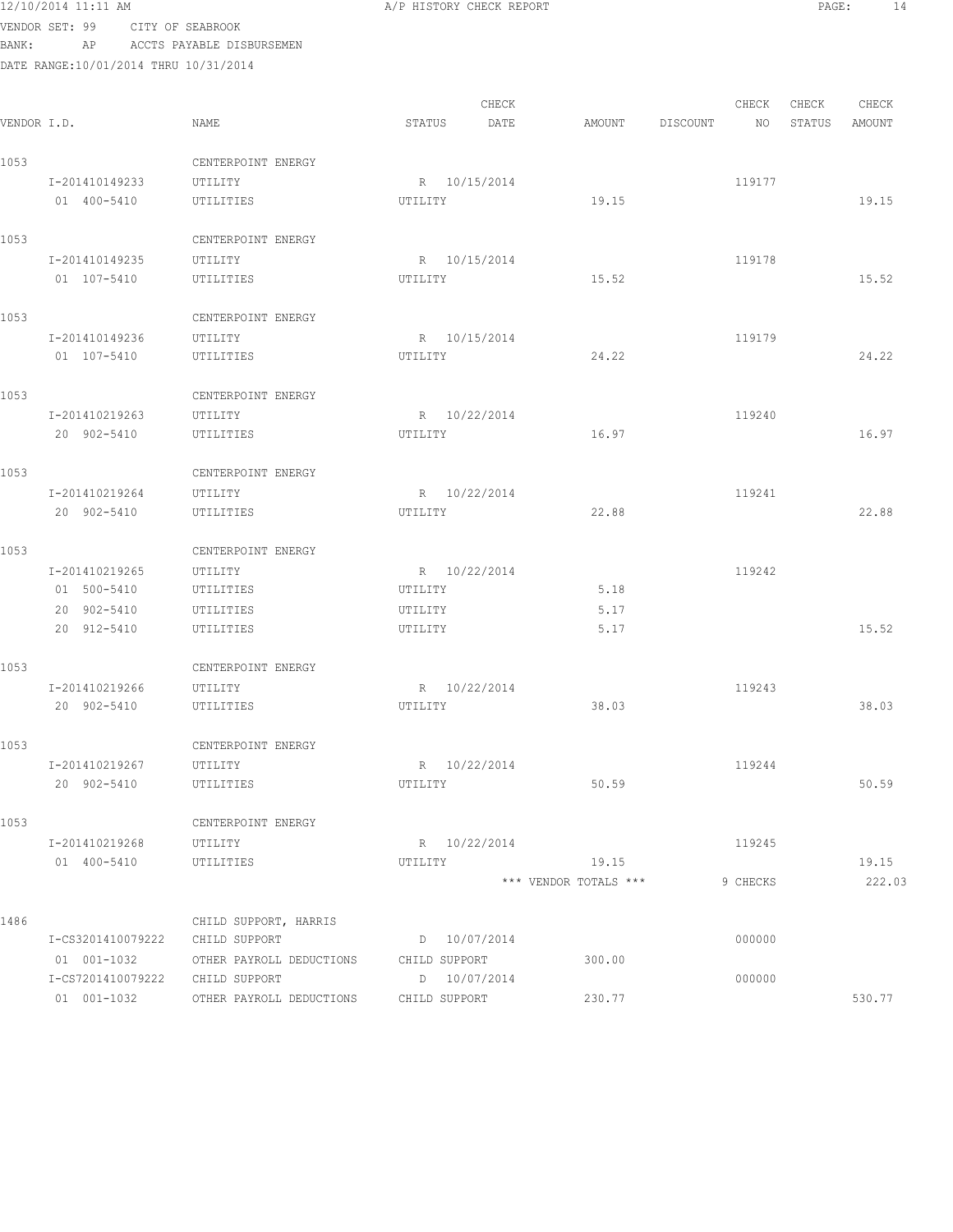| 12/10/2014 11:11 AM |  |
|---------------------|--|
|                     |  |

A/P HISTORY CHECK REPORT PAGE: 14

VENDOR SET: 99 CITY OF SEABROOK BANK: AP ACCTS PAYABLE DISBURSEMEN

| VENDOR I.D. |                                                 | NAME                                   | STATUS                  | CHECK<br>DATE | AMOUNT                         | DISCOUNT | CHECK<br>NO | CHECK<br>STATUS | CHECK<br>AMOUNT |
|-------------|-------------------------------------------------|----------------------------------------|-------------------------|---------------|--------------------------------|----------|-------------|-----------------|-----------------|
| 1053        |                                                 | CENTERPOINT ENERGY                     |                         |               |                                |          |             |                 |                 |
|             | I-201410149233<br>01 400-5410                   | UTILITY<br>UTILITIES                   | R 10/15/2014<br>UTILITY |               | 19.15                          |          | 119177      |                 | 19.15           |
| 1053        |                                                 | CENTERPOINT ENERGY                     |                         |               |                                |          |             |                 |                 |
|             | I-201410149235<br>01 107-5410                   | UTILITY<br>UTILITIES                   | R 10/15/2014<br>UTILITY |               | 15.52                          |          | 119178      |                 | 15.52           |
| 1053        |                                                 | CENTERPOINT ENERGY                     |                         |               |                                |          |             |                 |                 |
|             | I-201410149236<br>01 107-5410                   | UTILITY<br>UTILITIES                   | R 10/15/2014<br>UTILITY |               | 24.22                          |          | 119179      |                 | 24.22           |
| 1053        |                                                 | CENTERPOINT ENERGY                     |                         |               |                                |          |             |                 |                 |
|             | I-201410219263<br>20 902-5410                   | UTILITY<br>UTILITIES                   | R 10/22/2014<br>UTILITY |               | 16.97                          |          | 119240      |                 | 16.97           |
| 1053        |                                                 | CENTERPOINT ENERGY                     |                         |               |                                |          |             |                 |                 |
|             | I-201410219264<br>20 902-5410                   | UTILITY<br>UTILITIES                   | R 10/22/2014<br>UTILITY |               | 22.88                          |          | 119241      |                 | 22.88           |
| 1053        |                                                 | CENTERPOINT ENERGY                     |                         |               |                                |          |             |                 |                 |
|             | I-201410219265                                  | UTILITY                                | R 10/22/2014            |               |                                |          | 119242      |                 |                 |
|             | 01 500-5410                                     | UTILITIES                              | UTILITY                 |               | 5.18                           |          |             |                 |                 |
|             | 20 902-5410<br>20 912-5410                      | UTILITIES<br>UTILITIES                 | UTILITY<br>UTILITY      |               | 5.17<br>5.17                   |          |             |                 | 15.52           |
| 1053        |                                                 | CENTERPOINT ENERGY                     |                         |               |                                |          |             |                 |                 |
|             | I-201410219266                                  | UTILITY                                | R 10/22/2014            |               |                                |          | 119243      |                 |                 |
|             | 20 902-5410                                     | UTILITIES                              | UTILITY                 |               | 38.03                          |          |             |                 | 38.03           |
| 1053        |                                                 | CENTERPOINT ENERGY                     |                         |               |                                |          |             |                 |                 |
|             | I-201410219267                                  | UTILITY                                | R 10/22/2014            |               |                                |          | 119244      |                 |                 |
|             | 20 902-5410                                     | UTILITIES                              | UTILITY                 |               | 50.59                          |          |             |                 | 50.59           |
| 1053        |                                                 | CENTERPOINT ENERGY                     |                         |               |                                |          |             |                 |                 |
|             | I-201410219268 UTILITY                          |                                        | R 10/22/2014            |               |                                |          | 119245      |                 |                 |
|             | 01 400-5410 UTILITIES                           |                                        | UTILITY                 |               | 19.15<br>*** VENDOR TOTALS *** |          | 9 CHECKS    |                 | 19.15<br>222.03 |
|             |                                                 |                                        |                         |               |                                |          |             |                 |                 |
| 1486        |                                                 | CHILD SUPPORT, HARRIS                  |                         |               |                                |          |             |                 |                 |
|             | I-CS3201410079222 CHILD SUPPORT                 |                                        | D 10/07/2014            |               |                                |          | 000000      |                 |                 |
|             | 01  001-1032<br>I-CS7201410079222 CHILD SUPPORT | OTHER PAYROLL DEDUCTIONS CHILD SUPPORT | D 10/07/2014            |               | 300.00                         |          | 000000      |                 |                 |
|             | 01 001-1032                                     | OTHER PAYROLL DEDUCTIONS CHILD SUPPORT |                         |               | 230.77                         |          |             |                 | 530.77          |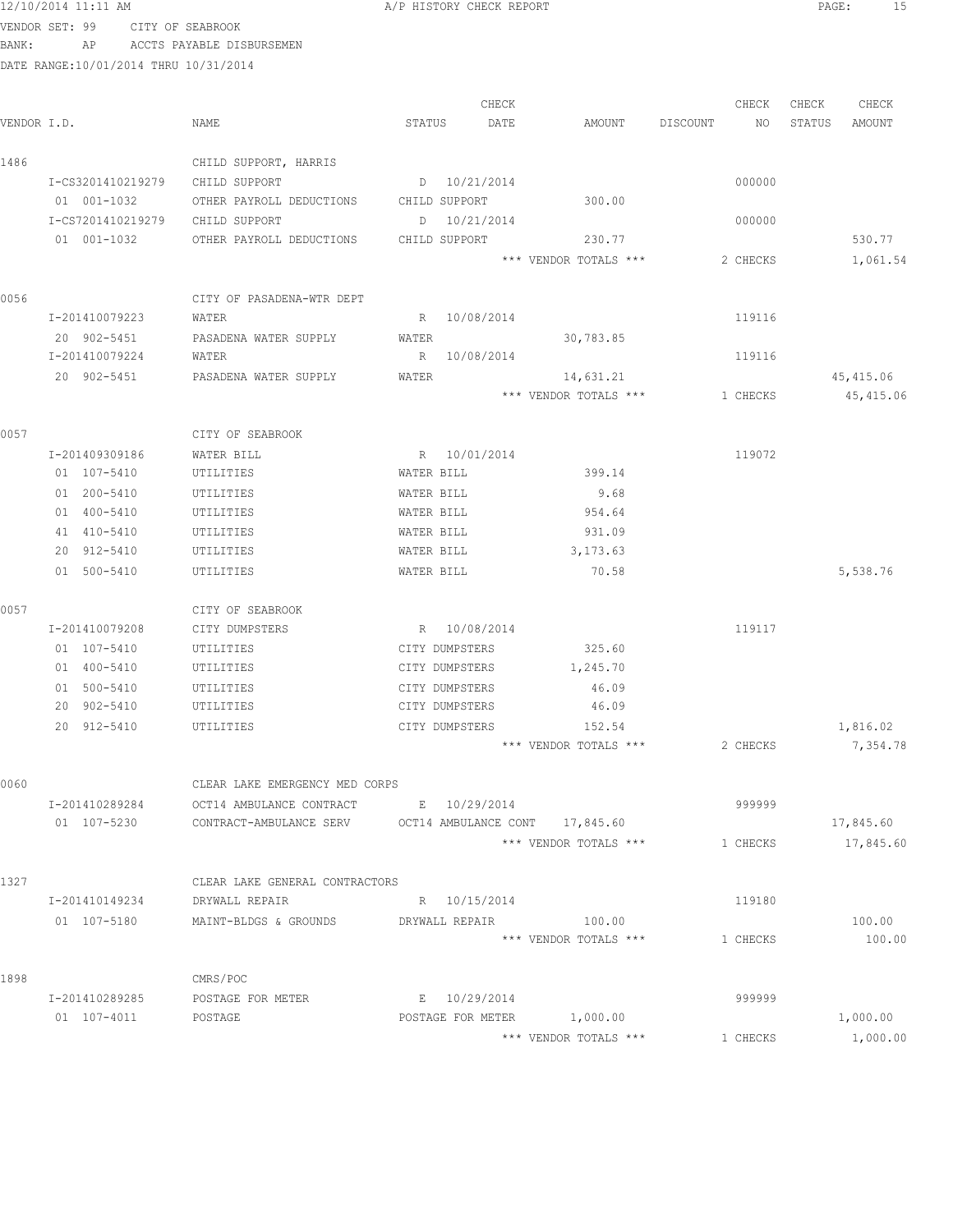| BANK: | VENDOR SET: 99<br>ΑP                  | CITY OF SEABROOK<br>ACCTS PAYABLE DISBURSEMEN |                   |                                |                 |                  |
|-------|---------------------------------------|-----------------------------------------------|-------------------|--------------------------------|-----------------|------------------|
|       | DATE RANGE:10/01/2014 THRU 10/31/2014 |                                               |                   |                                |                 |                  |
|       |                                       |                                               |                   |                                |                 |                  |
|       |                                       |                                               | CHECK             |                                | CHECK           | CHECK<br>CHECK   |
|       | VENDOR I.D.                           | NAME                                          | STATUS<br>DATE    | AMOUNT                         | DISCOUNT<br>NO. | STATUS<br>AMOUNT |
|       |                                       |                                               |                   |                                |                 |                  |
| 1486  | I-CS3201410219279                     | CHILD SUPPORT, HARRIS<br>CHILD SUPPORT        | D 10/21/2014      |                                | 000000          |                  |
|       | 01 001-1032                           | OTHER PAYROLL DEDUCTIONS                      | CHILD SUPPORT     | 300.00                         |                 |                  |
|       | I-CS7201410219279                     | CHILD SUPPORT                                 | 10/21/2014<br>D   |                                | 000000          |                  |
|       | 01 001-1032                           | OTHER PAYROLL DEDUCTIONS                      | CHILD SUPPORT     | 230.77                         |                 | 530.77           |
|       |                                       |                                               |                   | *** VENDOR TOTALS ***          | 2 CHECKS        | 1,061.54         |
|       |                                       |                                               |                   |                                |                 |                  |
| 0056  |                                       | CITY OF PASADENA-WTR DEPT                     |                   |                                |                 |                  |
|       | I-201410079223                        | WATER                                         | R 10/08/2014      |                                | 119116          |                  |
|       | 20 902-5451                           | PASADENA WATER SUPPLY                         | WATER             | 30,783.85                      |                 |                  |
|       | I-201410079224                        | WATER                                         | R 10/08/2014      |                                | 119116          |                  |
|       | 20 902-5451                           | PASADENA WATER SUPPLY                         | <b>WATER</b>      | 14,631.21                      |                 | 45, 415.06       |
|       |                                       |                                               |                   | *** VENDOR TOTALS ***          | 1 CHECKS        | 45,415.06        |
| 0057  |                                       | CITY OF SEABROOK                              |                   |                                |                 |                  |
|       | I-201409309186                        | WATER BILL                                    | R 10/01/2014      |                                | 119072          |                  |
|       | 01 107-5410                           | UTILITIES                                     | WATER BILL        | 399.14                         |                 |                  |
|       | 01 200-5410                           | UTILITIES                                     | WATER BILL        | 9.68                           |                 |                  |
|       | 01 400-5410                           | UTILITIES                                     | WATER BILL        | 954.64                         |                 |                  |
|       | 41 410-5410                           | UTILITIES                                     | WATER BILL        | 931.09                         |                 |                  |
|       | 20 912-5410                           | UTILITIES                                     | WATER BILL        | 3,173.63                       |                 |                  |
|       | 01 500-5410                           | UTILITIES                                     | WATER BILL        | 70.58                          |                 | 5,538.76         |
| 0057  |                                       | CITY OF SEABROOK                              |                   |                                |                 |                  |
|       | I-201410079208                        | CITY DUMPSTERS                                | R 10/08/2014      |                                | 119117          |                  |
|       | 01 107-5410                           | UTILITIES                                     | CITY DUMPSTERS    | 325.60                         |                 |                  |
|       | 01 400-5410                           | UTILITIES                                     | CITY DUMPSTERS    | 1,245.70                       |                 |                  |
|       | 01 500-5410                           | UTILITIES                                     | CITY DUMPSTERS    | 46.09                          |                 |                  |
|       | 20 902-5410                           | UTILITIES                                     | CITY DUMPSTERS    | 46.09                          |                 |                  |
|       | 20 912-5410                           | UTILITIES                                     | CITY DUMPSTERS    | 152.54                         |                 | 1,816.02         |
|       |                                       |                                               |                   | *** VENDOR TOTALS ***          | 2 CHECKS        | 7,354.78         |
| 0060  |                                       | CLEAR LAKE EMERGENCY MED CORPS                |                   |                                |                 |                  |
|       | I-201410289284                        | OCT14 AMBULANCE CONTRACT                      | E 10/29/2014      |                                | 999999          |                  |
|       | 01 107-5230                           | CONTRACT-AMBULANCE SERV                       |                   | OCT14 AMBULANCE CONT 17,845.60 |                 | 17,845.60        |
|       |                                       |                                               |                   | *** VENDOR TOTALS ***          | 1 CHECKS        | 17,845.60        |
| 1327  |                                       | CLEAR LAKE GENERAL CONTRACTORS                |                   |                                |                 |                  |
|       | I-201410149234                        | DRYWALL REPAIR                                | R 10/15/2014      |                                | 119180          |                  |
|       | 01 107-5180                           | MAINT-BLDGS & GROUNDS                         | DRYWALL REPAIR    | 100.00                         |                 | 100.00           |
|       |                                       |                                               |                   | *** VENDOR TOTALS ***          | 1 CHECKS        | 100.00           |
| 1898  |                                       | CMRS/POC                                      |                   |                                |                 |                  |
|       | I-201410289285                        | POSTAGE FOR METER                             | E 10/29/2014      |                                | 999999          |                  |
|       | 01 107-4011                           | POSTAGE                                       | POSTAGE FOR METER | 1,000.00                       |                 | 1,000.00         |
|       |                                       |                                               |                   | *** VENDOR TOTALS ***          | 1 CHECKS        | 1,000.00         |

12/10/2014 11:11 AM **Proved Contains A** A PHISTORY CHECK REPORT **PAGE:** 15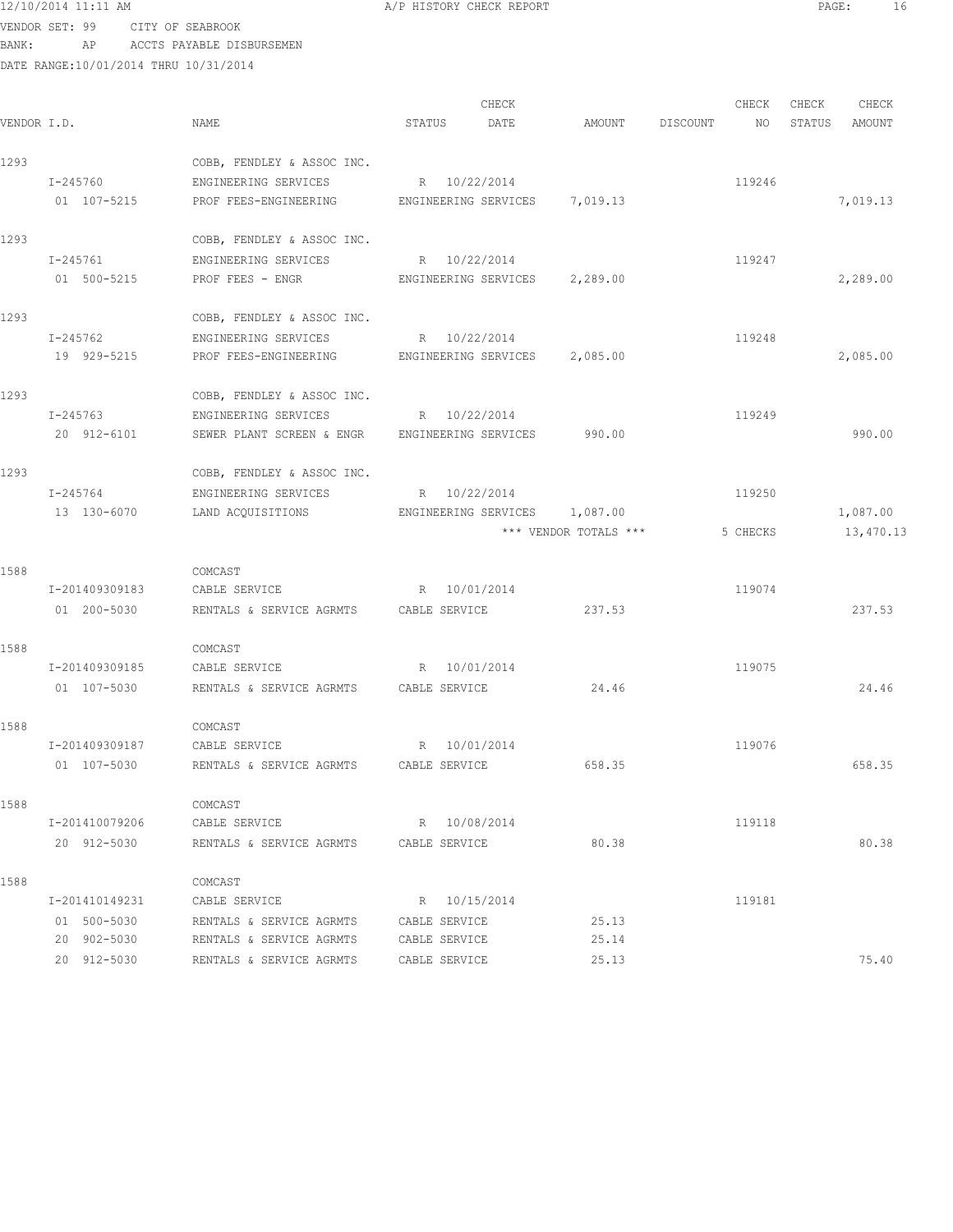VENDOR SET: 99 CITY OF SEABROOK BANK: AP ACCTS PAYABLE DISBURSEMEN

| VENDOR I.D. |                | NAME                                                  | STATUS                        | CHECK<br>DATE | AMOUNT                | DISCOUNT | CHECK<br>NO . | CHECK<br>STATUS | CHECK<br>AMOUNT |
|-------------|----------------|-------------------------------------------------------|-------------------------------|---------------|-----------------------|----------|---------------|-----------------|-----------------|
| 1293        |                | COBB, FENDLEY & ASSOC INC.                            |                               |               |                       |          |               |                 |                 |
|             | I-245760       | ENGINEERING SERVICES                                  | R 10/22/2014                  |               |                       |          | 119246        |                 |                 |
|             | 01 107-5215    | PROF FEES-ENGINEERING ENGINEERING SERVICES 7,019.13   |                               |               |                       |          |               |                 | 7,019.13        |
| 1293        |                | COBB, FENDLEY & ASSOC INC.                            |                               |               |                       |          |               |                 |                 |
|             | I-245761       | ENGINEERING SERVICES                                  | R 10/22/2014                  |               |                       |          | 119247        |                 |                 |
|             | 01 500-5215    | PROF FEES - ENGR                                      | ENGINEERING SERVICES 2,289.00 |               |                       |          |               |                 | 2,289.00        |
| 1293        |                | COBB, FENDLEY & ASSOC INC.                            |                               |               |                       |          |               |                 |                 |
|             | I-245762       | ENGINEERING SERVICES                                  | R 10/22/2014                  |               |                       |          | 119248        |                 |                 |
|             | 19 929-5215    | PROF FEES-ENGINEERING ENGINEERING SERVICES 2,085.00   |                               |               |                       |          |               |                 | 2,085.00        |
| 1293        |                | COBB, FENDLEY & ASSOC INC.                            |                               |               |                       |          |               |                 |                 |
|             | I-245763       | ENGINEERING SERVICES                                  | R 10/22/2014                  |               |                       |          | 119249        |                 |                 |
|             | 20 912-6101    | SEWER PLANT SCREEN & ENGR ENGINEERING SERVICES 990.00 |                               |               |                       |          |               |                 | 990.00          |
| 1293        |                | COBB, FENDLEY & ASSOC INC.                            |                               |               |                       |          |               |                 |                 |
|             | I-245764       | ENGINEERING SERVICES                                  | R 10/22/2014                  |               |                       |          | 119250        |                 |                 |
|             | 13 130-6070    | LAND ACQUISITIONS                                     | ENGINEERING SERVICES 1,087.00 |               |                       |          |               |                 | 1,087.00        |
|             |                |                                                       |                               |               | *** VENDOR TOTALS *** |          | 5 CHECKS      |                 | 13,470.13       |
| 1588        |                | COMCAST                                               |                               |               |                       |          |               |                 |                 |
|             | I-201409309183 | CABLE SERVICE                                         | R 10/01/2014                  |               |                       |          | 119074        |                 |                 |
|             | 01 200-5030    | RENTALS & SERVICE AGRMTS CABLE SERVICE                |                               |               | 237.53                |          |               |                 | 237.53          |
| 1588        |                | COMCAST                                               |                               |               |                       |          |               |                 |                 |
|             | I-201409309185 | CABLE SERVICE                                         | R 10/01/2014                  |               |                       |          | 119075        |                 |                 |
|             | 01 107-5030    | RENTALS & SERVICE AGRMTS                              | CABLE SERVICE                 |               | 24.46                 |          |               |                 | 24.46           |
| 1588        |                | COMCAST                                               |                               |               |                       |          |               |                 |                 |
|             | I-201409309187 | CABLE SERVICE                                         | R 10/01/2014                  |               |                       |          | 119076        |                 |                 |
|             | 01 107-5030    | RENTALS & SERVICE AGRMTS                              | CABLE SERVICE                 |               | 658.35                |          |               |                 | 658.35          |
| 1588        |                | COMCAST                                               |                               |               |                       |          |               |                 |                 |
|             | I-201410079206 | CABLE SERVICE                                         | R 10/08/2014                  |               |                       |          | 119118        |                 |                 |
|             | 20 912-5030    | RENTALS & SERVICE AGRMTS                              | CABLE SERVICE                 |               | 80.38                 |          |               |                 | 80.38           |
| 1588        |                | COMCAST                                               |                               |               |                       |          |               |                 |                 |
|             | I-201410149231 | CABLE SERVICE                                         | R 10/15/2014                  |               |                       |          | 119181        |                 |                 |
|             | 01 500-5030    | RENTALS & SERVICE AGRMTS                              | CABLE SERVICE                 |               | 25.13                 |          |               |                 |                 |
|             | 20 902-5030    | RENTALS & SERVICE AGRMTS                              | CABLE SERVICE                 |               | 25.14                 |          |               |                 |                 |
|             | 20 912-5030    | RENTALS & SERVICE AGRMTS                              | CABLE SERVICE                 |               | 25.13                 |          |               |                 | 75.40           |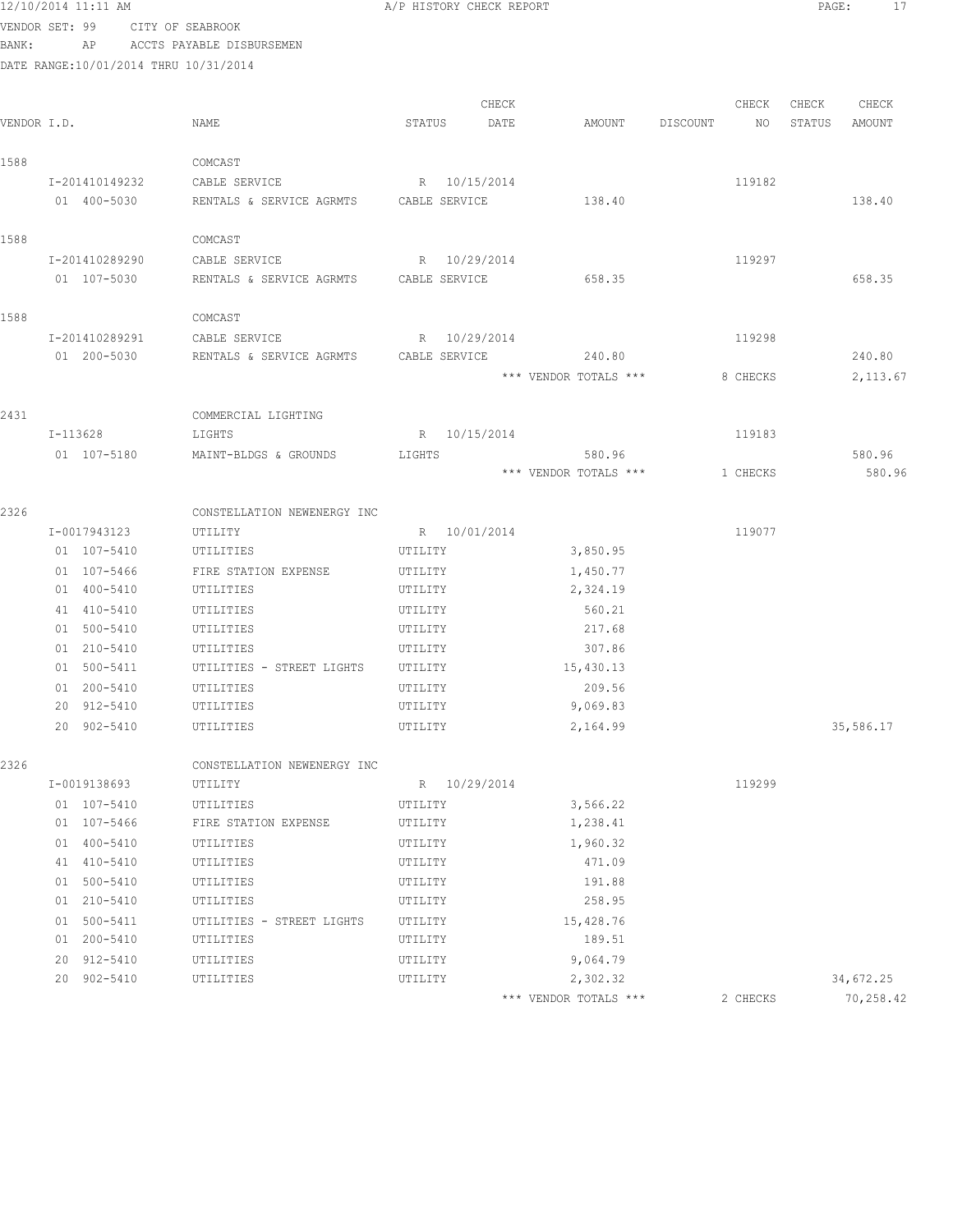|       | 12/10/2014 11:11 AM                   |                                        | A/P HISTORY CHECK REPORT |                       |                | PAGE:<br>17      |
|-------|---------------------------------------|----------------------------------------|--------------------------|-----------------------|----------------|------------------|
|       | VENDOR SET: 99                        | CITY OF SEABROOK                       |                          |                       |                |                  |
| BANK: |                                       | AP ACCTS PAYABLE DISBURSEMEN           |                          |                       |                |                  |
|       | DATE RANGE:10/01/2014 THRU 10/31/2014 |                                        |                          |                       |                |                  |
|       |                                       |                                        |                          |                       |                |                  |
|       |                                       |                                        | CHECK                    |                       | CHECK          | CHECK<br>CHECK   |
|       | VENDOR I.D.                           | NAME                                   | STATUS<br>DATE           | AMOUNT                | DISCOUNT<br>NO | STATUS<br>AMOUNT |
| 1588  |                                       | COMCAST                                |                          |                       |                |                  |
|       | I-201410149232                        | CABLE SERVICE                          | R 10/15/2014             |                       | 119182         |                  |
|       | 01 400-5030                           | RENTALS & SERVICE AGRMTS CABLE SERVICE |                          | 138.40                |                | 138.40           |
|       |                                       |                                        |                          |                       |                |                  |
| 1588  |                                       | COMCAST                                |                          |                       |                |                  |
|       | I-201410289290                        | CABLE SERVICE                          | R 10/29/2014             |                       | 119297         |                  |
|       | 01 107-5030                           | RENTALS & SERVICE AGRMTS               | CABLE SERVICE            | 658.35                |                | 658.35           |
| 1588  |                                       | COMCAST                                |                          |                       |                |                  |
|       | I-201410289291                        | CABLE SERVICE                          | R 10/29/2014             |                       | 119298         |                  |
|       | 01 200-5030                           | RENTALS & SERVICE AGRMTS               | CABLE SERVICE            | 240.80                |                | 240.80           |
|       |                                       |                                        |                          | *** VENDOR TOTALS *** | 8 CHECKS       | 2, 113.67        |
|       |                                       |                                        |                          |                       |                |                  |
| 2431  |                                       | COMMERCIAL LIGHTING                    |                          |                       |                |                  |
|       | I-113628                              | LIGHTS                                 | R 10/15/2014             |                       | 119183         |                  |
|       | 01 107-5180                           | MAINT-BLDGS & GROUNDS                  | LIGHTS                   | 580.96                |                | 580.96           |
|       |                                       |                                        |                          | *** VENDOR TOTALS *** | 1 CHECKS       | 580.96           |
| 2326  |                                       | CONSTELLATION NEWENERGY INC            |                          |                       |                |                  |
|       | I-0017943123                          | UTILITY                                | R 10/01/2014             |                       | 119077         |                  |
|       | 01 107-5410                           | UTILITIES                              | UTILITY                  | 3,850.95              |                |                  |
|       | 01 107-5466                           | FIRE STATION EXPENSE                   | UTILITY                  | 1,450.77              |                |                  |
|       | 01 400-5410                           | UTILITIES                              | UTILITY                  | 2,324.19              |                |                  |
|       | 41 410-5410                           | UTILITIES                              | UTILITY                  | 560.21                |                |                  |
|       | 01 500-5410                           | UTILITIES                              | UTILITY                  | 217.68                |                |                  |
|       | 01 210-5410                           | UTILITIES                              | UTILITY                  | 307.86                |                |                  |
|       | 01 500-5411                           | UTILITIES - STREET LIGHTS              | UTILITY                  | 15,430.13             |                |                  |
|       | 01 200-5410                           | UTILITIES                              | UTILITY                  | 209.56                |                |                  |
|       | 20 912-5410                           | UTILITIES                              | UTILITY                  | 9,069.83              |                |                  |
|       | 20 902-5410                           | UTILITIES                              | UTILITY                  | 2,164.99              |                | 35,586.17        |
| 2326  |                                       | CONSTELLATION NEWENERGY INC            |                          |                       |                |                  |
|       | I-0019138693                          | UTILITY                                | R 10/29/2014             |                       | 119299         |                  |
|       | 01 107-5410                           | UTILITIES                              | UTILITY                  | 3,566.22              |                |                  |
|       | 01 107-5466                           | FIRE STATION EXPENSE                   | UTILITY                  | 1,238.41              |                |                  |
|       | 01 400-5410                           | UTILITIES                              | UTILITY                  | 1,960.32              |                |                  |
|       | 41 410-5410                           | UTILITIES                              | UTILITY                  | 471.09                |                |                  |
|       | 01 500-5410                           | UTILITIES                              | UTILITY                  | 191.88                |                |                  |
|       | 01 210-5410                           | UTILITIES                              | UTILITY                  | 258.95                |                |                  |
|       | 01 500-5411                           | UTILITIES - STREET LIGHTS              | UTILITY                  | 15,428.76             |                |                  |
|       | 01 200-5410                           | UTILITIES                              | UTILITY                  | 189.51                |                |                  |
|       | 20 912-5410                           | UTILITIES                              | UTILITY                  | 9,064.79              |                |                  |
|       | 20 902-5410                           | UTILITIES                              | UTILITY                  | 2,302.32              |                | 34,672.25        |
|       |                                       |                                        |                          | *** VENDOR TOTALS *** | 2 CHECKS       | 70,258.42        |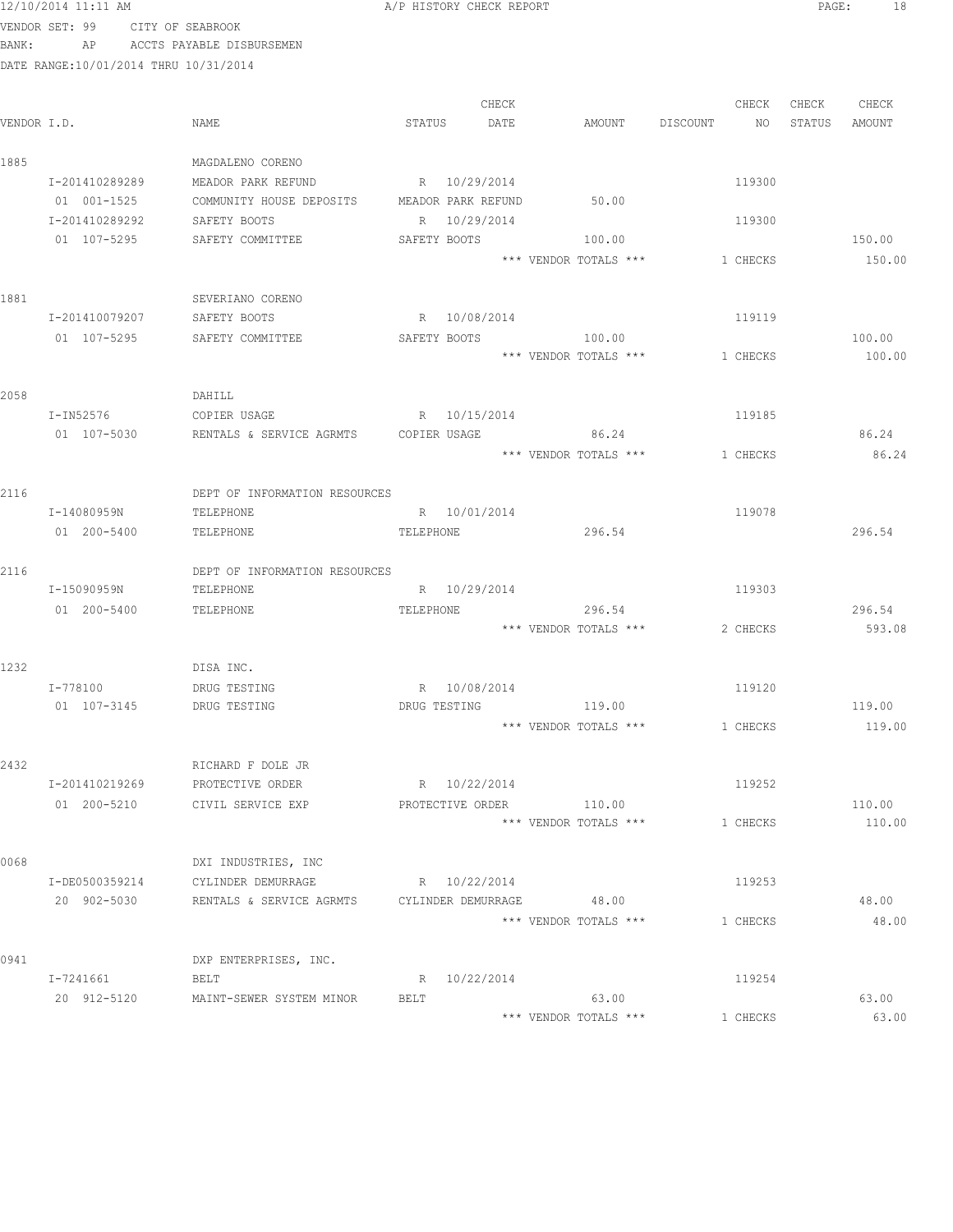| 12/10/2014 11:11 AM |
|---------------------|
|---------------------|

A/P HISTORY CHECK REPORT **PAGE:** 18

VENDOR SET: 99 CITY OF SEABROOK BANK: AP ACCTS PAYABLE DISBURSEMEN

| VENDOR I.D. |                | NAME                                                          | STATUS DATE      | CHECK | AMOUNT DISCOUNT NO STATUS      |          | CHECK    | CHECK | CHECK<br>AMOUNT |
|-------------|----------------|---------------------------------------------------------------|------------------|-------|--------------------------------|----------|----------|-------|-----------------|
| 1885        |                | MAGDALENO CORENO                                              |                  |       |                                |          |          |       |                 |
|             | I-201410289289 | MEADOR PARK REFUND R 10/29/2014                               |                  |       |                                |          | 119300   |       |                 |
|             | 01 001-1525    | COMMUNITY HOUSE DEPOSITS MEADOR PARK REFUND                   |                  |       | 50.00                          |          |          |       |                 |
|             | I-201410289292 | SAFETY BOOTS                                                  | R 10/29/2014     |       |                                |          | 119300   |       |                 |
|             | 01 107-5295    | SAFETY COMMITTEE                                              |                  |       | SAFETY BOOTS 100.00            |          |          |       | 150.00          |
|             |                |                                                               |                  |       | *** VENDOR TOTALS ***          |          | 1 CHECKS |       | 150.00          |
| 1881        |                | SEVERIANO CORENO                                              |                  |       |                                |          |          |       |                 |
|             | I-201410079207 | SAFETY BOOTS                                                  | R 10/08/2014     |       |                                |          | 119119   |       |                 |
|             | 01 107-5295    | SAFETY COMMITTEE                                              | SAFETY BOOTS     |       | 100.00                         |          |          |       | 100.00          |
|             |                |                                                               |                  |       | *** VENDOR TOTALS ***          |          | 1 CHECKS |       | 100.00          |
| 2058        |                | DAHILL                                                        |                  |       |                                |          |          |       |                 |
|             | I-IN52576      | COPIER USAGE                                                  | R 10/15/2014     |       |                                |          | 119185   |       |                 |
|             | 01 107-5030    | RENTALS & SERVICE AGRMTS  COPIER USAGE                        |                  |       | 86.24                          |          |          |       | 86.24           |
|             |                |                                                               |                  |       | *** VENDOR TOTALS ***          | 1 CHECKS |          |       | 86.24           |
| 2116        |                | DEPT OF INFORMATION RESOURCES                                 |                  |       |                                |          |          |       |                 |
|             | I-14080959N    | TELEPHONE                                                     | R 10/01/2014     |       |                                |          | 119078   |       |                 |
|             | 01 200-5400    | TELEPHONE                                                     | TELEPHONE        |       | 296.54                         |          |          |       | 296.54          |
| 2116        |                | DEPT OF INFORMATION RESOURCES                                 |                  |       |                                |          |          |       |                 |
|             | I-15090959N    | TELEPHONE                                                     | R 10/29/2014     |       |                                |          | 119303   |       |                 |
|             | 01 200-5400    | TELEPHONE                                                     | TELEPHONE        |       | 296.54                         |          |          |       | 296.54          |
|             |                |                                                               |                  |       | *** VENDOR TOTALS ***          |          | 2 CHECKS |       | 593.08          |
| 1232        |                | DISA INC.                                                     |                  |       |                                |          |          |       |                 |
|             | I-778100       | DRUG TESTING                                                  | R 10/08/2014     |       |                                |          | 119120   |       |                 |
|             | 01 107-3145    | DRUG TESTING                                                  |                  |       | DRUG TESTING 119.00            |          |          |       | 119.00          |
|             |                |                                                               |                  |       | *** VENDOR TOTALS *** 1 CHECKS |          |          |       | 119.00          |
| 2432        |                | RICHARD F DOLE JR                                             |                  |       |                                |          |          |       |                 |
|             | I-201410219269 | PROTECTIVE ORDER                                              | R 10/22/2014     |       |                                |          | 119252   |       |                 |
|             | 01 200-5210    | CIVIL SERVICE EXP                                             | PROTECTIVE ORDER |       | 110.00                         |          |          |       | 110.00          |
|             |                |                                                               |                  |       | *** VENDOR TOTALS ***          |          | 1 CHECKS |       | 110.00          |
| 0068        |                | DXI INDUSTRIES, INC                                           |                  |       |                                |          |          |       |                 |
|             | I-DE0500359214 | CYLINDER DEMURRAGE                                            | R 10/22/2014     |       |                                |          | 119253   |       |                 |
|             |                | 20 902-5030 RENTALS & SERVICE AGRMTS CYLINDER DEMURRAGE 48.00 |                  |       |                                |          |          |       | 48.00           |
|             |                |                                                               |                  |       | *** VENDOR TOTALS ***          |          | 1 CHECKS |       | 48.00           |
| 0941        |                | DXP ENTERPRISES, INC.                                         |                  |       |                                |          |          |       |                 |
|             | I-7241661      | BELT                                                          | R 10/22/2014     |       |                                |          | 119254   |       |                 |
|             |                | 20 912-5120 MAINT-SEWER SYSTEM MINOR                          | BELT             |       | 63.00                          |          |          |       | 63.00           |
|             |                |                                                               |                  |       | *** VENDOR TOTALS ***          |          | 1 CHECKS |       | 63.00           |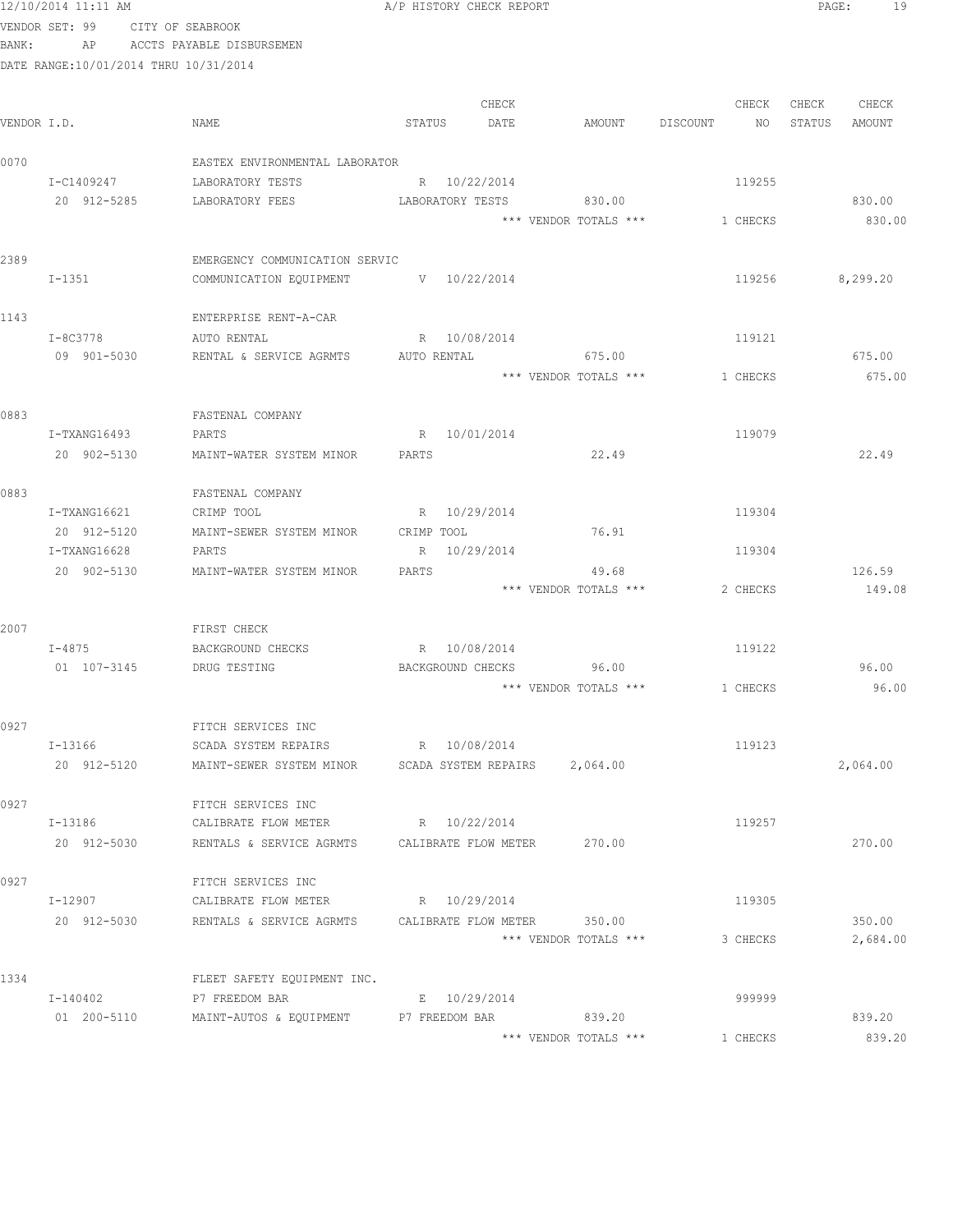## 12/10/2014 11:11 AM **PAGE:** 19 VENDOR SET: 99 CITY OF SEABROOK

BANK: AP ACCTS PAYABLE DISBURSEMEN

| VENDOR I.D. |              | NAME                                                             | STATUS            | CHECK<br>DATE | AMOUNT                        | DISCOUNT | CHECK<br>NO | CHECK<br>STATUS | CHECK<br>AMOUNT |
|-------------|--------------|------------------------------------------------------------------|-------------------|---------------|-------------------------------|----------|-------------|-----------------|-----------------|
| 0070        |              | EASTEX ENVIRONMENTAL LABORATOR                                   |                   |               |                               |          |             |                 |                 |
|             | I-C1409247   | LABORATORY TESTS                                                 | R 10/22/2014      |               |                               |          | 119255      |                 |                 |
|             | 20 912-5285  | LABORATORY FEES                                                  | LABORATORY TESTS  |               | 830.00                        |          |             |                 | 830.00          |
|             |              |                                                                  |                   |               | *** VENDOR TOTALS ***         |          | 1 CHECKS    |                 | 830.00          |
| 2389        |              | EMERGENCY COMMUNICATION SERVIC                                   |                   |               |                               |          |             |                 |                 |
|             | $I-1351$     | COMMUNICATION EQUIPMENT                                          | $V = 10/22/2014$  |               |                               |          | 119256      |                 | 8,299.20        |
| 1143        |              | ENTERPRISE RENT-A-CAR                                            |                   |               |                               |          |             |                 |                 |
|             | I-8C3778     | AUTO RENTAL                                                      | R 10/08/2014      |               |                               |          | 119121      |                 |                 |
|             | 09 901-5030  | RENTAL & SERVICE AGRMTS                                          | AUTO RENTAL       |               | 675.00                        |          |             |                 | 675.00          |
|             |              |                                                                  |                   |               | *** VENDOR TOTALS ***         |          | 1 CHECKS    |                 | 675.00          |
| 0883        |              | FASTENAL COMPANY                                                 |                   |               |                               |          |             |                 |                 |
|             | I-TXANG16493 | PARTS                                                            | R 10/01/2014      |               |                               |          | 119079      |                 |                 |
|             | 20 902-5130  | MAINT-WATER SYSTEM MINOR                                         | PARTS             |               | 22.49                         |          |             |                 | 22.49           |
| 0883        |              | FASTENAL COMPANY                                                 |                   |               |                               |          |             |                 |                 |
|             | I-TXANG16621 | CRIMP TOOL                                                       | R 10/29/2014      |               |                               |          | 119304      |                 |                 |
|             | 20 912-5120  | MAINT-SEWER SYSTEM MINOR                                         | CRIMP TOOL        |               | 76.91                         |          |             |                 |                 |
|             | I-TXANG16628 | PARTS                                                            | R 10/29/2014      |               |                               |          | 119304      |                 |                 |
|             | 20 902-5130  | MAINT-WATER SYSTEM MINOR                                         | PARTS             |               | 49.68                         |          |             |                 | 126.59          |
|             |              |                                                                  |                   |               | *** VENDOR TOTALS ***         |          | 2 CHECKS    |                 | 149.08          |
| 2007        |              | FIRST CHECK                                                      |                   |               |                               |          |             |                 |                 |
|             | $I - 4875$   | BACKGROUND CHECKS                                                | R 10/08/2014      |               |                               |          | 119122      |                 |                 |
|             | 01 107-3145  | DRUG TESTING                                                     | BACKGROUND CHECKS |               | 96.00                         |          |             |                 | 96.00           |
|             |              |                                                                  |                   |               | *** VENDOR TOTALS ***         |          | 1 CHECKS    |                 | 96.00           |
| 0927        |              | FITCH SERVICES INC                                               |                   |               |                               |          |             |                 |                 |
|             | I-13166      | SCADA SYSTEM REPAIRS                                             | R 10/08/2014      |               |                               |          | 119123      |                 |                 |
|             | 20 912-5120  | MAINT-SEWER SYSTEM MINOR                                         |                   |               | SCADA SYSTEM REPAIRS 2,064.00 |          |             |                 | 2,064.00        |
| 0927        |              | FITCH SERVICES INC                                               |                   |               |                               |          |             |                 |                 |
|             | I-13186      | CALIBRATE FLOW METER R 10/22/2014                                |                   |               |                               |          | 119257      |                 |                 |
|             | 20 912-5030  | RENTALS & SERVICE AGRMTS CALIBRATE FLOW METER 270.00             |                   |               |                               |          |             |                 | 270.00          |
| 0927        |              | FITCH SERVICES INC                                               |                   |               |                               |          |             |                 |                 |
|             | I-12907      | CALIBRATE FLOW METER                                             | R 10/29/2014      |               |                               |          | 119305      |                 |                 |
|             |              | 20 912-5030 RENTALS & SERVICE AGRMTS CALIBRATE FLOW METER 350.00 |                   |               |                               |          |             |                 | 350.00          |
|             |              |                                                                  |                   |               | *** VENDOR TOTALS ***         |          | 3 CHECKS    |                 | 2,684.00        |
| 1334        |              | FLEET SAFETY EQUIPMENT INC.                                      |                   |               |                               |          |             |                 |                 |
|             | I-140402     | P7 FREEDOM BAR                                                   | E 10/29/2014      |               |                               |          | 999999      |                 |                 |
|             | 01 200-5110  | MAINT-AUTOS & EQUIPMENT P7 FREEDOM BAR                           |                   |               | 839.20                        |          |             |                 | 839.20          |
|             |              |                                                                  |                   |               | *** VENDOR TOTALS ***         |          | 1 CHECKS    |                 | 839.20          |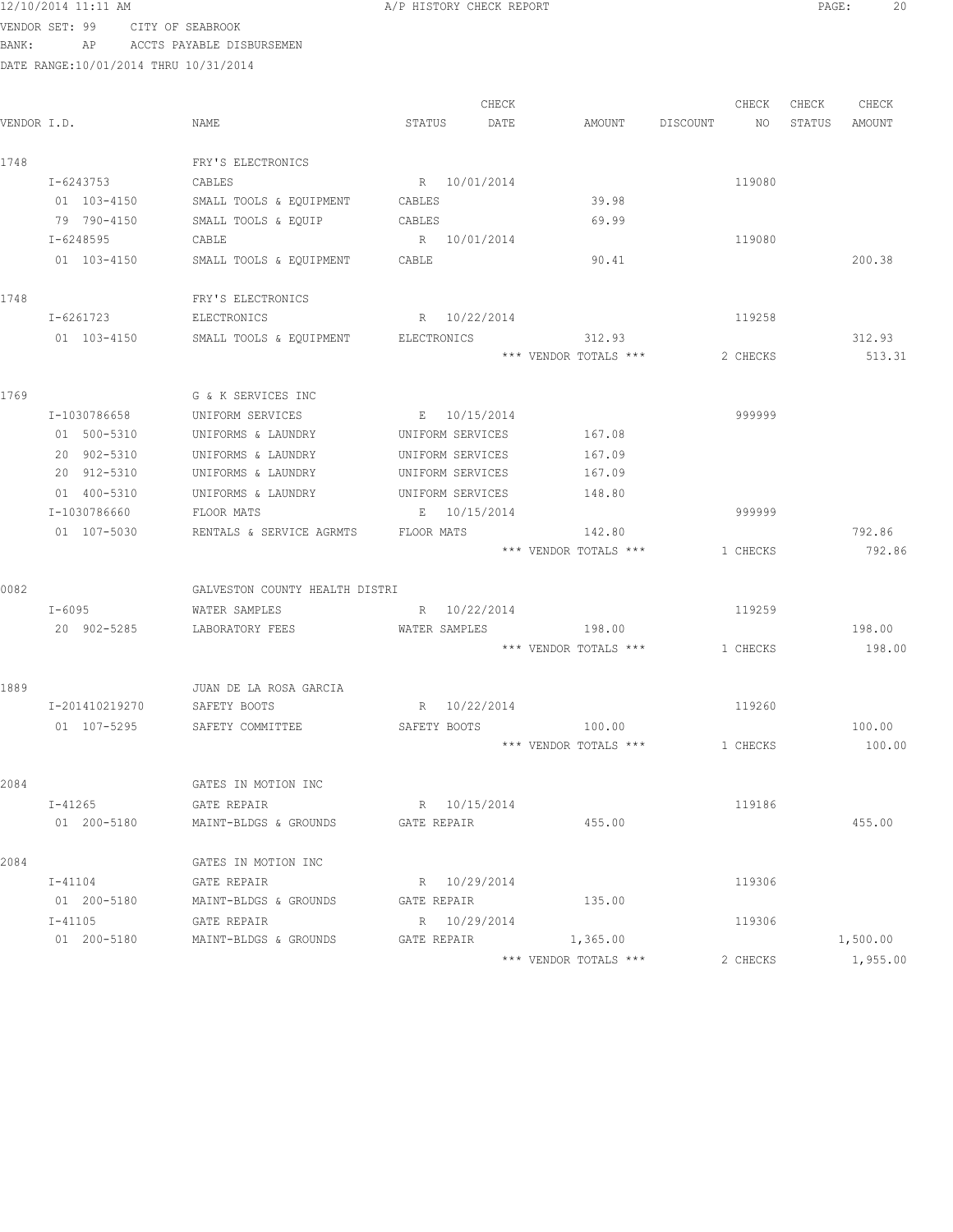VENDOR SET: 99 CITY OF SEABROOK BANK: AP ACCTS PAYABLE DISBURSEMEN

|             |                |                                |                  | CHECK |                       |          | CHECK    | CHECK  | CHECK    |
|-------------|----------------|--------------------------------|------------------|-------|-----------------------|----------|----------|--------|----------|
| VENDOR I.D. |                | NAME                           | STATUS           | DATE  | AMOUNT                | DISCOUNT | NO.      | STATUS | AMOUNT   |
| 1748        |                | FRY'S ELECTRONICS              |                  |       |                       |          |          |        |          |
|             | I-6243753      | CABLES                         | R 10/01/2014     |       |                       |          | 119080   |        |          |
|             | 01 103-4150    | SMALL TOOLS & EQUIPMENT        | CABLES           |       | 39.98                 |          |          |        |          |
|             | 79 790-4150    | SMALL TOOLS & EQUIP            | CABLES           |       | 69.99                 |          |          |        |          |
|             | I-6248595      | CABLE                          | R 10/01/2014     |       |                       |          | 119080   |        |          |
|             | 01 103-4150    | SMALL TOOLS & EQUIPMENT        | CABLE            |       | 90.41                 |          |          |        | 200.38   |
| 1748        |                | FRY'S ELECTRONICS              |                  |       |                       |          |          |        |          |
|             | I-6261723      | ELECTRONICS                    | R 10/22/2014     |       |                       |          | 119258   |        |          |
|             | 01 103-4150    | SMALL TOOLS & EQUIPMENT        | ELECTRONICS      |       | 312.93                |          |          |        | 312.93   |
|             |                |                                |                  |       | *** VENDOR TOTALS *** |          | 2 CHECKS |        | 513.31   |
| 1769        |                | G & K SERVICES INC             |                  |       |                       |          |          |        |          |
|             | I-1030786658   | UNIFORM SERVICES               | E 10/15/2014     |       |                       |          | 999999   |        |          |
|             | 01 500-5310    | UNIFORMS & LAUNDRY             | UNIFORM SERVICES |       | 167.08                |          |          |        |          |
|             | 20 902-5310    | UNIFORMS & LAUNDRY             | UNIFORM SERVICES |       | 167.09                |          |          |        |          |
|             | 20 912-5310    | UNIFORMS & LAUNDRY             | UNIFORM SERVICES |       | 167.09                |          |          |        |          |
|             | 01 400-5310    | UNIFORMS & LAUNDRY             | UNIFORM SERVICES |       | 148.80                |          |          |        |          |
|             | I-1030786660   | FLOOR MATS                     | E 10/15/2014     |       |                       |          | 999999   |        |          |
|             | 01 107-5030    | RENTALS & SERVICE AGRMTS       | FLOOR MATS       |       | 142.80                |          |          |        | 792.86   |
|             |                |                                |                  |       | *** VENDOR TOTALS *** |          | 1 CHECKS |        | 792.86   |
| 0082        |                | GALVESTON COUNTY HEALTH DISTRI |                  |       |                       |          |          |        |          |
|             | I-6095         | WATER SAMPLES                  | R 10/22/2014     |       |                       |          | 119259   |        |          |
|             | 20 902-5285    | LABORATORY FEES                | WATER SAMPLES    |       | 198.00                |          |          |        | 198.00   |
|             |                |                                |                  |       | *** VENDOR TOTALS *** |          | 1 CHECKS |        | 198.00   |
| 1889        |                | JUAN DE LA ROSA GARCIA         |                  |       |                       |          |          |        |          |
|             | I-201410219270 | SAFETY BOOTS                   | R 10/22/2014     |       |                       |          | 119260   |        |          |
|             | 01 107-5295    | SAFETY COMMITTEE               | SAFETY BOOTS     |       | 100.00                |          |          |        | 100.00   |
|             |                |                                |                  |       | *** VENDOR TOTALS *** |          | 1 CHECKS |        | 100.00   |
| 2084        |                | GATES IN MOTION INC            |                  |       |                       |          |          |        |          |
|             | I-41265        | GATE REPAIR                    | R 10/15/2014     |       |                       |          | 119186   |        |          |
|             | 01 200-5180    | MAINT-BLDGS & GROUNDS          | GATE REPAIR      |       | 455.00                |          |          |        | 455.00   |
| 2084        |                | GATES IN MOTION INC            |                  |       |                       |          |          |        |          |
|             | I-41104        | GATE REPAIR                    | R 10/29/2014     |       |                       |          | 119306   |        |          |
|             | 01 200-5180    | MAINT-BLDGS & GROUNDS          | GATE REPAIR      |       | 135.00                |          |          |        |          |
|             | $I - 41105$    | GATE REPAIR                    | R 10/29/2014     |       |                       |          | 119306   |        |          |
|             | 01 200-5180    | MAINT-BLDGS & GROUNDS          | GATE REPAIR      |       | 1,365.00              |          |          |        | 1,500.00 |
|             |                |                                |                  |       | *** VENDOR TOTALS *** |          | 2 CHECKS |        | 1,955.00 |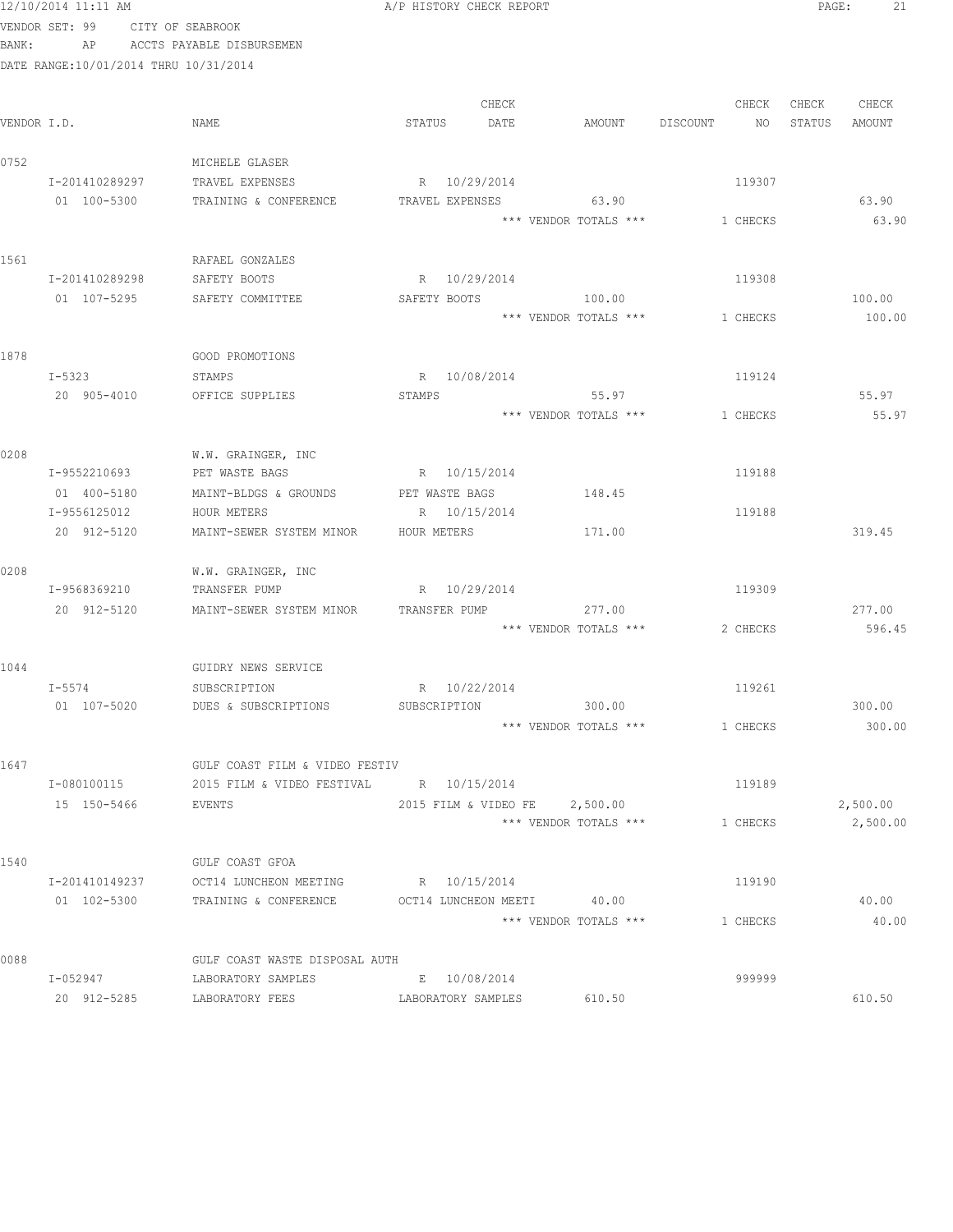|       | 12/10/2014 11:11 AM                   |                                             | A/P HISTORY CHECK REPORT      |                                 |          | PAGE:<br>21      |
|-------|---------------------------------------|---------------------------------------------|-------------------------------|---------------------------------|----------|------------------|
|       | VENDOR SET: 99 CITY OF SEABROOK       |                                             |                               |                                 |          |                  |
| BANK: |                                       | AP ACCTS PAYABLE DISBURSEMEN                |                               |                                 |          |                  |
|       | DATE RANGE:10/01/2014 THRU 10/31/2014 |                                             |                               |                                 |          |                  |
|       |                                       |                                             | CHECK                         |                                 | CHECK    | CHECK<br>CHECK   |
|       | VENDOR I.D.                           | NAME                                        | STATUS<br>DATE                | AMOUNT DISCOUNT                 | NO       | STATUS<br>AMOUNT |
| 0752  |                                       | MICHELE GLASER                              |                               |                                 |          |                  |
|       | I-201410289297                        | TRAVEL EXPENSES                             | R 10/29/2014                  |                                 | 119307   |                  |
|       | 01 100-5300                           | TRAINING & CONFERENCE TRAVEL EXPENSES 63.90 |                               |                                 |          | 63.90            |
|       |                                       |                                             |                               | *** VENDOR TOTALS ***           | 1 CHECKS | 63.90            |
| 1561  |                                       | RAFAEL GONZALES                             |                               |                                 |          |                  |
|       | I-201410289298                        | SAFETY BOOTS                                | R 10/29/2014                  |                                 | 119308   |                  |
|       | 01 107-5295                           | SAFETY COMMITTEE                            | SAFETY BOOTS                  | 100.00                          |          | 100.00           |
|       |                                       |                                             |                               | *** VENDOR TOTALS ***           | 1 CHECKS | 100.00           |
| 1878  |                                       | GOOD PROMOTIONS                             |                               |                                 |          |                  |
|       | $I - 5323$                            | STAMPS                                      | R 10/08/2014                  |                                 | 119124   |                  |
|       | 20 905-4010                           | OFFICE SUPPLIES                             | STAMPS                        | 55.97                           |          | 55.97            |
|       |                                       |                                             |                               | *** VENDOR TOTALS ***           | 1 CHECKS | 55.97            |
| 0208  |                                       | W.W. GRAINGER, INC                          |                               |                                 |          |                  |
|       | I-9552210693                          | PET WASTE BAGS BAGS R 10/15/2014            |                               |                                 | 119188   |                  |
|       | 01 400-5180                           | MAINT-BLDGS & GROUNDS                       | PET WASTE BAGS                | 148.45                          |          |                  |
|       | I-9556125012                          | HOUR METERS                                 | R 10/15/2014                  |                                 | 119188   |                  |
|       | 20 912-5120                           | MAINT-SEWER SYSTEM MINOR                    | HOUR METERS                   | 171.00                          |          | 319.45           |
| 0208  |                                       | W.W. GRAINGER, INC                          |                               |                                 |          |                  |
|       | I-9568369210                          | TRANSFER PUMP                               | R 10/29/2014                  |                                 | 119309   |                  |
|       | 20 912-5120                           | MAINT-SEWER SYSTEM MINOR                    | TRANSFER PUMP                 | 277.00<br>*** VENDOR TOTALS *** | 2 CHECKS | 277.00<br>596.45 |
|       |                                       |                                             |                               |                                 |          |                  |
| 1044  |                                       | GUIDRY NEWS SERVICE                         |                               |                                 |          |                  |
|       | I-5574                                | SUBSCRIPTION<br>DUES & SUBSCRIPTIONS        | R 10/22/2014                  |                                 | 119261   |                  |
|       | 01 107-5020                           |                                             | SUBSCRIPTION                  | 300.00<br>*** VENDOR TOTALS *** | 1 CHECKS | 300.00<br>300.00 |
|       |                                       |                                             |                               |                                 |          |                  |
| 1647  |                                       | GULF COAST FILM & VIDEO FESTIV              |                               |                                 |          |                  |
|       | I-080100115                           | 2015 FILM & VIDEO FESTIVAL                  | R 10/15/2014                  |                                 | 119189   |                  |
|       | 15 150-5466                           | EVENTS                                      | 2015 FILM & VIDEO FE 2,500.00 |                                 |          | 2,500.00         |
|       |                                       |                                             |                               | *** VENDOR TOTALS ***           | 1 CHECKS | 2,500.00         |
| 1540  |                                       | GULF COAST GFOA                             |                               |                                 |          |                  |
|       | I-201410149237                        | OCT14 LUNCHEON MEETING                      | R 10/15/2014                  |                                 | 119190   |                  |
|       | 01 102-5300                           | TRAINING & CONFERENCE                       | OCT14 LUNCHEON MEETI 40.00    |                                 |          | 40.00            |
|       |                                       |                                             |                               | *** VENDOR TOTALS ***           | 1 CHECKS | 40.00            |
| 0088  |                                       | GULF COAST WASTE DISPOSAL AUTH              |                               |                                 |          |                  |
|       | I-052947                              | LABORATORY SAMPLES                          | E 10/08/2014                  |                                 | 999999   |                  |
|       | 20 912-5285                           | LABORATORY FEES                             | LABORATORY SAMPLES            | 610.50                          |          | 610.50           |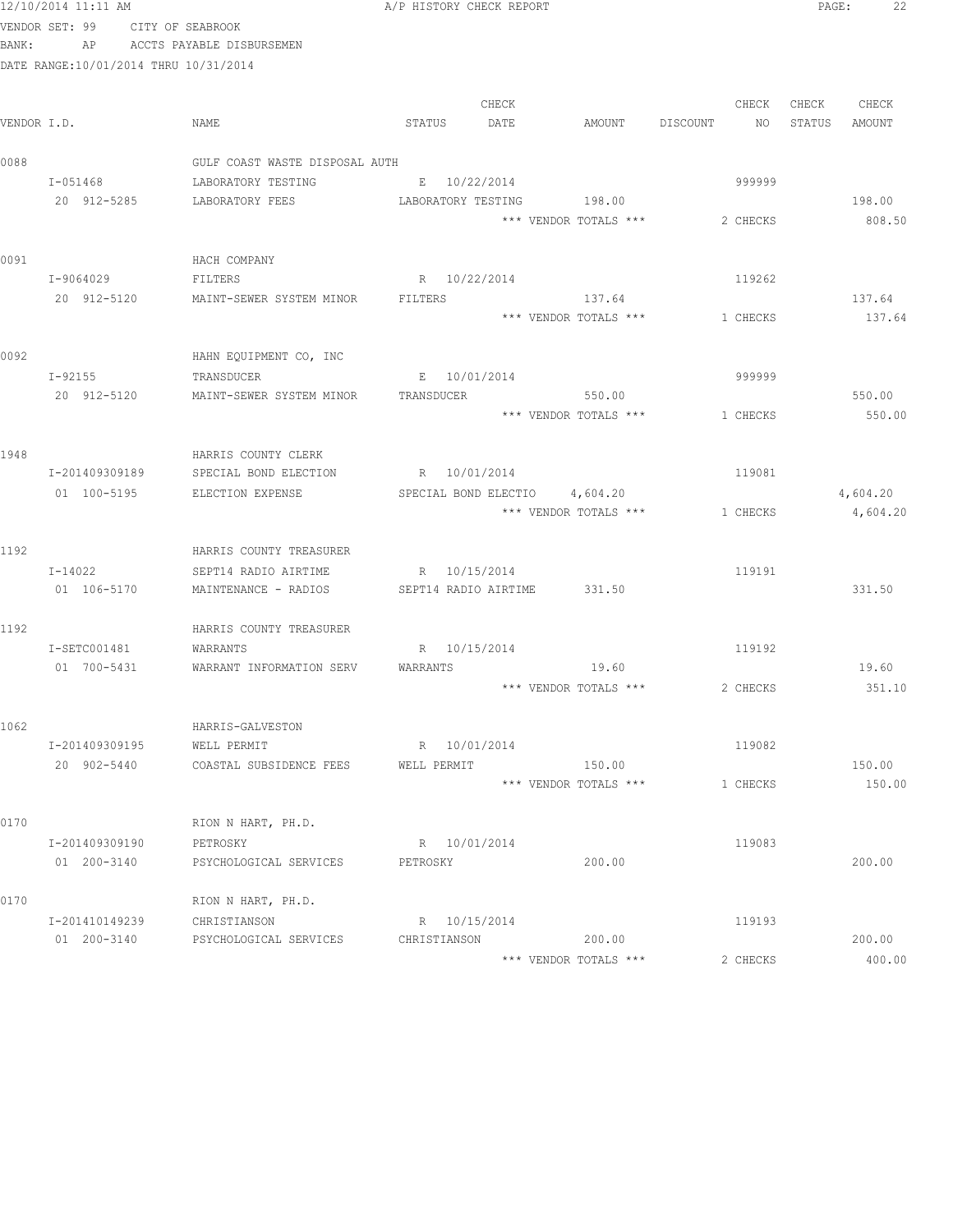|       | 12/10/2014 11:11 AM                   |                                   | A/P HISTORY CHECK REPORT    |       |                           |          |        | PAGE:  | 22              |
|-------|---------------------------------------|-----------------------------------|-----------------------------|-------|---------------------------|----------|--------|--------|-----------------|
|       | VENDOR SET: 99                        | CITY OF SEABROOK                  |                             |       |                           |          |        |        |                 |
| BANK: | AP                                    | ACCTS PAYABLE DISBURSEMEN         |                             |       |                           |          |        |        |                 |
|       | DATE RANGE:10/01/2014 THRU 10/31/2014 |                                   |                             |       |                           |          |        |        |                 |
|       |                                       |                                   |                             |       |                           |          |        |        |                 |
|       |                                       |                                   |                             | CHECK |                           | CHECK    |        | CHECK  | CHECK           |
|       | VENDOR I.D.                           | NAME                              | STATUS                      | DATE  | AMOUNT                    | DISCOUNT | NO     | STATUS | AMOUNT          |
|       |                                       |                                   |                             |       |                           |          |        |        |                 |
| 0088  |                                       | GULF COAST WASTE DISPOSAL AUTH    |                             |       |                           |          |        |        |                 |
|       | I-051468                              | LABORATORY TESTING                | E 10/22/2014                |       |                           | 999999   |        |        |                 |
|       | 20 912-5285                           | LABORATORY FEES                   |                             |       | LABORATORY TESTING 198.00 |          |        |        | 198.00          |
|       |                                       |                                   |                             |       | *** VENDOR TOTALS ***     | 2 CHECKS |        |        | 808.50          |
|       |                                       |                                   |                             |       |                           |          |        |        |                 |
| 0091  |                                       | HACH COMPANY                      |                             |       |                           |          |        |        |                 |
|       | I-9064029                             | FILTERS                           | R 10/22/2014                |       |                           | 119262   |        |        |                 |
|       | 20 912-5120                           | MAINT-SEWER SYSTEM MINOR          | FILTERS                     |       | 137.64                    |          |        |        | 137.64          |
|       |                                       |                                   |                             |       | *** VENDOR TOTALS ***     | 1 CHECKS |        |        | 137.64          |
|       |                                       |                                   |                             |       |                           |          |        |        |                 |
| 0092  |                                       | HAHN EQUIPMENT CO, INC            |                             |       |                           |          |        |        |                 |
|       | $I - 92155$                           | TRANSDUCER                        | E 10/01/2014                |       |                           | 999999   |        |        |                 |
|       | 20 912-5120                           | MAINT-SEWER SYSTEM MINOR          | TRANSDUCER                  |       | 550.00                    |          |        |        | 550.00          |
|       |                                       |                                   |                             |       | *** VENDOR TOTALS ***     | 1 CHECKS |        |        | 550.00          |
|       |                                       |                                   |                             |       |                           |          |        |        |                 |
| 1948  |                                       | HARRIS COUNTY CLERK               |                             |       |                           |          |        |        |                 |
|       | I-201409309189                        | SPECIAL BOND ELECTION             | R 10/01/2014                |       |                           | 119081   |        |        |                 |
|       | 01 100-5195                           | ELECTION EXPENSE                  | SPECIAL BOND ELECTIO        |       | 4,604.20                  |          |        |        | 4,604.20        |
|       |                                       |                                   |                             |       | *** VENDOR TOTALS ***     | 1 CHECKS |        |        | 4,604.20        |
|       |                                       |                                   |                             |       |                           |          |        |        |                 |
| 1192  |                                       | HARRIS COUNTY TREASURER           |                             |       |                           |          |        |        |                 |
|       | $I - 14022$                           | SEPT14 RADIO AIRTIME              | R 10/15/2014                |       |                           | 119191   |        |        |                 |
|       | 01 106-5170                           | MAINTENANCE - RADIOS              | SEPT14 RADIO AIRTIME 331.50 |       |                           |          |        |        | 331.50          |
|       |                                       |                                   |                             |       |                           |          |        |        |                 |
| 1192  |                                       | HARRIS COUNTY TREASURER           |                             |       |                           |          |        |        |                 |
|       | I-SETC001481                          | WARRANTS                          | R 10/15/2014                |       |                           | 119192   |        |        |                 |
|       | 01 700-5431                           | WARRANT INFORMATION SERV WARRANTS |                             |       | 19.60                     |          |        |        | 19.60           |
|       |                                       |                                   |                             |       | *** VENDOR TOTALS ***     |          |        |        | 2 CHECKS 351.10 |
|       |                                       |                                   |                             |       |                           |          |        |        |                 |
| 1062  |                                       | HARRIS-GALVESTON                  |                             |       |                           |          |        |        |                 |
|       | I-201409309195                        | WELL PERMIT                       | R 10/01/2014                |       |                           | 119082   |        |        |                 |
|       | 20 902-5440                           | COASTAL SUBSIDENCE FEES           | WELL PERMIT                 |       | 150.00                    |          |        |        | 150.00          |
|       |                                       |                                   |                             |       | *** VENDOR TOTALS ***     | 1 CHECKS |        |        | 150.00          |
|       |                                       |                                   |                             |       |                           |          |        |        |                 |
| 0170  |                                       | RION N HART, PH.D.                |                             |       |                           |          |        |        |                 |
|       | I-201409309190                        | PETROSKY                          | R 10/01/2014                |       |                           |          | 119083 |        |                 |
|       | 01 200-3140                           | PSYCHOLOGICAL SERVICES            | PETROSKY                    |       | 200.00                    |          |        |        | 200.00          |
|       |                                       |                                   |                             |       |                           |          |        |        |                 |
| 0170  |                                       | RION N HART, PH.D.                |                             |       |                           |          |        |        |                 |
|       | I-201410149239                        | CHRISTIANSON                      | R 10/15/2014                |       |                           | 119193   |        |        |                 |
|       | 01 200-3140                           | PSYCHOLOGICAL SERVICES            | CHRISTIANSON                |       | 200.00                    |          |        |        | 200.00          |
|       |                                       |                                   |                             |       | *** VENDOR TOTALS ***     | 2 CHECKS |        |        | 400.00          |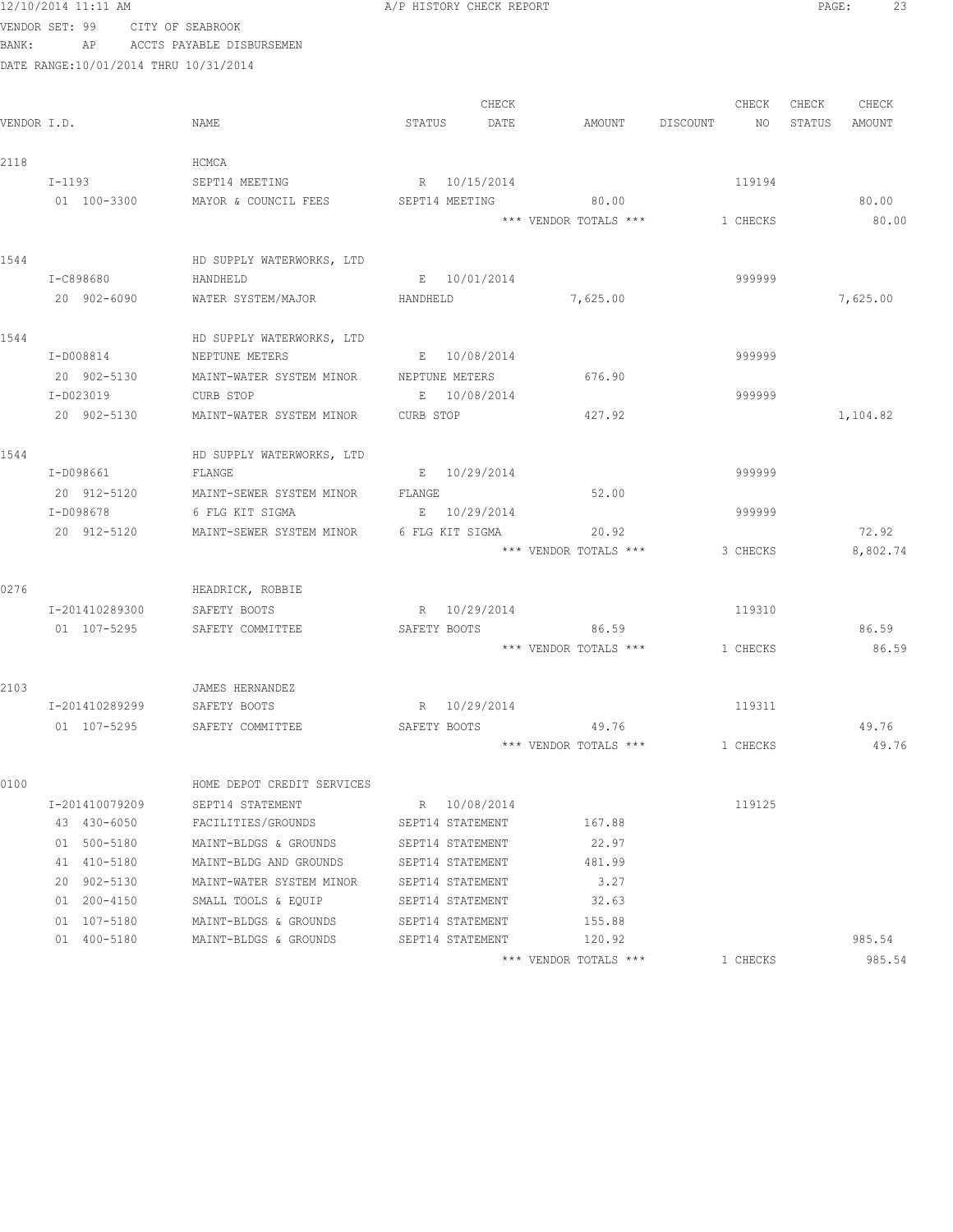| 12/10/2014 11:11<br>AM |  |
|------------------------|--|
|------------------------|--|

A/P HISTORY CHECK REPORT PAGE: 23

VENDOR SET: 99 CITY OF SEABROOK BANK: AP ACCTS PAYABLE DISBURSEMEN

| VENDOR I.D. |                | NAME                                                 | STATUS           | CHECK<br>DATE | AMOUNT DISCOUNT NO    | CHECK    | CHECK | CHECK<br>STATUS AMOUNT |
|-------------|----------------|------------------------------------------------------|------------------|---------------|-----------------------|----------|-------|------------------------|
| 2118        |                | HCMCA                                                |                  |               |                       |          |       |                        |
|             | $I-1193$       | SEPT14 MEETING                                       | R 10/15/2014     |               |                       | 119194   |       |                        |
|             |                | 01 100-3300 MAYOR & COUNCIL FEES                     |                  |               | SEPT14 MEETING 80.00  |          |       | 80.00                  |
|             |                |                                                      |                  |               | *** VENDOR TOTALS *** | 1 CHECKS |       | 80.00                  |
| 1544        |                | HD SUPPLY WATERWORKS, LTD                            |                  |               |                       |          |       |                        |
|             | I-C898680      | HANDHELD                                             | E 10/01/2014     |               |                       | 999999   |       |                        |
|             | 20 902-6090    | WATER SYSTEM/MAJOR                                   | HANDHELD         |               | 7,625.00              |          |       | 7,625.00               |
| 1544        |                | HD SUPPLY WATERWORKS, LTD                            |                  |               |                       |          |       |                        |
|             | I-D008814      | NEPTUNE METERS                                       | E 10/08/2014     |               |                       | 999999   |       |                        |
|             | 20 902-5130    | MAINT-WATER SYSTEM MINOR NEPTUNE METERS              |                  |               | 676.90                |          |       |                        |
|             | I-D023019      | CURB STOP                                            | E 10/08/2014     |               |                       | 999999   |       |                        |
|             | 20 902-5130    | MAINT-WATER SYSTEM MINOR CURB STOP                   |                  |               | 427.92                |          |       | 1,104.82               |
| 1544        |                | HD SUPPLY WATERWORKS, LTD                            |                  |               |                       |          |       |                        |
|             | I-D098661      | FLANGE                                               | E 10/29/2014     |               |                       | 999999   |       |                        |
|             | 20 912-5120    | MAINT-SEWER SYSTEM MINOR                             | FLANGE           |               | 52.00                 |          |       |                        |
|             | I-D098678      | 6 FLG KIT SIGMA                                      | E 10/29/2014     |               |                       | 999999   |       |                        |
|             |                | 20 912-5120 MAINT-SEWER SYSTEM MINOR 6 FLG KIT SIGMA |                  |               | 20.92                 |          |       | 72.92                  |
|             |                |                                                      |                  |               | *** VENDOR TOTALS *** | 3 CHECKS |       | 8,802.74               |
| 0276        |                | HEADRICK, ROBBIE                                     |                  |               |                       |          |       |                        |
|             | I-201410289300 | SAFETY BOOTS                                         | R 10/29/2014     |               |                       | 119310   |       |                        |
|             | 01 107-5295    | SAFETY COMMITTEE                                     |                  |               | SAFETY BOOTS 86.59    |          |       | 86.59                  |
|             |                |                                                      |                  |               | *** VENDOR TOTALS *** | 1 CHECKS |       | 86.59                  |
| 2103        |                | JAMES HERNANDEZ                                      |                  |               |                       |          |       |                        |
|             | I-201410289299 | SAFETY BOOTS                                         | R 10/29/2014     |               |                       | 119311   |       |                        |
|             |                | 01 107-5295 SAFETY COMMITTEE                         | SAFETY BOOTS     |               | 49.76                 |          |       | 49.76                  |
|             |                |                                                      |                  |               | *** VENDOR TOTALS *** | 1 CHECKS |       | 49.76                  |
| 0100        |                | HOME DEPOT CREDIT SERVICES                           |                  |               |                       |          |       |                        |
|             | I-201410079209 | SEPT14 STATEMENT                                     | R 10/08/2014     |               |                       | 119125   |       |                        |
|             | 43 430-6050    | FACILITIES/GROUNDS                                   | SEPT14 STATEMENT |               | 167.88                |          |       |                        |
|             | 01 500-5180    | MAINT-BLDGS & GROUNDS                                | SEPT14 STATEMENT |               | 22.97                 |          |       |                        |
|             | 41 410-5180    | MAINT-BLDG AND GROUNDS                               | SEPT14 STATEMENT |               | 481.99                |          |       |                        |
|             | 20 902-5130    | MAINT-WATER SYSTEM MINOR                             | SEPT14 STATEMENT |               | 3.27                  |          |       |                        |
|             | 01 200-4150    | SMALL TOOLS & EQUIP                                  | SEPT14 STATEMENT |               | 32.63                 |          |       |                        |
|             | 01 107-5180    | MAINT-BLDGS & GROUNDS                                | SEPT14 STATEMENT |               | 155.88                |          |       |                        |
|             | 01 400-5180    | MAINT-BLDGS & GROUNDS                                | SEPT14 STATEMENT |               | 120.92                |          |       | 985.54                 |
|             |                |                                                      |                  |               | *** VENDOR TOTALS *** | 1 CHECKS |       | 985.54                 |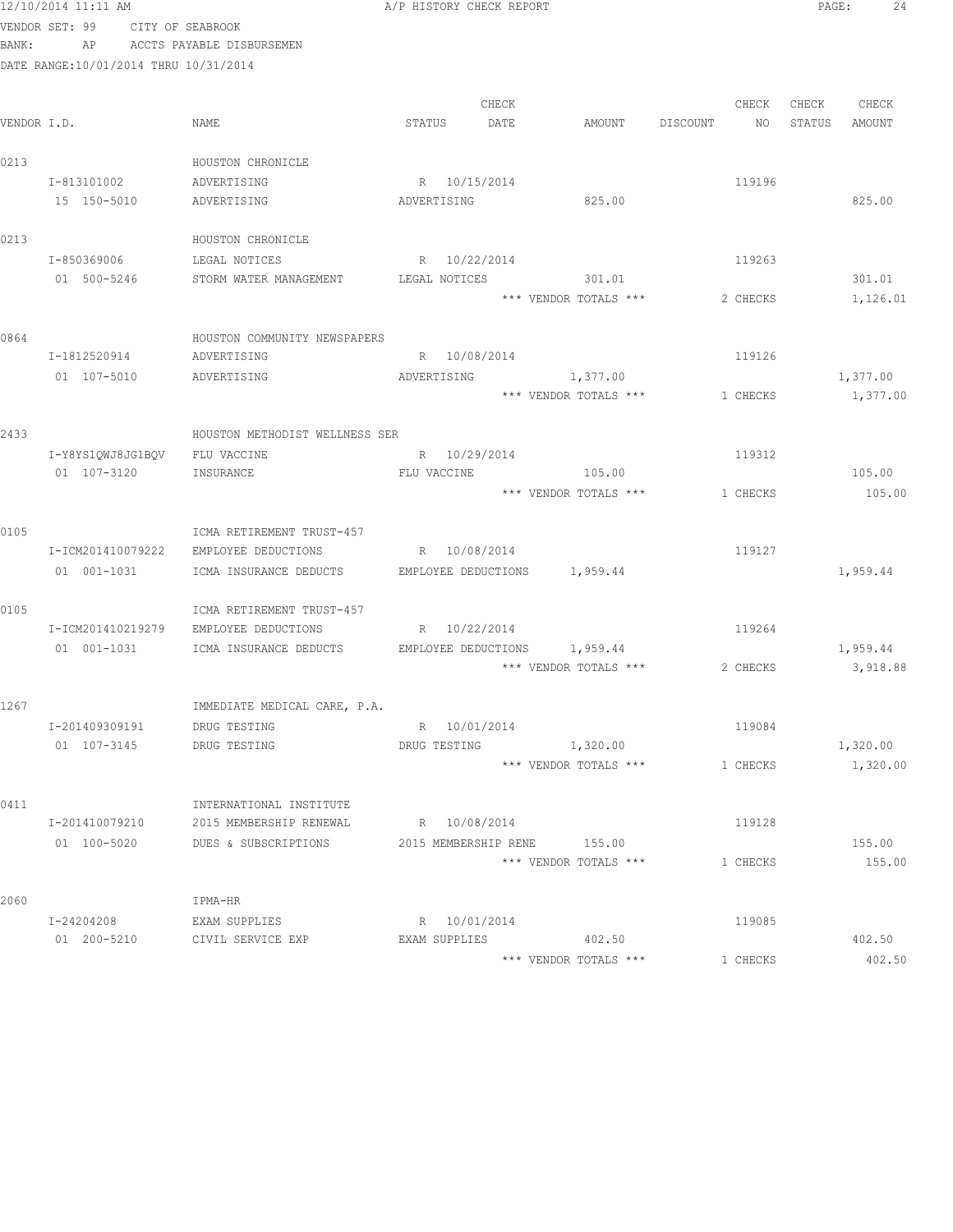|             | 12/10/2014 11:11 AM                   |                                                     | A/P HISTORY CHECK REPORT      |       |                       |          |          | PAGE:  | 24       |
|-------------|---------------------------------------|-----------------------------------------------------|-------------------------------|-------|-----------------------|----------|----------|--------|----------|
|             | VENDOR SET: 99 CITY OF SEABROOK       |                                                     |                               |       |                       |          |          |        |          |
| BANK:       |                                       | AP ACCTS PAYABLE DISBURSEMEN                        |                               |       |                       |          |          |        |          |
|             | DATE RANGE:10/01/2014 THRU 10/31/2014 |                                                     |                               |       |                       |          |          |        |          |
|             |                                       |                                                     |                               |       |                       |          |          |        |          |
|             |                                       |                                                     |                               | CHECK |                       |          | CHECK    | CHECK  | CHECK    |
| VENDOR I.D. |                                       | NAME                                                | STATUS                        | DATE  | AMOUNT                | DISCOUNT | NO       | STATUS | AMOUNT   |
|             |                                       |                                                     |                               |       |                       |          |          |        |          |
| 0213        |                                       | HOUSTON CHRONICLE                                   |                               |       |                       |          |          |        |          |
|             | I-813101002                           | ADVERTISING                                         | R 10/15/2014                  |       |                       |          | 119196   |        |          |
|             | 15 150-5010                           | ADVERTISING                                         | ADVERTISING                   |       | 825.00                |          |          |        | 825.00   |
|             |                                       |                                                     |                               |       |                       |          |          |        |          |
| 0213        |                                       | HOUSTON CHRONICLE                                   |                               |       |                       |          |          |        |          |
|             | I-850369006                           | LEGAL NOTICES                                       | R 10/22/2014                  |       |                       |          | 119263   |        |          |
|             | 01 500-5246                           | STORM WATER MANAGEMENT                              | LEGAL NOTICES                 |       | 301.01                |          |          |        | 301.01   |
|             |                                       |                                                     |                               |       | *** VENDOR TOTALS *** |          | 2 CHECKS |        | 1,126.01 |
|             |                                       |                                                     |                               |       |                       |          |          |        |          |
| 0864        |                                       | HOUSTON COMMUNITY NEWSPAPERS                        |                               |       |                       |          |          |        |          |
|             | I-1812520914                          | ADVERTISING                                         | R 10/08/2014                  |       |                       |          | 119126   |        |          |
|             | 01 107-5010                           | ADVERTISING                                         |                               |       | ADVERTISING 1,377.00  |          |          |        | 1,377.00 |
|             |                                       |                                                     |                               |       | *** VENDOR TOTALS *** |          | 1 CHECKS |        | 1,377.00 |
|             |                                       |                                                     |                               |       |                       |          |          |        |          |
| 2433        |                                       | HOUSTON METHODIST WELLNESS SER                      |                               |       |                       |          |          |        |          |
|             | I-Y8YS1QWJ8JG1BQV                     | FLU VACCINE                                         | R 10/29/2014                  |       |                       |          | 119312   |        |          |
|             | 01 107-3120                           | INSURANCE                                           | FLU VACCINE THE TRANSPORTENCE |       | 105.00                |          |          |        | 105.00   |
|             |                                       |                                                     |                               |       | *** VENDOR TOTALS *** |          | 1 CHECKS |        | 105.00   |
|             |                                       |                                                     |                               |       |                       |          |          |        |          |
| 0105        |                                       | ICMA RETIREMENT TRUST-457                           |                               |       |                       |          |          |        |          |
|             | I-ICM201410079222                     | EMPLOYEE DEDUCTIONS                                 | R 10/08/2014                  |       |                       |          | 119127   |        |          |
|             | 01 001-1031                           | ICMA INSURANCE DEDUCTS EMPLOYEE DEDUCTIONS 1,959.44 |                               |       |                       |          |          |        | 1,959.44 |
|             |                                       |                                                     |                               |       |                       |          |          |        |          |
| 0105        |                                       | ICMA RETIREMENT TRUST-457                           |                               |       |                       |          |          |        |          |
|             | I-ICM201410219279                     | EMPLOYEE DEDUCTIONS                                 | R 10/22/2014                  |       |                       |          | 119264   |        |          |
|             | 01 001-1031                           | ICMA INSURANCE DEDUCTS EMPLOYEE DEDUCTIONS 1,959.44 |                               |       |                       |          |          |        | 1,959.44 |
|             |                                       |                                                     |                               |       | *** VENDOR TOTALS *** |          | 2 CHECKS |        | 3,918.88 |
| 1267        |                                       |                                                     |                               |       |                       |          |          |        |          |
|             | I-201409309191                        | IMMEDIATE MEDICAL CARE, P.A.<br>DRUG TESTING        | R 10/01/2014                  |       |                       |          | 119084   |        |          |
|             | 01 107-3145                           | DRUG TESTING                                        | DRUG TESTING 1,320.00         |       |                       |          |          |        | 1,320.00 |
|             |                                       |                                                     |                               |       | *** VENDOR TOTALS *** |          | 1 CHECKS |        | 1,320.00 |
|             |                                       |                                                     |                               |       |                       |          |          |        |          |
| 0411        |                                       | INTERNATIONAL INSTITUTE                             |                               |       |                       |          |          |        |          |
|             | I-201410079210                        | 2015 MEMBERSHIP RENEWAL                             | R 10/08/2014                  |       |                       |          | 119128   |        |          |
|             | 01 100-5020                           | DUES & SUBSCRIPTIONS                                | 2015 MEMBERSHIP RENE 155.00   |       |                       |          |          |        | 155.00   |
|             |                                       |                                                     |                               |       | *** VENDOR TOTALS *** |          | 1 CHECKS |        | 155.00   |
|             |                                       |                                                     |                               |       |                       |          |          |        |          |
| 2060        |                                       | IPMA-HR                                             |                               |       |                       |          |          |        |          |
|             | I-24204208                            | EXAM SUPPLIES                                       | R 10/01/2014                  |       |                       |          | 119085   |        |          |
|             | 01 200-5210                           | CIVIL SERVICE EXP                                   | EXAM SUPPLIES                 |       | 402.50                |          |          |        | 402.50   |
|             |                                       |                                                     |                               |       | *** VENDOR TOTALS *** |          | 1 CHECKS |        | 402.50   |
|             |                                       |                                                     |                               |       |                       |          |          |        |          |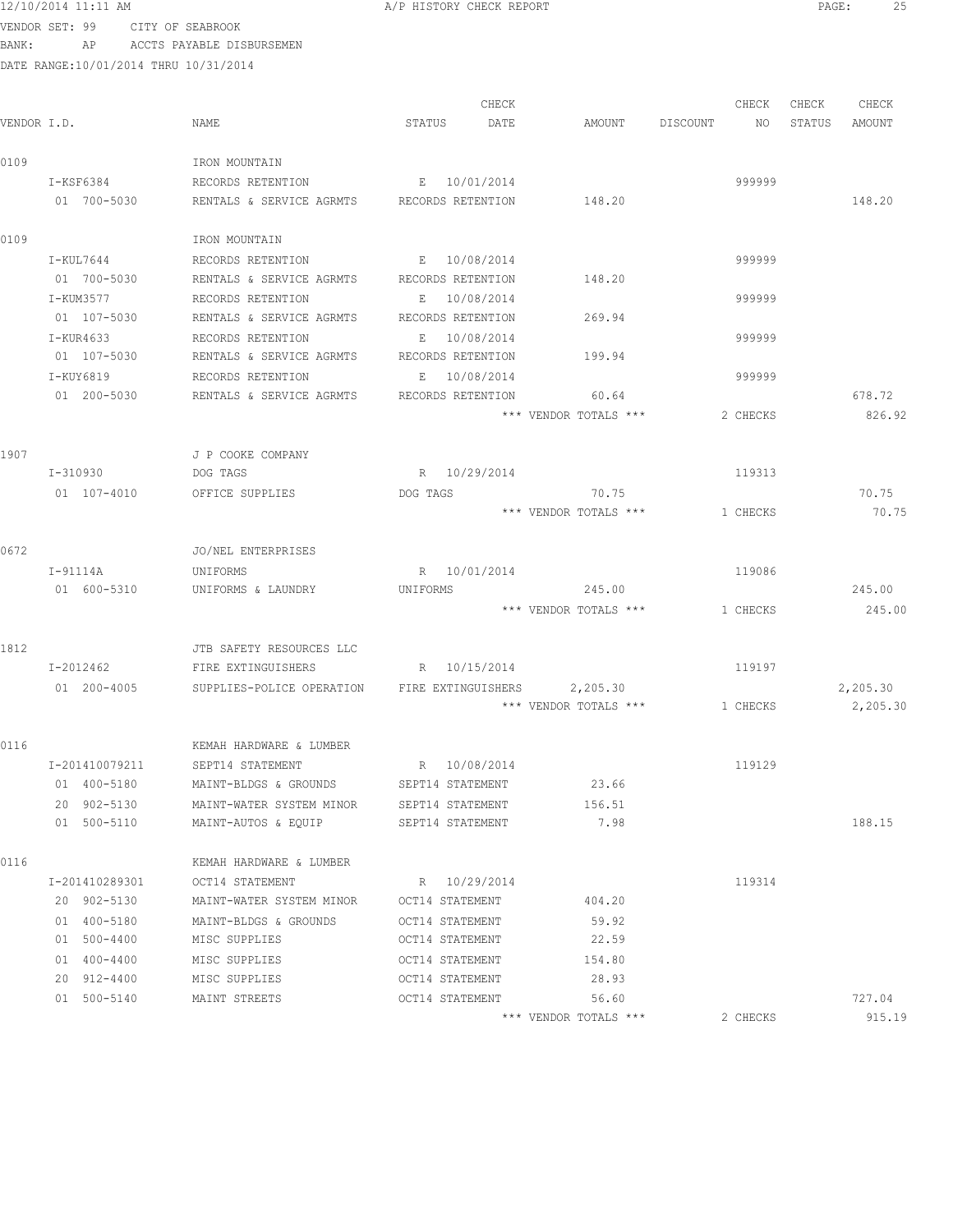12/10/2014 11:11 AM **A**/P HISTORY CHECK REPORT **PAGE:** 25

VENDOR SET: 99 CITY OF SEABROOK BANK: AP ACCTS PAYABLE DISBURSEMEN

|             |                |                           | CHECK              |                       | CHECK          | CHECK<br>CHECK   |
|-------------|----------------|---------------------------|--------------------|-----------------------|----------------|------------------|
| VENDOR I.D. |                | NAME                      | STATUS<br>DATE     | AMOUNT                | DISCOUNT<br>NO | AMOUNT<br>STATUS |
| 0109        |                | IRON MOUNTAIN             |                    |                       |                |                  |
|             | I-KSF6384      | RECORDS RETENTION         | E 10/01/2014       |                       | 999999         |                  |
|             | 01 700-5030    | RENTALS & SERVICE AGRMTS  | RECORDS RETENTION  | 148.20                |                | 148.20           |
| 0109        |                | IRON MOUNTAIN             |                    |                       |                |                  |
|             | I-KUL7644      | RECORDS RETENTION         | E 10/08/2014       |                       | 999999         |                  |
|             | 01 700-5030    | RENTALS & SERVICE AGRMTS  | RECORDS RETENTION  | 148.20                |                |                  |
|             | I-KUM3577      | RECORDS RETENTION         | 10/08/2014<br>Е    |                       | 999999         |                  |
|             | 01 107-5030    | RENTALS & SERVICE AGRMTS  | RECORDS RETENTION  | 269.94                |                |                  |
|             | I-KUR4633      | RECORDS RETENTION         | 10/08/2014<br>Е    |                       | 999999         |                  |
|             | 01 107-5030    | RENTALS & SERVICE AGRMTS  | RECORDS RETENTION  | 199.94                |                |                  |
|             | I-KUY6819      | RECORDS RETENTION         | 10/08/2014<br>Е    |                       | 999999         |                  |
|             | 01 200-5030    | RENTALS & SERVICE AGRMTS  | RECORDS RETENTION  | 60.64                 |                | 678.72           |
|             |                |                           |                    | *** VENDOR TOTALS *** | 2 CHECKS       | 826.92           |
| 1907        |                | J P COOKE COMPANY         |                    |                       |                |                  |
|             | I-310930       | DOG TAGS                  | R 10/29/2014       |                       | 119313         |                  |
|             | 01 107-4010    | OFFICE SUPPLIES           | DOG TAGS           | 70.75                 |                | 70.75            |
|             |                |                           |                    | *** VENDOR TOTALS *** | 1 CHECKS       | 70.75            |
| 0672        |                | JO/NEL ENTERPRISES        |                    |                       |                |                  |
|             | I-91114A       | UNIFORMS                  | R 10/01/2014       |                       | 119086         |                  |
|             | 01 600-5310    | UNIFORMS & LAUNDRY        | UNIFORMS           | 245.00                |                | 245.00           |
|             |                |                           |                    | *** VENDOR TOTALS *** | 1 CHECKS       | 245.00           |
| 1812        |                | JTB SAFETY RESOURCES LLC  |                    |                       |                |                  |
|             | I-2012462      | FIRE EXTINGUISHERS        | R 10/15/2014       |                       | 119197         |                  |
|             | 01 200-4005    | SUPPLIES-POLICE OPERATION | FIRE EXTINGUISHERS | 2,205.30              |                | 2,205.30         |
|             |                |                           |                    | *** VENDOR TOTALS *** | 1 CHECKS       | 2,205.30         |
| 0116        |                | KEMAH HARDWARE & LUMBER   |                    |                       |                |                  |
|             | I-201410079211 | SEPT14 STATEMENT          | R 10/08/2014       |                       | 119129         |                  |
|             | 01 400-5180    | MAINT-BLDGS & GROUNDS     | SEPT14 STATEMENT   | 23.66                 |                |                  |
|             | 20 902-5130    | MAINT-WATER SYSTEM MINOR  | SEPT14 STATEMENT   | 156.51                |                |                  |
|             | 01 500-5110    | MAINT-AUTOS & EQUIP       | SEPT14 STATEMENT   | 7.98                  |                | 188.15           |
| 0116        |                | KEMAH HARDWARE & LUMBER   |                    |                       |                |                  |
|             | I-201410289301 | OCT14 STATEMENT           | R 10/29/2014       |                       | 119314         |                  |
|             | 20 902-5130    | MAINT-WATER SYSTEM MINOR  | OCT14 STATEMENT    | 404.20                |                |                  |
|             | 01 400-5180    | MAINT-BLDGS & GROUNDS     | OCT14 STATEMENT    | 59.92                 |                |                  |
|             | 01 500-4400    | MISC SUPPLIES             | OCT14 STATEMENT    | 22.59                 |                |                  |
|             | 01 400-4400    | MISC SUPPLIES             | OCT14 STATEMENT    | 154.80                |                |                  |
|             | 20 912-4400    | MISC SUPPLIES             | OCT14 STATEMENT    | 28.93                 |                |                  |
|             | 01 500-5140    | MAINT STREETS             | OCT14 STATEMENT    | 56.60                 |                | 727.04           |
|             |                |                           |                    | *** VENDOR TOTALS *** | 2 CHECKS       | 915.19           |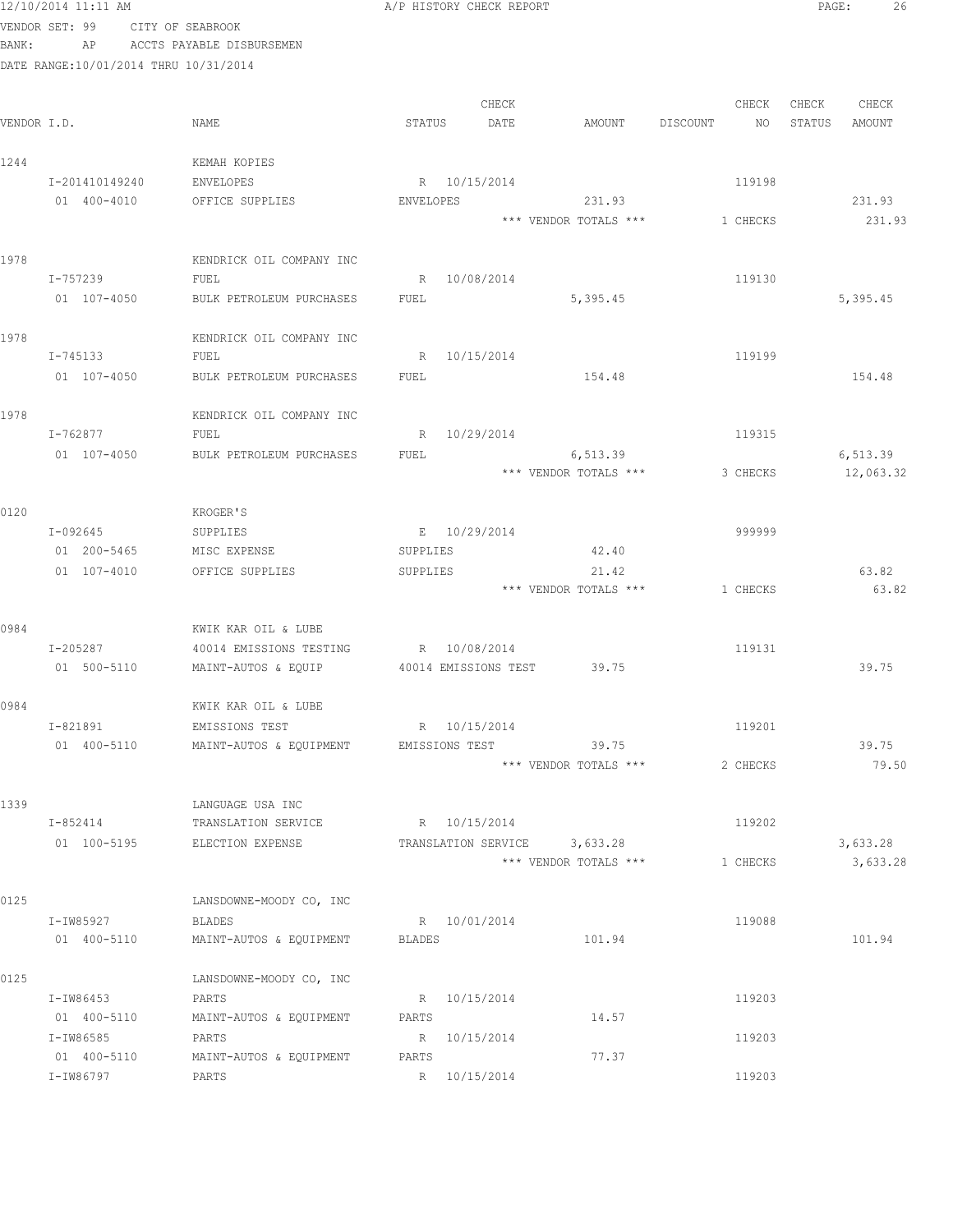|             | 12/10/2014 11:11 AM                   |                                         | A/P HISTORY CHECK REPORT                     |                       |                | 26<br>PAGE:      |
|-------------|---------------------------------------|-----------------------------------------|----------------------------------------------|-----------------------|----------------|------------------|
|             | VENDOR SET: 99                        | CITY OF SEABROOK                        |                                              |                       |                |                  |
| BANK:       | AP                                    | ACCTS PAYABLE DISBURSEMEN               |                                              |                       |                |                  |
|             | DATE RANGE:10/01/2014 THRU 10/31/2014 |                                         |                                              |                       |                |                  |
|             |                                       |                                         |                                              |                       |                |                  |
|             |                                       |                                         | CHECK                                        |                       | CHECK          | CHECK<br>CHECK   |
| VENDOR I.D. |                                       | NAME                                    | STATUS<br>DATE                               | AMOUNT                | DISCOUNT<br>NO | STATUS<br>AMOUNT |
| 1244        |                                       | KEMAH KOPIES                            |                                              |                       |                |                  |
|             | I-201410149240                        | ENVELOPES                               | R 10/15/2014                                 |                       | 119198         |                  |
|             | 01 400-4010                           | OFFICE SUPPLIES                         | ENVELOPES                                    | 231.93                |                | 231.93           |
|             |                                       |                                         |                                              | *** VENDOR TOTALS *** | 1 CHECKS       | 231.93           |
| 1978        |                                       | KENDRICK OIL COMPANY INC                |                                              |                       |                |                  |
|             | I-757239                              | FUEL                                    | R 10/08/2014                                 |                       | 119130         |                  |
|             | 01 107-4050                           | BULK PETROLEUM PURCHASES                | FUEL                                         | 5,395.45              |                | 5,395.45         |
|             |                                       |                                         |                                              |                       |                |                  |
| 1978        |                                       | KENDRICK OIL COMPANY INC                |                                              |                       |                |                  |
|             | I-745133                              | FUEL                                    | 10/15/2014<br>R                              |                       | 119199         |                  |
|             | 01 107-4050                           | BULK PETROLEUM PURCHASES                | FUEL                                         | 154.48                |                | 154.48           |
| 1978        |                                       | KENDRICK OIL COMPANY INC                |                                              |                       |                |                  |
|             | I-762877                              | FUEL                                    | R 10/29/2014                                 |                       | 119315         |                  |
|             | 01 107-4050                           | BULK PETROLEUM PURCHASES                | FUEL                                         | 6,513.39              |                | 6,513.39         |
|             |                                       |                                         |                                              | *** VENDOR TOTALS *** | 3 CHECKS       | 12,063.32        |
|             |                                       |                                         |                                              |                       |                |                  |
| 0120        |                                       | KROGER'S                                |                                              |                       |                |                  |
|             | I-092645<br>01 200-5465               | SUPPLIES<br>MISC EXPENSE                | E 10/29/2014<br>SUPPLIES                     | 42.40                 | 999999         |                  |
|             | 01 107-4010                           | OFFICE SUPPLIES                         | SUPPLIES                                     | 21.42                 |                | 63.82            |
|             |                                       |                                         |                                              | *** VENDOR TOTALS *** | 1 CHECKS       | 63.82            |
|             |                                       |                                         |                                              |                       |                |                  |
| 0984        |                                       | KWIK KAR OIL & LUBE                     |                                              |                       |                |                  |
|             | I-205287                              | 40014 EMISSIONS TESTING                 | R 10/08/2014                                 |                       | 119131         |                  |
|             | 01 500-5110                           | MAINT-AUTOS & EQUIP                     | 40014 EMISSIONS TEST 39.75                   |                       |                | 39.75            |
| 0984        |                                       | KWIK KAR OIL & LUBE                     |                                              |                       |                |                  |
|             | I-821891                              | EMISSIONS TEST                          | R 10/15/2014                                 |                       | 119201         |                  |
|             | 01 400-5110                           | MAINT-AUTOS & EQUIPMENT                 | EMISSIONS TEST                               | 39.75                 |                | 39.75            |
|             |                                       |                                         |                                              | *** VENDOR TOTALS *** | 2 CHECKS       | 79.50            |
|             |                                       |                                         |                                              |                       |                |                  |
| 1339        |                                       | LANGUAGE USA INC                        |                                              |                       |                |                  |
|             | I-852414<br>01 100-5195               | TRANSLATION SERVICE<br>ELECTION EXPENSE | R 10/15/2014<br>TRANSLATION SERVICE 3,633.28 |                       | 119202         | 3,633.28         |
|             |                                       |                                         |                                              | *** VENDOR TOTALS *** | 1 CHECKS       | 3,633.28         |
|             |                                       |                                         |                                              |                       |                |                  |
| 0125        |                                       | LANSDOWNE-MOODY CO, INC                 |                                              |                       |                |                  |
|             | I-IW85927                             | <b>BLADES</b>                           | R 10/01/2014                                 |                       | 119088         |                  |
|             | 01 400-5110                           | MAINT-AUTOS & EQUIPMENT                 | BLADES                                       | 101.94                |                | 101.94           |
| 0125        |                                       | LANSDOWNE-MOODY CO, INC                 |                                              |                       |                |                  |
|             | I-IW86453                             | PARTS                                   | R 10/15/2014                                 |                       | 119203         |                  |
|             | 01 400-5110                           | MAINT-AUTOS & EQUIPMENT                 | PARTS                                        | 14.57                 |                |                  |
|             | I-IW86585                             | PARTS                                   | R 10/15/2014                                 |                       | 119203         |                  |
|             | 01 400-5110                           | MAINT-AUTOS & EQUIPMENT                 | PARTS                                        | 77.37                 |                |                  |
|             | I-IW86797                             | PARTS                                   | R 10/15/2014                                 |                       | 119203         |                  |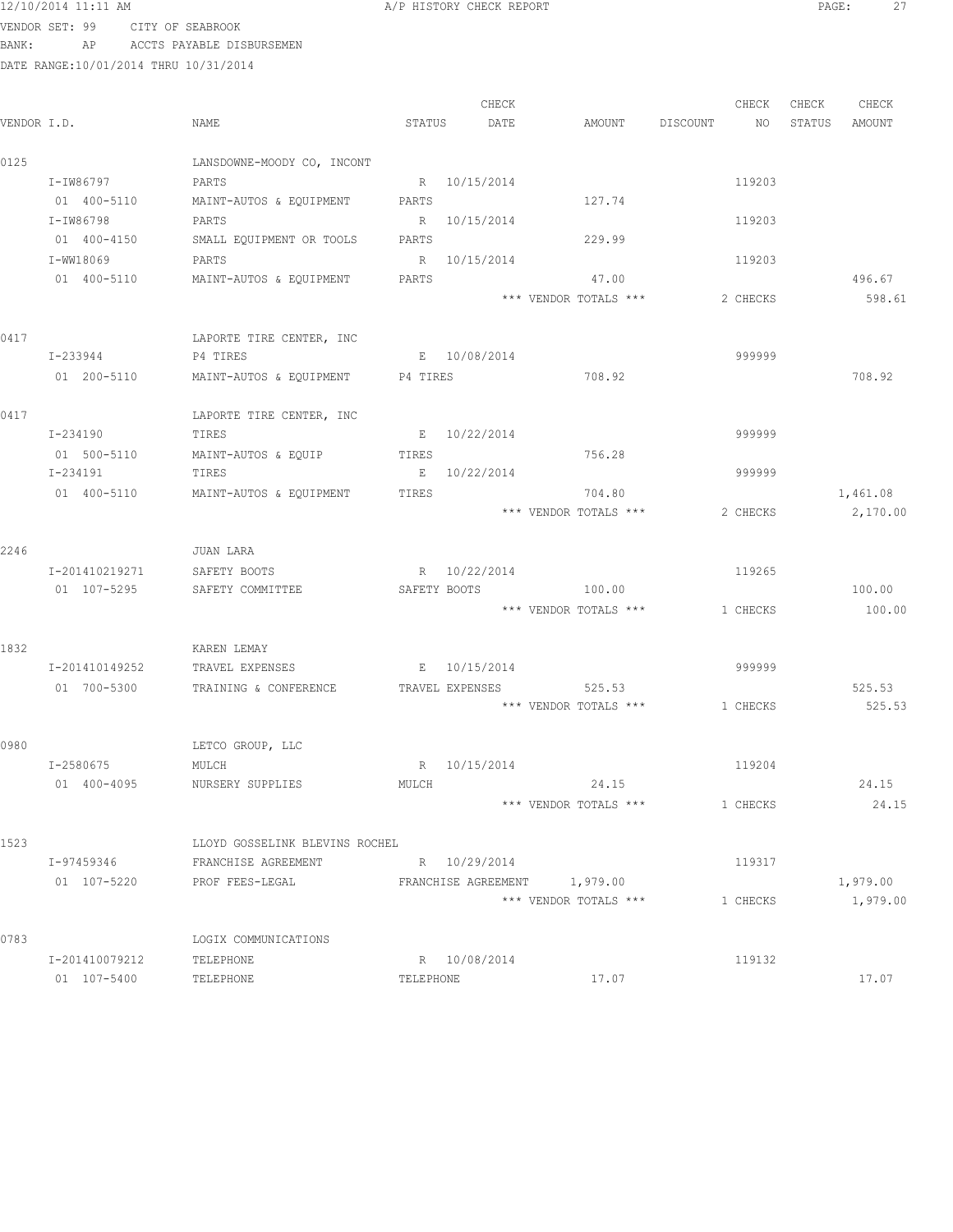### 12/10/2014 11:11 AM **Proved Allah Alexandric Allah Alexandric Check REPORT** PAGE: 27

VENDOR SET: 99 CITY OF SEABROOK BANK: AP ACCTS PAYABLE DISBURSEMEN

|             |                |                                  |           | CHECK        |                              |          | CHECK    | CHECK  | CHECK    |
|-------------|----------------|----------------------------------|-----------|--------------|------------------------------|----------|----------|--------|----------|
| VENDOR I.D. |                | NAME                             | STATUS    | DATE         | AMOUNT DISCOUNT              |          | NO       | STATUS | AMOUNT   |
| 0125        |                | LANSDOWNE-MOODY CO, INCONT       |           |              |                              |          |          |        |          |
|             | I-IW86797      | PARTS                            |           | R 10/15/2014 |                              |          | 119203   |        |          |
|             | 01 400-5110    | MAINT-AUTOS & EQUIPMENT PARTS    |           |              | 127.74                       |          |          |        |          |
|             | I-IW86798      | PARTS                            |           | R 10/15/2014 |                              |          | 119203   |        |          |
|             | 01 400-4150    | SMALL EQUIPMENT OR TOOLS         | PARTS     |              | 229.99                       |          |          |        |          |
|             | I-WW18069      | PARTS                            |           | R 10/15/2014 |                              |          | 119203   |        |          |
|             | 01 400-5110    | MAINT-AUTOS & EQUIPMENT          | PARTS     |              | 47.00                        |          |          |        | 496.67   |
|             |                |                                  |           |              | *** VENDOR TOTALS ***        |          | 2 CHECKS |        | 598.61   |
| 0417        |                | LAPORTE TIRE CENTER, INC         |           |              |                              |          |          |        |          |
|             | I-233944       | P4 TIRES                         |           | E 10/08/2014 |                              |          | 999999   |        |          |
|             | 01 200-5110    | MAINT-AUTOS & EQUIPMENT P4 TIRES |           |              | 708.92                       |          |          |        | 708.92   |
| 0417        |                | LAPORTE TIRE CENTER, INC         |           |              |                              |          |          |        |          |
|             | I-234190       | TIRES                            |           | E 10/22/2014 |                              |          | 999999   |        |          |
|             | 01 500-5110    | MAINT-AUTOS & EQUIP              | TIRES     |              | 756.28                       |          |          |        |          |
|             | I-234191       | TIRES                            |           | E 10/22/2014 |                              | 999999   |          |        |          |
|             | 01 400-5110    | MAINT-AUTOS & EQUIPMENT          | TIRES     |              | 704.80                       |          |          |        | 1,461.08 |
|             |                |                                  |           |              | *** VENDOR TOTALS ***        |          | 2 CHECKS |        | 2,170.00 |
| 2246        |                | JUAN LARA                        |           |              |                              |          |          |        |          |
|             | I-201410219271 | SAFETY BOOTS                     |           | R 10/22/2014 |                              | 119265   |          |        |          |
|             | 01 107-5295    | SAFETY COMMITTEE                 |           | SAFETY BOOTS | 100.00                       |          |          |        | 100.00   |
|             |                |                                  |           |              | *** VENDOR TOTALS ***        | 1 CHECKS |          |        | 100.00   |
| 1832        |                | KAREN LEMAY                      |           |              |                              |          |          |        |          |
|             | I-201410149252 | TRAVEL EXPENSES                  |           | E 10/15/2014 |                              | 999999   |          |        |          |
|             | 01 700-5300    | TRAINING & CONFERENCE            |           |              | TRAVEL EXPENSES 525.53       |          |          |        | 525.53   |
|             |                |                                  |           |              | *** VENDOR TOTALS ***        | 1 CHECKS |          |        | 525.53   |
| 0980        |                | LETCO GROUP, LLC                 |           |              |                              |          |          |        |          |
|             | I-2580675      | MULCH                            |           | R 10/15/2014 |                              |          | 119204   |        |          |
|             | 01 400-4095    | NURSERY SUPPLIES                 | MULCH     |              | 24.15                        |          |          |        | 24.15    |
|             |                |                                  |           |              | *** VENDOR TOTALS ***        | 1 CHECKS |          |        | 24.15    |
| 1523        |                | LLOYD GOSSELINK BLEVINS ROCHEL   |           |              |                              |          |          |        |          |
|             | I-97459346     | FRANCHISE AGREEMENT              |           | R 10/29/2014 |                              |          | 119317   |        |          |
|             | 01 107-5220    | PROF FEES-LEGAL                  |           |              | FRANCHISE AGREEMENT 1,979.00 |          |          |        | 1,979.00 |
|             |                |                                  |           |              | *** VENDOR TOTALS ***        |          | 1 CHECKS |        | 1,979.00 |
| 0783        |                | LOGIX COMMUNICATIONS             |           |              |                              |          |          |        |          |
|             | I-201410079212 | TELEPHONE                        |           | R 10/08/2014 |                              |          | 119132   |        |          |
|             | 01 107-5400    | TELEPHONE                        | TELEPHONE |              | 17.07                        |          |          |        | 17.07    |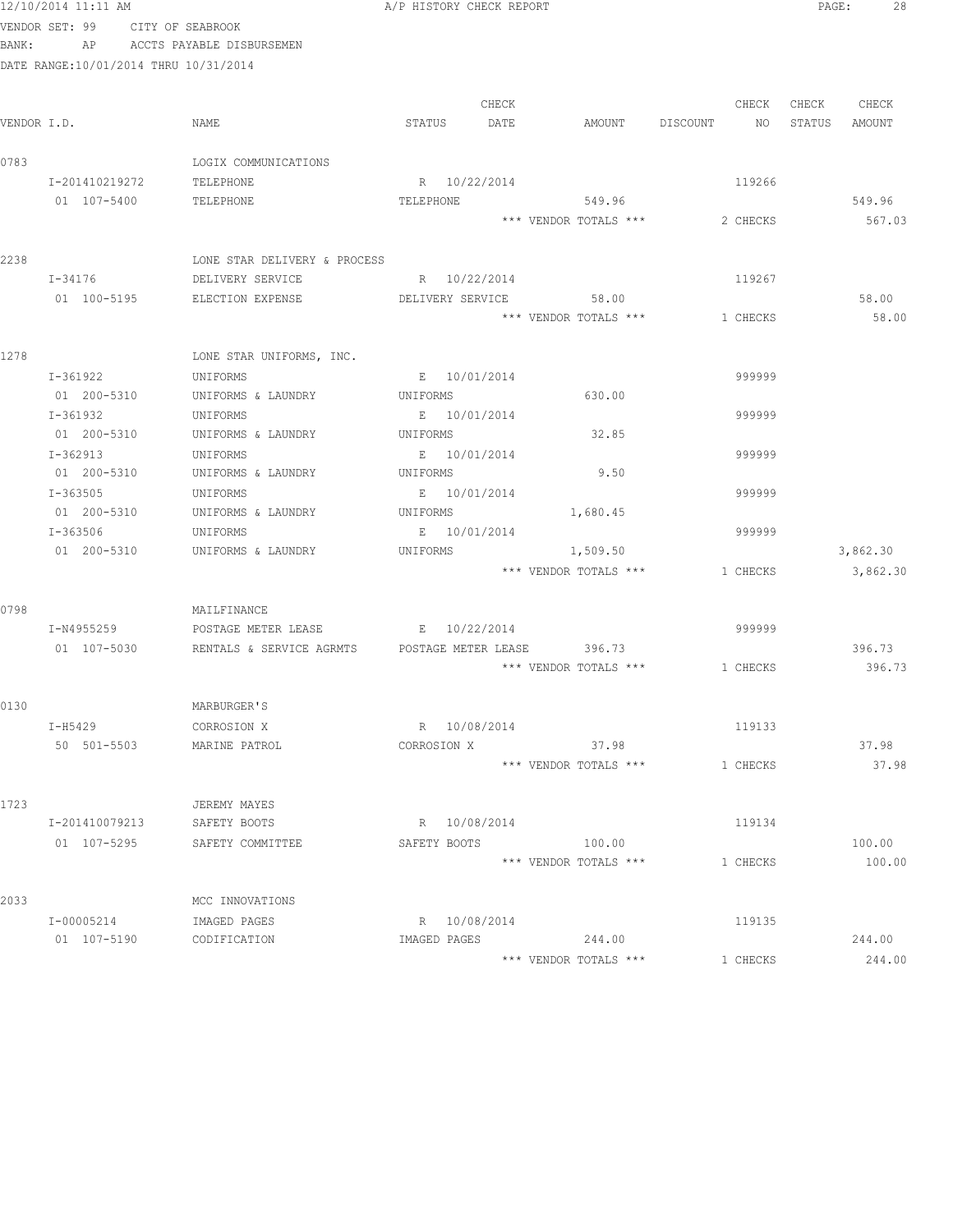|       | 12/10/2014 11:11 AM                   |                                                             | A/P HISTORY CHECK REPORT |       |                                |          |          | PAGE:  | 28       |
|-------|---------------------------------------|-------------------------------------------------------------|--------------------------|-------|--------------------------------|----------|----------|--------|----------|
|       | VENDOR SET: 99 CITY OF SEABROOK       |                                                             |                          |       |                                |          |          |        |          |
| BANK: |                                       | AP ACCTS PAYABLE DISBURSEMEN                                |                          |       |                                |          |          |        |          |
|       | DATE RANGE:10/01/2014 THRU 10/31/2014 |                                                             |                          |       |                                |          |          |        |          |
|       |                                       |                                                             |                          |       |                                |          |          |        |          |
|       |                                       |                                                             |                          | CHECK |                                |          | CHECK    | CHECK  | CHECK    |
|       | VENDOR I.D.                           | NAME                                                        | STATUS                   | DATE  | AMOUNT DISCOUNT                |          | NO       | STATUS | AMOUNT   |
|       |                                       |                                                             |                          |       |                                |          |          |        |          |
| 0783  |                                       | LOGIX COMMUNICATIONS                                        |                          |       |                                |          |          |        |          |
|       | I-201410219272                        | TELEPHONE                                                   | R 10/22/2014             |       |                                |          | 119266   |        |          |
|       | 01 107-5400                           | TELEPHONE                                                   | TELEPHONE                |       | 549.96                         |          |          |        | 549.96   |
|       |                                       |                                                             |                          |       | *** VENDOR TOTALS ***          |          | 2 CHECKS |        | 567.03   |
|       |                                       |                                                             |                          |       |                                |          |          |        |          |
| 2238  |                                       | LONE STAR DELIVERY & PROCESS                                |                          |       |                                |          |          |        |          |
|       | $I - 34176$                           | DELIVERY SERVICE                                            | R 10/22/2014             |       |                                |          | 119267   |        |          |
|       | 01 100-5195                           | ELECTION EXPENSE                                            | DELIVERY SERVICE         |       | 58.00                          |          |          |        | 58.00    |
|       |                                       |                                                             |                          |       | *** VENDOR TOTALS ***          | 1 CHECKS |          |        | 58.00    |
|       |                                       |                                                             |                          |       |                                |          |          |        |          |
| 1278  |                                       | LONE STAR UNIFORMS, INC.                                    |                          |       |                                |          |          |        |          |
|       | I-361922                              | UNIFORMS                                                    | E 10/01/2014             |       |                                |          | 999999   |        |          |
|       |                                       | 01  200-5310   UNIFORMS & LAUNDRY   UNIFORMS                |                          |       | 630.00                         |          |          |        |          |
|       | I-361932                              | UNIFORMS                                                    | E 10/01/2014             |       |                                |          | 999999   |        |          |
|       | 01 200-5310                           | UNIFORMS & LAUNDRY                                          | UNIFORMS                 |       | 32.85                          |          |          |        |          |
|       | I-362913                              | UNIFORMS                                                    | E 10/01/2014             |       |                                |          | 999999   |        |          |
|       | 01 200-5310                           | UNIFORMS & LAUNDRY                                          | UNIFORMS                 |       | 9.50                           |          |          |        |          |
|       | I-363505                              | UNIFORMS                                                    | E 10/01/2014             |       |                                |          | 999999   |        |          |
|       | 01 200-5310                           | UNIFORMS & LAUNDRY                                          | UNIFORMS                 |       | 1,680.45                       |          |          |        |          |
|       | I-363506                              | UNIFORMS                                                    | E 10/01/2014             |       |                                |          | 999999   |        |          |
|       | 01 200-5310                           | UNIFORMS & LAUNDRY                                          | UNIFORMS                 |       | 1,509.50                       |          |          |        | 3,862.30 |
|       |                                       |                                                             |                          |       | *** VENDOR TOTALS *** 1 CHECKS |          |          |        | 3,862.30 |
|       |                                       |                                                             |                          |       |                                |          |          |        |          |
| 0798  |                                       | MAILFINANCE                                                 |                          |       |                                |          |          |        |          |
|       | I-N4955259                            | POSTAGE METER LEASE                                         | E 10/22/2014             |       |                                |          | 999999   |        |          |
|       |                                       | 01  107-5030  RENTALS & SERVICE AGRMTS  POSTAGE METER LEASE |                          |       | 396.73                         |          |          |        | 396.73   |
|       |                                       |                                                             |                          |       | *** VENDOR TOTALS *** 1 CHECKS |          |          |        | 396.73   |
|       |                                       |                                                             |                          |       |                                |          |          |        |          |
| 0130  |                                       | MARBURGER'S                                                 |                          |       |                                |          |          |        |          |
|       | I-H5429                               | CORROSION X                                                 | R 10/08/2014             |       |                                |          | 119133   |        |          |
|       | 50 501-5503                           | MARINE PATROL                                               | CORROSION X              |       | 37.98                          |          |          |        | 37.98    |
|       |                                       |                                                             |                          |       | *** VENDOR TOTALS ***          | 1 CHECKS |          |        | 37.98    |
|       |                                       |                                                             |                          |       |                                |          |          |        |          |
| 1723  |                                       | JEREMY MAYES                                                |                          |       |                                |          |          |        |          |
|       | I-201410079213                        | SAFETY BOOTS                                                | R 10/08/2014             |       |                                |          | 119134   |        |          |
|       | 01 107-5295                           | SAFETY COMMITTEE                                            | SAFETY BOOTS             |       | 100.00                         |          |          |        | 100.00   |
|       |                                       |                                                             |                          |       | *** VENDOR TOTALS ***          | 1 CHECKS |          |        | 100.00   |
|       |                                       |                                                             |                          |       |                                |          |          |        |          |
| 2033  |                                       | MCC INNOVATIONS                                             |                          |       |                                |          |          |        |          |
|       | I-00005214                            | IMAGED PAGES                                                | R 10/08/2014             |       |                                |          | 119135   |        |          |
|       | 01 107-5190                           | CODIFICATION                                                | IMAGED PAGES             |       | 244.00                         |          |          |        | 244.00   |
|       |                                       |                                                             |                          |       | *** VENDOR TOTALS ***          | 1 CHECKS |          |        | 244.00   |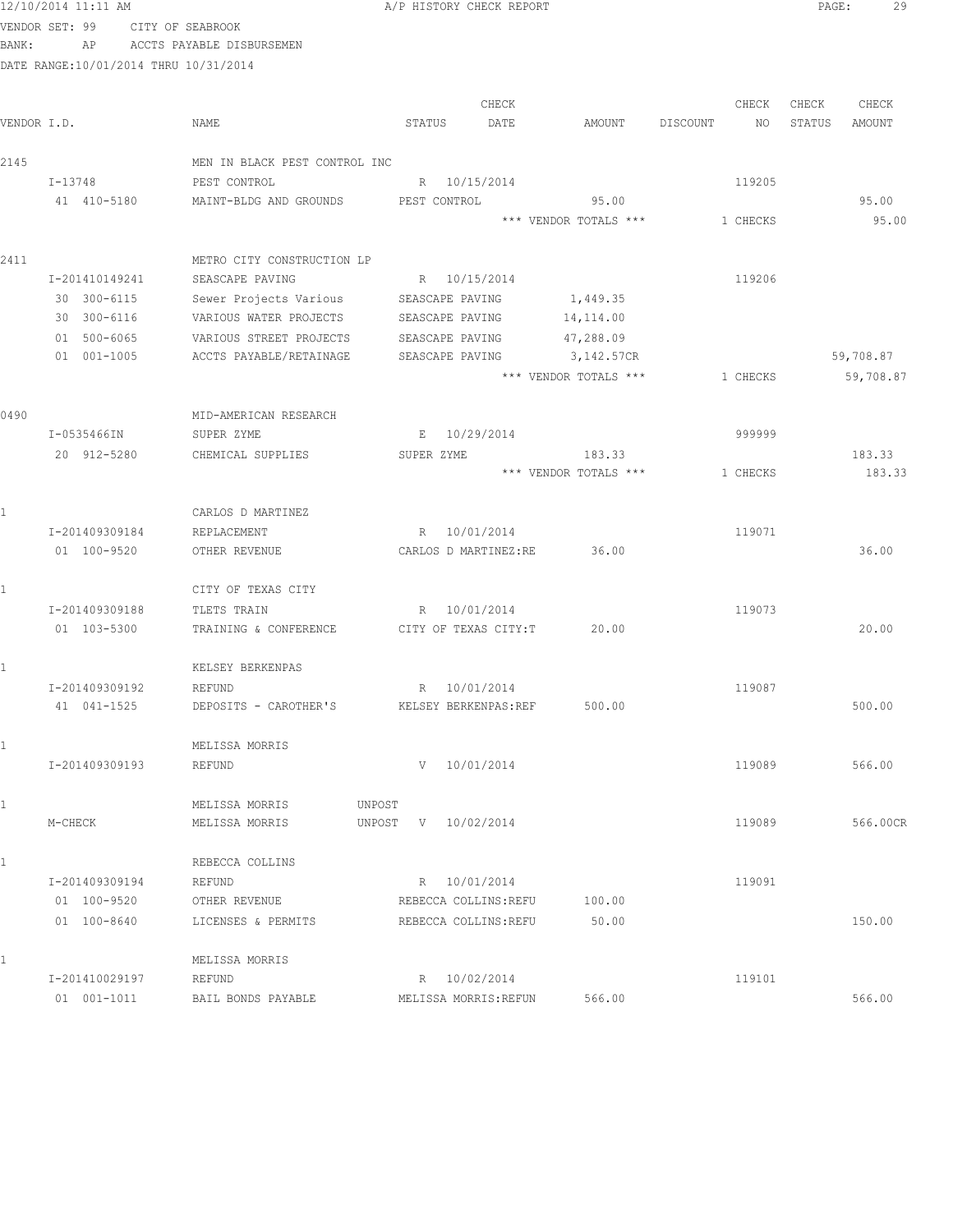| 12/10/2014 11:11 AM |    |                                       | A/P HISTORY CHECK REPORT |       |        |          |       | PAGE:  |        |
|---------------------|----|---------------------------------------|--------------------------|-------|--------|----------|-------|--------|--------|
| VENDOR SET: 99      |    | CITY OF SEABROOK                      |                          |       |        |          |       |        |        |
| BANK:               | ΑP | ACCTS PAYABLE DISBURSEMEN             |                          |       |        |          |       |        |        |
|                     |    | DATE RANGE:10/01/2014 THRU 10/31/2014 |                          |       |        |          |       |        |        |
|                     |    |                                       |                          | CHECK |        |          | CHECK | CHECK  | CHECK  |
| VENDOR I.D.         |    | NAME                                  | STATUS                   | DATE  | AMOUNT | DISCOUNT | NO.   | STATUS | AMOUNT |

| VENDOR I.D. |                | NAME                                              | STATUS<br>DATE        | AMOUNT                     | DISCOUNT<br>NO. | STATUS<br>AMOUNT |
|-------------|----------------|---------------------------------------------------|-----------------------|----------------------------|-----------------|------------------|
| 2145        |                | MEN IN BLACK PEST CONTROL INC                     |                       |                            |                 |                  |
|             | I-13748        | PEST CONTROL                                      | R 10/15/2014          |                            | 119205          |                  |
|             | 41 410-5180    | MAINT-BLDG AND GROUNDS PEST CONTROL               |                       | 95.00                      |                 | 95.00            |
|             |                |                                                   |                       | *** VENDOR TOTALS ***      | 1 CHECKS        | 95.00            |
| 2411        |                | METRO CITY CONSTRUCTION LP                        |                       |                            |                 |                  |
|             | I-201410149241 | SEASCAPE PAVING                                   | R 10/15/2014          |                            | 119206          |                  |
|             | 30 300-6115    | Sewer Projects Various                            | SEASCAPE PAVING       | 1,449.35                   |                 |                  |
|             | 30 300-6116    | VARIOUS WATER PROJECTS                            | SEASCAPE PAVING       | 14,114.00                  |                 |                  |
|             | 01 500-6065    | VARIOUS STREET PROJECTS                           | SEASCAPE PAVING       | 47,288.09                  |                 |                  |
|             | 01 001-1005    | ACCTS PAYABLE/RETAINAGE                           | SEASCAPE PAVING       | 3,142.57CR                 |                 | 59,708.87        |
|             |                |                                                   |                       | *** VENDOR TOTALS ***      | 1 CHECKS        | 59,708.87        |
| 0490        |                | MID-AMERICAN RESEARCH                             |                       |                            |                 |                  |
|             | I-0535466IN    | SUPER ZYME                                        | E 10/29/2014          |                            | 999999          |                  |
|             | 20 912-5280    | CHEMICAL SUPPLIES                                 | SUPER ZYME            | 183.33                     |                 | 183.33           |
|             |                |                                                   |                       | *** VENDOR TOTALS ***      | 1 CHECKS        | 183.33           |
|             |                | CARLOS D MARTINEZ                                 |                       |                            |                 |                  |
|             | I-201409309184 | REPLACEMENT                                       | R 10/01/2014          |                            | 119071          |                  |
|             | 01 100-9520    | OTHER REVENUE                                     |                       | CARLOS D MARTINEZ:RE 36.00 |                 | 36.00            |
|             |                | CITY OF TEXAS CITY                                |                       |                            |                 |                  |
|             | I-201409309188 | TLETS TRAIN                                       | R 10/01/2014          |                            | 119073          |                  |
|             | 01 103-5300    | TRAINING & CONFERENCE CITY OF TEXAS CITY: T       |                       | 20.00                      |                 | 20.00            |
|             |                | KELSEY BERKENPAS                                  |                       |                            |                 |                  |
|             | I-201409309192 | REFUND                                            | R 10/01/2014          |                            | 119087          |                  |
|             | 41 041-1525    | DEPOSITS - CAROTHER'S KELSEY BERKENPAS:REF 500.00 |                       |                            |                 | 500.00           |
|             |                | MELISSA MORRIS                                    |                       |                            |                 |                  |
|             | I-201409309193 | REFUND                                            | 10/01/2014<br>V       |                            | 119089          | 566.00           |
|             |                | MELISSA MORRIS                                    | UNPOST                |                            |                 |                  |
|             | M-CHECK        | MELISSA MORRIS                                    | UNPOST V 10/02/2014   |                            | 119089          | 566.00CR         |
| $1\,$       |                | REBECCA COLLINS                                   |                       |                            |                 |                  |
|             | I-201409309194 | REFUND                                            | R 10/01/2014          |                            | 119091          |                  |
|             | 01 100-9520    | OTHER REVENUE                                     | REBECCA COLLINS: REFU | 100.00                     |                 |                  |
|             | 01 100-8640    | LICENSES & PERMITS                                | REBECCA COLLINS: REFU | 50.00                      |                 | 150.00           |
|             |                | MELISSA MORRIS                                    |                       |                            |                 |                  |
|             | I-201410029197 | REFUND                                            | R 10/02/2014          |                            | 119101          |                  |
|             | 01 001-1011    | BAIL BONDS PAYABLE                                | MELISSA MORRIS: REFUN | 566.00                     |                 | 566.00           |

PAGE: 29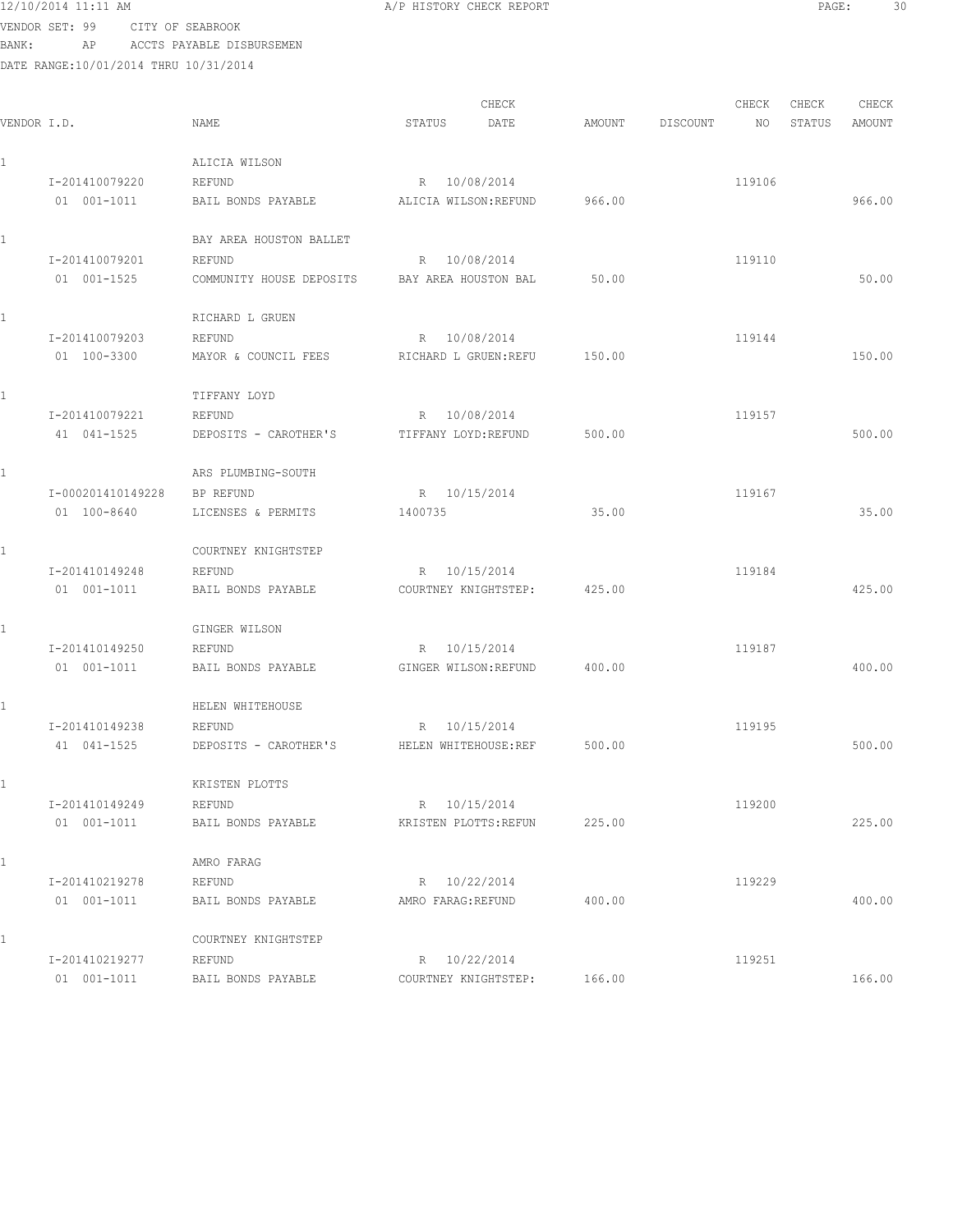VENDOR SET: 99 CITY OF SEABROOK BANK: AP ACCTS PAYABLE DISBURSEMEN

| VENDOR I.D.       | NAME                     | CHECK<br>DATE<br>STATUS | AMOUNT | CHECK<br>DISCOUNT<br>NO. | CHECK<br>STATUS | CHECK<br>AMOUNT |
|-------------------|--------------------------|-------------------------|--------|--------------------------|-----------------|-----------------|
|                   | ALICIA WILSON            |                         |        |                          |                 |                 |
| I-201410079220    | REFUND                   | 10/08/2014<br>R         |        | 119106                   |                 |                 |
| 01 001-1011       | BAIL BONDS PAYABLE       | ALICIA WILSON: REFUND   | 966.00 |                          |                 | 966.00          |
|                   | BAY AREA HOUSTON BALLET  |                         |        |                          |                 |                 |
| I-201410079201    | REFUND                   | R 10/08/2014            |        | 119110                   |                 |                 |
| 01 001-1525       | COMMUNITY HOUSE DEPOSITS | BAY AREA HOUSTON BAL    | 50.00  |                          |                 | 50.00           |
|                   | RICHARD L GRUEN          |                         |        |                          |                 |                 |
| I-201410079203    | REFUND                   | R 10/08/2014            |        | 119144                   |                 |                 |
| 01 100-3300       | MAYOR & COUNCIL FEES     | RICHARD L GRUEN: REFU   | 150.00 |                          |                 | 150.00          |
|                   | TIFFANY LOYD             |                         |        |                          |                 |                 |
| I-201410079221    | REFUND                   | R 10/08/2014            |        | 119157                   |                 |                 |
| 41 041-1525       | DEPOSITS - CAROTHER'S    | TIFFANY LOYD: REFUND    | 500.00 |                          |                 | 500.00          |
|                   | ARS PLUMBING-SOUTH       |                         |        |                          |                 |                 |
| I-000201410149228 | BP REFUND                | R 10/15/2014            |        | 119167                   |                 |                 |
| 01 100-8640       | LICENSES & PERMITS       | 1400735                 | 35.00  |                          |                 | 35.00           |
|                   | COURTNEY KNIGHTSTEP      |                         |        |                          |                 |                 |
| I-201410149248    | REFUND                   | R 10/15/2014            |        | 119184                   |                 |                 |
| 01 001-1011       | BAIL BONDS PAYABLE       | COURTNEY KNIGHTSTEP:    | 425.00 |                          |                 | 425.00          |
|                   | GINGER WILSON            |                         |        |                          |                 |                 |
| I-201410149250    | REFUND                   | 10/15/2014<br>R         |        | 119187                   |                 |                 |
| 01 001-1011       | BAIL BONDS PAYABLE       | GINGER WILSON: REFUND   | 400.00 |                          |                 | 400.00          |
|                   | HELEN WHITEHOUSE         |                         |        |                          |                 |                 |
| I-201410149238    | REFUND                   | 10/15/2014<br>R         |        | 119195                   |                 |                 |
| 41 041-1525       | DEPOSITS - CAROTHER'S    | HELEN WHITEHOUSE:REF    | 500.00 |                          |                 | 500.00          |
|                   | KRISTEN PLOTTS           |                         |        |                          |                 |                 |
| I-201410149249    | REFUND                   | R 10/15/2014            |        | 119200                   |                 |                 |
| 01 001-1011       | BAIL BONDS PAYABLE       | KRISTEN PLOTTS: REFUN   | 225.00 |                          |                 | 225.00          |
|                   | AMRO FARAG               |                         |        |                          |                 |                 |
| I-201410219278    | REFUND                   | R 10/22/2014            |        | 119229                   |                 |                 |
| 01 001-1011       | BAIL BONDS PAYABLE       | AMRO FARAG: REFUND      | 400.00 |                          |                 | 400.00          |
|                   | COURTNEY KNIGHTSTEP      |                         |        |                          |                 |                 |
| I-201410219277    | REFUND                   | R 10/22/2014            |        | 119251                   |                 |                 |
| 01 001-1011       | BAIL BONDS PAYABLE       | COURTNEY KNIGHTSTEP:    | 166.00 |                          |                 | 166.00          |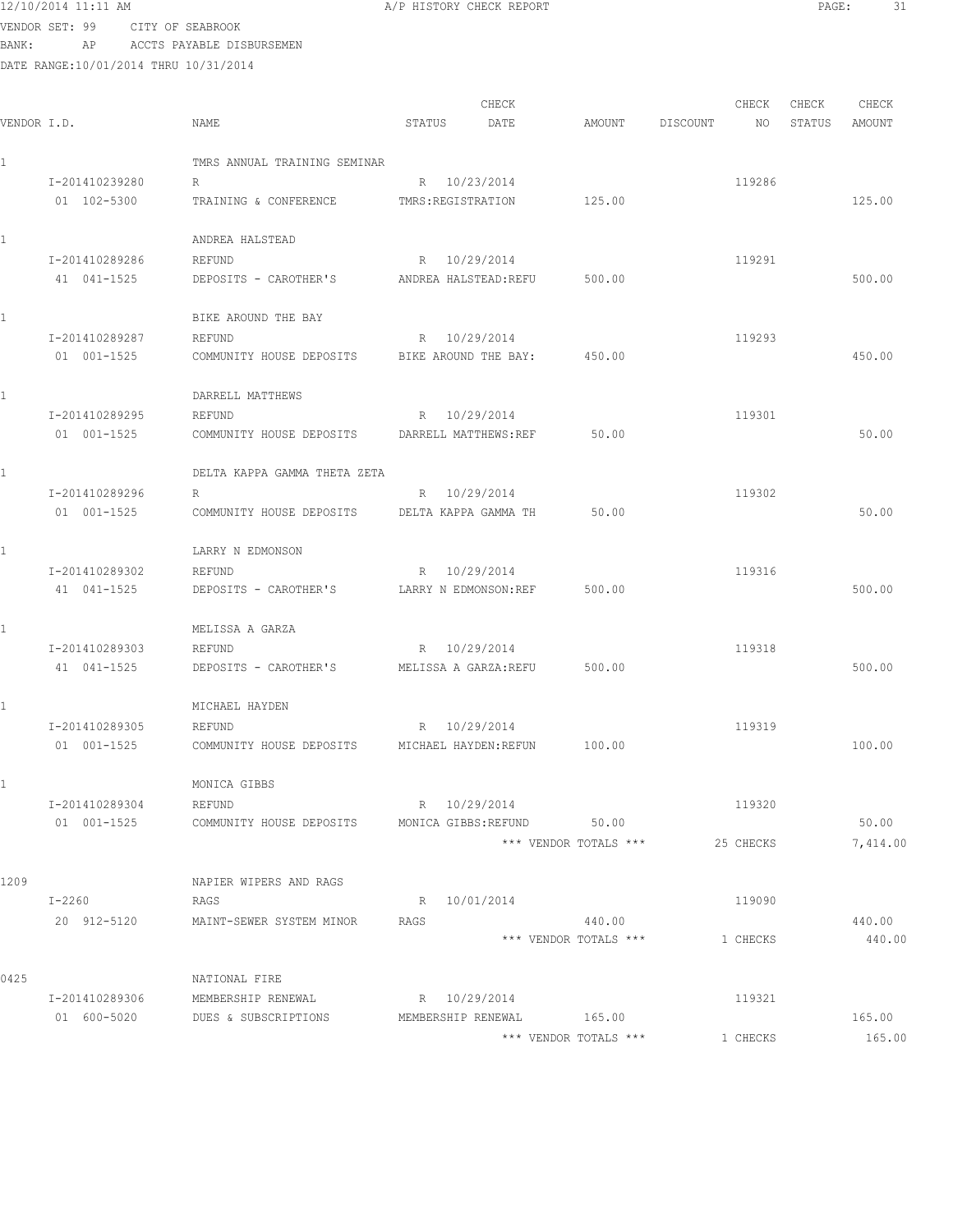VENDOR SET: 99 CITY OF SEABROOK BANK: AP ACCTS PAYABLE DISBURSEMEN

| VENDOR I.D. |                | NAME                         | STATUS                | CHECK<br>DATE              | AMOUNT                          | DISCOUNT | CHECK<br>NO | CHECK<br>STATUS | CHECK<br>AMOUNT  |
|-------------|----------------|------------------------------|-----------------------|----------------------------|---------------------------------|----------|-------------|-----------------|------------------|
|             |                | TMRS ANNUAL TRAINING SEMINAR |                       |                            |                                 |          |             |                 |                  |
|             | I-201410239280 | R                            | R 10/23/2014          |                            |                                 |          | 119286      |                 |                  |
|             | 01 102-5300    | TRAINING & CONFERENCE        | TMRS: REGISTRATION    |                            | 125.00                          |          |             |                 | 125.00           |
| ı           |                | ANDREA HALSTEAD              |                       |                            |                                 |          |             |                 |                  |
|             | I-201410289286 | REFUND                       | R 10/29/2014          |                            |                                 |          | 119291      |                 |                  |
|             | 41 041-1525    | DEPOSITS - CAROTHER'S        | ANDREA HALSTEAD: REFU |                            | 500.00                          |          |             |                 | 500.00           |
| 1.          |                | BIKE AROUND THE BAY          |                       |                            |                                 |          |             |                 |                  |
|             | I-201410289287 | REFUND                       | R 10/29/2014          |                            |                                 |          | 119293      |                 |                  |
|             | 01 001-1525    | COMMUNITY HOUSE DEPOSITS     | BIKE AROUND THE BAY:  |                            | 450.00                          |          |             |                 | 450.00           |
| 1           |                | DARRELL MATTHEWS             |                       |                            |                                 |          |             |                 |                  |
|             | I-201410289295 | REFUND                       | R 10/29/2014          |                            |                                 |          | 119301      |                 |                  |
|             | 01 001-1525    | COMMUNITY HOUSE DEPOSITS     | DARRELL MATTHEWS:REF  |                            | 50.00                           |          |             |                 | 50.00            |
|             |                | DELTA KAPPA GAMMA THETA ZETA |                       |                            |                                 |          |             |                 |                  |
|             | I-201410289296 | R                            | R 10/29/2014          |                            |                                 |          | 119302      |                 |                  |
|             | 01 001-1525    | COMMUNITY HOUSE DEPOSITS     | DELTA KAPPA GAMMA TH  |                            | 50.00                           |          |             |                 | 50.00            |
|             |                | LARRY N EDMONSON             |                       |                            |                                 |          |             |                 |                  |
|             | I-201410289302 | REFUND                       | R 10/29/2014          |                            |                                 |          | 119316      |                 |                  |
|             | 41 041-1525    | DEPOSITS - CAROTHER'S        | LARRY N EDMONSON: REF |                            | 500.00                          |          |             |                 | 500.00           |
|             |                | MELISSA A GARZA              |                       |                            |                                 |          |             |                 |                  |
|             | I-201410289303 | REFUND                       | R 10/29/2014          |                            |                                 |          | 119318      |                 |                  |
|             | 41 041-1525    | DEPOSITS - CAROTHER'S        | MELISSA A GARZA:REFU  |                            | 500.00                          |          |             |                 | 500.00           |
| ı           |                | MICHAEL HAYDEN               |                       |                            |                                 |          |             |                 |                  |
|             | I-201410289305 | REFUND                       | R 10/29/2014          |                            |                                 |          | 119319      |                 |                  |
|             | 01 001-1525    | COMMUNITY HOUSE DEPOSITS     | MICHAEL HAYDEN:REFUN  |                            | 100.00                          |          |             |                 | 100.00           |
|             |                | MONICA GIBBS                 |                       |                            |                                 |          |             |                 |                  |
|             | I-201410289304 | REFUND                       | R 10/29/2014          |                            |                                 |          | 119320      |                 |                  |
|             | 01 001-1525    | COMMUNITY HOUSE DEPOSITS     |                       | MONICA GIBBS: REFUND 50.00 |                                 |          |             |                 | 50.00            |
|             |                |                              |                       |                            | *** VENDOR TOTALS ***           |          | 25 CHECKS   |                 | 7,414.00         |
| 1209        |                | NAPIER WIPERS AND RAGS       |                       |                            |                                 |          |             |                 |                  |
|             | I-2260         | RAGS                         | R 10/01/2014          |                            |                                 |          | 119090      |                 |                  |
|             | 20 912-5120    | MAINT-SEWER SYSTEM MINOR     | RAGS                  |                            | 440.00<br>*** VENDOR TOTALS *** |          | 1 CHECKS    |                 | 440.00<br>440.00 |
|             |                |                              |                       |                            |                                 |          |             |                 |                  |
| 0425        |                | NATIONAL FIRE                |                       |                            |                                 |          |             |                 |                  |
|             | I-201410289306 | MEMBERSHIP RENEWAL           | R 10/29/2014          |                            |                                 |          | 119321      |                 |                  |
|             | 01 600-5020    | DUES & SUBSCRIPTIONS         | MEMBERSHIP RENEWAL    |                            | 165.00                          |          |             |                 | 165.00           |
|             |                |                              |                       |                            | *** VENDOR TOTALS ***           |          | 1 CHECKS    |                 | 165.00           |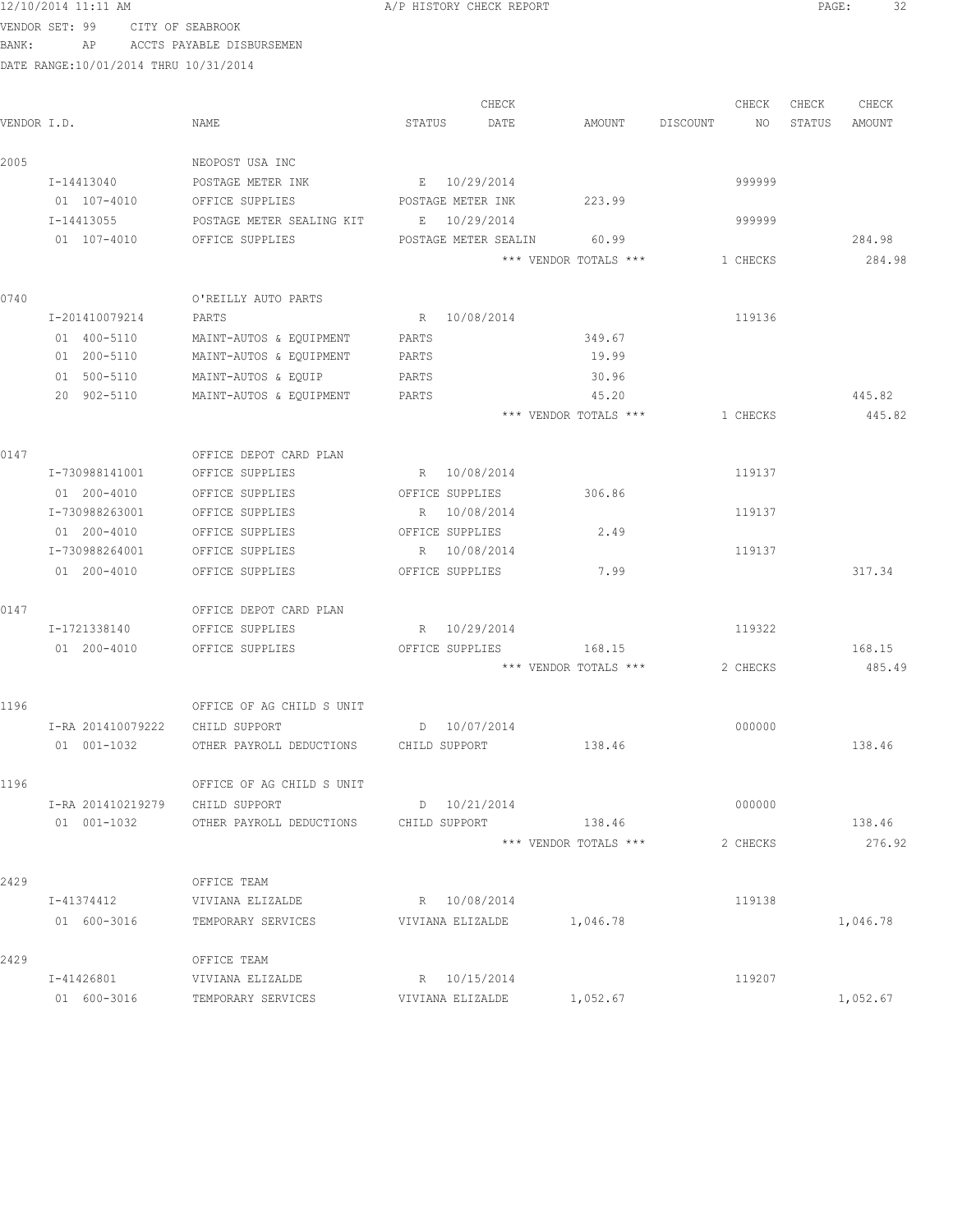| 12/10/2014 11<br>$11:11$ AM | CHECK REPORT<br>HISTORY<br>CHECK REPORT | $\sim$<br>PAGE<br>ے ب |  |
|-----------------------------|-----------------------------------------|-----------------------|--|
|                             |                                         |                       |  |

|             |                   |                                        |                      | CHECK |                       |          | CHECK    | CHECK  | CHECK    |
|-------------|-------------------|----------------------------------------|----------------------|-------|-----------------------|----------|----------|--------|----------|
| VENDOR I.D. |                   | NAME                                   | STATUS               | DATE  | AMOUNT                | DISCOUNT | NO       | STATUS | AMOUNT   |
| 2005        |                   | NEOPOST USA INC                        |                      |       |                       |          |          |        |          |
|             | I-14413040        | POSTAGE METER INK                      | E 10/29/2014         |       |                       |          | 999999   |        |          |
|             | 01 107-4010       | OFFICE SUPPLIES                        | POSTAGE METER INK    |       | 223.99                |          |          |        |          |
|             | I-14413055        | POSTAGE METER SEALING KIT E 10/29/2014 |                      |       |                       |          | 999999   |        |          |
|             | 01 107-4010       | OFFICE SUPPLIES                        | POSTAGE METER SEALIN |       | 60.99                 |          |          |        | 284.98   |
|             |                   |                                        |                      |       | *** VENDOR TOTALS *** |          | 1 CHECKS |        | 284.98   |
| 0740        |                   | O'REILLY AUTO PARTS                    |                      |       |                       |          |          |        |          |
|             | I-201410079214    | PARTS                                  | R 10/08/2014         |       |                       |          | 119136   |        |          |
|             | 01 400-5110       | MAINT-AUTOS & EQUIPMENT                | PARTS                |       | 349.67                |          |          |        |          |
|             | 01 200-5110       | MAINT-AUTOS & EQUIPMENT                | PARTS                |       | 19.99                 |          |          |        |          |
|             | 01 500-5110       | MAINT-AUTOS & EQUIP                    | PARTS                |       | 30.96                 |          |          |        |          |
|             | 20 902-5110       | MAINT-AUTOS & EQUIPMENT                | PARTS                |       | 45.20                 |          |          |        | 445.82   |
|             |                   |                                        |                      |       | *** VENDOR TOTALS *** |          | 1 CHECKS |        | 445.82   |
| 0147        |                   | OFFICE DEPOT CARD PLAN                 |                      |       |                       |          |          |        |          |
|             | I-730988141001    | OFFICE SUPPLIES                        | R 10/08/2014         |       |                       |          | 119137   |        |          |
|             | 01 200-4010       | OFFICE SUPPLIES                        | OFFICE SUPPLIES      |       | 306.86                |          |          |        |          |
|             | I-730988263001    | OFFICE SUPPLIES                        | R 10/08/2014         |       |                       |          | 119137   |        |          |
|             | 01 200-4010       | OFFICE SUPPLIES                        | OFFICE SUPPLIES      |       | 2.49                  |          |          |        |          |
|             | I-730988264001    | OFFICE SUPPLIES                        | R 10/08/2014         |       |                       |          | 119137   |        |          |
|             | 01 200-4010       | OFFICE SUPPLIES                        | OFFICE SUPPLIES      |       | 7.99                  |          |          |        | 317.34   |
| 0147        |                   | OFFICE DEPOT CARD PLAN                 |                      |       |                       |          |          |        |          |
|             | I-1721338140      | OFFICE SUPPLIES                        | R 10/29/2014         |       |                       |          | 119322   |        |          |
|             | 01 200-4010       | OFFICE SUPPLIES                        | OFFICE SUPPLIES      |       | 168.15                |          |          |        | 168.15   |
|             |                   |                                        |                      |       | *** VENDOR TOTALS *** |          | 2 CHECKS |        | 485.49   |
| 1196        |                   | OFFICE OF AG CHILD S UNIT              |                      |       |                       |          |          |        |          |
|             | I-RA 201410079222 | CHILD SUPPORT                          | $D = 10/07/2014$     |       |                       |          | 000000   |        |          |
|             | 01 001-1032       | OTHER PAYROLL DEDUCTIONS CHILD SUPPORT |                      |       | 138.46                |          |          |        | 138.46   |
| 1196        |                   | OFFICE OF AG CHILD S UNIT              |                      |       |                       |          |          |        |          |
|             | I-RA 201410219279 | CHILD SUPPORT                          | D 10/21/2014         |       |                       |          | 000000   |        |          |
|             | 01 001-1032       | OTHER PAYROLL DEDUCTIONS               | CHILD SUPPORT        |       | 138.46                |          |          |        | 138.46   |
|             |                   |                                        |                      |       | *** VENDOR TOTALS *** |          | 2 CHECKS |        | 276.92   |
| 2429        |                   | OFFICE TEAM                            |                      |       |                       |          |          |        |          |
|             | I-41374412        | VIVIANA ELIZALDE                       | R 10/08/2014         |       |                       |          | 119138   |        |          |
|             | 01 600-3016       | TEMPORARY SERVICES                     | VIVIANA ELIZALDE     |       | 1,046.78              |          |          |        | 1,046.78 |
| 2429        |                   | OFFICE TEAM                            |                      |       |                       |          |          |        |          |
|             | I-41426801        | VIVIANA ELIZALDE                       | R 10/15/2014         |       |                       |          | 119207   |        |          |
|             | 01 600-3016       | TEMPORARY SERVICES                     | VIVIANA ELIZALDE     |       | 1,052.67              |          |          |        | 1,052.67 |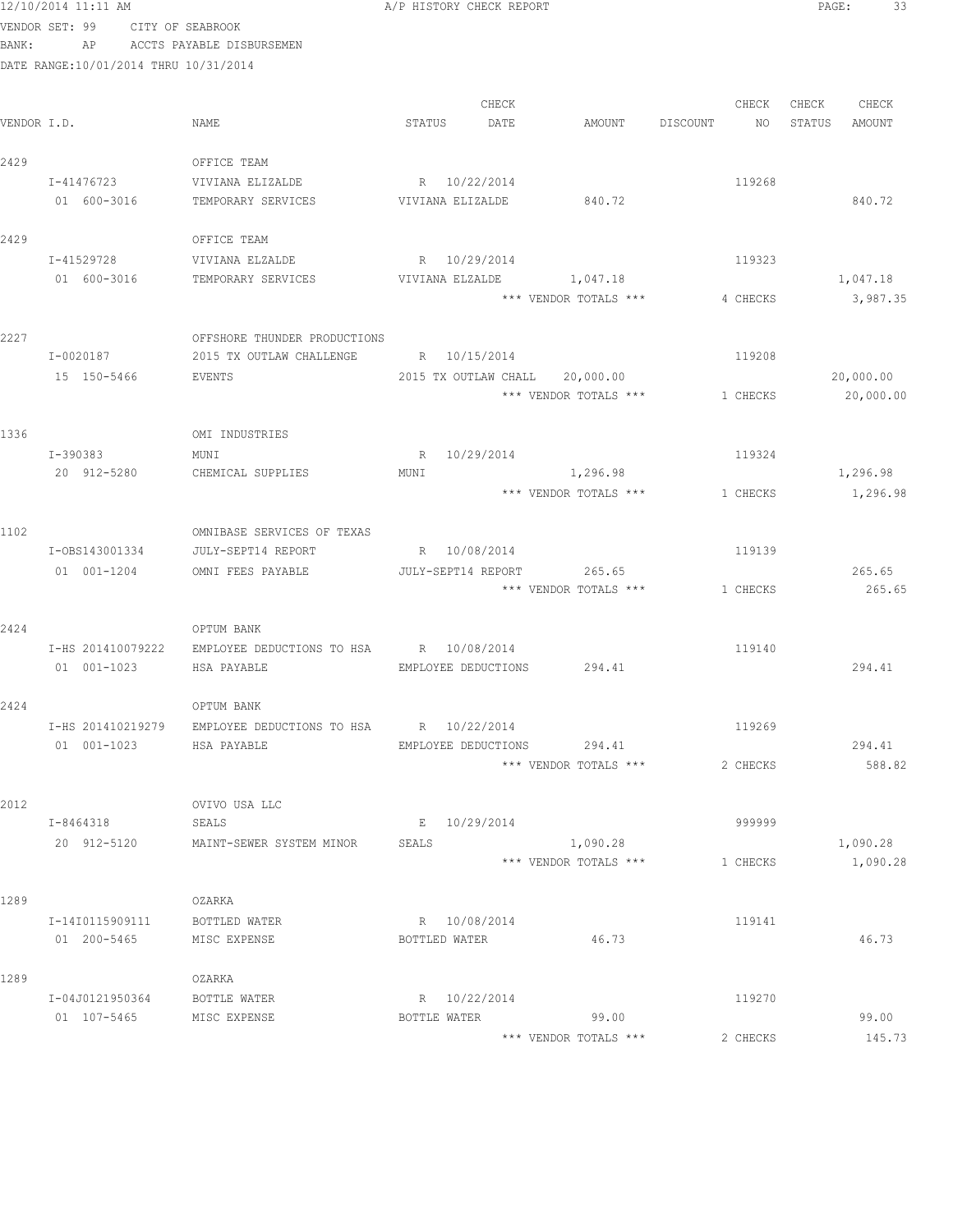|             | 12/10/2014 11:11 AM                   |                                         | A/P HISTORY CHECK REPORT   |                                |                   | PAGE:<br>33      |
|-------------|---------------------------------------|-----------------------------------------|----------------------------|--------------------------------|-------------------|------------------|
|             | VENDOR SET: 99                        | CITY OF SEABROOK                        |                            |                                |                   |                  |
| BANK:       | AP                                    | ACCTS PAYABLE DISBURSEMEN               |                            |                                |                   |                  |
|             | DATE RANGE:10/01/2014 THRU 10/31/2014 |                                         |                            |                                |                   |                  |
|             |                                       |                                         | CHECK                      |                                | CHECK             | CHECK<br>CHECK   |
| VENDOR I.D. |                                       | NAME                                    | STATUS<br>DATE             | AMOUNT                         | DISCOUNT<br>NO 11 | STATUS<br>AMOUNT |
| 2429        |                                       | OFFICE TEAM                             |                            |                                |                   |                  |
|             | I-41476723                            | VIVIANA ELIZALDE                        | R 10/22/2014               |                                | 119268            |                  |
|             | 01 600-3016                           | TEMPORARY SERVICES                      | VIVIANA ELIZALDE           | 840.72                         |                   | 840.72           |
| 2429        |                                       | OFFICE TEAM                             |                            |                                |                   |                  |
|             | I-41529728                            | VIVIANA ELZALDE                         | R 10/29/2014               |                                | 119323            |                  |
|             | 01 600-3016                           | TEMPORARY SERVICES                      |                            | VIVIANA ELZALDE 1,047.18       |                   | 1,047.18         |
|             |                                       |                                         |                            | *** VENDOR TOTALS ***          | 4 CHECKS          | 3,987.35         |
| 2227        |                                       | OFFSHORE THUNDER PRODUCTIONS            |                            |                                |                   |                  |
|             | I-0020187                             | 2015 TX OUTLAW CHALLENGE                | R 10/15/2014               |                                | 119208            |                  |
|             | 15 150-5466                           | EVENTS                                  |                            | 2015 TX OUTLAW CHALL 20,000.00 |                   | 20,000.00        |
|             |                                       |                                         |                            | *** VENDOR TOTALS ***          | 1 CHECKS          | 20,000.00        |
| 1336        |                                       | OMI INDUSTRIES                          |                            |                                |                   |                  |
|             | I-390383                              | MUNI                                    | R 10/29/2014               |                                | 119324            |                  |
|             | 20 912-5280                           | CHEMICAL SUPPLIES                       | MUNI                       | 1,296.98                       |                   | 1,296.98         |
|             |                                       |                                         |                            | *** VENDOR TOTALS ***          | 1 CHECKS          | 1,296.98         |
| 1102        |                                       | OMNIBASE SERVICES OF TEXAS              |                            |                                |                   |                  |
|             | I-0BS143001334                        | JULY-SEPT14 REPORT                      | R 10/08/2014               |                                | 119139            |                  |
|             | 01 001-1204                           | OMNI FEES PAYABLE                       | JULY-SEPT14 REPORT         | 265.65                         |                   | 265.65           |
|             |                                       |                                         |                            | *** VENDOR TOTALS ***          | 1 CHECKS          | 265.65           |
| 2424        |                                       | OPTUM BANK                              |                            |                                |                   |                  |
|             | I-HS 201410079222                     | EMPLOYEE DEDUCTIONS TO HSA R 10/08/2014 |                            |                                | 119140            |                  |
|             | $01 001 - 1023$                       | HSA PAYABLE                             | EMPLOYEE DEDUCTIONS 294.41 |                                |                   | 294.41           |
| 2424        |                                       | OPTUM BANK                              |                            |                                |                   |                  |
|             | I-HS 201410219279                     | EMPLOYEE DEDUCTIONS TO HSA R 10/22/2014 |                            |                                | 119269            |                  |
|             | 01 001-1023                           | HSA PAYABLE                             |                            | EMPLOYEE DEDUCTIONS 294.41     |                   | 294.41           |
|             |                                       |                                         |                            | *** VENDOR TOTALS ***          | 2 CHECKS          | 588.82           |
| 2012        |                                       | OVIVO USA LLC                           |                            |                                |                   |                  |
|             | I-8464318                             | SEALS                                   | E 10/29/2014               |                                | 999999            |                  |
|             | 20 912-5120                           | MAINT-SEWER SYSTEM MINOR                | SEALS                      | 1,090.28                       |                   | 1,090.28         |
|             |                                       |                                         |                            | *** VENDOR TOTALS ***          | 1 CHECKS          | 1,090.28         |
| 1289        |                                       | OZARKA                                  |                            |                                |                   |                  |
|             | I-14I0115909111                       | BOTTLED WATER                           | R 10/08/2014               |                                | 119141            |                  |
|             | 01 200-5465                           | MISC EXPENSE                            | BOTTLED WATER              | 46.73                          |                   | 46.73            |
| 1289        |                                       | OZARKA                                  |                            |                                |                   |                  |
|             | I-04J0121950364                       | BOTTLE WATER                            | R 10/22/2014               |                                | 119270            |                  |
|             | 01 107-5465 MISC EXPENSE              |                                         |                            | BOTTLE WATER 99.00             |                   | 99.00            |
|             |                                       |                                         |                            | *** VENDOR TOTALS ***          | 2 CHECKS          | 145.73           |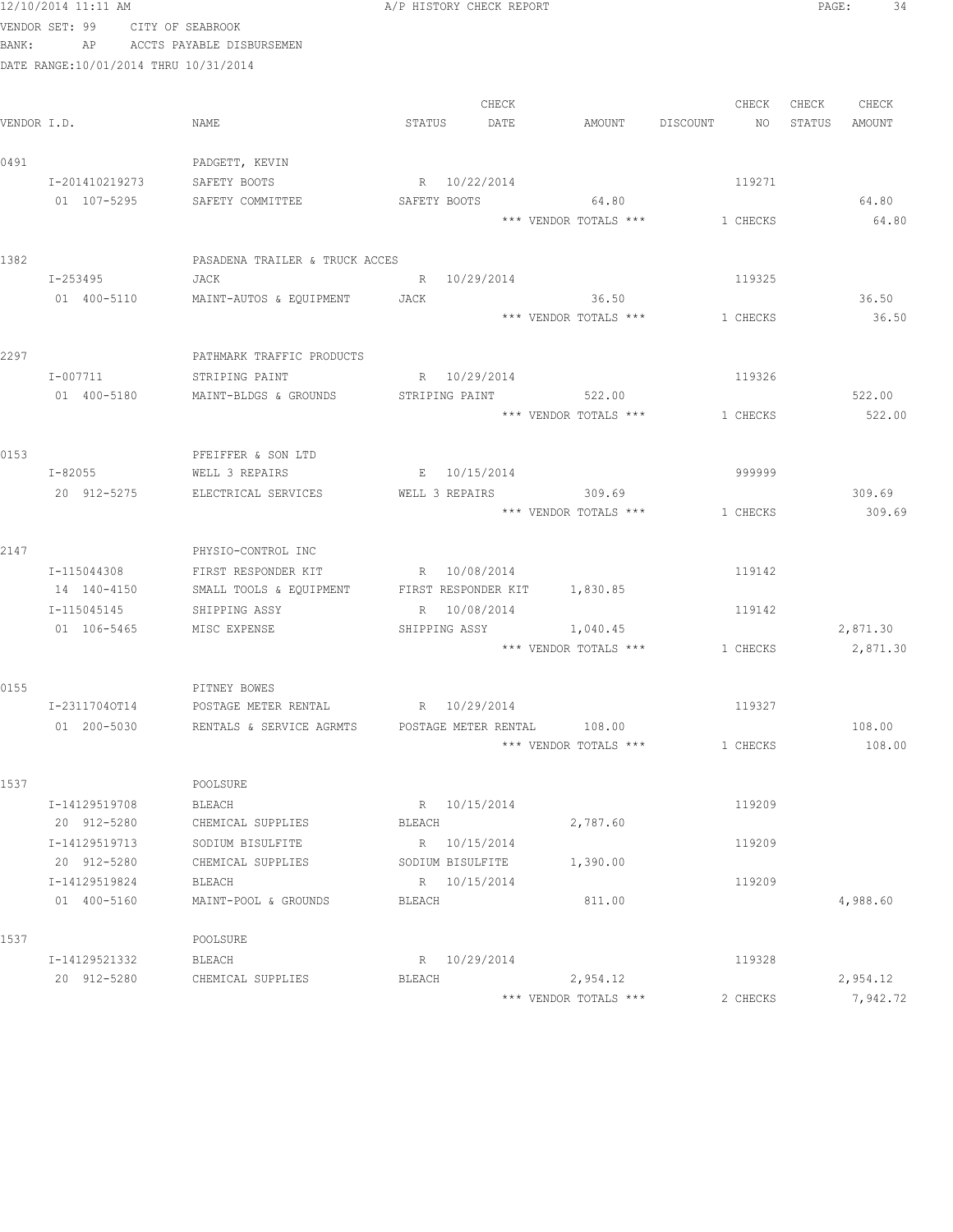|      | 12/10/2014 11:11 AM                   |                                                      | A/P HISTORY CHECK REPORT |                                 |                                | PAGE:<br>34       |
|------|---------------------------------------|------------------------------------------------------|--------------------------|---------------------------------|--------------------------------|-------------------|
|      | VENDOR SET: 99 CITY OF SEABROOK       |                                                      |                          |                                 |                                |                   |
|      | BANK:                                 | AP ACCTS PAYABLE DISBURSEMEN                         |                          |                                 |                                |                   |
|      | DATE RANGE:10/01/2014 THRU 10/31/2014 |                                                      |                          |                                 |                                |                   |
|      |                                       |                                                      |                          |                                 |                                |                   |
|      |                                       |                                                      | CHECK                    |                                 |                                | CHECK CHECK CHECK |
|      | VENDOR I.D.                           | NAME                                                 | STATUS DATE              | AMOUNT DISCOUNT                 |                                | NO STATUS AMOUNT  |
| 0491 |                                       | PADGETT, KEVIN                                       |                          |                                 |                                |                   |
|      | I-201410219273                        | SAFETY BOOTS                                         | R 10/22/2014             |                                 | 119271                         |                   |
|      | 01 107-5295                           | SAFETY COMMITTEE                                     | SAFETY BOOTS 64.80       |                                 |                                | 64.80             |
|      |                                       |                                                      |                          |                                 | *** VENDOR TOTALS *** 1 CHECKS | 64.80             |
|      |                                       |                                                      |                          |                                 |                                |                   |
| 1382 |                                       | PASADENA TRAILER & TRUCK ACCES                       |                          |                                 |                                |                   |
|      | I-253495                              | JACK                                                 | R 10/29/2014             |                                 | 119325                         |                   |
|      | 01 400-5110                           | MAINT-AUTOS & EQUIPMENT JACK                         |                          | 36.50                           |                                | 36.50             |
|      |                                       |                                                      |                          | *** VENDOR TOTALS ***           | 1 CHECKS                       | 36.50             |
|      |                                       |                                                      |                          |                                 |                                |                   |
| 2297 |                                       | PATHMARK TRAFFIC PRODUCTS                            |                          |                                 |                                |                   |
|      | I-007711                              | STRIPING PAINT                                       | R 10/29/2014             |                                 | 119326                         |                   |
|      | 01 400-5180                           | MAINT-BLDGS & GROUNDS                                | STRIPING PAINT 522.00    |                                 |                                | 522.00            |
|      |                                       |                                                      |                          |                                 | *** VENDOR TOTALS *** 1 CHECKS | 522.00            |
| 0153 |                                       | PFEIFFER & SON LTD                                   |                          |                                 |                                |                   |
|      | $I - 82055$                           | WELL 3 REPAIRS                                       | E 10/15/2014             |                                 | 999999                         |                   |
|      | 20 912-5275                           | ELECTRICAL SERVICES                                  | WELL 3 REPAIRS 309.69    |                                 |                                | 309.69            |
|      |                                       |                                                      |                          |                                 | *** VENDOR TOTALS *** 1 CHECKS | 309.69            |
|      |                                       |                                                      |                          |                                 |                                |                   |
| 2147 |                                       | PHYSIO-CONTROL INC                                   |                          |                                 |                                |                   |
|      | I-115044308                           | FIRST RESPONDER KIT                                  | R 10/08/2014             |                                 | 119142                         |                   |
|      | 14 140-4150                           | SMALL TOOLS & EQUIPMENT FIRST RESPONDER KIT 1,830.85 |                          |                                 |                                |                   |
|      | I-115045145                           | SHIPPING ASSY                                        | R 10/08/2014             |                                 | 119142                         |                   |
|      | 01  106-5465   MISC EXPENSE           |                                                      | SHIPPING ASSY 1,040.45   |                                 |                                | 2,871.30          |
|      |                                       |                                                      |                          |                                 | *** VENDOR TOTALS *** 1 CHECKS | 2,871.30          |
|      |                                       |                                                      |                          |                                 |                                |                   |
| 0155 |                                       | PITNEY BOWES                                         |                          |                                 |                                |                   |
|      | I-23117040T14                         | POSTAGE METER RENTAL<br>RENTALS & SERVICE AGRMTS     | R 10/29/2014             |                                 | 119327                         |                   |
|      | 01 200-5030                           |                                                      | POSTAGE METER RENTAL     | 108.00<br>*** VENDOR TOTALS *** | 1 CHECKS                       | 108.00<br>108.00  |
|      |                                       |                                                      |                          |                                 |                                |                   |
| 1537 |                                       | POOLSURE                                             |                          |                                 |                                |                   |
|      | I-14129519708                         | BLEACH                                               | R 10/15/2014             |                                 | 119209                         |                   |
|      | 20 912-5280                           | CHEMICAL SUPPLIES                                    | BLEACH                   | 2,787.60                        |                                |                   |
|      | I-14129519713                         | SODIUM BISULFITE                                     | R 10/15/2014             |                                 | 119209                         |                   |
|      | 20 912-5280                           | CHEMICAL SUPPLIES                                    | SODIUM BISULFITE         | 1,390.00                        |                                |                   |
|      | I-14129519824                         | BLEACH                                               | R 10/15/2014             |                                 | 119209                         |                   |
|      | 01 400-5160                           | MAINT-POOL & GROUNDS                                 | BLEACH                   | 811.00                          |                                | 4,988.60          |
|      |                                       |                                                      |                          |                                 |                                |                   |
| 1537 |                                       | POOLSURE                                             |                          |                                 |                                |                   |
|      | I-14129521332                         | BLEACH                                               | R 10/29/2014             |                                 | 119328                         |                   |
|      | 20 912-5280                           | CHEMICAL SUPPLIES                                    | BLEACH                   | 2,954.12                        |                                | 2,954.12          |
|      |                                       |                                                      |                          | *** VENDOR TOTALS ***           | 2 CHECKS                       | 7,942.72          |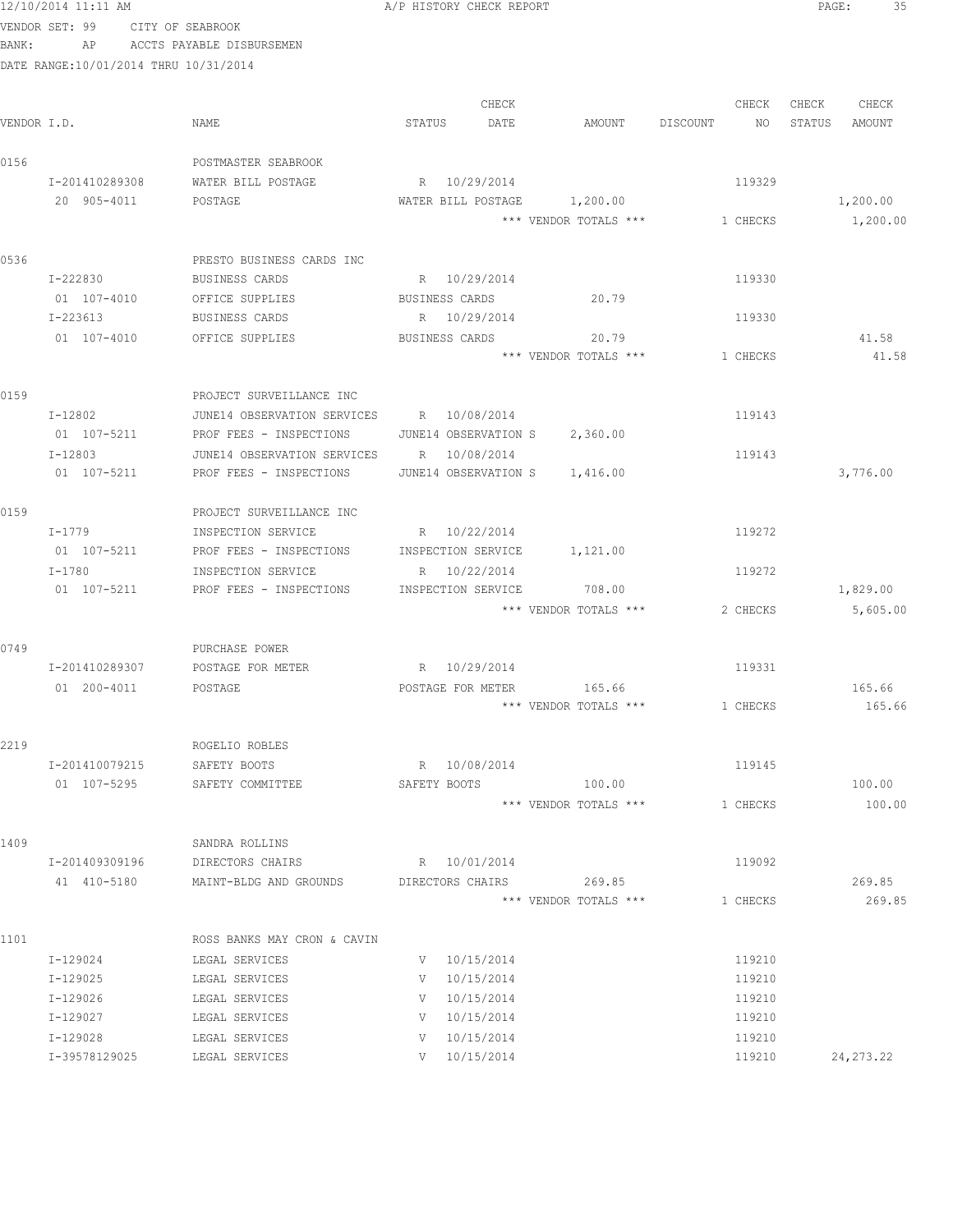| 12/10/2014 11:11 AM | A/P HISTORY CHECK REPORT<br>the contract of the contract of the contract of the contract of the contract of the contract of the contract of | PAGE | -- |
|---------------------|---------------------------------------------------------------------------------------------------------------------------------------------|------|----|
|                     |                                                                                                                                             |      |    |

|             |                           |                                                |                    | CHECK                                |                                | CHECK            | CHECK | CHECK       |
|-------------|---------------------------|------------------------------------------------|--------------------|--------------------------------------|--------------------------------|------------------|-------|-------------|
| VENDOR I.D. |                           | NAME                                           | STATUS             | DATE                                 | AMOUNT DISCOUNT NO STATUS      |                  |       | AMOUNT      |
| 0156        |                           | POSTMASTER SEABROOK                            |                    |                                      |                                |                  |       |             |
|             | I-201410289308            | WATER BILL POSTAGE                             | R 10/29/2014       |                                      |                                | 119329           |       |             |
|             | 20 905-4011               | POSTAGE                                        |                    |                                      | WATER BILL POSTAGE 1,200.00    |                  |       | 1,200.00    |
|             |                           |                                                |                    |                                      | *** VENDOR TOTALS *** 1 CHECKS |                  |       | 1,200.00    |
|             |                           |                                                |                    |                                      |                                |                  |       |             |
| 0536        |                           | PRESTO BUSINESS CARDS INC                      |                    |                                      |                                |                  |       |             |
|             | I-222830                  | BUSINESS CARDS                                 | R 10/29/2014       |                                      |                                | 119330           |       |             |
|             | 01 107-4010               | OFFICE SUPPLIES                                | BUSINESS CARDS     |                                      | 20.79                          |                  |       |             |
|             | I-223613                  | BUSINESS CARDS                                 | R 10/29/2014       |                                      |                                | 119330           |       |             |
|             | 01 107-4010               | OFFICE SUPPLIES                                | BUSINESS CARDS     |                                      | 20.79                          |                  |       | 41.58       |
|             |                           |                                                |                    |                                      | *** VENDOR TOTALS ***          | 1 CHECKS         |       | 41.58       |
| 0159        |                           | PROJECT SURVEILLANCE INC                       |                    |                                      |                                |                  |       |             |
|             | I-12802                   | JUNE14 OBSERVATION SERVICES R 10/08/2014       |                    |                                      |                                | 119143           |       |             |
|             | 01 107-5211               | PROF FEES - INSPECTIONS                        |                    |                                      | JUNE14 OBSERVATION S 2,360.00  |                  |       |             |
|             | $I - 12803$               | JUNE14 OBSERVATION SERVICES                    | R 10/08/2014       |                                      |                                | 119143           |       |             |
|             | 01 107-5211               | PROF FEES - INSPECTIONS                        |                    |                                      | JUNE14 OBSERVATION S 1,416.00  |                  |       | 3,776.00    |
| 0159        |                           | PROJECT SURVEILLANCE INC                       |                    |                                      |                                |                  |       |             |
|             |                           |                                                | R 10/22/2014       |                                      |                                | 119272           |       |             |
|             | I-1779<br>01 107-5211     | INSPECTION SERVICE<br>PROF FEES - INSPECTIONS  | INSPECTION SERVICE |                                      | 1,121.00                       |                  |       |             |
|             | I-1780                    | INSPECTION SERVICE                             | R 10/22/2014       |                                      |                                | 119272           |       |             |
|             | 01 107-5211               | PROF FEES - INSPECTIONS                        | INSPECTION SERVICE |                                      | 708.00                         |                  |       | 1,829.00    |
|             |                           |                                                |                    |                                      | *** VENDOR TOTALS ***          | 2 CHECKS         |       | 5,605.00    |
|             |                           |                                                |                    |                                      |                                |                  |       |             |
| 0749        |                           | PURCHASE POWER                                 |                    |                                      |                                |                  |       |             |
|             | I-201410289307            | POSTAGE FOR METER                              | R 10/29/2014       |                                      |                                | 119331           |       |             |
|             | 01 200-4011               | POSTAGE                                        | POSTAGE FOR METER  |                                      | 165.66                         |                  |       | 165.66      |
|             |                           |                                                |                    |                                      | *** VENDOR TOTALS *** 1 CHECKS |                  |       | 165.66      |
| 2219        |                           | ROGELIO ROBLES                                 |                    |                                      |                                |                  |       |             |
|             | I-201410079215            | SAFETY BOOTS                                   | R 10/08/2014       |                                      |                                | 119145           |       |             |
|             | 01 107-5295               | SAFETY COMMITTEE                               |                    |                                      | SAFETY BOOTS 100.00            |                  |       | 100.00      |
|             |                           |                                                |                    |                                      | *** VENDOR TOTALS ***          | 1 CHECKS         |       | 100.00      |
| 1409        |                           | SANDRA ROLLINS                                 |                    |                                      |                                |                  |       |             |
|             | I-201409309196            | DIRECTORS CHAIRS                               | R 10/01/2014       |                                      |                                | 119092           |       |             |
|             | 41 410-5180               | MAINT-BLDG AND GROUNDS DIRECTORS CHAIRS 269.85 |                    |                                      |                                |                  |       | 269.85      |
|             |                           |                                                |                    |                                      | *** VENDOR TOTALS ***          | 1 CHECKS         |       | 269.85      |
|             |                           |                                                |                    |                                      |                                |                  |       |             |
| 1101        |                           | ROSS BANKS MAY CRON & CAVIN                    |                    |                                      |                                |                  |       |             |
|             | I-129024                  | LEGAL SERVICES                                 |                    | $V = 10/15/2014$                     |                                | 119210           |       |             |
|             | I-129025                  | LEGAL SERVICES                                 | $V = 10/15/2014$   |                                      |                                | 119210           |       |             |
|             | I-129026                  | LEGAL SERVICES                                 | $V = 10/15/2014$   |                                      |                                | 119210           |       |             |
|             | I-129027                  | LEGAL SERVICES                                 |                    | $V = 10/15/2014$                     |                                | 119210           |       |             |
|             | I-129028<br>I-39578129025 | LEGAL SERVICES<br>LEGAL SERVICES               |                    | $V = 10/15/2014$<br>$V = 10/15/2014$ |                                | 119210<br>119210 |       | 24, 273. 22 |
|             |                           |                                                |                    |                                      |                                |                  |       |             |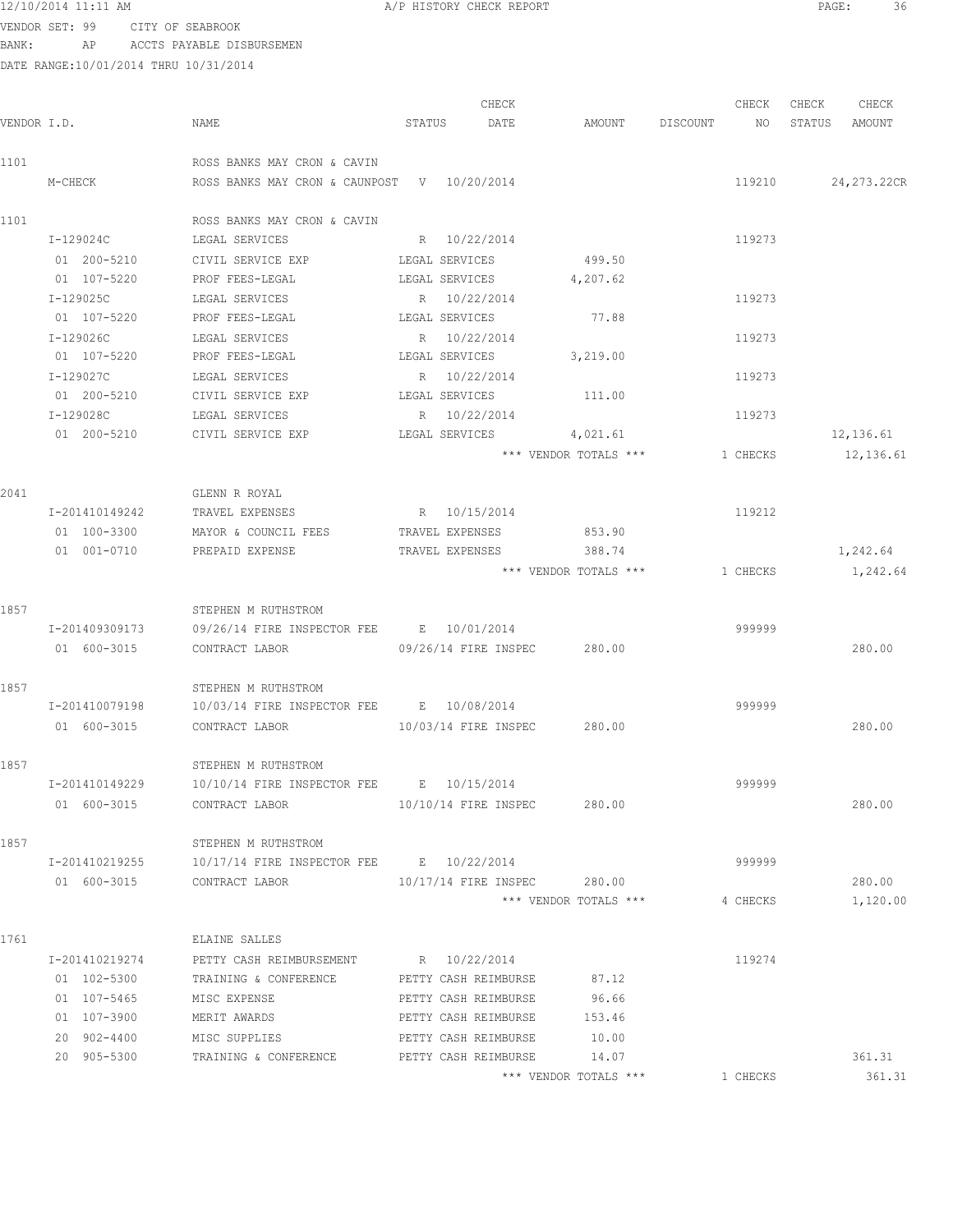VENDOR SET: 99 CITY OF SEABROOK BANK: AP ACCTS PAYABLE DISBURSEMEN

| VENDOR I.D. |                | NAME                                             | STATUS          | CHECK<br>DATE        | AMOUNT                      | DISCOUNT NO | CHECK    | CHECK<br>STATUS | CHECK<br>AMOUNT |
|-------------|----------------|--------------------------------------------------|-----------------|----------------------|-----------------------------|-------------|----------|-----------------|-----------------|
| 1101        |                | ROSS BANKS MAY CRON & CAVIN                      |                 |                      |                             |             |          |                 |                 |
|             | M-CHECK        | ROSS BANKS MAY CRON & CAUNPOST V 10/20/2014      |                 |                      |                             |             | 119210   |                 | 24, 273.22CR    |
| 1101        |                | ROSS BANKS MAY CRON & CAVIN                      |                 |                      |                             |             |          |                 |                 |
|             | I-129024C      | LEGAL SERVICES                                   | R 10/22/2014    |                      |                             |             | 119273   |                 |                 |
|             | 01 200-5210    | CIVIL SERVICE EXP                                | LEGAL SERVICES  |                      | 499.50                      |             |          |                 |                 |
|             | 01 107-5220    | PROF FEES-LEGAL                                  | LEGAL SERVICES  |                      | 4,207.62                    |             |          |                 |                 |
|             | I-129025C      | LEGAL SERVICES                                   | R 10/22/2014    |                      |                             |             | 119273   |                 |                 |
|             | 01 107-5220    | PROF FEES-LEGAL                                  | LEGAL SERVICES  |                      | 77.88                       |             |          |                 |                 |
|             | I-129026C      | LEGAL SERVICES                                   | R 10/22/2014    |                      |                             |             | 119273   |                 |                 |
|             | 01 107-5220    | PROF FEES-LEGAL                                  | LEGAL SERVICES  |                      | 3,219.00                    |             |          |                 |                 |
|             | I-129027C      | LEGAL SERVICES                                   | R 10/22/2014    |                      |                             |             | 119273   |                 |                 |
|             | 01 200-5210    | CIVIL SERVICE EXP                                | LEGAL SERVICES  |                      | 111.00                      |             |          |                 |                 |
|             | I-129028C      | LEGAL SERVICES                                   | R 10/22/2014    |                      |                             |             | 119273   |                 |                 |
|             | 01 200-5210    | CIVIL SERVICE EXP                                | LEGAL SERVICES  |                      | 4,021.61                    |             |          |                 | 12,136.61       |
|             |                |                                                  |                 |                      | *** VENDOR TOTALS ***       |             | 1 CHECKS |                 | 12,136.61       |
| 2041        |                | GLENN R ROYAL                                    |                 |                      |                             |             |          |                 |                 |
|             | I-201410149242 | TRAVEL EXPENSES                                  | R 10/15/2014    |                      |                             |             | 119212   |                 |                 |
|             | 01 100-3300    | MAYOR & COUNCIL FEES                             | TRAVEL EXPENSES |                      | 853.90                      |             |          |                 |                 |
|             | 01 001-0710    | PREPAID EXPENSE                                  | TRAVEL EXPENSES |                      | 388.74                      |             |          |                 | 1,242.64        |
|             |                |                                                  |                 |                      | *** VENDOR TOTALS ***       |             | 1 CHECKS |                 | 1,242.64        |
| 1857        |                | STEPHEN M RUTHSTROM                              |                 |                      |                             |             |          |                 |                 |
|             | I-201409309173 | 09/26/14 FIRE INSPECTOR FEE B 10/01/2014         |                 |                      |                             |             | 999999   |                 |                 |
|             | 01 600-3015    | CONTRACT LABOR 09/26/14 FIRE INSPEC 280.00       |                 |                      |                             |             |          |                 | 280.00          |
| 1857        |                | STEPHEN M RUTHSTROM                              |                 |                      |                             |             |          |                 |                 |
|             | I-201410079198 | 10/03/14 FIRE INSPECTOR FEE B 10/08/2014         |                 |                      |                             |             | 999999   |                 |                 |
|             | 01 600-3015    | CONTRACT LABOR 10/03/14 FIRE INSPEC 280.00       |                 |                      |                             |             |          |                 | 280.00          |
| 1857        |                | STEPHEN M RUTHSTROM                              |                 |                      |                             |             |          |                 |                 |
|             | I-201410149229 | 10/10/14 FIRE INSPECTOR FEE B 10/15/2014         |                 |                      |                             |             | 999999   |                 |                 |
|             | 01 600-3015    | CONTRACT LABOR                                   |                 |                      | 10/10/14 FIRE INSPEC 280.00 |             |          |                 | 280.00          |
| 1857        |                | STEPHEN M RUTHSTROM                              |                 |                      |                             |             |          |                 |                 |
|             |                |                                                  |                 |                      |                             |             | 999999   |                 |                 |
|             |                | 01 600-3015 CONTRACT LABOR                       |                 |                      | 10/17/14 FIRE INSPEC 280.00 |             |          |                 | 280.00          |
|             |                |                                                  |                 |                      | *** VENDOR TOTALS ***       |             | 4 CHECKS |                 | 1,120.00        |
| 1761        |                | ELAINE SALLES                                    |                 |                      |                             |             |          |                 |                 |
|             | I-201410219274 | PETTY CASH REIMBURSEMENT R 10/22/2014            |                 |                      |                             |             | 119274   |                 |                 |
|             | 01 102-5300    | TRAINING & CONFERENCE PETTY CASH REIMBURSE 87.12 |                 |                      |                             |             |          |                 |                 |
|             | 01 107-5465    | MISC EXPENSE                                     |                 | PETTY CASH REIMBURSE | 96.66                       |             |          |                 |                 |
|             | 01 107-3900    | MERIT AWARDS                                     |                 | PETTY CASH REIMBURSE | 153.46                      |             |          |                 |                 |
|             | 20 902-4400    | MISC SUPPLIES                                    |                 | PETTY CASH REIMBURSE | 10.00                       |             |          |                 |                 |
|             | 20 905-5300    | TRAINING & CONFERENCE                            |                 | PETTY CASH REIMBURSE | 14.07                       |             |          |                 | 361.31          |
|             |                |                                                  |                 |                      | *** VENDOR TOTALS ***       |             | 1 CHECKS |                 | 361.31          |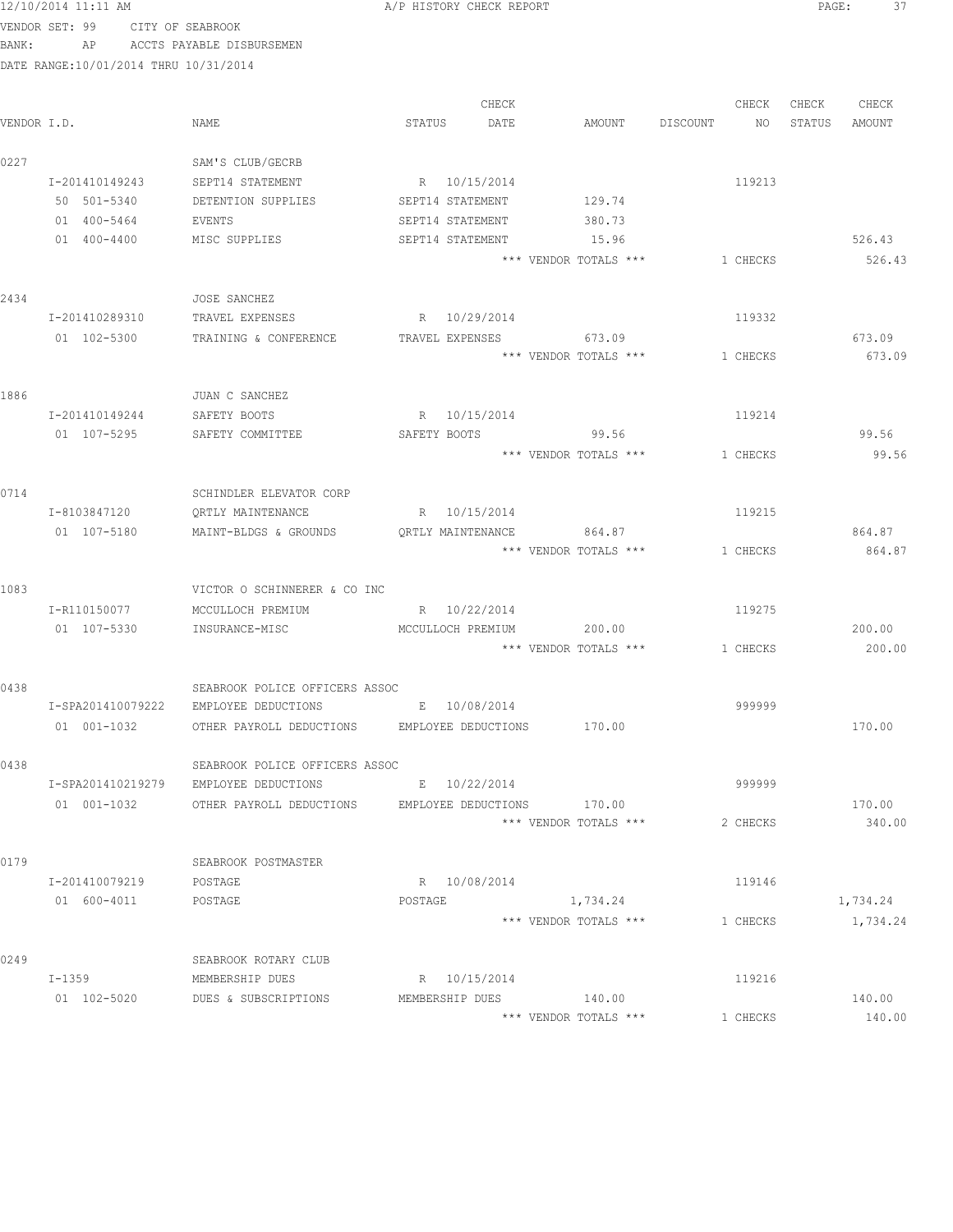|             | 12/10/2014 11:11 AM                   |                                              | A/P HISTORY CHECK REPORT |                                |          | PAGE:  | 37       |
|-------------|---------------------------------------|----------------------------------------------|--------------------------|--------------------------------|----------|--------|----------|
|             | VENDOR SET: 99 CITY OF SEABROOK       |                                              |                          |                                |          |        |          |
| BANK:       |                                       | AP ACCTS PAYABLE DISBURSEMEN                 |                          |                                |          |        |          |
|             | DATE RANGE:10/01/2014 THRU 10/31/2014 |                                              |                          |                                |          |        |          |
|             |                                       |                                              |                          |                                |          |        |          |
|             |                                       |                                              | CHECK                    |                                | CHECK    | CHECK  | CHECK    |
| VENDOR I.D. |                                       | NAME                                         | STATUS<br>DATE           | AMOUNT DISCOUNT                | NO       | STATUS | AMOUNT   |
| 0227        |                                       | SAM'S CLUB/GECRB                             |                          |                                |          |        |          |
|             | I-201410149243                        | SEPT14 STATEMENT                             | R 10/15/2014             |                                | 119213   |        |          |
|             | 50 501-5340                           | DETENTION SUPPLIES                           | SEPT14 STATEMENT         | 129.74                         |          |        |          |
|             | 01 400-5464                           | EVENTS                                       | SEPT14 STATEMENT         | 380.73                         |          |        |          |
|             | 01 400-4400                           | MISC SUPPLIES                                | SEPT14 STATEMENT         | 15.96                          |          |        | 526.43   |
|             |                                       |                                              |                          | *** VENDOR TOTALS ***          | 1 CHECKS |        | 526.43   |
| 2434        |                                       | JOSE SANCHEZ                                 |                          |                                |          |        |          |
|             | I-201410289310                        | TRAVEL EXPENSES                              | R 10/29/2014             |                                | 119332   |        |          |
|             | 01 102-5300                           | TRAINING & CONFERENCE TRAVEL EXPENSES 673.09 |                          |                                |          |        | 673.09   |
|             |                                       |                                              |                          | *** VENDOR TOTALS ***          | 1 CHECKS |        | 673.09   |
|             |                                       |                                              |                          |                                |          |        |          |
| 1886        |                                       | JUAN C SANCHEZ                               |                          |                                |          |        |          |
|             | I-201410149244                        | SAFETY BOOTS                                 | R 10/15/2014             |                                | 119214   |        |          |
|             | 01 107-5295                           | SAFETY COMMITTEE                             | SAFETY BOOTS 99.56       |                                |          |        | 99.56    |
|             |                                       |                                              |                          | *** VENDOR TOTALS ***          | 1 CHECKS |        | 99.56    |
| 0714        |                                       | SCHINDLER ELEVATOR CORP                      |                          |                                |          |        |          |
|             | I-8103847120                          | QRTLY MAINTENANCE                            | R 10/15/2014             |                                | 119215   |        |          |
|             | 01 107-5180                           | MAINT-BLDGS & GROUNDS                        | QRTLY MAINTENANCE        | 864.87                         |          |        | 864.87   |
|             |                                       |                                              |                          | *** VENDOR TOTALS ***          | 1 CHECKS |        | 864.87   |
| 1083        |                                       | VICTOR O SCHINNERER & CO INC                 |                          |                                |          |        |          |
|             | I-R110150077                          | MCCULLOCH PREMIUM                            | R 10/22/2014             |                                | 119275   |        |          |
|             | 01 107-5330                           | INSURANCE-MISC                               | MCCULLOCH PREMIUM        | 200.00                         |          |        | 200.00   |
|             |                                       |                                              |                          | *** VENDOR TOTALS *** 1 CHECKS |          |        | 200.00   |
|             |                                       |                                              |                          |                                |          |        |          |
| 0438        |                                       | SEABROOK POLICE OFFICERS ASSOC               |                          |                                |          |        |          |
|             | I-SPA201410079222                     | EMPLOYEE DEDUCTIONS                          | 10/08/2014<br>Е          |                                | 999999   |        |          |
|             | $01 001 - 1032$                       | OTHER PAYROLL DEDUCTIONS                     | EMPLOYEE DEDUCTIONS      | 170.00                         |          |        | 170.00   |
| 0438        |                                       | SEABROOK POLICE OFFICERS ASSOC               |                          |                                |          |        |          |
|             | I-SPA201410219279                     | EMPLOYEE DEDUCTIONS                          | E 10/22/2014             |                                | 999999   |        |          |
|             | 01 001-1032                           | OTHER PAYROLL DEDUCTIONS                     | EMPLOYEE DEDUCTIONS      | 170.00                         |          |        | 170.00   |
|             |                                       |                                              |                          | *** VENDOR TOTALS ***          | 2 CHECKS |        | 340.00   |
| 0179        |                                       | SEABROOK POSTMASTER                          |                          |                                |          |        |          |
|             | I-201410079219                        | POSTAGE                                      | R 10/08/2014             |                                | 119146   |        |          |
|             | 01 600-4011                           | POSTAGE                                      | POSTAGE                  | 1,734.24                       |          |        | 1,734.24 |
|             |                                       |                                              |                          | *** VENDOR TOTALS ***          | 1 CHECKS |        | 1,734.24 |
| 0249        |                                       | SEABROOK ROTARY CLUB                         |                          |                                |          |        |          |
|             | $I-1359$                              | MEMBERSHIP DUES                              | R 10/15/2014             |                                | 119216   |        |          |
|             | 01 102-5020                           | DUES & SUBSCRIPTIONS                         | MEMBERSHIP DUES          | 140.00                         |          |        | 140.00   |
|             |                                       |                                              |                          | *** VENDOR TOTALS ***          | 1 CHECKS |        | 140.00   |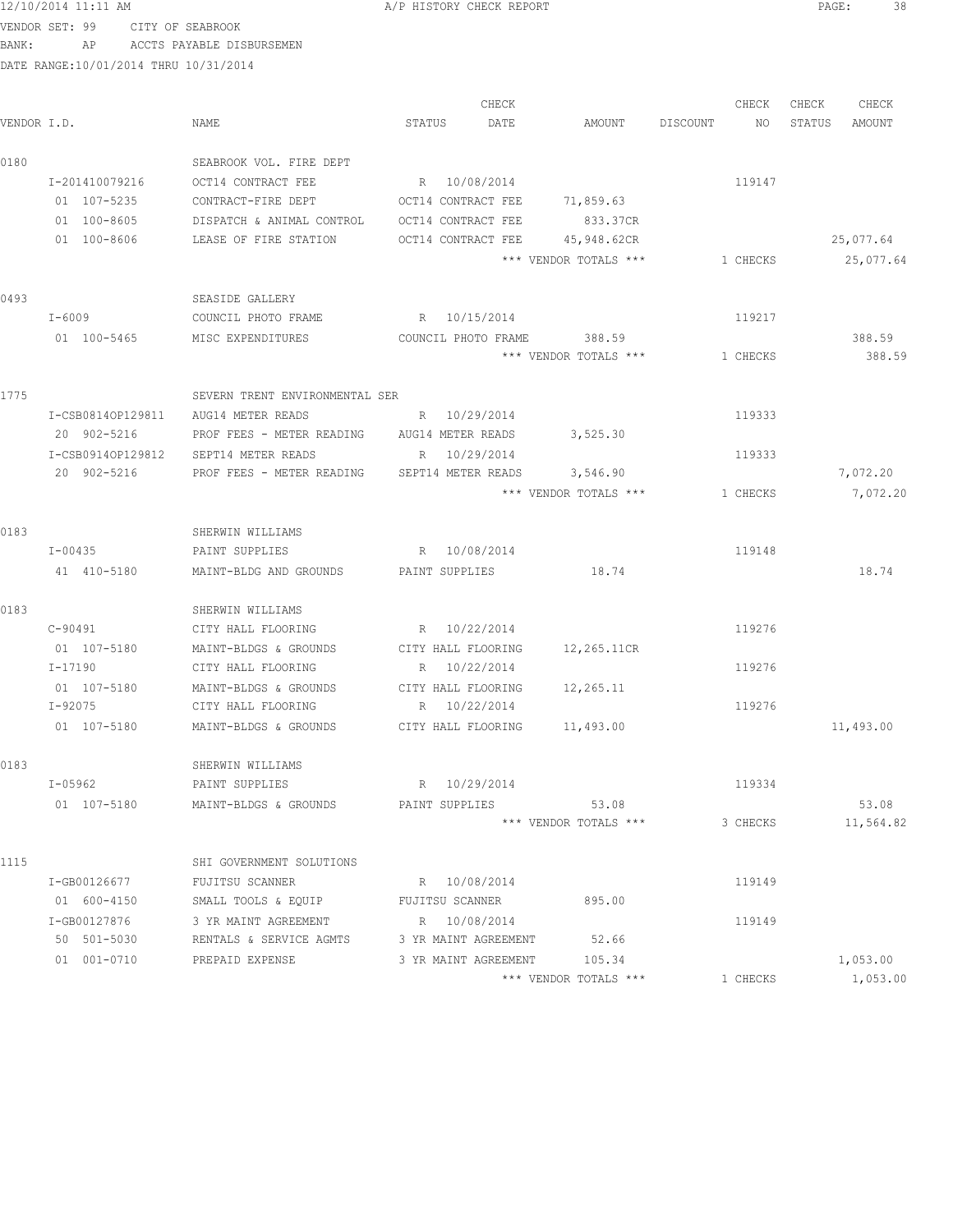12/10/2014 11:11 AM **Proved Contains A** A PHISTORY CHECK REPORT **PAGE:** 38

VENDOR SET: 99 CITY OF SEABROOK BANK: AP ACCTS PAYABLE DISBURSEMEN

|             |                   |                                              | CHECK                      |                       | CHECK          | CHECK<br>CHECK   |
|-------------|-------------------|----------------------------------------------|----------------------------|-----------------------|----------------|------------------|
| VENDOR I.D. |                   | NAME                                         | STATUS<br>DATE             | AMOUNT                | DISCOUNT<br>NO | STATUS<br>AMOUNT |
| 0180        |                   | SEABROOK VOL. FIRE DEPT                      |                            |                       |                |                  |
|             | I-201410079216    | OCT14 CONTRACT FEE                           | R 10/08/2014               |                       | 119147         |                  |
|             | 01 107-5235       | CONTRACT-FIRE DEPT                           | OCT14 CONTRACT FEE         | 71,859.63             |                |                  |
|             | 01 100-8605       | DISPATCH & ANIMAL CONTROL OCT14 CONTRACT FEE |                            | 833.37CR              |                |                  |
|             | 01 100-8606       | LEASE OF FIRE STATION                        | OCT14 CONTRACT FEE         | 45,948.62CR           |                | 25,077.64        |
|             |                   |                                              |                            | *** VENDOR TOTALS *** | 1 CHECKS       | 25,077.64        |
| 0493        |                   | SEASIDE GALLERY                              |                            |                       |                |                  |
|             | I-6009            | COUNCIL PHOTO FRAME                          | R 10/15/2014               |                       | 119217         |                  |
|             | 01 100-5465       | MISC EXPENDITURES                            | COUNCIL PHOTO FRAME        | 388.59                |                | 388.59           |
|             |                   |                                              |                            | *** VENDOR TOTALS *** | 1 CHECKS       | 388.59           |
| 1775        |                   | SEVERN TRENT ENVIRONMENTAL SER               |                            |                       |                |                  |
|             | I-CSB0814OP129811 | AUG14 METER READS                            | R 10/29/2014               |                       | 119333         |                  |
|             | 20 902-5216       | PROF FEES - METER READING                    | AUG14 METER READS          | 3,525.30              |                |                  |
|             | I-CSB0914OP129812 | SEPT14 METER READS                           | R 10/29/2014               |                       | 119333         |                  |
|             | 20 902-5216       | PROF FEES - METER READING                    | SEPT14 METER READS         | 3,546.90              |                | 7,072.20         |
|             |                   |                                              |                            | *** VENDOR TOTALS *** | 1 CHECKS       | 7,072.20         |
| 0183        |                   | SHERWIN WILLIAMS                             |                            |                       |                |                  |
|             | I-00435           | PAINT SUPPLIES                               | R 10/08/2014               |                       | 119148         |                  |
|             | 41 410-5180       | MAINT-BLDG AND GROUNDS                       | PAINT SUPPLIES             | 18.74                 |                | 18.74            |
| 0183        |                   | SHERWIN WILLIAMS                             |                            |                       |                |                  |
|             | C-90491           | CITY HALL FLOORING                           | R 10/22/2014               |                       | 119276         |                  |
|             | 01 107-5180       | MAINT-BLDGS & GROUNDS                        | CITY HALL FLOORING         | 12,265.11CR           |                |                  |
|             | I-17190           | CITY HALL FLOORING                           | R 10/22/2014               |                       | 119276         |                  |
|             | 01 107-5180       | MAINT-BLDGS & GROUNDS                        | CITY HALL FLOORING         | 12,265.11             |                |                  |
|             | I-92075           | CITY HALL FLOORING                           | R 10/22/2014               |                       | 119276         |                  |
|             | 01 107-5180       | MAINT-BLDGS & GROUNDS                        | CITY HALL FLOORING         | 11,493.00             |                | 11,493.00        |
| 0183        |                   | SHERWIN WILLIAMS                             |                            |                       |                |                  |
|             | I-05962           | PAINT SUPPLIES                               | R 10/29/2014               |                       | 119334         |                  |
|             | 01 107-5180       | MAINT-BLDGS & GROUNDS                        | PAINT SUPPLIES             | 53.08                 |                | 53.08            |
|             |                   |                                              |                            | *** VENDOR TOTALS *** | 3 CHECKS       | 11,564.82        |
| 1115        |                   | SHI GOVERNMENT SOLUTIONS                     |                            |                       |                |                  |
|             | I-GB00126677      | FUJITSU SCANNER                              | R 10/08/2014               |                       | 119149         |                  |
|             | 01 600-4150       | SMALL TOOLS & EQUIP FUJITSU SCANNER          |                            | 895.00                |                |                  |
|             | I-GB00127876      | 3 YR MAINT AGREEMENT                         | R 10/08/2014               |                       | 119149         |                  |
|             | 50 501-5030       | RENTALS & SERVICE AGMTS                      | 3 YR MAINT AGREEMENT 52.66 |                       |                |                  |
|             | 01 001-0710       | PREPAID EXPENSE                              | 3 YR MAINT AGREEMENT       | 105.34                |                | 1,053.00         |
|             |                   |                                              |                            | *** VENDOR TOTALS *** | 1 CHECKS       | 1,053.00         |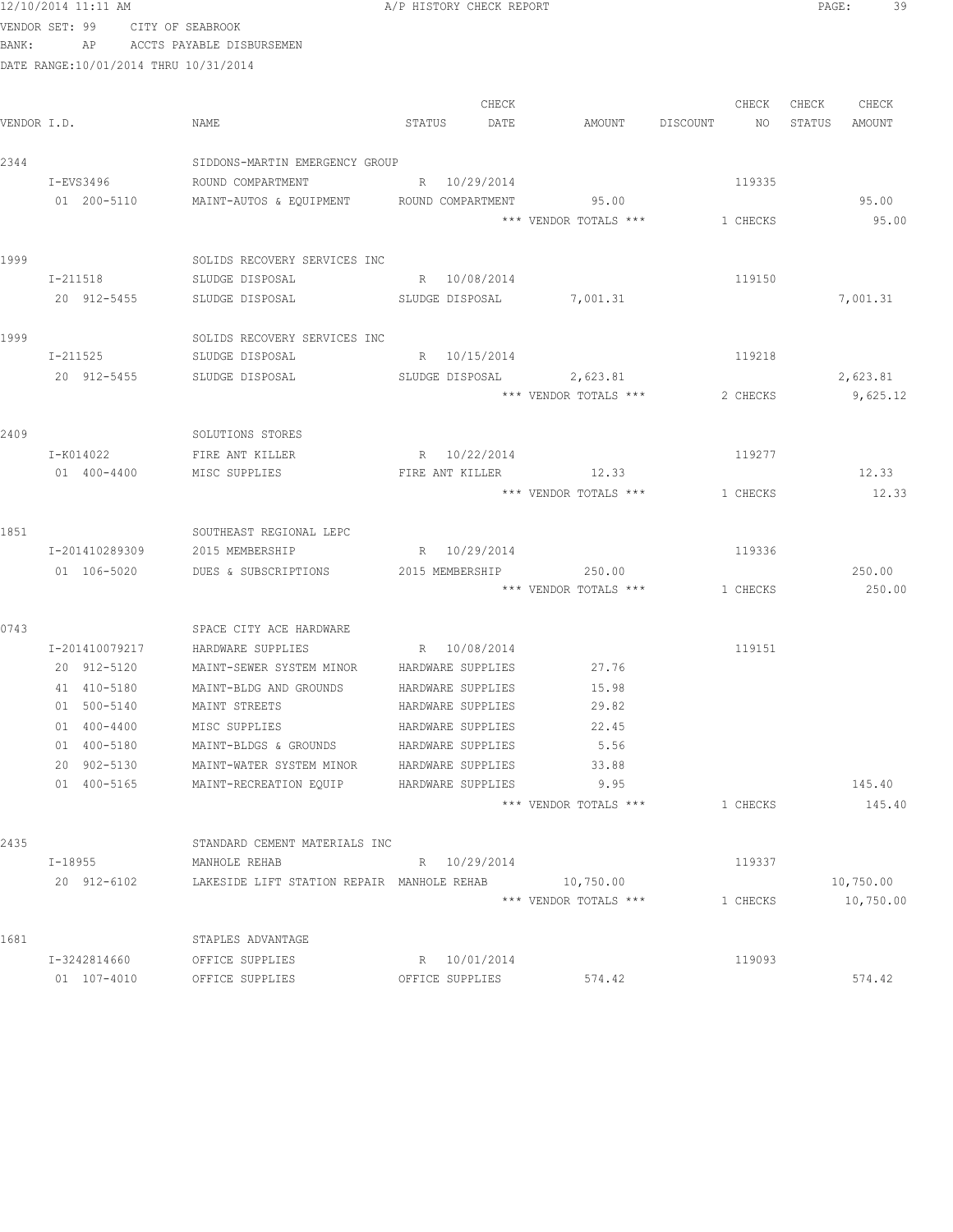| 12/10/2014 11:11 AM |                                        |                                |        | A/P HISTORY CHECK REPORT |                       |          |          | PAGE:  | 39     |  |
|---------------------|----------------------------------------|--------------------------------|--------|--------------------------|-----------------------|----------|----------|--------|--------|--|
| VENDOR SET: 99      |                                        | CITY OF SEABROOK               |        |                          |                       |          |          |        |        |  |
| BANK:               | ΑP                                     | ACCTS PAYABLE DISBURSEMEN      |        |                          |                       |          |          |        |        |  |
|                     | DATE RANGE: 10/01/2014 THRU 10/31/2014 |                                |        |                          |                       |          |          |        |        |  |
|                     |                                        |                                |        | CHECK                    |                       |          | CHECK    | CHECK  | CHECK  |  |
| VENDOR I.D.         |                                        | NAME                           | STATUS | DATE                     | AMOUNT                | DISCOUNT | NO.      | STATUS | AMOUNT |  |
| 2344                |                                        | SIDDONS-MARTIN EMERGENCY GROUP |        |                          |                       |          |          |        |        |  |
| I-EVS3496           |                                        | ROUND COMPARTMENT              | R      | 10/29/2014               |                       |          | 119335   |        |        |  |
| 01                  | 200-5110                               | MAINT-AUTOS & EQUIPMENT        |        | ROUND COMPARTMENT        | 95.00                 |          |          |        | 95.00  |  |
|                     |                                        |                                |        |                          | *** VENDOR TOTALS *** |          | 1 CHECKS |        | 95.00  |  |

1999 SOLIDS RECOVERY SERVICES INC

|      | $I - 211518$   | SLUDGE DISPOSAL              | $R_{\perp}$ | 10/08/2014      |                       | 119150   |          |
|------|----------------|------------------------------|-------------|-----------------|-----------------------|----------|----------|
|      | 20 912-5455    | SLUDGE DISPOSAL              |             | SLUDGE DISPOSAL | 7,001.31              |          | 7,001.31 |
| 1999 |                | SOLIDS RECOVERY SERVICES INC |             |                 |                       |          |          |
|      | $I - 211525$   | SLUDGE DISPOSAL              | R           | 10/15/2014      |                       | 119218   |          |
|      | 20 912-5455    | SLUDGE DISPOSAL              |             | SLUDGE DISPOSAL | 2,623.81              |          | 2,623.81 |
|      |                |                              |             |                 | *** VENDOR TOTALS *** | 2 CHECKS | 9,625.12 |
| 2409 |                | SOLUTIONS STORES             |             |                 |                       |          |          |
|      | I-K014022      | FIRE ANT KILLER              | R           | 10/22/2014      |                       | 119277   |          |
|      | 400-4400<br>01 | MISC SUPPLIES                |             | FIRE ANT KILLER | 12.33                 |          | 12.33    |
|      |                |                              |             |                 | *** VENDOR TOTALS *** | 1 CHECKS | 12.33    |

| 1851 |                          | SOUTHEAST REGIONAL LEPC       |                   |                       |          |        |
|------|--------------------------|-------------------------------|-------------------|-----------------------|----------|--------|
|      | I-201410289309           | 2015 MEMBERSHIP               | R 10/29/2014      |                       | 119336   |        |
|      | 01 106-5020              | DUES & SUBSCRIPTIONS          | 2015 MEMBERSHIP   | 250.00                |          | 250.00 |
|      |                          |                               |                   | *** VENDOR TOTALS *** | 1 CHECKS | 250.00 |
| 0743 |                          | SPACE CITY ACE HARDWARE       |                   |                       |          |        |
|      | I-201410079217           | HARDWARE SUPPLIES             | R 10/08/2014      |                       | 119151   |        |
|      | 20 912-5120              | MAINT-SEWER SYSTEM MINOR      | HARDWARE SUPPLIES | 27.76                 |          |        |
|      | 41 410-5180              | MAINT-BLDG AND GROUNDS        | HARDWARE SUPPLIES | 15.98                 |          |        |
|      | 500-5140<br>01           | MAINT STREETS                 | HARDWARE SUPPLIES | 29.82                 |          |        |
|      | $400 - 4400$<br>01       | MISC SUPPLIES                 | HARDWARE SUPPLIES | 22.45                 |          |        |
|      | 400-5180<br>01           | MAINT-BLDGS & GROUNDS         | HARDWARE SUPPLIES | 5.56                  |          |        |
|      | 902-5130<br>$20^{\circ}$ | MAINT-WATER SYSTEM MINOR      | HARDWARE SUPPLIES | 33.88                 |          |        |
|      | 400-5165<br>01           | MAINT-RECREATION EQUIP        | HARDWARE SUPPLIES | 9.95                  |          | 145.40 |
|      |                          |                               |                   | *** VENDOR TOTALS *** | 1 CHECKS | 145.40 |
| 2435 |                          | STANDARD CEMENT MATERIALS INC |                   |                       |          |        |
|      | I-18955                  | MANHOLE REHAB                 | R 10/29/2014      |                       | 119337   |        |

|      | 20 912-6102     | LAKESIDE LIFT STATION REPAIR | MANHOLE REHAB   | 10,750.00             |          | 10,750.00 |  |
|------|-----------------|------------------------------|-----------------|-----------------------|----------|-----------|--|
|      |                 |                              |                 | *** VENDOR TOTALS *** | . CHECKS | 10,750.00 |  |
| 1681 |                 | STAPLES ADVANTAGE            |                 |                       |          |           |  |
|      | I-3242814660    | OFFICE SUPPLIES              | 10/01/2014<br>R |                       | 119093   |           |  |
|      | 107-4010<br>01. | OFFICE SUPPLIES              | OFFICE SUPPLIES | 574.42                |          | 574.42    |  |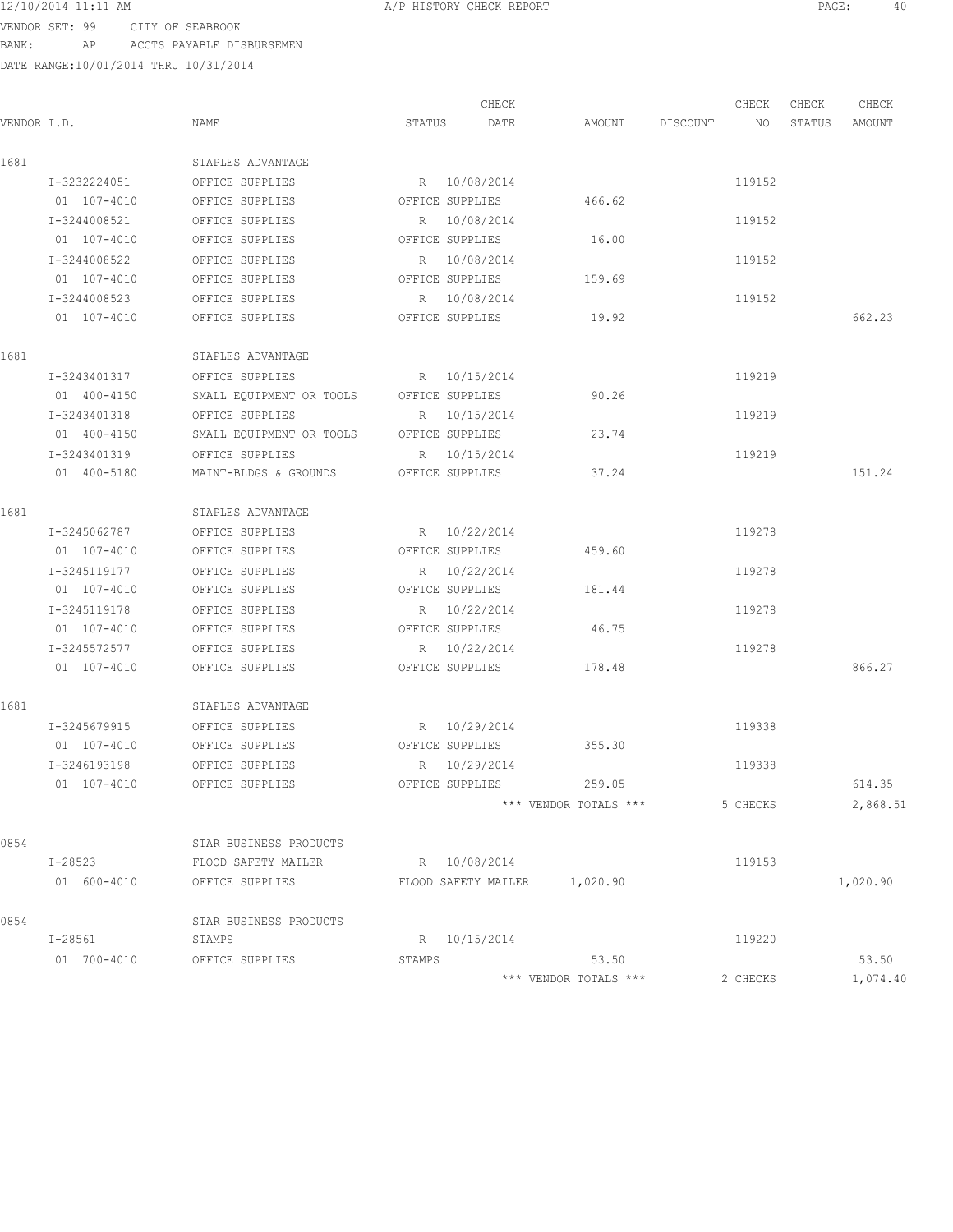12/10/2014 11:11 AM **Proved Contains A** A PHISTORY CHECK REPORT **PAGE:** 40

VENDOR SET: 99 CITY OF SEABROOK BANK: AP ACCTS PAYABLE DISBURSEMEN

|             |              |                          |                 | CHECK                        |                       |          | CHECK    | CHECK  | CHECK    |
|-------------|--------------|--------------------------|-----------------|------------------------------|-----------------------|----------|----------|--------|----------|
| VENDOR I.D. |              | NAME                     | STATUS          | DATE                         | AMOUNT                | DISCOUNT | NO       | STATUS | AMOUNT   |
| 1681        |              | STAPLES ADVANTAGE        |                 |                              |                       |          |          |        |          |
|             | I-3232224051 | OFFICE SUPPLIES          |                 | R 10/08/2014                 |                       |          | 119152   |        |          |
|             | 01 107-4010  | OFFICE SUPPLIES          | OFFICE SUPPLIES |                              | 466.62                |          |          |        |          |
|             | I-3244008521 | OFFICE SUPPLIES          |                 | R 10/08/2014                 |                       |          | 119152   |        |          |
|             | 01 107-4010  | OFFICE SUPPLIES          | OFFICE SUPPLIES |                              | 16.00                 |          |          |        |          |
|             | I-3244008522 | OFFICE SUPPLIES          |                 | R 10/08/2014                 |                       |          | 119152   |        |          |
|             | 01 107-4010  | OFFICE SUPPLIES          | OFFICE SUPPLIES |                              | 159.69                |          |          |        |          |
|             | I-3244008523 | OFFICE SUPPLIES          |                 | R 10/08/2014                 |                       |          | 119152   |        |          |
|             | 01 107-4010  | OFFICE SUPPLIES          | OFFICE SUPPLIES |                              | 19.92                 |          |          |        | 662.23   |
| 1681        |              | STAPLES ADVANTAGE        |                 |                              |                       |          |          |        |          |
|             | I-3243401317 | OFFICE SUPPLIES          |                 | R 10/15/2014                 |                       |          | 119219   |        |          |
|             | 01 400-4150  | SMALL EQUIPMENT OR TOOLS | OFFICE SUPPLIES |                              | 90.26                 |          |          |        |          |
|             | I-3243401318 | OFFICE SUPPLIES          |                 | R 10/15/2014                 |                       |          | 119219   |        |          |
|             | 01 400-4150  | SMALL EQUIPMENT OR TOOLS | OFFICE SUPPLIES |                              | 23.74                 |          |          |        |          |
|             | I-3243401319 | OFFICE SUPPLIES          |                 | R 10/15/2014                 |                       |          | 119219   |        |          |
|             | 01 400-5180  | MAINT-BLDGS & GROUNDS    | OFFICE SUPPLIES |                              | 37.24                 |          |          |        | 151.24   |
| 1681        |              | STAPLES ADVANTAGE        |                 |                              |                       |          |          |        |          |
|             | I-3245062787 | OFFICE SUPPLIES          |                 | R 10/22/2014                 |                       |          | 119278   |        |          |
|             | 01 107-4010  | OFFICE SUPPLIES          | OFFICE SUPPLIES |                              | 459.60                |          |          |        |          |
|             | I-3245119177 | OFFICE SUPPLIES          |                 | R 10/22/2014                 |                       |          | 119278   |        |          |
|             | 01 107-4010  | OFFICE SUPPLIES          | OFFICE SUPPLIES |                              | 181.44                |          |          |        |          |
|             | I-3245119178 | OFFICE SUPPLIES          |                 | R 10/22/2014                 |                       |          | 119278   |        |          |
|             | 01 107-4010  | OFFICE SUPPLIES          | OFFICE SUPPLIES |                              | 46.75                 |          |          |        |          |
|             | I-3245572577 | OFFICE SUPPLIES          |                 | R 10/22/2014                 |                       |          | 119278   |        |          |
|             | 01 107-4010  | OFFICE SUPPLIES          | OFFICE SUPPLIES |                              | 178.48                |          |          |        | 866.27   |
| 1681        |              | STAPLES ADVANTAGE        |                 |                              |                       |          |          |        |          |
|             | I-3245679915 | OFFICE SUPPLIES          | R 10/29/2014    |                              |                       |          | 119338   |        |          |
|             | 01 107-4010  | OFFICE SUPPLIES          | OFFICE SUPPLIES |                              | 355.30                |          |          |        |          |
|             | I-3246193198 | OFFICE SUPPLIES          |                 | R 10/29/2014                 |                       |          | 119338   |        |          |
|             | 01 107-4010  | OFFICE SUPPLIES          |                 | OFFICE SUPPLIES              | 259.05                |          |          |        | 614.35   |
|             |              |                          |                 |                              | *** VENDOR TOTALS *** |          | 5 CHECKS |        | 2,868.51 |
| 0854        |              | STAR BUSINESS PRODUCTS   |                 |                              |                       |          |          |        |          |
|             | I-28523      | FLOOD SAFETY MAILER      | R 10/08/2014    |                              |                       |          | 119153   |        |          |
|             | 01 600-4010  | OFFICE SUPPLIES          |                 | FLOOD SAFETY MAILER 1,020.90 |                       |          |          |        | 1,020.90 |
| 0854        |              | STAR BUSINESS PRODUCTS   |                 |                              |                       |          |          |        |          |
|             | I-28561      | STAMPS                   |                 | R 10/15/2014                 |                       |          | 119220   |        |          |
|             | 01 700-4010  | OFFICE SUPPLIES          | STAMPS          |                              | 53.50                 |          |          |        | 53.50    |
|             |              |                          |                 |                              | *** VENDOR TOTALS *** |          | 2 CHECKS |        | 1,074.40 |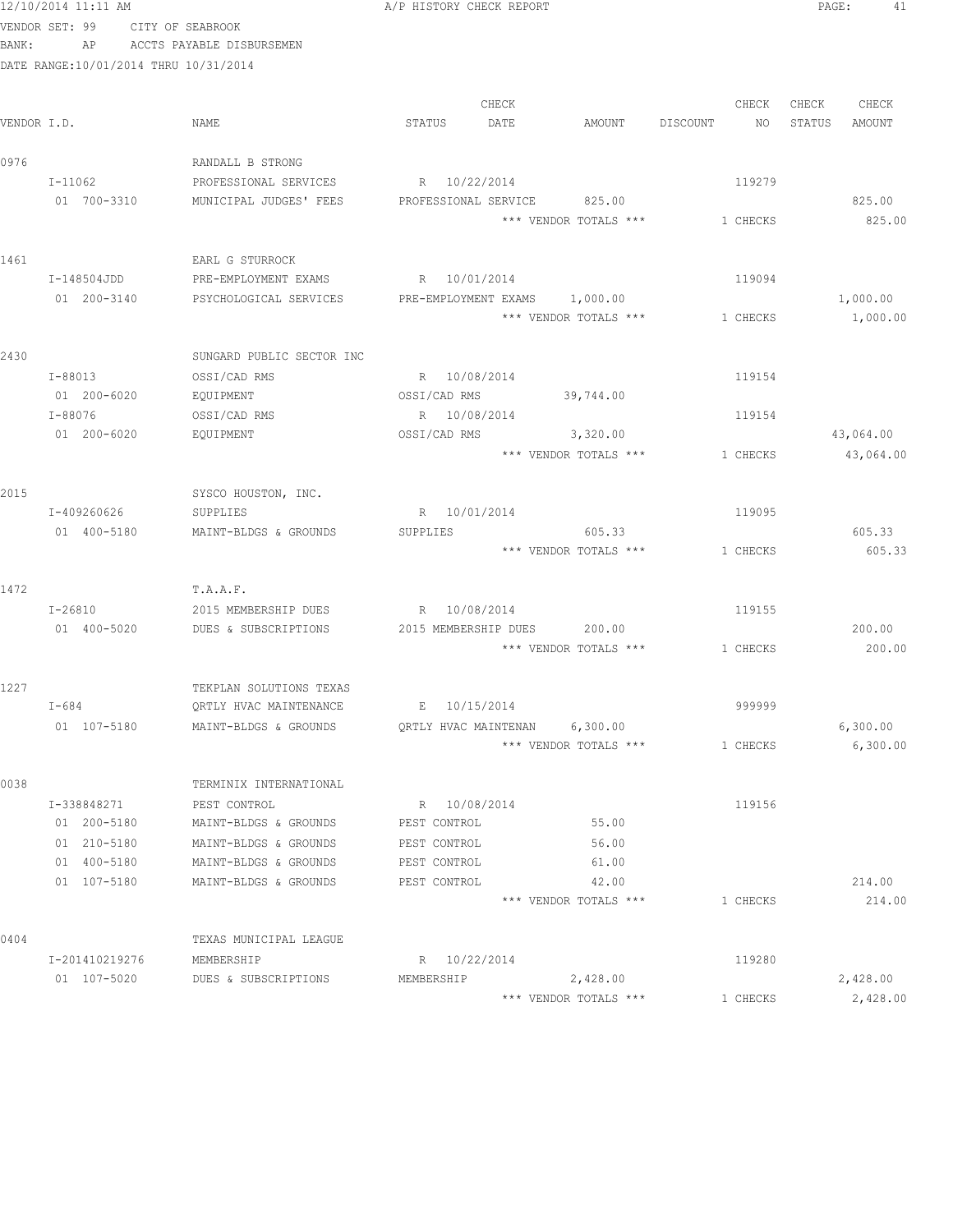|             | VENDOR SET: 99                        | CITY OF SEABROOK          |                      |       |                               |          |          |        |           |
|-------------|---------------------------------------|---------------------------|----------------------|-------|-------------------------------|----------|----------|--------|-----------|
| BANK:       | AP                                    | ACCTS PAYABLE DISBURSEMEN |                      |       |                               |          |          |        |           |
|             | DATE RANGE:10/01/2014 THRU 10/31/2014 |                           |                      |       |                               |          |          |        |           |
|             |                                       |                           |                      |       |                               |          |          |        |           |
|             |                                       |                           |                      | CHECK |                               |          | CHECK    | CHECK  | CHECK     |
| VENDOR I.D. |                                       | NAME                      | STATUS               | DATE  | AMOUNT                        | DISCOUNT | NO       | STATUS | AMOUNT    |
| 0976        |                                       | RANDALL B STRONG          |                      |       |                               |          |          |        |           |
|             | I-11062                               | PROFESSIONAL SERVICES     | R 10/22/2014         |       |                               |          | 119279   |        |           |
|             | 01 700-3310                           | MUNICIPAL JUDGES' FEES    |                      |       | PROFESSIONAL SERVICE 825.00   |          |          |        | 825.00    |
|             |                                       |                           |                      |       | *** VENDOR TOTALS ***         |          | 1 CHECKS |        | 825.00    |
| 1461        |                                       | EARL G STURROCK           |                      |       |                               |          |          |        |           |
|             | I-148504JDD                           | PRE-EMPLOYMENT EXAMS      | R 10/01/2014         |       |                               |          | 119094   |        |           |
|             | 01 200-3140                           | PSYCHOLOGICAL SERVICES    |                      |       | PRE-EMPLOYMENT EXAMS 1,000.00 |          |          |        | 1,000.00  |
|             |                                       |                           |                      |       | *** VENDOR TOTALS ***         |          | 1 CHECKS |        | 1,000.00  |
| 2430        |                                       | SUNGARD PUBLIC SECTOR INC |                      |       |                               |          |          |        |           |
|             | I-88013                               | OSSI/CAD RMS              | R 10/08/2014         |       |                               |          | 119154   |        |           |
|             | 01 200-6020                           | EQUIPMENT                 | OSSI/CAD RMS         |       | 39,744.00                     |          |          |        |           |
|             | I-88076                               | OSSI/CAD RMS              | R 10/08/2014         |       |                               |          | 119154   |        |           |
|             | 01 200-6020                           | EQUIPMENT                 |                      |       | OSSI/CAD RMS 3,320.00         |          |          |        | 43,064.00 |
|             |                                       |                           |                      |       | *** VENDOR TOTALS ***         |          | 1 CHECKS |        | 43,064.00 |
| 2015        |                                       | SYSCO HOUSTON, INC.       |                      |       |                               |          |          |        |           |
|             | I-409260626                           | SUPPLIES                  | R 10/01/2014         |       |                               |          | 119095   |        |           |
|             | 01 400-5180                           | MAINT-BLDGS & GROUNDS     | SUPPLIES             |       | 605.33                        |          |          |        | 605.33    |
|             |                                       |                           |                      |       | *** VENDOR TOTALS ***         |          | 1 CHECKS |        | 605.33    |
| 1472        |                                       | T.A.A.F.                  |                      |       |                               |          |          |        |           |
|             | I-26810                               | 2015 MEMBERSHIP DUES      | R 10/08/2014         |       |                               |          | 119155   |        |           |
|             | 01 400-5020                           | DUES & SUBSCRIPTIONS      | 2015 MEMBERSHIP DUES |       | 200.00                        |          |          |        | 200.00    |
|             |                                       |                           |                      |       | *** VENDOR TOTALS ***         |          | 1 CHECKS |        | 200.00    |
| 1227        |                                       | TEKPLAN SOLUTIONS TEXAS   |                      |       |                               |          |          |        |           |
|             | $I-684$                               | QRTLY HVAC MAINTENANCE    | E 10/15/2014         |       |                               |          | 999999   |        |           |
|             | 01 107-5180                           | MAINT-BLDGS & GROUNDS     | QRTLY HVAC MAINTENAN |       | 6,300.00                      |          |          |        | 6,300.00  |
|             |                                       |                           |                      |       | *** VENDOR TOTALS ***         |          | 1 CHECKS |        | 6,300.00  |
| 0038        |                                       | TERMINIX INTERNATIONAL    |                      |       |                               |          |          |        |           |
|             | I-338848271                           | PEST CONTROL              | R 10/08/2014         |       |                               |          | 119156   |        |           |
|             | 01 200-5180                           | MAINT-BLDGS & GROUNDS     | PEST CONTROL         |       | 55.00                         |          |          |        |           |
|             | 01 210-5180                           | MAINT-BLDGS & GROUNDS     | PEST CONTROL         |       | 56.00                         |          |          |        |           |
|             | 01 400-5180                           | MAINT-BLDGS & GROUNDS     | PEST CONTROL         |       | 61.00                         |          |          |        |           |
|             | 01 107-5180                           | MAINT-BLDGS & GROUNDS     | PEST CONTROL         |       | 42.00                         |          |          |        | 214.00    |
|             |                                       |                           |                      |       | *** VENDOR TOTALS ***         |          | 1 CHECKS |        | 214.00    |
| 0404        |                                       | TEXAS MUNICIPAL LEAGUE    |                      |       |                               |          |          |        |           |
|             | I-201410219276                        | MEMBERSHIP                | R 10/22/2014         |       |                               |          | 119280   |        |           |
|             | 01 107-5020                           | DUES & SUBSCRIPTIONS      | MEMBERSHIP           |       | 2,428.00                      |          |          |        | 2,428.00  |
|             |                                       |                           |                      |       | *** VENDOR TOTALS ***         |          | 1 CHECKS |        | 2,428.00  |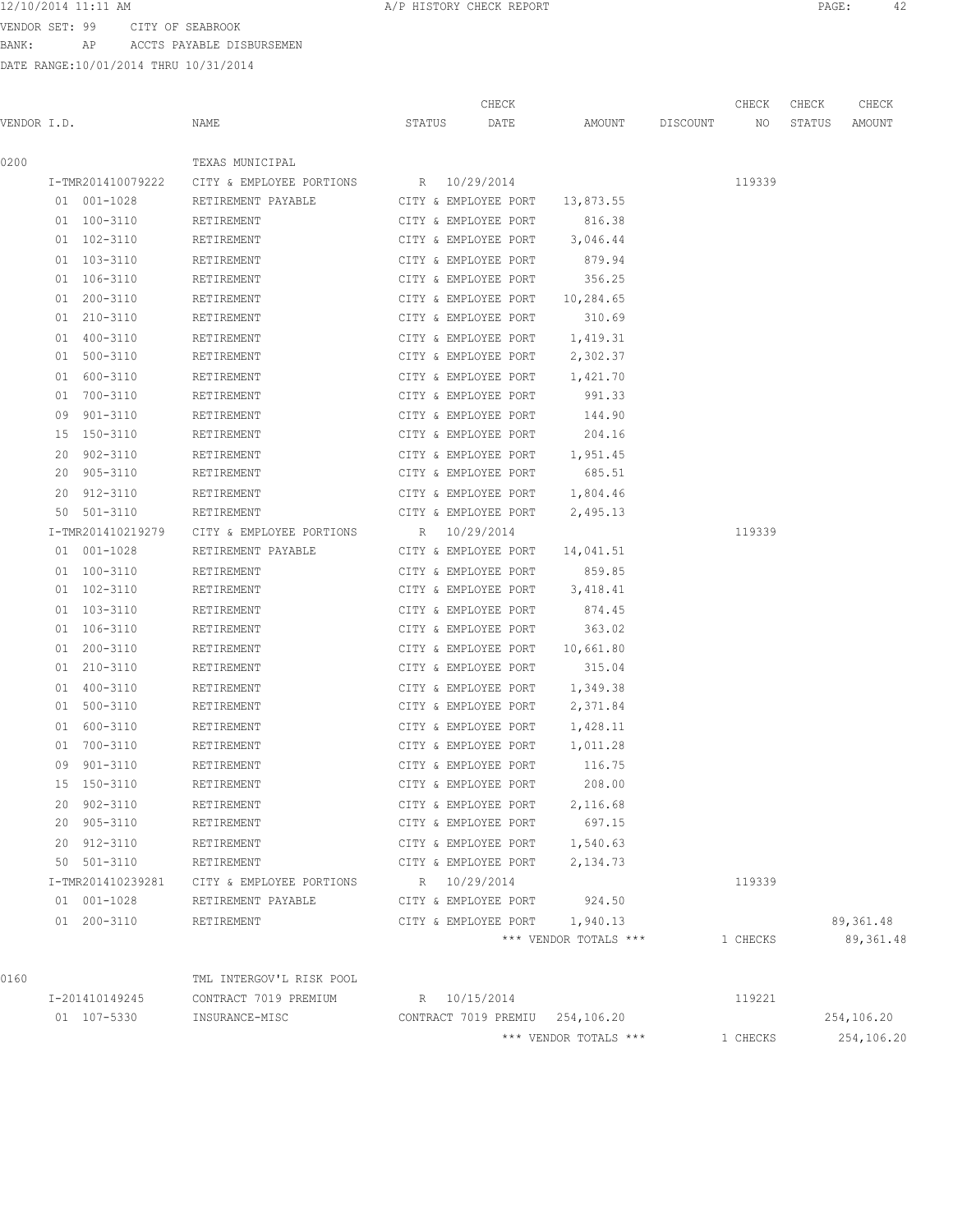VENDOR SET: 99 CITY OF SEABROOK BANK: AP ACCTS PAYABLE DISBURSEMEN

DATE RANGE:10/01/2014 THRU 10/31/2014

|             |                   |                          | CHECK                           |                       |          | CHECK    | CHECK  | CHECK      |
|-------------|-------------------|--------------------------|---------------------------------|-----------------------|----------|----------|--------|------------|
| VENDOR I.D. |                   | NAME                     | DATE<br>STATUS                  | AMOUNT                | DISCOUNT | NO       | STATUS | AMOUNT     |
| 0200        |                   | TEXAS MUNICIPAL          |                                 |                       |          |          |        |            |
|             | I-TMR201410079222 | CITY & EMPLOYEE PORTIONS | R 10/29/2014                    |                       |          | 119339   |        |            |
|             | 01 001-1028       | RETIREMENT PAYABLE       | CITY & EMPLOYEE PORT            | 13,873.55             |          |          |        |            |
|             | 01 100-3110       | RETIREMENT               | CITY & EMPLOYEE PORT            | 816.38                |          |          |        |            |
|             | 01 102-3110       | RETIREMENT               | CITY & EMPLOYEE PORT            | 3,046.44              |          |          |        |            |
|             | 01 103-3110       | RETIREMENT               | CITY & EMPLOYEE PORT            | 879.94                |          |          |        |            |
|             | 01 106-3110       | RETIREMENT               | CITY & EMPLOYEE PORT            | 356.25                |          |          |        |            |
|             | 01 200-3110       | RETIREMENT               | CITY & EMPLOYEE PORT            | 10,284.65             |          |          |        |            |
|             | 01 210-3110       | RETIREMENT               | CITY & EMPLOYEE PORT            | 310.69                |          |          |        |            |
|             | 01 400-3110       | RETIREMENT               | CITY & EMPLOYEE PORT            | 1,419.31              |          |          |        |            |
|             | 01 500-3110       | RETIREMENT               | CITY & EMPLOYEE PORT            | 2,302.37              |          |          |        |            |
|             | 600-3110<br>01    | RETIREMENT               | CITY & EMPLOYEE PORT            | 1,421.70              |          |          |        |            |
|             | 01 700-3110       | RETIREMENT               | CITY & EMPLOYEE PORT            | 991.33                |          |          |        |            |
|             | 09 901-3110       | RETIREMENT               | CITY & EMPLOYEE PORT            | 144.90                |          |          |        |            |
|             | 15 150-3110       | RETIREMENT               | CITY & EMPLOYEE PORT            | 204.16                |          |          |        |            |
|             | 20 902-3110       | RETIREMENT               | CITY & EMPLOYEE PORT            | 1,951.45              |          |          |        |            |
|             | 20 905-3110       | RETIREMENT               | CITY & EMPLOYEE PORT            | 685.51                |          |          |        |            |
|             | 20 912-3110       | RETIREMENT               | CITY & EMPLOYEE PORT            | 1,804.46              |          |          |        |            |
|             | 50 501-3110       | RETIREMENT               | CITY & EMPLOYEE PORT            | 2,495.13              |          |          |        |            |
|             | I-TMR201410219279 | CITY & EMPLOYEE PORTIONS | R 10/29/2014                    |                       |          | 119339   |        |            |
|             | 01 001-1028       | RETIREMENT PAYABLE       | CITY & EMPLOYEE PORT            | 14,041.51             |          |          |        |            |
|             | 01 100-3110       | RETIREMENT               | CITY & EMPLOYEE PORT            | 859.85                |          |          |        |            |
|             | 01 102-3110       | RETIREMENT               | CITY & EMPLOYEE PORT            | 3,418.41              |          |          |        |            |
|             | 01 103-3110       | RETIREMENT               | CITY & EMPLOYEE PORT            | 874.45                |          |          |        |            |
|             | 01 106-3110       | RETIREMENT               | CITY & EMPLOYEE PORT            | 363.02                |          |          |        |            |
|             | 01 200-3110       | RETIREMENT               | CITY & EMPLOYEE PORT            | 10,661.80             |          |          |        |            |
|             | 01 210-3110       | RETIREMENT               | CITY & EMPLOYEE PORT            | 315.04                |          |          |        |            |
|             | 01 400-3110       | RETIREMENT               | CITY & EMPLOYEE PORT            | 1,349.38              |          |          |        |            |
|             | 01 500-3110       | RETIREMENT               | CITY & EMPLOYEE PORT            | 2,371.84              |          |          |        |            |
|             | 600-3110<br>01    | RETIREMENT               | CITY & EMPLOYEE PORT            | 1,428.11              |          |          |        |            |
|             | 01 700-3110       | RETIREMENT               | CITY & EMPLOYEE PORT            | 1,011.28              |          |          |        |            |
|             | 09 901-3110       | RETIREMENT               | CITY & EMPLOYEE PORT            | 116.75                |          |          |        |            |
|             | 15 150-3110       | RETIREMENT               | CITY & EMPLOYEE PORT            | 208.00                |          |          |        |            |
|             | 20 902-3110       | RETIREMENT               | CITY & EMPLOYEE PORT            | 2,116.68              |          |          |        |            |
|             | 20 905-3110       | RETIREMENT               | CITY & EMPLOYEE PORT            | 697.15                |          |          |        |            |
|             | 20 912-3110       | RETIREMENT               | CITY & EMPLOYEE PORT            | 1,540.63              |          |          |        |            |
|             | 50 501-3110       | RETIREMENT               | CITY & EMPLOYEE PORT            | 2,134.73              |          |          |        |            |
|             | I-TMR201410239281 | CITY & EMPLOYEE PORTIONS | R 10/29/2014                    |                       |          | 119339   |        |            |
|             | 01 001-1028       | RETIREMENT PAYABLE       | CITY & EMPLOYEE PORT            | 924.50                |          |          |        |            |
|             | 01 200-3110       | RETIREMENT               | CITY & EMPLOYEE PORT 1,940.13   |                       |          |          |        | 89,361.48  |
|             |                   |                          |                                 | *** VENDOR TOTALS *** |          | 1 CHECKS |        | 89, 361.48 |
| 0160        |                   | TML INTERGOV'L RISK POOL |                                 |                       |          |          |        |            |
|             | I-201410149245    | CONTRACT 7019 PREMIUM    | R 10/15/2014                    |                       |          | 119221   |        |            |
|             | 01 107-5330       | INSURANCE-MISC           | CONTRACT 7019 PREMIU 254,106.20 |                       |          |          |        | 254,106.20 |

\*\*\* VENDOR TOTALS \*\*\* 1 CHECKS 254,106.20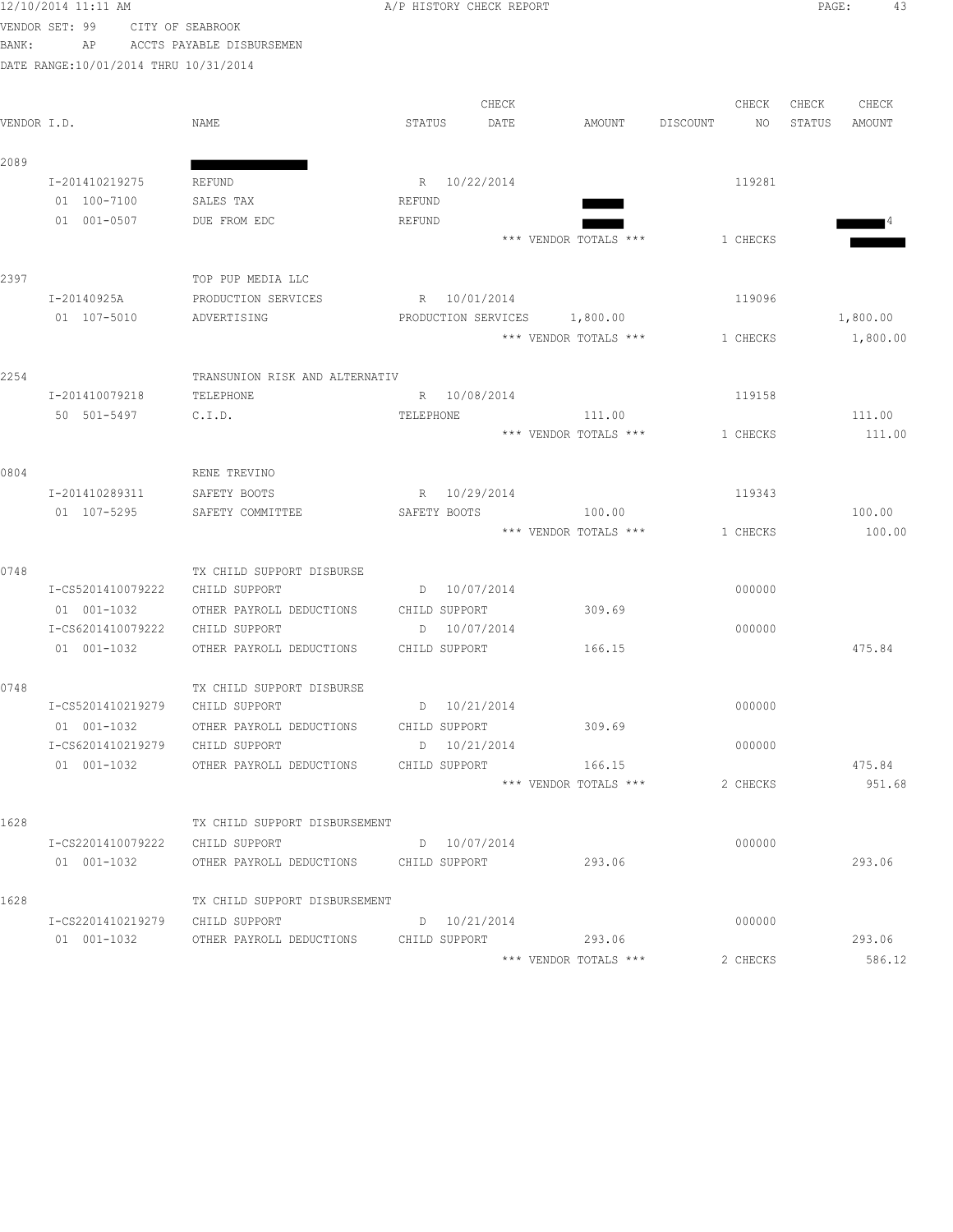VENDOR SET: 99 CITY OF SEABROOK

| VLNUUR ƏLI; YY |    |                | ALLI OL SEADRUUN |                                       |        |                     |                       |          |          |        |          |  |
|----------------|----|----------------|------------------|---------------------------------------|--------|---------------------|-----------------------|----------|----------|--------|----------|--|
| BANK:          |    | AP             |                  | ACCTS PAYABLE DISBURSEMEN             |        |                     |                       |          |          |        |          |  |
|                |    |                |                  | DATE RANGE:10/01/2014 THRU 10/31/2014 |        |                     |                       |          |          |        |          |  |
|                |    |                |                  |                                       |        | CHECK               |                       |          | CHECK    | CHECK  | CHECK    |  |
| VENDOR I.D.    |    |                |                  | NAME                                  | STATUS | DATE                | AMOUNT                | DISCOUNT | NO.      | STATUS | AMOUNT   |  |
| 2089           |    |                |                  |                                       |        |                     |                       |          |          |        |          |  |
|                |    | I-201410219275 |                  | REFUND                                | R      | 10/22/2014          |                       |          | 119281   |        |          |  |
|                | 01 | 100-7100       |                  | SALES TAX                             | REFUND |                     |                       |          |          |        |          |  |
|                | 01 | 001-0507       |                  | DUE FROM EDC                          | REFUND |                     |                       |          |          |        | ∎4       |  |
|                |    |                |                  |                                       |        |                     | *** VENDOR TOTALS *** |          | 1 CHECKS |        |          |  |
| 2397           |    |                |                  | TOP PUP MEDIA LLC                     |        |                     |                       |          |          |        |          |  |
|                |    | I-20140925A    |                  | PRODUCTION SERVICES                   | R      | 10/01/2014          |                       |          | 119096   |        |          |  |
|                | 01 | 107-5010       |                  | ADVERTISING                           |        | PRODUCTION SERVICES | 1,800.00              |          |          |        | 1,800.00 |  |
|                |    |                |                  |                                       |        |                     | *** VENDOR TOTALS *** |          | 1 CHECKS |        | 1,800.00 |  |

| 2254 |                   | TRANSUNION RISK AND ALTERNATIV |                 |                       |          |        |
|------|-------------------|--------------------------------|-----------------|-----------------------|----------|--------|
|      | I-201410079218    | TELEPHONE                      | R 10/08/2014    |                       | 119158   |        |
|      | 50 501-5497       | C.I.D.                         | TELEPHONE       | 111.00                |          | 111.00 |
|      |                   |                                |                 | *** VENDOR TOTALS *** | 1 CHECKS | 111.00 |
| 0804 |                   | RENE TREVINO                   |                 |                       |          |        |
|      | I-201410289311    | SAFETY BOOTS                   | R 10/29/2014    |                       | 119343   |        |
|      | 01 107-5295       | SAFETY COMMITTEE               | SAFETY BOOTS    | 100.00                |          | 100.00 |
|      |                   |                                |                 | *** VENDOR TOTALS *** | 1 CHECKS | 100.00 |
| 0748 |                   | TX CHILD SUPPORT DISBURSE      |                 |                       |          |        |
|      | I-CS5201410079222 | CHILD SUPPORT                  | D 10/07/2014    |                       | 000000   |        |
|      | 01 001-1032       | OTHER PAYROLL DEDUCTIONS       | CHILD SUPPORT   | 309.69                |          |        |
|      | I-CS6201410079222 | CHILD SUPPORT                  | 10/07/2014<br>D |                       | 000000   |        |
|      | 01 001-1032       | OTHER PAYROLL DEDUCTIONS       | CHILD SUPPORT   | 166.15                |          | 475.84 |
| 0748 |                   | TX CHILD SUPPORT DISBURSE      |                 |                       |          |        |
|      | I-CS5201410219279 | CHILD SUPPORT                  | D 10/21/2014    |                       | 000000   |        |
|      | 01 001-1032       | OTHER PAYROLL DEDUCTIONS       | CHILD SUPPORT   | 309.69                |          |        |
|      | I-CS6201410219279 | CHILD SUPPORT                  | 10/21/2014<br>D |                       | 000000   |        |
|      | 01 001-1032       | OTHER PAYROLL DEDUCTIONS       | CHILD SUPPORT   | 166.15                |          | 475.84 |
|      |                   |                                |                 | *** VENDOR TOTALS *** | 2 CHECKS | 951.68 |
|      |                   |                                |                 |                       |          |        |

| 1628 |                     | TX CHILD SUPPORT DISBURSEMENT |   |               |                       |          |        |
|------|---------------------|-------------------------------|---|---------------|-----------------------|----------|--------|
|      | I-CS2201410079222   | CHILD SUPPORT                 | D | 10/07/2014    |                       | 000000   |        |
|      | $001 - 1032$<br>01  | OTHER PAYROLL DEDUCTIONS      |   | CHILD SUPPORT | 293.06                |          | 293.06 |
| 1628 |                     | TX CHILD SUPPORT DISBURSEMENT |   |               |                       |          |        |
|      | T-CS2201410219279   | CHILD SUPPORT                 | D | 10/21/2014    |                       | 000000   |        |
|      | $001 - 1032$<br>01. | OTHER PAYROLL DEDUCTIONS      |   | CHILD SUPPORT | 293.06                |          | 293.06 |
|      |                     |                               |   |               | *** VENDOR TOTALS *** | 2 CHECKS | 586.12 |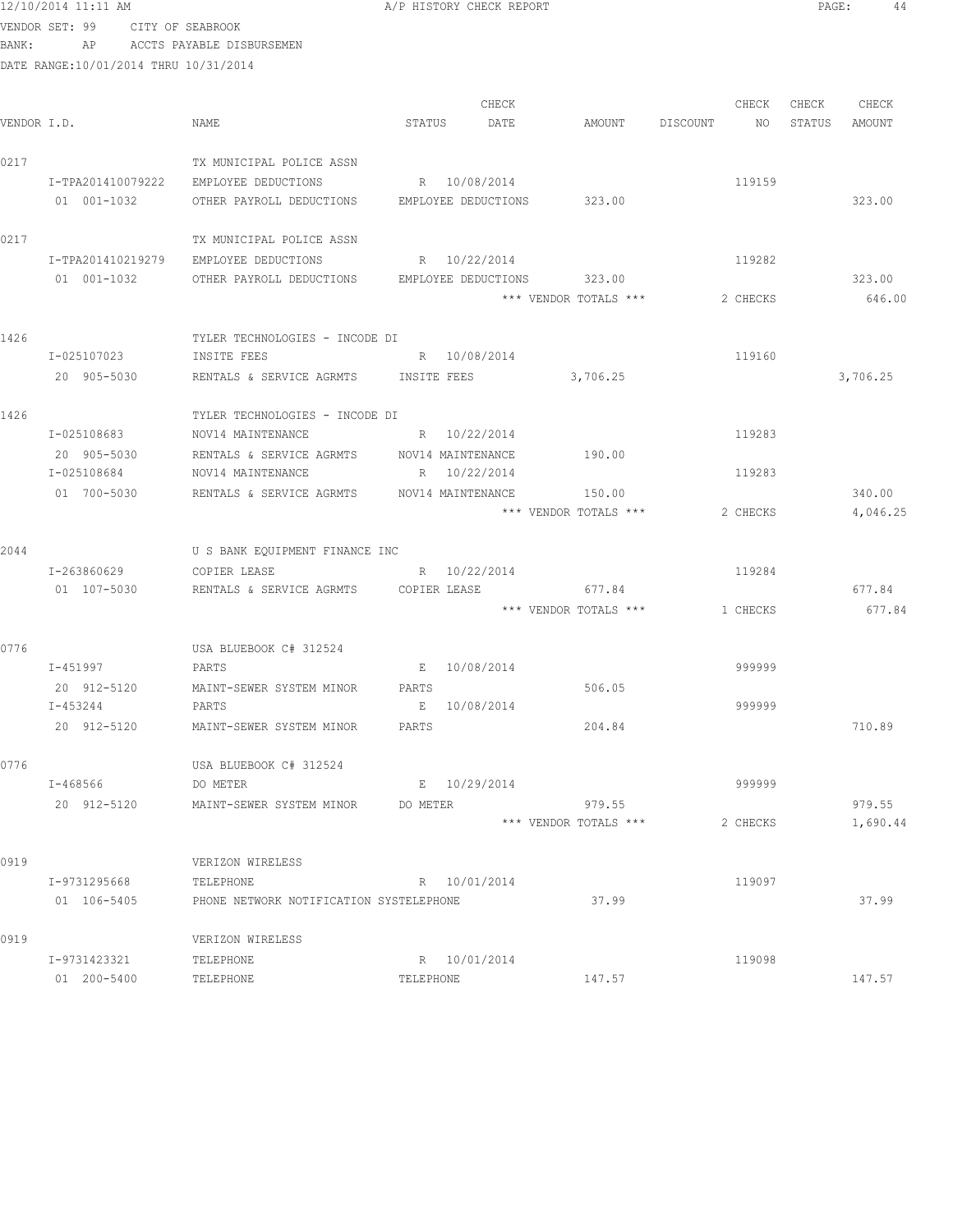|             | 12/10/2014 11:11 AM                   |                                                     | A/P HISTORY CHECK REPORT |       |                       |          |          | PAGE:  | 44       |  |
|-------------|---------------------------------------|-----------------------------------------------------|--------------------------|-------|-----------------------|----------|----------|--------|----------|--|
|             | VENDOR SET: 99                        | CITY OF SEABROOK                                    |                          |       |                       |          |          |        |          |  |
| BANK:       | AP                                    | ACCTS PAYABLE DISBURSEMEN                           |                          |       |                       |          |          |        |          |  |
|             | DATE RANGE:10/01/2014 THRU 10/31/2014 |                                                     |                          |       |                       |          |          |        |          |  |
|             |                                       |                                                     |                          |       |                       |          |          |        |          |  |
|             |                                       |                                                     |                          | CHECK |                       |          | CHECK    | CHECK  | CHECK    |  |
| VENDOR I.D. |                                       | NAME                                                | STATUS                   | DATE  | AMOUNT                | DISCOUNT | NO       | STATUS | AMOUNT   |  |
| 0217        |                                       | TX MUNICIPAL POLICE ASSN                            |                          |       |                       |          |          |        |          |  |
|             | I-TPA201410079222                     | EMPLOYEE DEDUCTIONS                                 | R 10/08/2014             |       |                       |          | 119159   |        |          |  |
|             | 01 001-1032                           | OTHER PAYROLL DEDUCTIONS EMPLOYEE DEDUCTIONS 323.00 |                          |       |                       |          |          |        | 323.00   |  |
| 0217        |                                       | TX MUNICIPAL POLICE ASSN                            |                          |       |                       |          |          |        |          |  |
|             | I-TPA201410219279                     | EMPLOYEE DEDUCTIONS                                 | R 10/22/2014             |       |                       |          | 119282   |        |          |  |
|             | 01 001-1032                           | OTHER PAYROLL DEDUCTIONS                            | EMPLOYEE DEDUCTIONS      |       | 323.00                |          |          |        | 323.00   |  |
|             |                                       |                                                     |                          |       | *** VENDOR TOTALS *** |          | 2 CHECKS |        | 646.00   |  |
| 1426        |                                       | TYLER TECHNOLOGIES - INCODE DI                      |                          |       |                       |          |          |        |          |  |
|             | I-025107023                           | INSITE FEES                                         | R 10/08/2014             |       |                       |          | 119160   |        |          |  |
|             | 20 905-5030                           | RENTALS & SERVICE AGRMTS INSITE FEES 3,706.25       |                          |       |                       |          |          |        | 3,706.25 |  |
| 1426        |                                       | TYLER TECHNOLOGIES - INCODE DI                      |                          |       |                       |          |          |        |          |  |
|             | I-025108683                           | NOV14 MAINTENANCE                                   | R 10/22/2014             |       |                       |          | 119283   |        |          |  |
|             | 20 905-5030                           | RENTALS & SERVICE AGRMTS                            | NOV14 MAINTENANCE        |       | 190.00                |          |          |        |          |  |

I-025108684 NOV14 MAINTENANCE R 10/22/2014 119283

I-263860629 COPIER LEASE R 10/22/2014 R 100 119284

I-451997 PARTS E 10/08/2014 999999

I-453244 PARTS E 10/08/2014 999999

I-468566 DO METER E 10/29/2014 999999

I-9731295668 TELEPHONE R 10/01/2014 119097

I-9731423321 TELEPHONE R 10/01/2014 119098

01 200–5400 TELEPHONE TELEPHONE TELEPHONE TELEPHONE 147.57 147.57

20 912-5120 MAINT-SEWER SYSTEM MINOR PARTS 506.05

2044 U S BANK EQUIPMENT FINANCE INC

0776 USA BLUEBOOK C# 312524

0776 USA BLUEBOOK C# 312524

0919 **VERIZON WIRELESS** 

0919 **VERIZON WIRELESS** 

01 700-5030 RENTALS & SERVICE AGRMTS NOV14 MAINTENANCE 150.00 340.00

01 107-5030 RENTALS & SERVICE AGRMTS COPIER LEASE 677.84 677.84 677.84

20 912-5120 MAINT-SEWER SYSTEM MINOR PARTS 204.84 710.89

20 912-5120 MAINT-SEWER SYSTEM MINOR DO METER 979.55 979.55

01 106-5405 PHONE NETWORK NOTIFICATION SYSTELEPHONE 37.99 37.99

\*\*\* VENDOR TOTALS \*\*\* 2 CHECKS 4,046.25

 $***$  VENDOR TOTALS  $***$  1 CHECKS 677.84

\*\*\* VENDOR TOTALS \*\*\* 2 CHECKS 1,690.44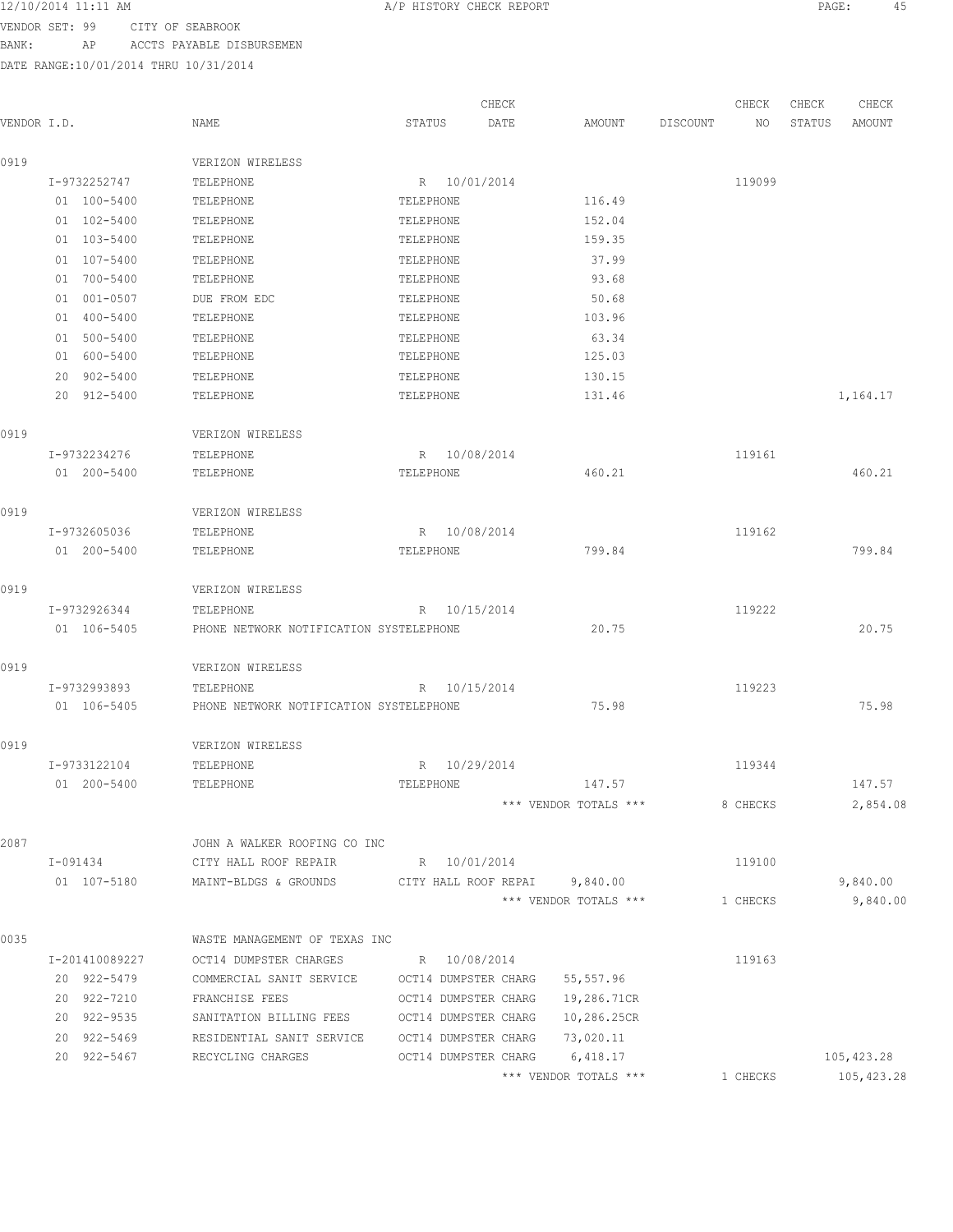VENDOR SET: 99 CITY OF SEABROOK BANK: AP ACCTS PAYABLE DISBURSEMEN

|                |                                                     |                      | CHECK      |                                                         |                 | CHECK    | CHECK  | CHECK       |
|----------------|-----------------------------------------------------|----------------------|------------|---------------------------------------------------------|-----------------|----------|--------|-------------|
| VENDOR I.D.    | NAME                                                | STATUS               | DATE       | AMOUNT                                                  | <b>DISCOUNT</b> | NO       | STATUS | AMOUNT      |
| 0919           | VERIZON WIRELESS                                    |                      |            |                                                         |                 |          |        |             |
| I-9732252747   | TELEPHONE                                           | R 10/01/2014         |            |                                                         |                 | 119099   |        |             |
| 01 100-5400    | TELEPHONE                                           | TELEPHONE            |            | 116.49                                                  |                 |          |        |             |
| 01 102-5400    | TELEPHONE                                           | TELEPHONE            |            | 152.04                                                  |                 |          |        |             |
| 01 103-5400    | TELEPHONE                                           | TELEPHONE            |            | 159.35                                                  |                 |          |        |             |
| 01 107-5400    | TELEPHONE                                           | TELEPHONE            |            | 37.99                                                   |                 |          |        |             |
| 01 700-5400    | TELEPHONE                                           | TELEPHONE            |            | 93.68                                                   |                 |          |        |             |
| 01 001-0507    | DUE FROM EDC                                        | TELEPHONE            |            | 50.68                                                   |                 |          |        |             |
| 01 400-5400    | TELEPHONE                                           | TELEPHONE            |            | 103.96                                                  |                 |          |        |             |
| 01 500-5400    | TELEPHONE                                           | TELEPHONE            |            | 63.34                                                   |                 |          |        |             |
| 01 600-5400    | TELEPHONE                                           | TELEPHONE            |            | 125.03                                                  |                 |          |        |             |
| 902-5400<br>20 | TELEPHONE                                           | TELEPHONE            |            | 130.15                                                  |                 |          |        |             |
| 20 912-5400    | TELEPHONE                                           | TELEPHONE            |            | 131.46                                                  |                 |          |        | 1,164.17    |
| 0919           | VERIZON WIRELESS                                    |                      |            |                                                         |                 |          |        |             |
| I-9732234276   | TELEPHONE                                           | R 10/08/2014         |            |                                                         |                 | 119161   |        |             |
| 01 200-5400    | TELEPHONE                                           | TELEPHONE            |            | 460.21                                                  |                 |          |        | 460.21      |
| 0919           | VERIZON WIRELESS                                    |                      |            |                                                         |                 |          |        |             |
| I-9732605036   | TELEPHONE                                           | R 10/08/2014         |            |                                                         |                 | 119162   |        |             |
| 01 200-5400    | TELEPHONE                                           | TELEPHONE            |            | 799.84                                                  |                 |          |        | 799.84      |
| 0919           | VERIZON WIRELESS                                    |                      |            |                                                         |                 |          |        |             |
| I-9732926344   | TELEPHONE                                           | R 10/15/2014         |            |                                                         |                 | 119222   |        |             |
| 01 106-5405    | PHONE NETWORK NOTIFICATION SYSTELEPHONE             |                      |            | 20.75                                                   |                 |          |        | 20.75       |
| 0919           | VERIZON WIRELESS                                    |                      |            |                                                         |                 |          |        |             |
| I-9732993893   | TELEPHONE                                           | R                    | 10/15/2014 |                                                         |                 | 119223   |        |             |
| 01 106-5405    | PHONE NETWORK NOTIFICATION SYSTELEPHONE             |                      |            | 75.98                                                   |                 |          |        | 75.98       |
| 0919           | VERIZON WIRELESS                                    |                      |            |                                                         |                 |          |        |             |
| I-9733122104   | TELEPHONE                                           | 10/29/2014<br>R      |            |                                                         |                 | 119344   |        |             |
| 01 200-5400    | TELEPHONE                                           | TELEPHONE            |            | 147.57                                                  |                 |          |        | 147.57      |
|                |                                                     |                      |            | *** VENDOR TOTALS ***                                   |                 | 8 CHECKS |        | 2,854.08    |
| 2087           | JOHN A WALKER ROOFING CO INC                        |                      |            |                                                         |                 |          |        |             |
| I-091434       | CITY HALL ROOF REPAIR                               | R 10/01/2014         |            |                                                         |                 | 119100   |        |             |
| 01 107-5180    | MAINT-BLDGS & GROUNDS CITY HALL ROOF REPAI 9,840.00 |                      |            |                                                         |                 |          |        | 9,840.00    |
|                |                                                     |                      |            | *** VENDOR TOTALS ***                                   |                 | 1 CHECKS |        | 9,840.00    |
| 0035           | WASTE MANAGEMENT OF TEXAS INC                       |                      |            |                                                         |                 |          |        |             |
| I-201410089227 | OCT14 DUMPSTER CHARGES                              | R 10/08/2014         |            |                                                         |                 | 119163   |        |             |
| 20 922-5479    | COMMERCIAL SANIT SERVICE                            | OCT14 DUMPSTER CHARG |            | 55,557.96                                               |                 |          |        |             |
| 20 922-7210    | FRANCHISE FEES                                      | OCT14 DUMPSTER CHARG |            | 19,286.71CR                                             |                 |          |        |             |
| 20 922-9535    | SANITATION BILLING FEES                             | OCT14 DUMPSTER CHARG |            | 10,286.25CR                                             |                 |          |        |             |
| 20 922-5469    | RESIDENTIAL SANIT SERVICE                           | OCT14 DUMPSTER CHARG |            | 73,020.11                                               |                 |          |        |             |
| 20 922-5467    | RECYCLING CHARGES                                   | OCT14 DUMPSTER CHARG |            | 6,418.17                                                |                 |          |        | 105,423.28  |
|                |                                                     |                      |            | $^{\star\star\star}$ VENDOR TOTALS $^{\star\star\star}$ |                 | 1 CHECKS |        | 105, 423.28 |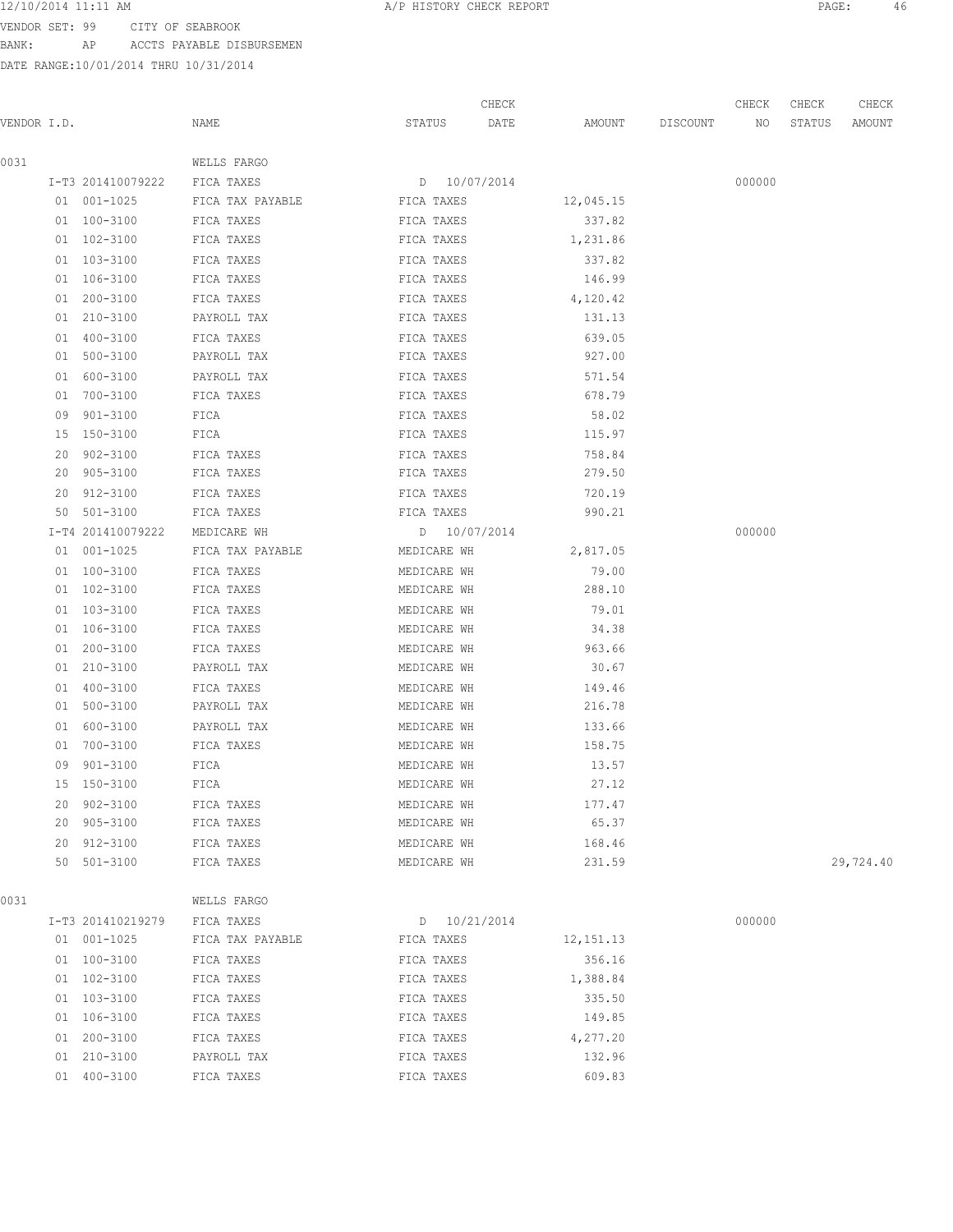VENDOR SET: 99 CITY OF SEABROOK

BANK: AP ACCTS PAYABLE DISBURSEMEN

DATE RANGE:10/01/2014 THRU 10/31/2014

| VENDOR I.D. |    |                   | NAME             | STATUS      | CHECK<br>DATE | AMOUNT    | DISCOUNT | CHECK<br>NO | CHECK<br>STATUS | CHECK<br>AMOUNT |
|-------------|----|-------------------|------------------|-------------|---------------|-----------|----------|-------------|-----------------|-----------------|
| 0031        |    |                   | WELLS FARGO      |             |               |           |          |             |                 |                 |
|             |    | I-T3 201410079222 | FICA TAXES       |             | D 10/07/2014  |           |          | 000000      |                 |                 |
|             |    | 01 001-1025       | FICA TAX PAYABLE | FICA TAXES  |               | 12,045.15 |          |             |                 |                 |
|             |    | 01 100-3100       | FICA TAXES       | FICA TAXES  |               | 337.82    |          |             |                 |                 |
|             |    | 01 102-3100       | FICA TAXES       | FICA TAXES  |               | 1,231.86  |          |             |                 |                 |
|             |    | 01 103-3100       | FICA TAXES       | FICA TAXES  |               | 337.82    |          |             |                 |                 |
|             |    | 01 106-3100       | FICA TAXES       | FICA TAXES  |               | 146.99    |          |             |                 |                 |
|             |    | 01 200-3100       | FICA TAXES       | FICA TAXES  |               | 4,120.42  |          |             |                 |                 |
|             |    | 01 210-3100       | PAYROLL TAX      | FICA TAXES  |               | 131.13    |          |             |                 |                 |
|             |    | 01 400-3100       | FICA TAXES       | FICA TAXES  |               | 639.05    |          |             |                 |                 |
|             |    | 01 500-3100       | PAYROLL TAX      | FICA TAXES  |               | 927.00    |          |             |                 |                 |
|             |    | 01 600-3100       | PAYROLL TAX      | FICA TAXES  |               | 571.54    |          |             |                 |                 |
|             |    | 01 700-3100       | FICA TAXES       | FICA TAXES  |               | 678.79    |          |             |                 |                 |
|             | 09 | $901 - 3100$      | FICA             | FICA TAXES  |               | 58.02     |          |             |                 |                 |
|             |    | 15 150-3100       | FICA             | FICA TAXES  |               | 115.97    |          |             |                 |                 |
|             | 20 | 902-3100          | FICA TAXES       | FICA TAXES  |               | 758.84    |          |             |                 |                 |
|             | 20 | 905-3100          | FICA TAXES       | FICA TAXES  |               | 279.50    |          |             |                 |                 |
|             | 20 | 912-3100          | FICA TAXES       | FICA TAXES  |               | 720.19    |          |             |                 |                 |
|             |    | 50 501-3100       | FICA TAXES       | FICA TAXES  |               | 990.21    |          |             |                 |                 |
|             |    | I-T4 201410079222 | MEDICARE WH      |             | D 10/07/2014  |           |          | 000000      |                 |                 |
|             |    | 01 001-1025       | FICA TAX PAYABLE | MEDICARE WH |               | 2,817.05  |          |             |                 |                 |
|             |    | 01 100-3100       | FICA TAXES       | MEDICARE WH |               | 79.00     |          |             |                 |                 |
|             |    | 01 102-3100       | FICA TAXES       | MEDICARE WH |               | 288.10    |          |             |                 |                 |
|             |    | 01 103-3100       | FICA TAXES       | MEDICARE WH |               | 79.01     |          |             |                 |                 |
|             |    | 01 106-3100       | FICA TAXES       | MEDICARE WH |               | 34.38     |          |             |                 |                 |
|             |    | 01 200-3100       | FICA TAXES       | MEDICARE WH |               | 963.66    |          |             |                 |                 |
|             |    | 01 210-3100       | PAYROLL TAX      | MEDICARE WH |               | 30.67     |          |             |                 |                 |
|             |    | 01 400-3100       | FICA TAXES       | MEDICARE WH |               | 149.46    |          |             |                 |                 |
|             | 01 | 500-3100          | PAYROLL TAX      | MEDICARE WH |               | 216.78    |          |             |                 |                 |
|             | 01 | 600-3100          | PAYROLL TAX      | MEDICARE WH |               | 133.66    |          |             |                 |                 |
|             |    | 01 700-3100       | FICA TAXES       | MEDICARE WH |               | 158.75    |          |             |                 |                 |
|             | 09 | $901 - 3100$      | FICA             | MEDICARE WH |               | 13.57     |          |             |                 |                 |
|             |    | 15 150-3100       | FICA             | MEDICARE WH |               | 27.12     |          |             |                 |                 |
|             | 20 | 902-3100          | FICA TAXES       | MEDICARE WH |               | 177.47    |          |             |                 |                 |
|             | 20 | $905 - 3100$      | FICA TAXES       | MEDICARE WH |               | 65.37     |          |             |                 |                 |
|             | 20 | $912 - 3100$      | FICA TAXES       | MEDICARE WH |               | 168.46    |          |             |                 |                 |
|             | 50 | $501 - 3100$      | FICA TAXES       | MEDICARE WH |               | 231.59    |          |             |                 | 29,724.40       |

0031 WELLS FARGO

|    | I-T3 201410219279 | FICA TAXES       | $D = 10/21/2014$ |             | 000000 |
|----|-------------------|------------------|------------------|-------------|--------|
|    | 01 001-1025       | FICA TAX PAYABLE | FICA TAXES       | 12, 151. 13 |        |
| 01 | 100-3100          | FICA TAXES       | FICA TAXES       | 356.16      |        |
|    | 01 102-3100       | FICA TAXES       | FICA TAXES       | 1,388.84    |        |
|    | 01 103-3100       | FICA TAXES       | FICA TAXES       | 335.50      |        |
|    | 01 106-3100       | FICA TAXES       | FICA TAXES       | 149.85      |        |
|    | $01200 - 3100$    | FICA TAXES       | FICA TAXES       | 4,277.20    |        |
|    | 01 210-3100       | PAYROLL TAX      | FICA TAXES       | 132.96      |        |
| 01 | $400 - 3100$      | FICA TAXES       | FICA TAXES       | 609.83      |        |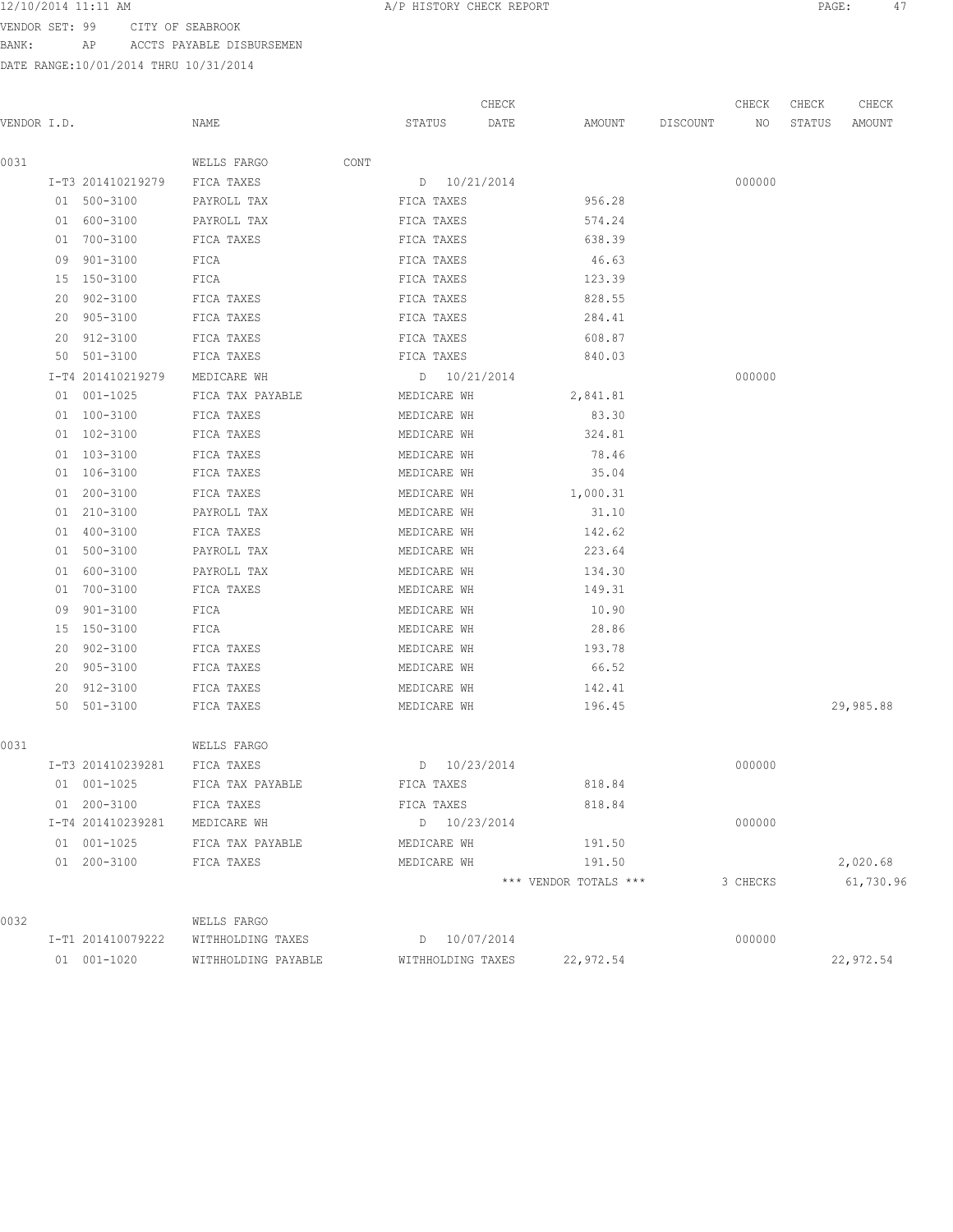VENDOR SET: 99 CITY OF SEABROOK BANK: AP ACCTS PAYABLE DISBURSEMEN

|             |    |                   |                     |      |                   | CHECK |                       |          | CHECK    | CHECK  | CHECK     |
|-------------|----|-------------------|---------------------|------|-------------------|-------|-----------------------|----------|----------|--------|-----------|
| VENDOR I.D. |    |                   | NAME                |      | STATUS            | DATE  | AMOUNT                | DISCOUNT | NO       | STATUS | AMOUNT    |
| 0031        |    |                   | WELLS FARGO         | CONT |                   |       |                       |          |          |        |           |
|             |    | I-T3 201410219279 | FICA TAXES          |      | D 10/21/2014      |       |                       |          | 000000   |        |           |
|             |    | 01 500-3100       | PAYROLL TAX         |      | FICA TAXES        |       | 956.28                |          |          |        |           |
|             |    | 01 600-3100       | PAYROLL TAX         |      | FICA TAXES        |       | 574.24                |          |          |        |           |
|             | 01 | 700-3100          | FICA TAXES          |      | FICA TAXES        |       | 638.39                |          |          |        |           |
|             |    | 09 901-3100       | FICA                |      | FICA TAXES        |       | 46.63                 |          |          |        |           |
|             |    | 15 150-3100       | FICA                |      | FICA TAXES        |       | 123.39                |          |          |        |           |
|             | 20 | 902-3100          | FICA TAXES          |      | FICA TAXES        |       | 828.55                |          |          |        |           |
|             |    | 20 905-3100       | FICA TAXES          |      | FICA TAXES        |       | 284.41                |          |          |        |           |
|             | 20 | 912-3100          | FICA TAXES          |      | FICA TAXES        |       | 608.87                |          |          |        |           |
|             | 50 | 501-3100          | FICA TAXES          |      | FICA TAXES        |       | 840.03                |          |          |        |           |
|             |    | I-T4 201410219279 | MEDICARE WH         |      | D 10/21/2014      |       |                       |          | 000000   |        |           |
|             |    | 01 001-1025       | FICA TAX PAYABLE    |      | MEDICARE WH       |       | 2,841.81              |          |          |        |           |
|             |    | 01 100-3100       | FICA TAXES          |      | MEDICARE WH       |       | 83.30                 |          |          |        |           |
|             |    | 01 102-3100       | FICA TAXES          |      | MEDICARE WH       |       | 324.81                |          |          |        |           |
|             |    | 01 103-3100       | FICA TAXES          |      | MEDICARE WH       |       | 78.46                 |          |          |        |           |
|             |    | 01 106-3100       | FICA TAXES          |      | MEDICARE WH       |       | 35.04                 |          |          |        |           |
|             |    | 01 200-3100       | FICA TAXES          |      | MEDICARE WH       |       | 1,000.31              |          |          |        |           |
|             |    | 01 210-3100       | PAYROLL TAX         |      | MEDICARE WH       |       | 31.10                 |          |          |        |           |
|             |    | 01 400-3100       | FICA TAXES          |      | MEDICARE WH       |       | 142.62                |          |          |        |           |
|             |    | 01 500-3100       | PAYROLL TAX         |      | MEDICARE WH       |       | 223.64                |          |          |        |           |
|             | 01 | 600-3100          | PAYROLL TAX         |      | MEDICARE WH       |       | 134.30                |          |          |        |           |
|             |    | 01 700-3100       | FICA TAXES          |      | MEDICARE WH       |       | 149.31                |          |          |        |           |
|             | 09 | $901 - 3100$      | FICA                |      | MEDICARE WH       |       | 10.90                 |          |          |        |           |
|             |    | 15 150-3100       | FICA                |      | MEDICARE WH       |       | 28.86                 |          |          |        |           |
|             | 20 | 902-3100          | FICA TAXES          |      | MEDICARE WH       |       | 193.78                |          |          |        |           |
|             | 20 | 905-3100          | FICA TAXES          |      | MEDICARE WH       |       | 66.52                 |          |          |        |           |
|             | 20 | 912-3100          | FICA TAXES          |      | MEDICARE WH       |       | 142.41                |          |          |        |           |
|             | 50 | 501-3100          | FICA TAXES          |      | MEDICARE WH       |       | 196.45                |          |          |        | 29,985.88 |
| 0031        |    |                   | WELLS FARGO         |      |                   |       |                       |          |          |        |           |
|             |    | I-T3 201410239281 | FICA TAXES          |      | D 10/23/2014      |       |                       |          | 000000   |        |           |
|             |    | 01 001-1025       | FICA TAX PAYABLE    |      | FICA TAXES        |       | 818.84                |          |          |        |           |
|             |    | 01 200-3100       | FICA TAXES          |      | FICA TAXES        |       | 818.84                |          |          |        |           |
|             |    | I-T4 201410239281 | MEDICARE WH         |      | D 10/23/2014      |       |                       |          | 000000   |        |           |
|             |    | 01 001-1025       | FICA TAX PAYABLE    |      | MEDICARE WH       |       | 191.50                |          |          |        |           |
|             |    | 01 200-3100       | FICA TAXES          |      | MEDICARE WH       |       | 191.50                |          |          |        | 2,020.68  |
|             |    |                   |                     |      |                   |       | *** VENDOR TOTALS *** |          | 3 CHECKS |        | 61,730.96 |
| 0032        |    |                   | WELLS FARGO         |      |                   |       |                       |          |          |        |           |
|             |    | I-T1 201410079222 | WITHHOLDING TAXES   |      | D 10/07/2014      |       |                       |          | 000000   |        |           |
|             |    | 01 001-1020       | WITHHOLDING PAYABLE |      | WITHHOLDING TAXES |       | 22,972.54             |          |          |        | 22,972.54 |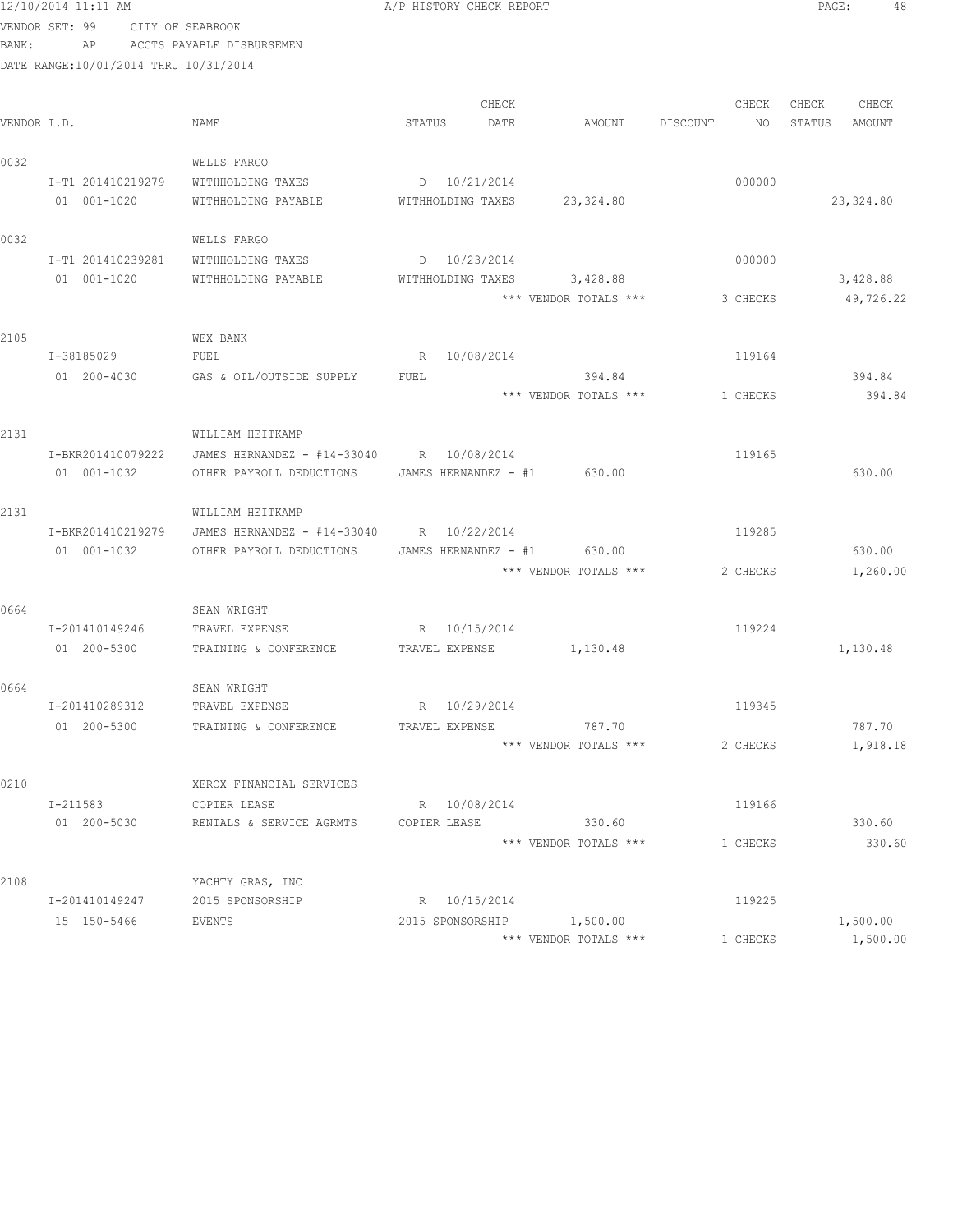|       | 12/10/2014 11:11 AM                   |                                          | A/P HISTORY CHECK REPORT |               |                                 |          |             | PAGE:           | 48              |
|-------|---------------------------------------|------------------------------------------|--------------------------|---------------|---------------------------------|----------|-------------|-----------------|-----------------|
|       | VENDOR SET: 99 CITY OF SEABROOK       |                                          |                          |               |                                 |          |             |                 |                 |
| BANK: | AP                                    | ACCTS PAYABLE DISBURSEMEN                |                          |               |                                 |          |             |                 |                 |
|       | DATE RANGE:10/01/2014 THRU 10/31/2014 |                                          |                          |               |                                 |          |             |                 |                 |
|       |                                       |                                          |                          |               |                                 |          |             |                 |                 |
|       | VENDOR I.D.                           | NAME                                     | STATUS                   | CHECK<br>DATE | AMOUNT                          | DISCOUNT | CHECK<br>NO | CHECK<br>STATUS | CHECK<br>AMOUNT |
|       |                                       |                                          |                          |               |                                 |          |             |                 |                 |
| 0032  |                                       | WELLS FARGO                              |                          |               |                                 |          |             |                 |                 |
|       | I-T1 201410219279                     | WITHHOLDING TAXES                        | $D = 10/21/2014$         |               |                                 |          | 000000      |                 |                 |
|       | 01 001-1020                           | WITHHOLDING PAYABLE                      | WITHHOLDING TAXES        |               | 23,324.80                       |          |             |                 | 23,324.80       |
|       |                                       |                                          |                          |               |                                 |          |             |                 |                 |
| 0032  |                                       | WELLS FARGO                              |                          |               |                                 |          |             |                 |                 |
|       | I-T1 201410239281                     | WITHHOLDING TAXES                        | D 10/23/2014             |               |                                 |          | 000000      |                 |                 |
|       | 01 001-1020                           | WITHHOLDING PAYABLE                      | WITHHOLDING TAXES        |               | 3,428.88                        |          |             |                 | 3,428.88        |
|       |                                       |                                          |                          |               | *** VENDOR TOTALS ***           |          | 3 CHECKS    |                 | 49,726.22       |
|       |                                       |                                          |                          |               |                                 |          |             |                 |                 |
| 2105  |                                       | WEX BANK                                 |                          |               |                                 |          |             |                 |                 |
|       | I-38185029                            | FUEL                                     |                          | R 10/08/2014  |                                 |          | 119164      |                 |                 |
|       | 01 200-4030                           | GAS & OIL/OUTSIDE SUPPLY                 | FUEL                     |               | 394.84                          |          |             |                 | 394.84          |
|       |                                       |                                          |                          |               | *** VENDOR TOTALS ***           |          | 1 CHECKS    |                 | 394.84          |
| 2131  |                                       | WILLIAM HEITKAMP                         |                          |               |                                 |          |             |                 |                 |
|       | I-BKR201410079222                     | JAMES HERNANDEZ - #14-33040 R 10/08/2014 |                          |               |                                 |          | 119165      |                 |                 |
|       | 01 001-1032                           | OTHER PAYROLL DEDUCTIONS                 |                          |               | JAMES HERNANDEZ $-$ #1 630.00   |          |             |                 | 630.00          |
|       |                                       |                                          |                          |               |                                 |          |             |                 |                 |
| 2131  |                                       | WILLIAM HEITKAMP                         |                          |               |                                 |          |             |                 |                 |
|       | I-BKR201410219279                     | JAMES HERNANDEZ - #14-33040 R 10/22/2014 |                          |               |                                 |          | 119285      |                 |                 |
|       | 01 001-1032                           | OTHER PAYROLL DEDUCTIONS                 |                          |               | JAMES HERNANDEZ $-$ #1 630.00   |          |             |                 | 630.00          |
|       |                                       |                                          |                          |               | *** VENDOR TOTALS ***           |          | 2 CHECKS    |                 | 1,260.00        |
|       |                                       |                                          |                          |               |                                 |          |             |                 |                 |
| 0664  |                                       | SEAN WRIGHT                              |                          |               |                                 |          |             |                 |                 |
|       | I-201410149246                        | TRAVEL EXPENSE                           | R 10/15/2014             |               |                                 |          | 119224      |                 |                 |
|       | 01 200-5300                           | TRAINING & CONFERENCE                    | TRAVEL EXPENSE           |               | 1,130.48                        |          |             |                 | 1,130.48        |
|       |                                       |                                          |                          |               |                                 |          |             |                 |                 |
| 0664  |                                       | SEAN WRIGHT                              |                          |               |                                 |          |             |                 |                 |
|       | I-201410289312                        | TRAVEL EXPENSE                           | R 10/29/2014             |               |                                 |          | 119345      |                 |                 |
|       | 01 200-5300                           | TRAINING & CONFERENCE                    | TRAVEL EXPENSE           |               | 787.70<br>*** VENDOR TOTALS *** |          | 2 CHECKS    |                 | 787.70          |
|       |                                       |                                          |                          |               |                                 |          |             |                 | 1,918.18        |
| 0210  |                                       | XEROX FINANCIAL SERVICES                 |                          |               |                                 |          |             |                 |                 |
|       | I-211583                              | COPIER LEASE                             |                          | R 10/08/2014  |                                 |          | 119166      |                 |                 |
|       | 01 200-5030                           | RENTALS & SERVICE AGRMTS                 | COPIER LEASE             |               | 330.60                          |          |             |                 | 330.60          |
|       |                                       |                                          |                          |               | *** VENDOR TOTALS ***           |          | 1 CHECKS    |                 | 330.60          |
|       |                                       |                                          |                          |               |                                 |          |             |                 |                 |
| 2108  |                                       | YACHTY GRAS, INC                         |                          |               |                                 |          |             |                 |                 |
|       | I-201410149247                        | 2015 SPONSORSHIP                         |                          | R 10/15/2014  |                                 |          | 119225      |                 |                 |
|       | 15 150-5466                           | EVENTS                                   | 2015 SPONSORSHIP         |               | 1,500.00                        |          |             |                 | 1,500.00        |
|       |                                       |                                          |                          |               | *** VENDOR TOTALS ***           |          | 1 CHECKS    |                 | 1,500.00        |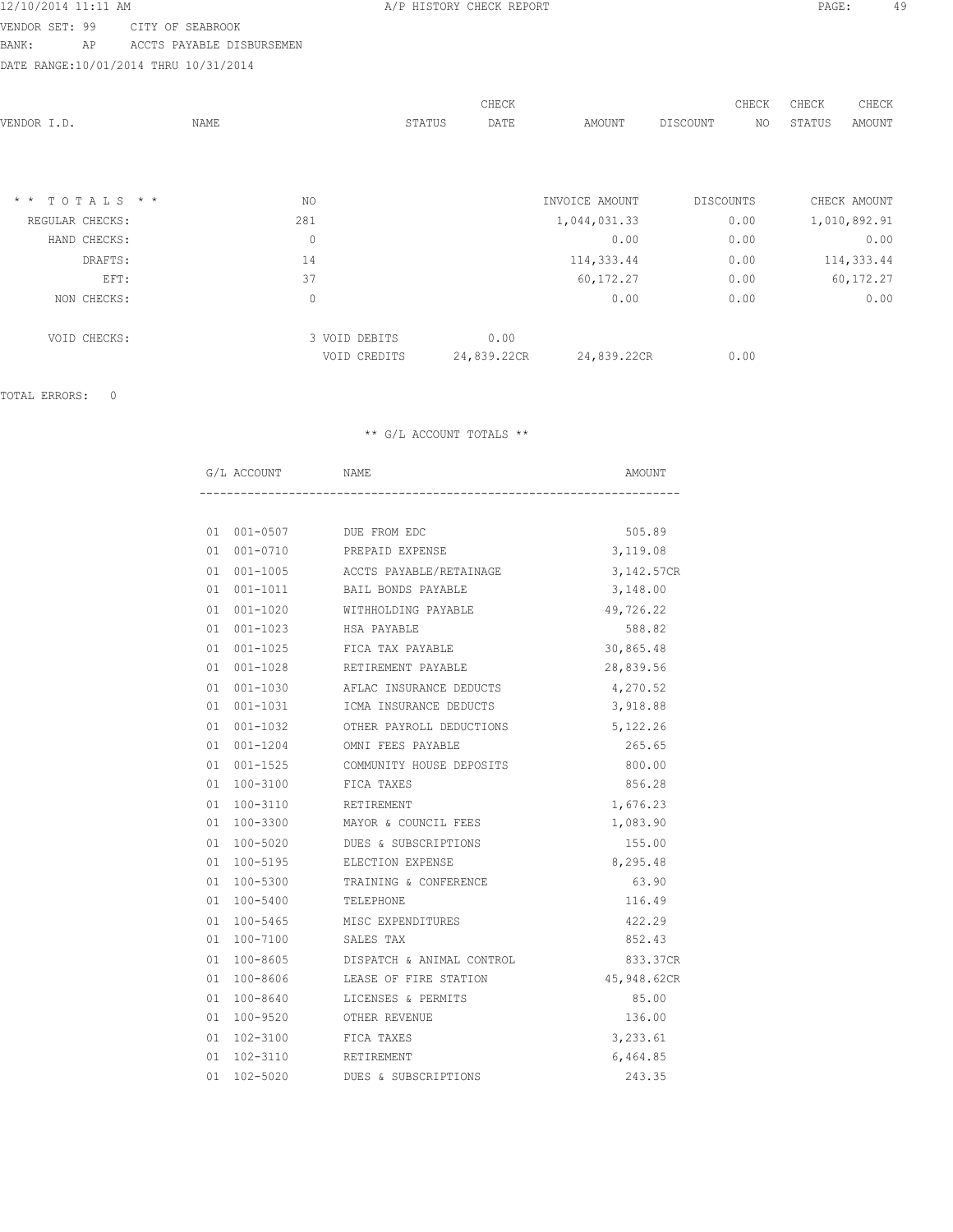VENDOR SET: 99 CITY OF SEABROOK BANK: AP ACCTS PAYABLE DISBURSEMEN

DATE RANGE:10/01/2014 THRU 10/31/2014

| VENDOR I.D.      | NAME        |               | CHECK<br>STATUS<br>DATE | AMOUNT         | DISCOUNT         | CHECK<br>NO | CHECK<br>STATUS | CHECK<br>AMOUNT |
|------------------|-------------|---------------|-------------------------|----------------|------------------|-------------|-----------------|-----------------|
|                  |             |               |                         |                |                  |             |                 |                 |
|                  |             |               |                         |                |                  |             |                 |                 |
| $*$ * TOTALS * * | NO.         |               |                         | INVOICE AMOUNT | <b>DISCOUNTS</b> |             |                 | CHECK AMOUNT    |
| REGULAR CHECKS:  | 281         |               |                         | 1,044,031.33   | 0.00             |             |                 | 1,010,892.91    |
| HAND CHECKS:     | $\mathbb O$ |               |                         | 0.00           | 0.00             |             |                 | 0.00            |
| DRAFTS:          | 14          |               |                         | 114,333.44     | 0.00             |             |                 | 114,333.44      |
| EFT:             | 37          |               |                         | 60,172.27      | 0.00             |             |                 | 60,172.27       |
| NON CHECKS:      | 0           |               |                         | 0.00           | 0.00             |             |                 | 0.00            |
| VOID CHECKS:     |             | 3 VOID DEBITS | 0.00                    |                |                  |             |                 |                 |
|                  |             | VOID CREDITS  | 24,839.22CR             | 24,839.22CR    | 0.00             |             |                 |                 |

TOTAL ERRORS: 0

|              | G/L ACCOUNT NAME                     | AMOUNT      |
|--------------|--------------------------------------|-------------|
|              |                                      |             |
|              | 01  001-0507  DUE FROM EDC           | 505.89      |
| 01 001-0710  | PREPAID EXPENSE                      | 3,119.08    |
|              | 01 001-1005 ACCTS PAYABLE/RETAINAGE  | 3,142.57CR  |
|              | 01 001-1011 BAIL BONDS PAYABLE       | 3,148.00    |
| 01 001-1020  | WITHHOLDING PAYABLE                  | 49,726.22   |
|              |                                      | 588.82      |
|              | 01 001-1025 FICA TAX PAYABLE         | 30,865.48   |
| 01  001-1028 | RETIREMENT PAYABLE                   | 28,839.56   |
|              | 01 001-1030 AFLAC INSURANCE DEDUCTS  | 4,270.52    |
|              | 01 001-1031 ICMA INSURANCE DEDUCTS   | 3,918.88    |
| 01 001-1032  | OTHER PAYROLL DEDUCTIONS             | 5,122.26    |
|              | 01 001-1204 OMNI FEES PAYABLE        | 265.65      |
|              | 01 001-1525 COMMUNITY HOUSE DEPOSITS | 800.00      |
| 01 100-3100  | FICA TAXES                           | 856.28      |
|              | 01  100-3110  RETIREMENT             | 1,676.23    |
|              | 01 100-3300 MAYOR & COUNCIL FEES     | 1,083.90    |
| 01 100-5020  | DUES & SUBSCRIPTIONS                 | 155.00      |
|              | 01 100-5195 ELECTION EXPENSE         | 8,295.48    |
|              | 01 100-5300 TRAINING & CONFERENCE    | 63.90       |
| 01 100-5400  | TELEPHONE                            | 116.49      |
|              | 01 100-5465 MISC EXPENDITURES        | 422.29      |
|              | 01 100-7100 SALES TAX                | 852.43      |
| 01 100-8605  | DISPATCH & ANIMAL CONTROL            | 833.37CR    |
|              | 01 100-8606 LEASE OF FIRE STATION    | 45,948.62CR |
|              | 01 100-8640 LICENSES & PERMITS       | 85.00       |
| 01 100-9520  | OTHER REVENUE                        | 136.00      |
|              | 01 102-3100 FICA TAXES               | 3,233.61    |
|              | 01  102-3110  RETIREMENT             | 6,464.85    |
|              | 01 102-5020 DUES & SUBSCRIPTIONS     | 243.35      |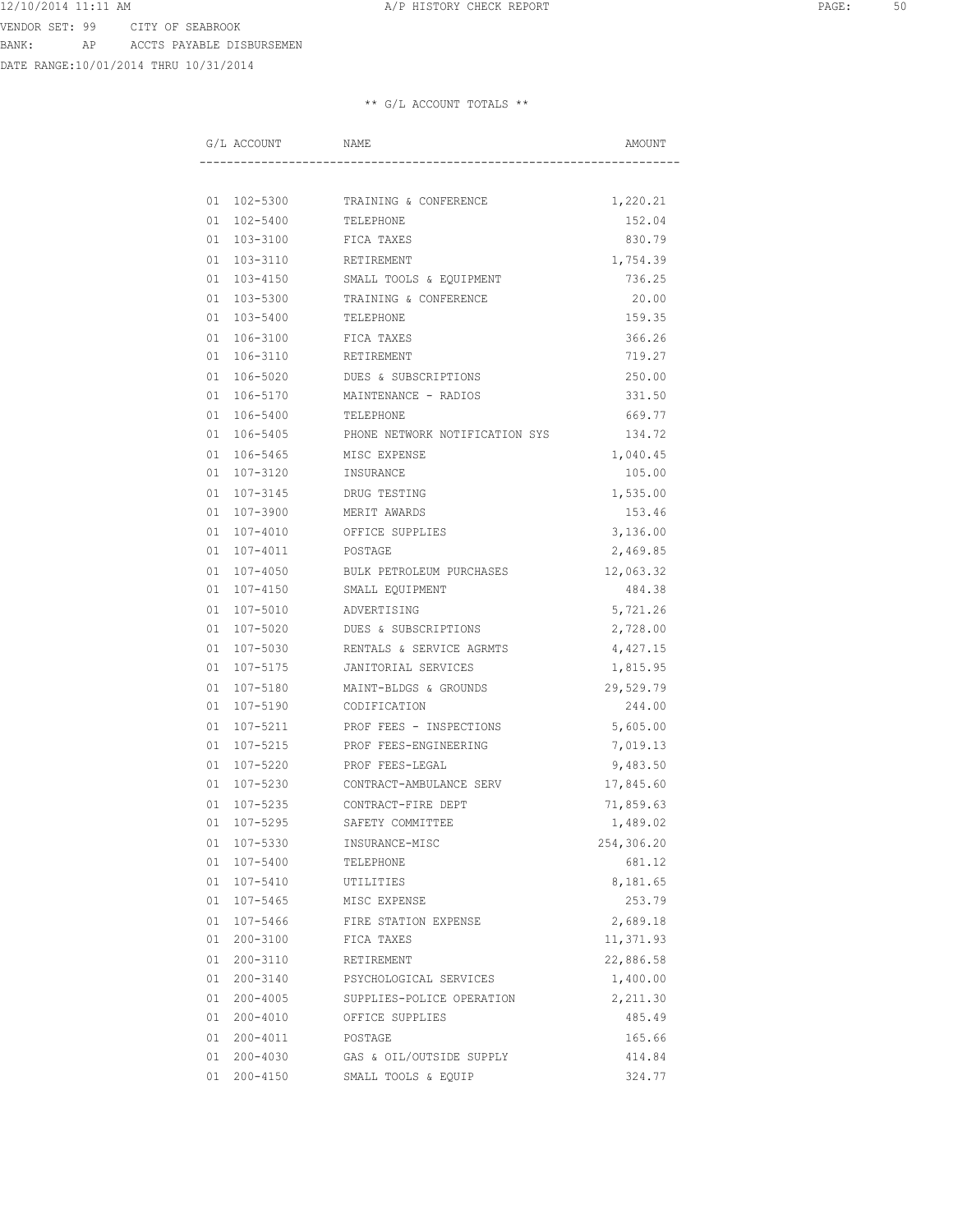DATE RANGE:10/01/2014 THRU 10/31/2014

| G/L ACCOUNT | NAME                           | AMOUNT     |
|-------------|--------------------------------|------------|
|             |                                |            |
| 01 102-5300 | TRAINING & CONFERENCE          | 1,220.21   |
| 01 102-5400 | TELEPHONE                      | 152.04     |
| 01 103-3100 | FICA TAXES                     | 830.79     |
| 01 103-3110 | RETIREMENT                     | 1,754.39   |
| 01 103-4150 | SMALL TOOLS & EQUIPMENT        | 736.25     |
| 01 103-5300 | TRAINING & CONFERENCE          | 20.00      |
| 01 103-5400 | TELEPHONE                      | 159.35     |
| 01 106-3100 | FICA TAXES                     | 366.26     |
| 01 106-3110 | RETIREMENT                     | 719.27     |
| 01 106-5020 | DUES & SUBSCRIPTIONS           | 250.00     |
| 01 106-5170 | MAINTENANCE - RADIOS           | 331.50     |
| 01 106-5400 | TELEPHONE                      | 669.77     |
| 01 106-5405 | PHONE NETWORK NOTIFICATION SYS | 134.72     |
| 01 106-5465 | MISC EXPENSE                   | 1,040.45   |
| 01 107-3120 | INSURANCE                      | 105.00     |
| 01 107-3145 | DRUG TESTING                   | 1,535.00   |
| 01 107-3900 | MERIT AWARDS                   | 153.46     |
| 01 107-4010 | OFFICE SUPPLIES                | 3,136.00   |
| 01 107-4011 | POSTAGE                        | 2,469.85   |
| 01 107-4050 | BULK PETROLEUM PURCHASES       | 12,063.32  |
| 01 107-4150 | SMALL EQUIPMENT                | 484.38     |
| 01 107-5010 | ADVERTISING                    | 5,721.26   |
| 01 107-5020 | DUES & SUBSCRIPTIONS           | 2,728.00   |
| 01 107-5030 | RENTALS & SERVICE AGRMTS       | 4,427.15   |
| 01 107-5175 | JANITORIAL SERVICES            | 1,815.95   |
| 01 107-5180 | MAINT-BLDGS & GROUNDS          | 29,529.79  |
| 01 107-5190 | CODIFICATION                   | 244.00     |
| 01 107-5211 | PROF FEES - INSPECTIONS        | 5,605.00   |
| 01 107-5215 | PROF FEES-ENGINEERING          | 7,019.13   |
| 01 107-5220 | PROF FEES-LEGAL                | 9,483.50   |
| 01 107-5230 | CONTRACT-AMBULANCE SERV        | 17,845.60  |
| 01 107-5235 | CONTRACT-FIRE DEPT             | 71,859.63  |
| 01 107-5295 | SAFETY COMMITTEE               | 1,489.02   |
| 01 107-5330 | INSURANCE-MISC                 | 254,306.20 |
| 01 107-5400 | TELEPHONE                      | 681.12     |
| 01 107-5410 | UTILITIES                      | 8,181.65   |
| 01 107-5465 | MISC EXPENSE                   | 253.79     |
| 01 107-5466 | FIRE STATION EXPENSE           | 2,689.18   |
| 01 200-3100 | FICA TAXES                     | 11,371.93  |
| 01 200-3110 | RETIREMENT                     | 22,886.58  |
| 01 200-3140 | PSYCHOLOGICAL SERVICES         | 1,400.00   |
| 01 200-4005 | SUPPLIES-POLICE OPERATION      | 2,211.30   |
| 01 200-4010 | OFFICE SUPPLIES                | 485.49     |
| 01 200-4011 | POSTAGE                        | 165.66     |
| 01 200-4030 | GAS & OIL/OUTSIDE SUPPLY       | 414.84     |
| 01 200-4150 | SMALL TOOLS & EQUIP            | 324.77     |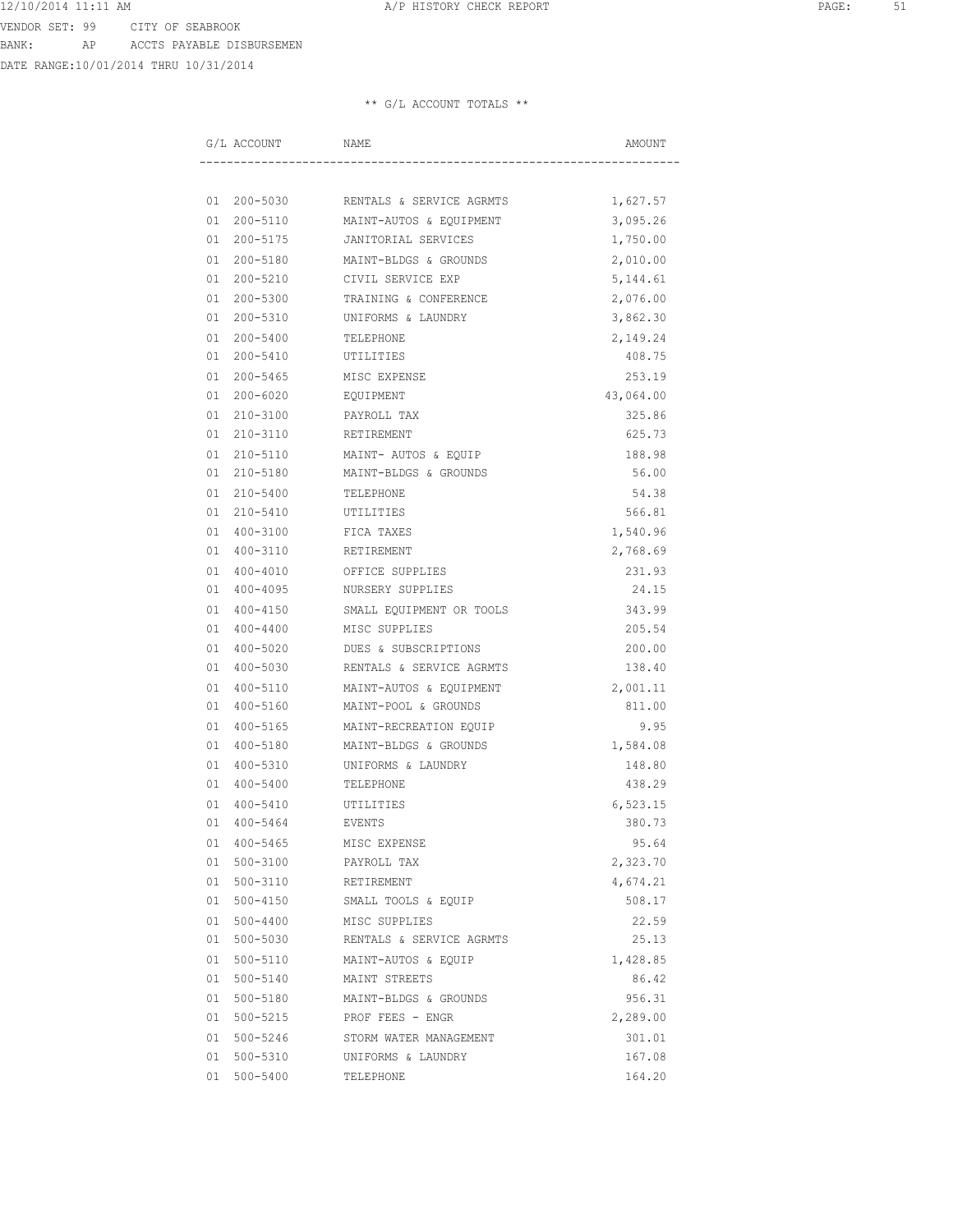DATE RANGE:10/01/2014 THRU 10/31/2014

| G/L ACCOUNT | NAME                     | AMOUNT    |
|-------------|--------------------------|-----------|
|             |                          |           |
| 01 200-5030 | RENTALS & SERVICE AGRMTS | 1,627.57  |
| 01 200-5110 | MAINT-AUTOS & EQUIPMENT  | 3,095.26  |
| 01 200-5175 | JANITORIAL SERVICES      | 1,750.00  |
| 01 200-5180 | MAINT-BLDGS & GROUNDS    | 2,010.00  |
| 01 200-5210 | CIVIL SERVICE EXP        | 5, 144.61 |
| 01 200-5300 | TRAINING & CONFERENCE    | 2,076.00  |
| 01 200-5310 | UNIFORMS & LAUNDRY       | 3,862.30  |
| 01 200-5400 | TELEPHONE                | 2,149.24  |
| 01 200-5410 | UTILITIES                | 408.75    |
| 01 200-5465 | MISC EXPENSE             | 253.19    |
| 01 200-6020 | EQUIPMENT                | 43,064.00 |
| 01 210-3100 | PAYROLL TAX              | 325.86    |
| 01 210-3110 | RETIREMENT               | 625.73    |
| 01 210-5110 | MAINT- AUTOS & EQUIP     | 188.98    |
| 01 210-5180 | MAINT-BLDGS & GROUNDS    | 56.00     |
| 01 210-5400 | TELEPHONE                | 54.38     |
| 01 210-5410 | UTILITIES                | 566.81    |
| 01 400-3100 | FICA TAXES               | 1,540.96  |
| 01 400-3110 | RETIREMENT               | 2,768.69  |
| 01 400-4010 | OFFICE SUPPLIES          | 231.93    |
| 01 400-4095 | NURSERY SUPPLIES         | 24.15     |
| 01 400-4150 | SMALL EQUIPMENT OR TOOLS | 343.99    |
| 01 400-4400 | MISC SUPPLIES            | 205.54    |
| 01 400-5020 | DUES & SUBSCRIPTIONS     | 200.00    |
| 01 400-5030 | RENTALS & SERVICE AGRMTS | 138.40    |
| 01 400-5110 | MAINT-AUTOS & EQUIPMENT  | 2,001.11  |
| 01 400-5160 | MAINT-POOL & GROUNDS     | 811.00    |
| 01 400-5165 | MAINT-RECREATION EQUIP   | 9.95      |
| 01 400-5180 | MAINT-BLDGS & GROUNDS    | 1,584.08  |
| 01 400-5310 | UNIFORMS & LAUNDRY       | 148.80    |
| 01 400-5400 | TELEPHONE                | 438.29    |
| 01 400-5410 | UTILITIES                | 6,523.15  |
| 01 400-5464 | EVENTS                   | 380.73    |
| 01 400-5465 | MISC EXPENSE             | 95.64     |
| 01 500-3100 | PAYROLL TAX              | 2,323.70  |
| 01 500-3110 | RETIREMENT               | 4,674.21  |
| 01 500-4150 | SMALL TOOLS & EQUIP      | 508.17    |
| 01 500-4400 | MISC SUPPLIES            | 22.59     |
| 01 500-5030 | RENTALS & SERVICE AGRMTS | 25.13     |
| 01 500-5110 | MAINT-AUTOS & EQUIP      | 1,428.85  |
| 01 500-5140 | MAINT STREETS            | 86.42     |
| 01 500-5180 | MAINT-BLDGS & GROUNDS    | 956.31    |
| 01 500-5215 | PROF FEES - ENGR         | 2,289.00  |
| 01 500-5246 | STORM WATER MANAGEMENT   | 301.01    |
| 01 500-5310 | UNIFORMS & LAUNDRY       | 167.08    |
| 01 500-5400 | TELEPHONE                | 164.20    |
|             |                          |           |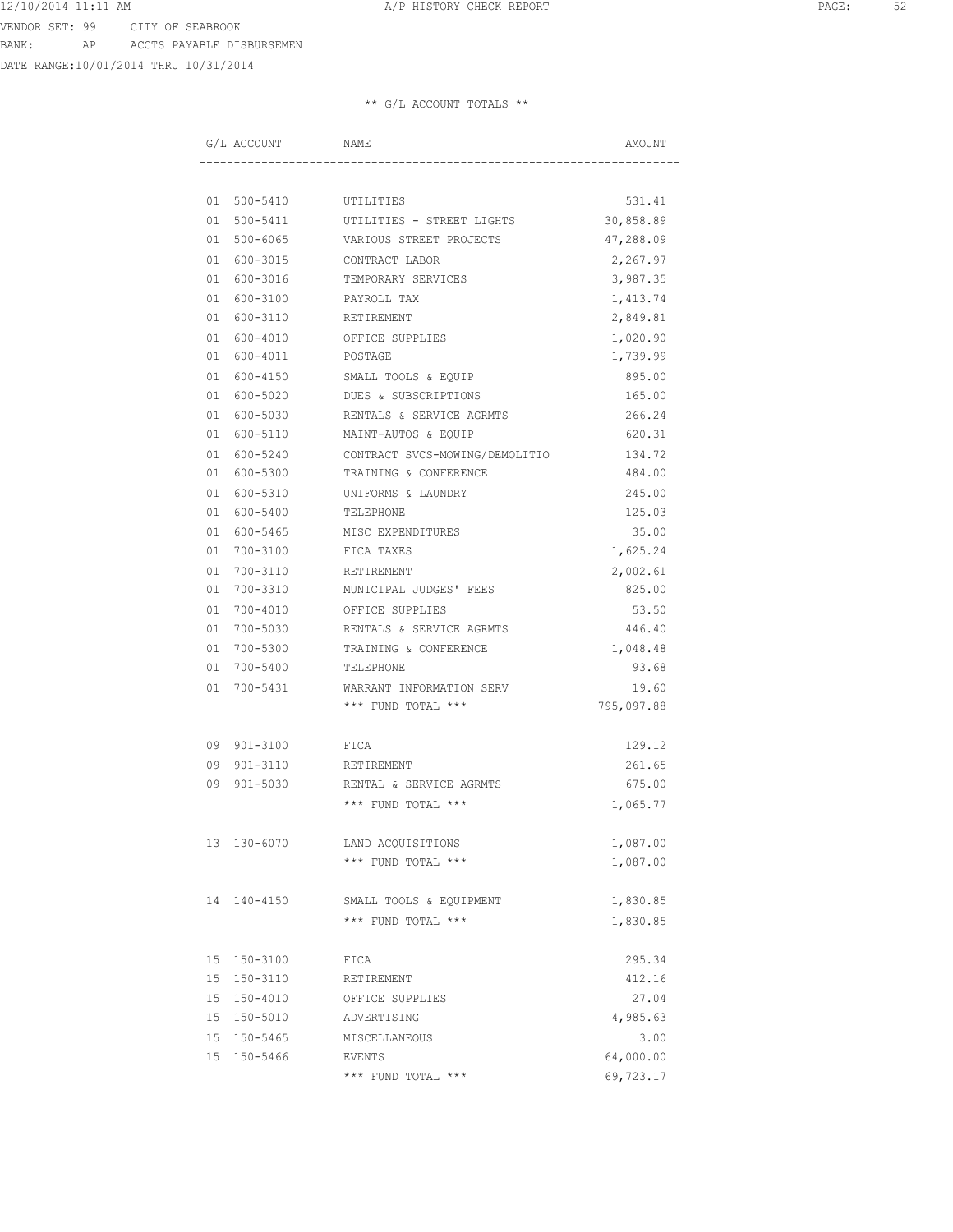DATE RANGE:10/01/2014 THRU 10/31/2014

| G/L ACCOUNT NAME |                                                | AMOUNT     |
|------------------|------------------------------------------------|------------|
|                  |                                                |            |
|                  | 01 500-5410 UTILITIES                          | 531.41     |
| 01 500-5411      | UTILITIES - STREET LIGHTS                      | 30,858.89  |
| 01 500-6065      | VARIOUS STREET PROJECTS                        | 47,288.09  |
| 01 600-3015      | CONTRACT LABOR                                 | 2,267.97   |
| 01 600-3016      | TEMPORARY SERVICES                             | 3,987.35   |
| 01 600-3100      | PAYROLL TAX                                    | 1,413.74   |
|                  | 01 600-3110 RETIREMENT                         | 2,849.81   |
|                  | 01 600-4010 OFFICE SUPPLIES                    | 1,020.90   |
|                  | 01 600-4011 POSTAGE                            | 1,739.99   |
|                  | 01 600-4150 SMALL TOOLS & EQUIP                | 895.00     |
|                  | 01 600-5020 DUES & SUBSCRIPTIONS               | 165.00     |
| 01 600-5030      | RENTALS & SERVICE AGRMTS                       | 266.24     |
| 01 600-5110      | MAINT-AUTOS & EQUIP                            | 620.31     |
| 01 600-5240      | CONTRACT SVCS-MOWING/DEMOLITIO                 | 134.72     |
| 01 600-5300      | TRAINING & CONFERENCE                          | 484.00     |
| 01 600-5310      | UNIFORMS & LAUNDRY                             | 245.00     |
| 01 600-5400      | TELEPHONE                                      | 125.03     |
| 01 600-5465      | MISC EXPENDITURES                              | 35.00      |
|                  | 01 700-3100 FICA TAXES                         | 1,625.24   |
|                  | 01 700-3110 RETIREMENT                         | 2,002.61   |
|                  | 01 700-3310 MUNICIPAL JUDGES' FEES             | 825.00     |
|                  | 01 700-4010 OFFICE SUPPLIES                    | 53.50      |
|                  | 01 700-5030 RENTALS & SERVICE AGRMTS           | 446.40     |
| 01 700-5300      | TRAINING & CONFERENCE                          | 1,048.48   |
| 01 700-5400      | TELEPHONE                                      | 93.68      |
|                  |                                                |            |
| 01 700-5431      | WARRANT INFORMATION SERV<br>*** FUND TOTAL *** | 19.60      |
|                  |                                                | 795,097.88 |
| 09 901-3100      | FICA                                           | 129.12     |
|                  | 09 901-3110 RETIREMENT                         | 261.65     |
| 09 901-5030      | RENTAL & SERVICE AGRMTS                        | 675.00     |
|                  | *** FUND TOTAL ***                             | 1,065.77   |
| 13 130-6070      | LAND ACQUISITIONS                              | 1,087.00   |
|                  | *** FUND TOTAL ***                             | 1,087.00   |
|                  |                                                |            |
| 14 140-4150      | SMALL TOOLS & EQUIPMENT                        | 1,830.85   |
|                  | *** FUND TOTAL ***                             | 1,830.85   |
| 15 150-3100      | FICA                                           | 295.34     |
| 15 150-3110      | RETIREMENT                                     | 412.16     |
| 15 150-4010      | OFFICE SUPPLIES                                | 27.04      |
| 15 150-5010      | ADVERTISING                                    | 4,985.63   |
| 15 150-5465      | MISCELLANEOUS                                  | 3.00       |
| 15 150-5466      | EVENTS                                         | 64,000.00  |
|                  | *** FUND TOTAL ***                             | 69,723.17  |
|                  |                                                |            |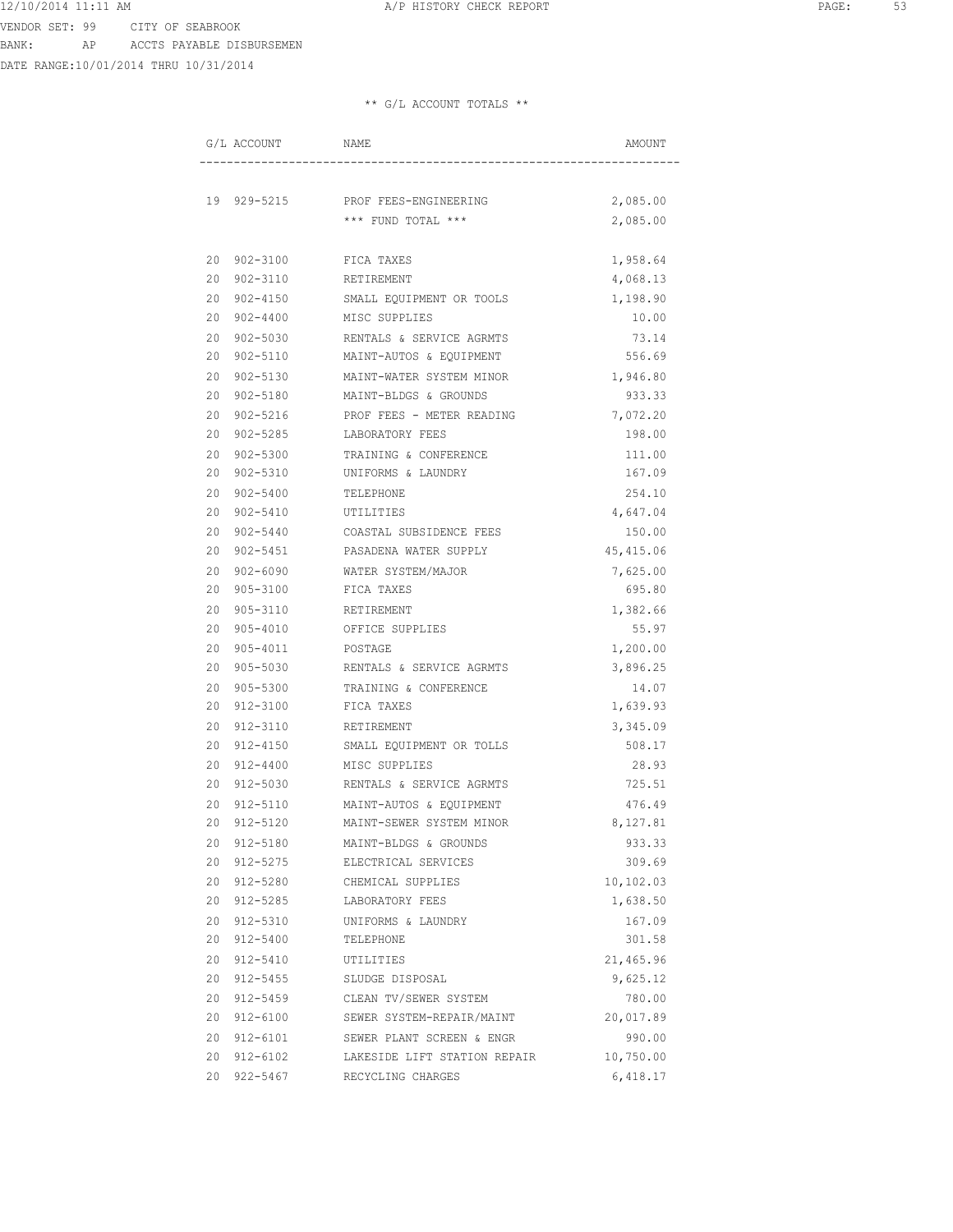VENDOR SET: 99 CITY OF SEABROOK BANK: AP ACCTS PAYABLE DISBURSEMEN

DATE RANGE:10/01/2014 THRU 10/31/2014

|    | G/L ACCOUNT  | NAME                         | AMOUNT     |
|----|--------------|------------------------------|------------|
|    |              |                              |            |
|    | 19 929-5215  | PROF FEES-ENGINEERING        | 2,085.00   |
|    |              | *** FUND TOTAL ***           | 2,085.00   |
|    | 20 902-3100  | FICA TAXES                   | 1,958.64   |
| 20 | 902-3110     | RETIREMENT                   | 4,068.13   |
| 20 | $902 - 4150$ | SMALL EQUIPMENT OR TOOLS     | 1,198.90   |
| 20 | $902 - 4400$ | MISC SUPPLIES                | 10.00      |
| 20 | $902 - 5030$ | RENTALS & SERVICE AGRMTS     | 73.14      |
| 20 | $902 - 5110$ | MAINT-AUTOS & EQUIPMENT      | 556.69     |
| 20 | $902 - 5130$ | MAINT-WATER SYSTEM MINOR     | 1,946.80   |
| 20 | $902 - 5180$ | MAINT-BLDGS & GROUNDS        | 933.33     |
| 20 | $902 - 5216$ | PROF FEES - METER READING    | 7,072.20   |
| 20 | 902-5285     | LABORATORY FEES              | 198.00     |
| 20 | 902-5300     | TRAINING & CONFERENCE        | 111.00     |
| 20 | 902-5310     | UNIFORMS & LAUNDRY           | 167.09     |
| 20 | $902 - 5400$ | TELEPHONE                    | 254.10     |
| 20 | 902-5410     | UTILITIES                    | 4,647.04   |
| 20 | $902 - 5440$ | COASTAL SUBSIDENCE FEES      | 150.00     |
| 20 | $902 - 5451$ | PASADENA WATER SUPPLY        | 45, 415.06 |
| 20 | $902 - 6090$ | WATER SYSTEM/MAJOR           | 7,625.00   |
| 20 | $905 - 3100$ | FICA TAXES                   | 695.80     |
| 20 | 905-3110     | RETIREMENT                   | 1,382.66   |
| 20 | 905-4010     | OFFICE SUPPLIES              | 55.97      |
| 20 | 905-4011     | POSTAGE                      | 1,200.00   |
| 20 | 905-5030     | RENTALS & SERVICE AGRMTS     | 3,896.25   |
| 20 | 905-5300     | TRAINING & CONFERENCE        | 14.07      |
| 20 | 912-3100     | FICA TAXES                   | 1,639.93   |
| 20 | 912-3110     | RETIREMENT                   | 3,345.09   |
| 20 | 912-4150     | SMALL EQUIPMENT OR TOLLS     | 508.17     |
| 20 | 912-4400     | MISC SUPPLIES                | 28.93      |
| 20 | 912-5030     | RENTALS & SERVICE AGRMTS     | 725.51     |
| 20 | 912-5110     | MAINT-AUTOS & EQUIPMENT      | 476.49     |
| 20 | 912-5120     | MAINT-SEWER SYSTEM MINOR     | 8,127.81   |
|    | 20 912-5180  | MAINT-BLDGS & GROUNDS        | 933.33     |
| 20 | 912-5275     | ELECTRICAL SERVICES          | 309.69     |
|    | 20 912-5280  | CHEMICAL SUPPLIES            | 10,102.03  |
|    | 20 912-5285  | LABORATORY FEES              | 1,638.50   |
|    | 20 912-5310  | UNIFORMS & LAUNDRY           | 167.09     |
|    | 20 912-5400  | TELEPHONE                    | 301.58     |
|    | 20 912-5410  | UTILITIES                    | 21,465.96  |
|    | 20 912-5455  | SLUDGE DISPOSAL              | 9,625.12   |
|    | 20 912-5459  | CLEAN TV/SEWER SYSTEM        | 780.00     |
|    | 20 912-6100  | SEWER SYSTEM-REPAIR/MAINT    | 20,017.89  |
|    | 20 912-6101  | SEWER PLANT SCREEN & ENGR    | 990.00     |
| 20 | $912 - 6102$ | LAKESIDE LIFT STATION REPAIR | 10,750.00  |
|    | 20 922-5467  | RECYCLING CHARGES            | 6,418.17   |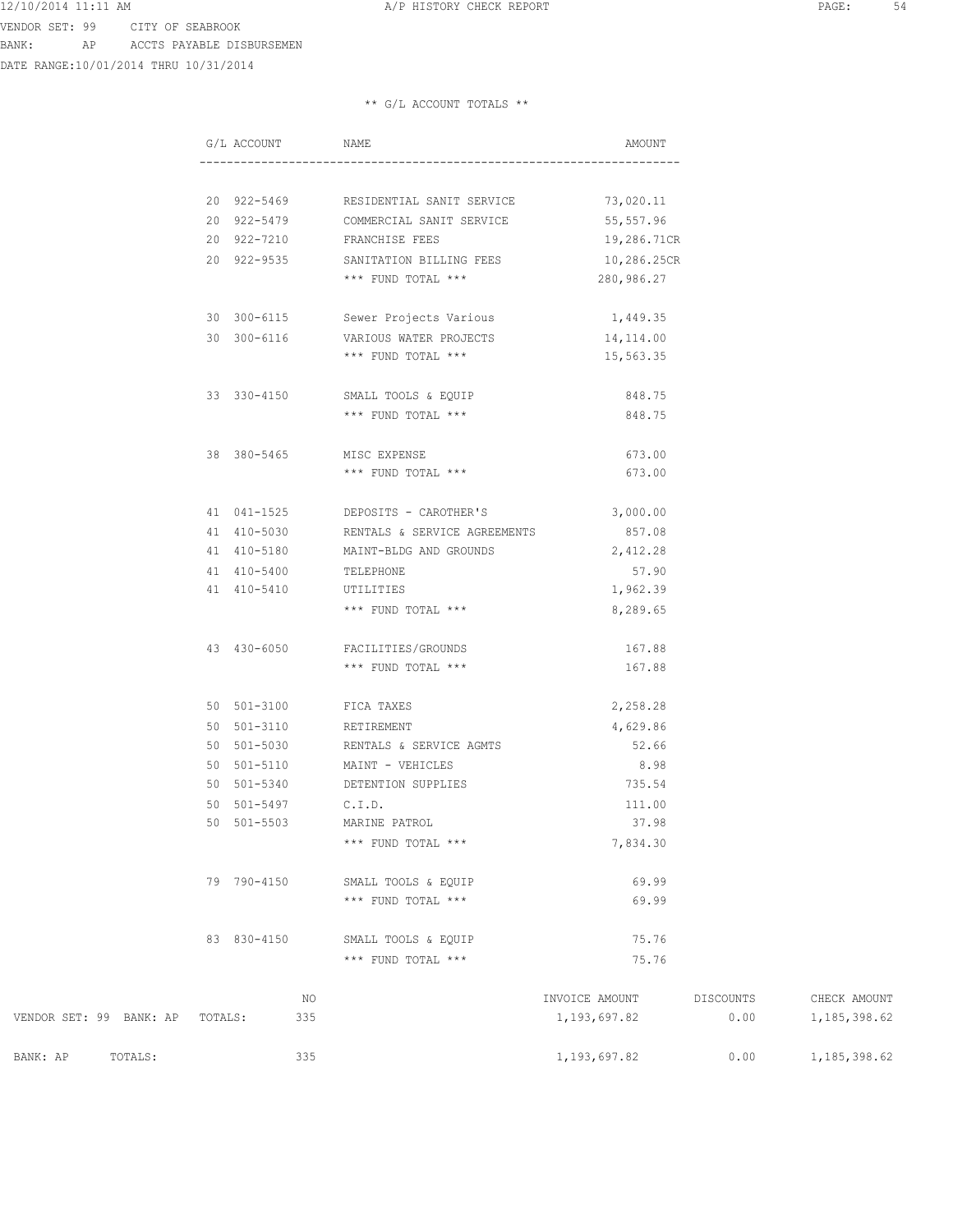VENDOR SET: 99 CITY OF SEABROOK BANK: AP ACCTS PAYABLE DISBURSEMEN

DATE RANGE:10/01/2014 THRU 10/31/2014

## \*\* G/L ACCOUNT TOTALS \*\*

|                         |         | G/L ACCOUNT |     | NAME                                            | AMOUNT         |           |                |
|-------------------------|---------|-------------|-----|-------------------------------------------------|----------------|-----------|----------------|
|                         |         |             |     |                                                 |                |           |                |
|                         |         |             |     | 20 922-5469 RESIDENTIAL SANIT SERVICE 73,020.11 |                |           |                |
|                         |         |             |     | 20 922-5479 COMMERCIAL SANIT SERVICE 55,557.96  |                |           |                |
|                         |         |             |     | 20 922-7210 FRANCHISE FEES                      | 19,286.71CR    |           |                |
|                         |         |             |     | 20 922-9535 SANITATION BILLING FEES 10,286.25CR |                |           |                |
|                         |         |             |     | *** FUND TOTAL ***                              | 280,986.27     |           |                |
|                         |         |             |     |                                                 |                |           |                |
|                         |         | 30 300-6115 |     | Sewer Projects Various                          | 1,449.35       |           |                |
|                         |         | 30 300-6116 |     | VARIOUS WATER PROJECTS                          | 14,114.00      |           |                |
|                         |         |             |     | *** FUND TOTAL ***                              | 15,563.35      |           |                |
|                         |         |             |     |                                                 |                |           |                |
|                         |         | 33 330-4150 |     | SMALL TOOLS & EQUIP                             | 848.75         |           |                |
|                         |         |             |     | *** FUND TOTAL ***                              | 848.75         |           |                |
|                         |         | 38 380-5465 |     | MISC EXPENSE                                    | 673.00         |           |                |
|                         |         |             |     | *** FUND TOTAL ***                              | 673.00         |           |                |
|                         |         |             |     |                                                 |                |           |                |
|                         |         |             |     | 41 041-1525 DEPOSITS - CAROTHER'S               | 3,000.00       |           |                |
|                         |         | 41 410-5030 |     | RENTALS & SERVICE AGREEMENTS                    | 857.08         |           |                |
|                         |         | 41 410-5180 |     | MAINT-BLDG AND GROUNDS                          | 2,412.28       |           |                |
|                         |         | 41 410-5400 |     | TELEPHONE                                       | 57.90          |           |                |
|                         |         | 41 410-5410 |     | UTILITIES                                       | 1,962.39       |           |                |
|                         |         |             |     | *** FUND TOTAL ***                              | 8,289.65       |           |                |
|                         |         | 43 430-6050 |     | FACILITIES/GROUNDS                              | 167.88         |           |                |
|                         |         |             |     | *** FUND TOTAL ***                              | 167.88         |           |                |
|                         |         |             |     |                                                 |                |           |                |
|                         |         |             |     | 50 501-3100 FICA TAXES                          | 2,258.28       |           |                |
|                         |         | 50 501-3110 |     | RETIREMENT                                      | 4,629.86       |           |                |
|                         |         | 50 501-5030 |     | RENTALS & SERVICE AGMTS                         | 52.66          |           |                |
|                         |         | 50 501-5110 |     | MAINT - VEHICLES                                | 8.98           |           |                |
|                         |         | 50 501-5340 |     | DETENTION SUPPLIES                              | 735.54         |           |                |
|                         |         | 50 501-5497 |     | C.I.D.                                          | 111.00         |           |                |
|                         |         | 50 501-5503 |     | MARINE PATROL                                   | 37.98          |           |                |
|                         |         |             |     | *** FUND TOTAL ***                              | 7,834.30       |           |                |
|                         |         |             |     |                                                 |                |           |                |
|                         |         | 79 790-4150 |     | SMALL TOOLS & EQUIP                             | 69.99          |           |                |
|                         |         |             |     | *** FUND TOTAL ***                              | 69.99          |           |                |
|                         |         | 83 830-4150 |     |                                                 | 75.76          |           |                |
|                         |         |             |     | SMALL TOOLS & EQUIP<br>*** FUND TOTAL ***       | 75.76          |           |                |
|                         |         |             |     |                                                 |                |           |                |
|                         |         |             | NO  |                                                 | INVOICE AMOUNT | DISCOUNTS | CHECK AMOUNT   |
| VENDOR SET: 99 BANK: AP | TOTALS: |             | 335 |                                                 | 1, 193, 697.82 | 0.00      | 1, 185, 398.62 |

BANK: AP TOTALS: 335 335 1,193,697.82 0.00 1,185,398.62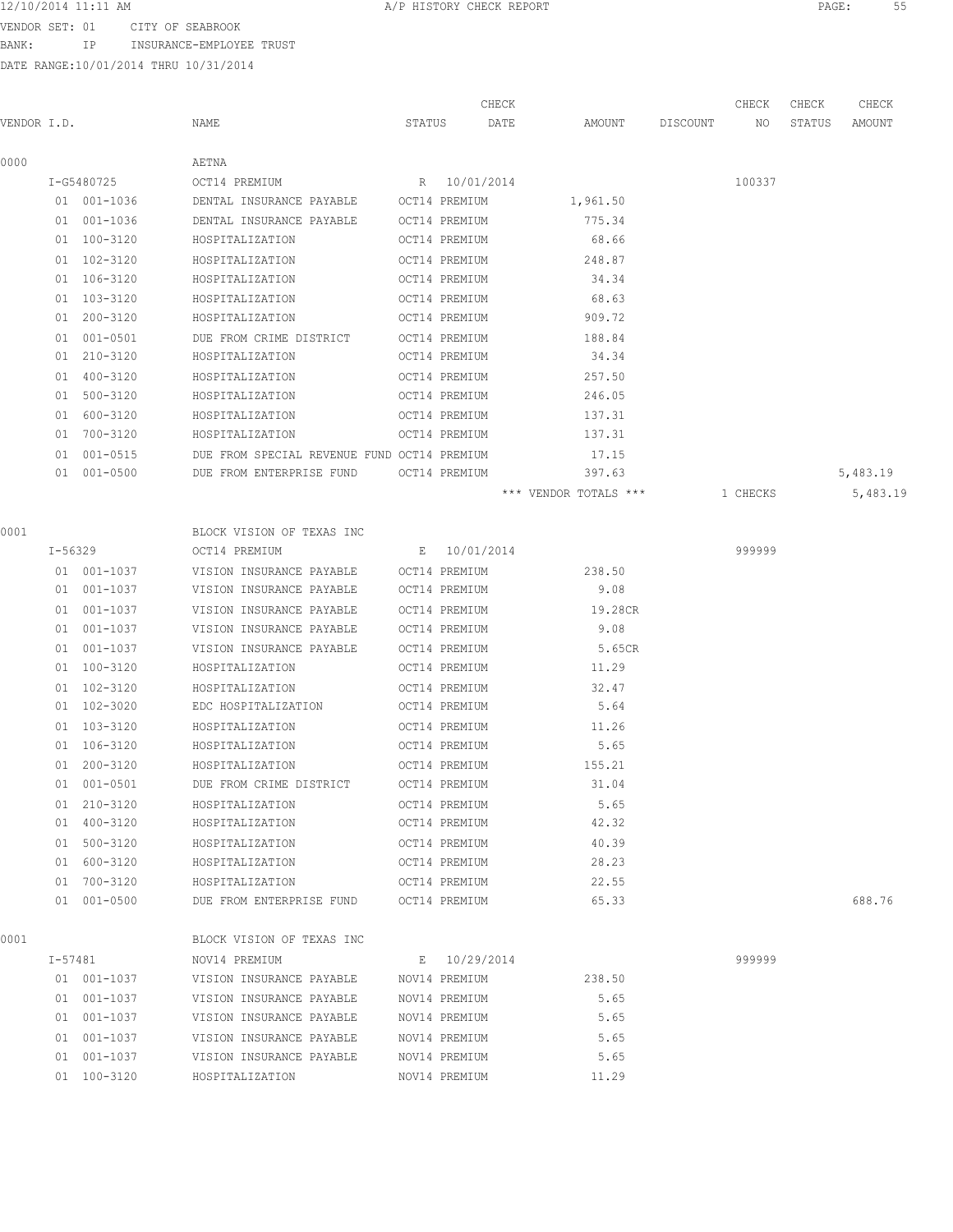12/10/2014 11:11 AM A/P HISTORY CHECK REPORT PAGE: 55 VENDOR SET: 01 CITY OF SEABROOK

BANK: IP INSURANCE-EMPLOYEE TRUST

|             |         |                            |                                             |        |               | CHECK |                       |          | CHECK    | CHECK  | CHECK    |
|-------------|---------|----------------------------|---------------------------------------------|--------|---------------|-------|-----------------------|----------|----------|--------|----------|
| VENDOR I.D. |         |                            | NAME                                        | STATUS |               | DATE  | AMOUNT                | DISCOUNT | NO       | STATUS | AMOUNT   |
|             |         |                            |                                             |        |               |       |                       |          |          |        |          |
| 0000        |         |                            | AETNA                                       |        |               |       |                       |          |          |        |          |
|             |         | I-G5480725                 | OCT14 PREMIUM                               |        | R 10/01/2014  |       |                       |          | 100337   |        |          |
|             |         | 01 001-1036                | DENTAL INSURANCE PAYABLE                    |        | OCT14 PREMIUM |       | 1,961.50              |          |          |        |          |
|             |         | 01 001-1036<br>01 100-3120 | DENTAL INSURANCE PAYABLE                    |        | OCT14 PREMIUM |       | 775.34                |          |          |        |          |
|             |         |                            | HOSPITALIZATION                             |        | OCT14 PREMIUM |       | 68.66                 |          |          |        |          |
|             |         | 01 102-3120                | HOSPITALIZATION                             |        | OCT14 PREMIUM |       | 248.87                |          |          |        |          |
|             |         | 01 106-3120                | HOSPITALIZATION                             |        | OCT14 PREMIUM |       | 34.34                 |          |          |        |          |
|             |         | 01 103-3120                | HOSPITALIZATION                             |        | OCT14 PREMIUM |       | 68.63                 |          |          |        |          |
|             | 01      | $200 - 3120$               | HOSPITALIZATION                             |        | OCT14 PREMIUM |       | 909.72                |          |          |        |          |
|             | 01      | $001 - 0501$               | DUE FROM CRIME DISTRICT                     |        | OCT14 PREMIUM |       | 188.84                |          |          |        |          |
|             | 01      | 210-3120                   | HOSPITALIZATION                             |        | OCT14 PREMIUM |       | 34.34                 |          |          |        |          |
|             | 01      | 400-3120                   | HOSPITALIZATION                             |        | OCT14 PREMIUM |       | 257.50                |          |          |        |          |
|             |         | 01 500-3120                | HOSPITALIZATION                             |        | OCT14 PREMIUM |       | 246.05                |          |          |        |          |
|             |         | 01 600-3120                | HOSPITALIZATION                             |        | OCT14 PREMIUM |       | 137.31                |          |          |        |          |
|             |         | 01 700-3120                | HOSPITALIZATION                             |        | OCT14 PREMIUM |       | 137.31                |          |          |        |          |
|             |         | 01 001-0515                | DUE FROM SPECIAL REVENUE FUND OCT14 PREMIUM |        |               |       | 17.15                 |          |          |        |          |
|             |         | $01 001 - 0500$            | DUE FROM ENTERPRISE FUND                    |        | OCT14 PREMIUM |       | 397.63                |          |          |        | 5,483.19 |
|             |         |                            |                                             |        |               |       | *** VENDOR TOTALS *** |          | 1 CHECKS |        | 5,483.19 |
| 0001        |         |                            | BLOCK VISION OF TEXAS INC                   |        |               |       |                       |          |          |        |          |
|             |         | I-56329                    | OCT14 PREMIUM                               |        | E 10/01/2014  |       |                       |          | 999999   |        |          |
|             |         | 01 001-1037                | VISION INSURANCE PAYABLE                    |        | OCT14 PREMIUM |       | 238.50                |          |          |        |          |
|             |         | 01 001-1037                | VISION INSURANCE PAYABLE                    |        | OCT14 PREMIUM |       | 9.08                  |          |          |        |          |
|             |         | 01 001-1037                | VISION INSURANCE PAYABLE                    |        | OCT14 PREMIUM |       | 19.28CR               |          |          |        |          |
|             |         | 01 001-1037                | VISION INSURANCE PAYABLE                    |        | OCT14 PREMIUM |       | 9.08                  |          |          |        |          |
|             |         | 01 001-1037                | VISION INSURANCE PAYABLE                    |        | OCT14 PREMIUM |       | 5.65CR                |          |          |        |          |
|             |         | 01 100-3120                | HOSPITALIZATION                             |        | OCT14 PREMIUM |       | 11.29                 |          |          |        |          |
|             |         | 01 102-3120                | HOSPITALIZATION                             |        | OCT14 PREMIUM |       | 32.47                 |          |          |        |          |
|             |         | 01 102-3020                | EDC HOSPITALIZATION                         |        | OCT14 PREMIUM |       | 5.64                  |          |          |        |          |
|             |         | 01 103-3120                | HOSPITALIZATION                             |        | OCT14 PREMIUM |       | 11.26                 |          |          |        |          |
|             |         | 01 106-3120                | HOSPITALIZATION                             |        | OCT14 PREMIUM |       | 5.65                  |          |          |        |          |
|             |         | 01 200-3120                | HOSPITALIZATION                             |        | OCT14 PREMIUM |       | 155.21                |          |          |        |          |
|             |         | 01 001-0501                | DUE FROM CRIME DISTRICT                     |        | OCT14 PREMIUM |       | 31.04                 |          |          |        |          |
|             |         | 01 210-3120                | HOSPITALIZATION                             |        | OCT14 PREMIUM |       | 5.65                  |          |          |        |          |
|             |         | 01 400-3120                | HOSPITALIZATION                             |        | OCT14 PREMIUM |       | 42.32                 |          |          |        |          |
|             |         | 01 500-3120                | HOSPITALIZATION                             |        | OCT14 PREMIUM |       | 40.39                 |          |          |        |          |
|             |         | 01 600-3120                | HOSPITALIZATION                             |        | OCT14 PREMIUM |       | 28.23                 |          |          |        |          |
|             |         | 01 700-3120                | HOSPITALIZATION                             |        | OCT14 PREMIUM |       | 22.55                 |          |          |        |          |
|             |         | 01 001-0500                | DUE FROM ENTERPRISE FUND                    |        | OCT14 PREMIUM |       | 65.33                 |          |          |        | 688.76   |
|             |         |                            |                                             |        |               |       |                       |          |          |        |          |
| 0001        |         |                            | BLOCK VISION OF TEXAS INC                   |        |               |       |                       |          |          |        |          |
|             | I-57481 |                            | NOV14 PREMIUM                               |        | E 10/29/2014  |       |                       |          | 999999   |        |          |
|             |         | 01 001-1037                | VISION INSURANCE PAYABLE                    |        | NOV14 PREMIUM |       | 238.50                |          |          |        |          |
|             |         | 01 001-1037                | VISION INSURANCE PAYABLE                    |        | NOV14 PREMIUM |       | 5.65                  |          |          |        |          |
|             |         | 01 001-1037                | VISION INSURANCE PAYABLE                    |        | NOV14 PREMIUM |       | 5.65                  |          |          |        |          |
|             |         | 01 001-1037                | VISION INSURANCE PAYABLE                    |        | NOV14 PREMIUM |       | 5.65                  |          |          |        |          |
|             |         | 01 001-1037                | VISION INSURANCE PAYABLE                    |        | NOV14 PREMIUM |       | 5.65                  |          |          |        |          |
|             |         | 01 100-3120                | HOSPITALIZATION                             |        | NOV14 PREMIUM |       | 11.29                 |          |          |        |          |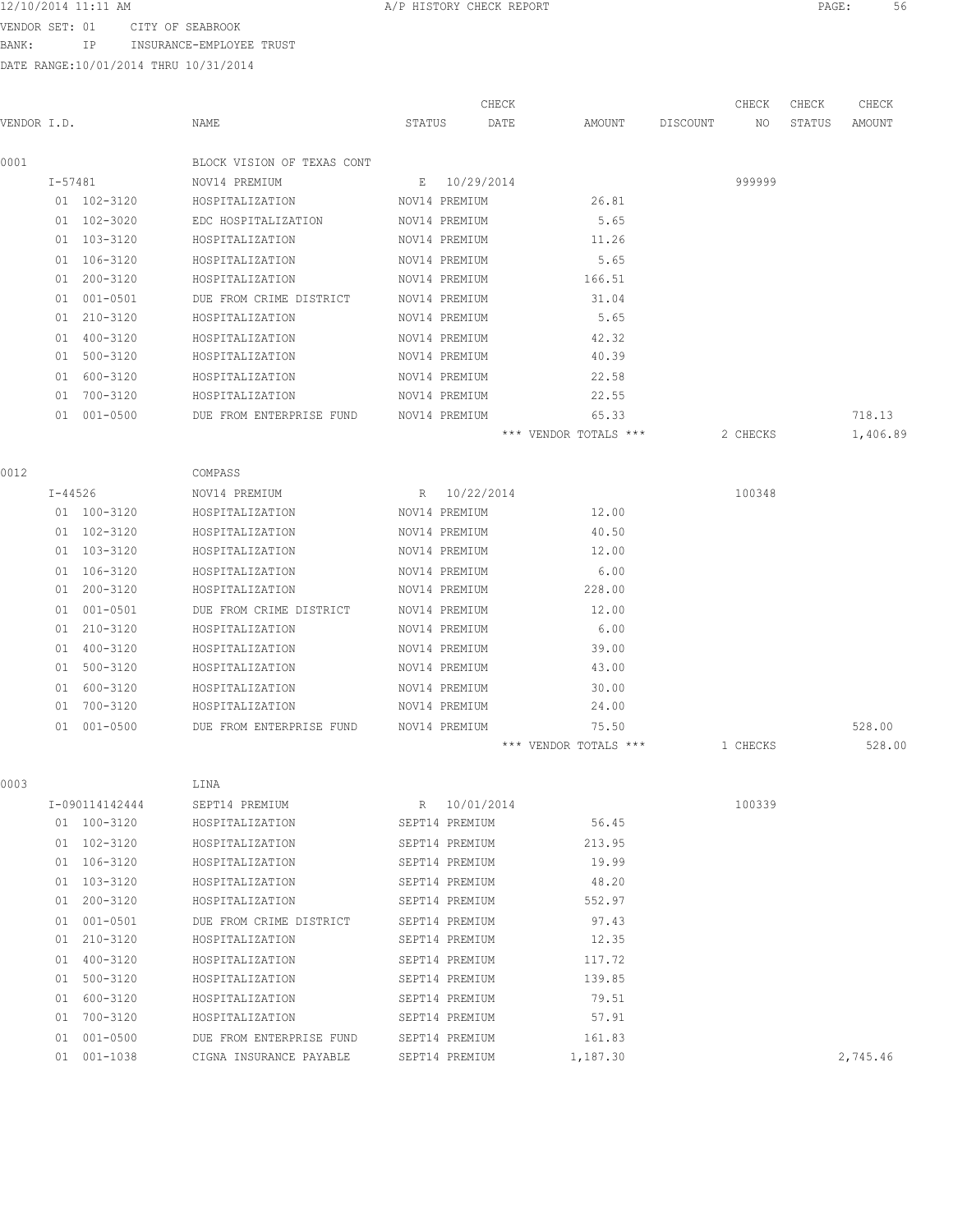VENDOR SET: 01 CITY OF SEABROOK

BANK: IP INSURANCE-EMPLOYEE TRUST

|             |             |                |                            |        |                | CHECK |                       |          | CHECK    | CHECK  | CHECK    |
|-------------|-------------|----------------|----------------------------|--------|----------------|-------|-----------------------|----------|----------|--------|----------|
| VENDOR I.D. |             |                | NAME                       | STATUS |                | DATE  | AMOUNT                | DISCOUNT | NO       | STATUS | AMOUNT   |
| 0001        |             |                | BLOCK VISION OF TEXAS CONT |        |                |       |                       |          |          |        |          |
|             | $I - 57481$ |                | NOV14 PREMIUM              | Ε      | 10/29/2014     |       |                       |          | 999999   |        |          |
|             |             | 01 102-3120    | HOSPITALIZATION            |        | NOV14 PREMIUM  |       | 26.81                 |          |          |        |          |
|             |             | 01 102-3020    | EDC HOSPITALIZATION        |        | NOV14 PREMIUM  |       | 5.65                  |          |          |        |          |
|             |             | 01 103-3120    | HOSPITALIZATION            |        | NOV14 PREMIUM  |       | 11.26                 |          |          |        |          |
|             |             | 01 106-3120    | HOSPITALIZATION            |        | NOV14 PREMIUM  |       | 5.65                  |          |          |        |          |
|             |             | 01 200-3120    | HOSPITALIZATION            |        | NOV14 PREMIUM  |       | 166.51                |          |          |        |          |
|             |             | 01 001-0501    | DUE FROM CRIME DISTRICT    |        | NOV14 PREMIUM  |       | 31.04                 |          |          |        |          |
|             |             | 01 210-3120    | HOSPITALIZATION            |        | NOV14 PREMIUM  |       | 5.65                  |          |          |        |          |
|             | 01          | 400-3120       | HOSPITALIZATION            |        | NOV14 PREMIUM  |       | 42.32                 |          |          |        |          |
|             | 01          | 500-3120       | HOSPITALIZATION            |        | NOV14 PREMIUM  |       | 40.39                 |          |          |        |          |
|             | 01          | 600-3120       | HOSPITALIZATION            |        | NOV14 PREMIUM  |       | 22.58                 |          |          |        |          |
|             | 01          | 700-3120       | HOSPITALIZATION            |        | NOV14 PREMIUM  |       | 22.55                 |          |          |        |          |
|             |             | 01 001-0500    | DUE FROM ENTERPRISE FUND   |        | NOV14 PREMIUM  |       | 65.33                 |          |          |        | 718.13   |
|             |             |                |                            |        |                |       | *** VENDOR TOTALS *** |          | 2 CHECKS |        | 1,406.89 |
| 0012        |             |                | COMPASS                    |        |                |       |                       |          |          |        |          |
|             | $I - 44526$ |                | NOV14 PREMIUM              | R      | 10/22/2014     |       |                       |          | 100348   |        |          |
|             |             | 01 100-3120    | HOSPITALIZATION            |        | NOV14 PREMIUM  |       | 12.00                 |          |          |        |          |
|             |             | 01 102-3120    | HOSPITALIZATION            |        | NOV14 PREMIUM  |       | 40.50                 |          |          |        |          |
|             |             | 01 103-3120    | HOSPITALIZATION            |        | NOV14 PREMIUM  |       | 12.00                 |          |          |        |          |
|             |             | 01 106-3120    | HOSPITALIZATION            |        | NOV14 PREMIUM  |       | 6.00                  |          |          |        |          |
|             |             | 01 200-3120    | HOSPITALIZATION            |        | NOV14 PREMIUM  |       | 228.00                |          |          |        |          |
|             |             | 01 001-0501    | DUE FROM CRIME DISTRICT    |        | NOV14 PREMIUM  |       | 12.00                 |          |          |        |          |
|             | 01          | $210 - 3120$   | HOSPITALIZATION            |        | NOV14 PREMIUM  |       | 6.00                  |          |          |        |          |
|             | 01          | 400-3120       | HOSPITALIZATION            |        | NOV14 PREMIUM  |       | 39.00                 |          |          |        |          |
|             | 01          | 500-3120       | HOSPITALIZATION            |        | NOV14 PREMIUM  |       | 43.00                 |          |          |        |          |
|             | 01          | 600-3120       | HOSPITALIZATION            |        | NOV14 PREMIUM  |       | 30.00                 |          |          |        |          |
|             | 01          | 700-3120       | HOSPITALIZATION            |        | NOV14 PREMIUM  |       | 24.00                 |          |          |        |          |
|             |             | 01 001-0500    | DUE FROM ENTERPRISE FUND   |        | NOV14 PREMIUM  |       | 75.50                 |          |          |        | 528.00   |
|             |             |                |                            |        |                |       | *** VENDOR TOTALS *** |          | 1 CHECKS |        | 528.00   |
| 0003        |             |                | LINA                       |        |                |       |                       |          |          |        |          |
|             |             | I-090114142444 | SEPT14 PREMIUM             | R      | 10/01/2014     |       |                       |          | 100339   |        |          |
|             |             | 01 100-3120    | HOSPITALIZATION            |        | SEPT14 PREMIUM |       | 56.45                 |          |          |        |          |
|             |             | 01 102-3120    | HOSPITALIZATION            |        | SEPT14 PREMIUM |       | 213.95                |          |          |        |          |
|             |             | 01 106-3120    | HOSPITALIZATION            |        | SEPT14 PREMIUM |       | 19.99                 |          |          |        |          |
|             |             | 01 103-3120    | HOSPITALIZATION            |        | SEPT14 PREMIUM |       | 48.20                 |          |          |        |          |
|             |             | 01 200-3120    | HOSPITALIZATION            |        | SEPT14 PREMIUM |       | 552.97                |          |          |        |          |
|             |             | 01 001-0501    | DUE FROM CRIME DISTRICT    |        | SEPT14 PREMIUM |       | 97.43                 |          |          |        |          |
|             |             | 01 210-3120    | HOSPITALIZATION            |        | SEPT14 PREMIUM |       | 12.35                 |          |          |        |          |
|             |             | 01 400-3120    | HOSPITALIZATION            |        | SEPT14 PREMIUM |       | 117.72                |          |          |        |          |
|             |             | 01 500-3120    | HOSPITALIZATION            |        | SEPT14 PREMIUM |       | 139.85                |          |          |        |          |
|             |             | 01 600-3120    | HOSPITALIZATION            |        | SEPT14 PREMIUM |       | 79.51                 |          |          |        |          |
|             |             | 01 700-3120    | HOSPITALIZATION            |        | SEPT14 PREMIUM |       | 57.91                 |          |          |        |          |
|             |             | 01 001-0500    | DUE FROM ENTERPRISE FUND   |        | SEPT14 PREMIUM |       | 161.83                |          |          |        |          |
|             |             | 01 001-1038    | CIGNA INSURANCE PAYABLE    |        | SEPT14 PREMIUM |       | 1,187.30              |          |          |        | 2,745.46 |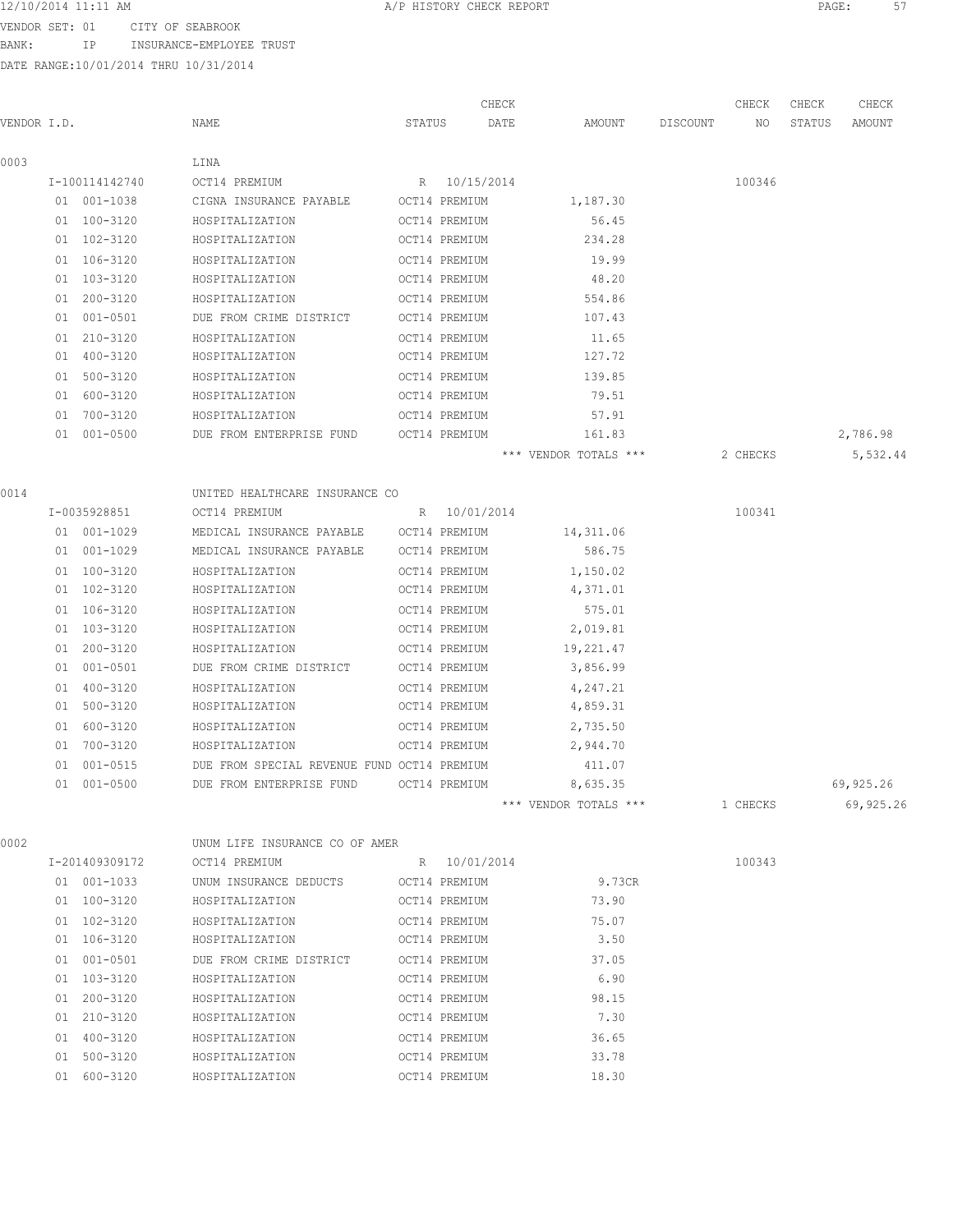12/10/2014 11:11 AM **Proved Contains A**/P HISTORY CHECK REPORT **PAGE:** 57

VENDOR SET: 01 CITY OF SEABROOK BANK: IP INSURANCE-EMPLOYEE TRUST

DATE RANGE:10/01/2014 THRU 10/31/2014

|             |                |                                             |        |               | CHECK |                                |          | CHECK    | CHECK  | CHECK     |
|-------------|----------------|---------------------------------------------|--------|---------------|-------|--------------------------------|----------|----------|--------|-----------|
| VENDOR I.D. |                | NAME                                        | STATUS |               | DATE  | AMOUNT                         | DISCOUNT | NO       | STATUS | AMOUNT    |
| 0003        |                | LINA                                        |        |               |       |                                |          |          |        |           |
|             | I-100114142740 | OCT14 PREMIUM                               |        | R 10/15/2014  |       |                                |          | 100346   |        |           |
|             | 01 001-1038    | CIGNA INSURANCE PAYABLE                     |        | OCT14 PREMIUM |       | 1,187.30                       |          |          |        |           |
|             | 01 100-3120    | HOSPITALIZATION                             |        | OCT14 PREMIUM |       | 56.45                          |          |          |        |           |
|             | 01 102-3120    | HOSPITALIZATION                             |        | OCT14 PREMIUM |       | 234.28                         |          |          |        |           |
|             | 01 106-3120    | HOSPITALIZATION                             |        | OCT14 PREMIUM |       | 19.99                          |          |          |        |           |
|             | 01 103-3120    | HOSPITALIZATION                             |        | OCT14 PREMIUM |       | 48.20                          |          |          |        |           |
|             | 01 200-3120    | HOSPITALIZATION                             |        | OCT14 PREMIUM |       | 554.86                         |          |          |        |           |
|             | 01 001-0501    | DUE FROM CRIME DISTRICT                     |        | OCT14 PREMIUM |       | 107.43                         |          |          |        |           |
|             | 01 210-3120    | HOSPITALIZATION                             |        | OCT14 PREMIUM |       | 11.65                          |          |          |        |           |
|             | 01 400-3120    | HOSPITALIZATION                             |        | OCT14 PREMIUM |       | 127.72                         |          |          |        |           |
|             | 01 500-3120    | HOSPITALIZATION                             |        | OCT14 PREMIUM |       | 139.85                         |          |          |        |           |
|             | 01 600-3120    | HOSPITALIZATION                             |        | OCT14 PREMIUM |       | 79.51                          |          |          |        |           |
|             | 01 700-3120    | HOSPITALIZATION                             |        | OCT14 PREMIUM |       | 57.91                          |          |          |        |           |
|             | 01 001-0500    | DUE FROM ENTERPRISE FUND                    |        | OCT14 PREMIUM |       | 161.83                         |          |          |        | 2,786.98  |
|             |                |                                             |        |               |       | *** VENDOR TOTALS ***          |          | 2 CHECKS |        | 5,532.44  |
| 0014        |                | UNITED HEALTHCARE INSURANCE CO              |        |               |       |                                |          |          |        |           |
|             | I-0035928851   | OCT14 PREMIUM                               |        | R 10/01/2014  |       |                                |          | 100341   |        |           |
|             | 01 001-1029    | MEDICAL INSURANCE PAYABLE                   |        | OCT14 PREMIUM |       | 14,311.06                      |          |          |        |           |
|             | 01 001-1029    | MEDICAL INSURANCE PAYABLE                   |        | OCT14 PREMIUM |       | 586.75                         |          |          |        |           |
|             | 01 100-3120    | HOSPITALIZATION                             |        | OCT14 PREMIUM |       | 1,150.02                       |          |          |        |           |
|             | 01 102-3120    | HOSPITALIZATION                             |        | OCT14 PREMIUM |       | 4,371.01                       |          |          |        |           |
|             | 01 106-3120    | HOSPITALIZATION                             |        | OCT14 PREMIUM |       | 575.01                         |          |          |        |           |
|             | 01 103-3120    | HOSPITALIZATION                             |        | OCT14 PREMIUM |       | 2,019.81                       |          |          |        |           |
|             | 01 200-3120    | HOSPITALIZATION                             |        | OCT14 PREMIUM |       | 19,221.47                      |          |          |        |           |
|             | 01 001-0501    | DUE FROM CRIME DISTRICT                     |        | OCT14 PREMIUM |       | 3,856.99                       |          |          |        |           |
|             | 01 400-3120    | HOSPITALIZATION                             |        | OCT14 PREMIUM |       | 4,247.21                       |          |          |        |           |
|             | 01 500-3120    | HOSPITALIZATION                             |        | OCT14 PREMIUM |       | 4,859.31                       |          |          |        |           |
|             | 01 600-3120    | HOSPITALIZATION                             |        | OCT14 PREMIUM |       | 2,735.50                       |          |          |        |           |
|             | 01 700-3120    | HOSPITALIZATION                             |        | OCT14 PREMIUM |       | 2,944.70                       |          |          |        |           |
|             | 01 001-0515    | DUE FROM SPECIAL REVENUE FUND OCT14 PREMIUM |        |               |       | 411.07                         |          |          |        |           |
|             | 01 001-0500    | DUE FROM ENTERPRISE FUND                    |        | OCT14 PREMIUM |       | 8,635.35                       |          |          |        | 69,925.26 |
|             |                |                                             |        |               |       | *** VENDOR TOTALS *** 1 CHECKS |          |          |        | 69,925.26 |
| 0002        |                | UNUM LIFE INSURANCE CO OF AMER              |        |               |       |                                |          |          |        |           |
|             | I-201409309172 | OCT14 PREMIUM R 10/01/2014                  |        |               |       |                                |          | 100343   |        |           |
|             | 01 001-1033    | UNUM INSURANCE DEDUCTS OCT14 PREMIUM        |        |               |       | <b>9.73CR</b>                  |          |          |        |           |
|             | 01 100-3120    | HOSPITALIZATION OCT14 PREMIUM               |        |               |       | 73.90                          |          |          |        |           |
|             | 01 102-3120    | HOSPITALIZATION OCT14 PREMIUM               |        |               |       | 75.07                          |          |          |        |           |
|             | 01 106-3120    | HOSPITALIZATION OCT14 PREMIUM               |        |               |       | 3.50                           |          |          |        |           |
|             | 01 001-0501    | DUE FROM CRIME DISTRICT OCT14 PREMIUM       |        |               |       | 37.05                          |          |          |        |           |
|             | 01 103-3120    | HOSPITALIZATION                             |        | OCT14 PREMIUM |       | 6.90                           |          |          |        |           |
|             | 01 200-3120    | HOSPITALIZATION                             |        | OCT14 PREMIUM |       | 98.15                          |          |          |        |           |
|             | 01 210-3120    | HOSPITALIZATION                             |        | OCT14 PREMIUM |       | 7.30                           |          |          |        |           |
|             | 01 400-3120    | HOSPITALIZATION                             |        | OCT14 PREMIUM |       | 36.65                          |          |          |        |           |
|             | 01 500-3120    | HOSPITALIZATION                             |        | OCT14 PREMIUM |       | 33.78                          |          |          |        |           |
|             |                |                                             |        |               |       |                                |          |          |        |           |

01 600-3120 HOSPITALIZATION OCT14 PREMIUM 18.30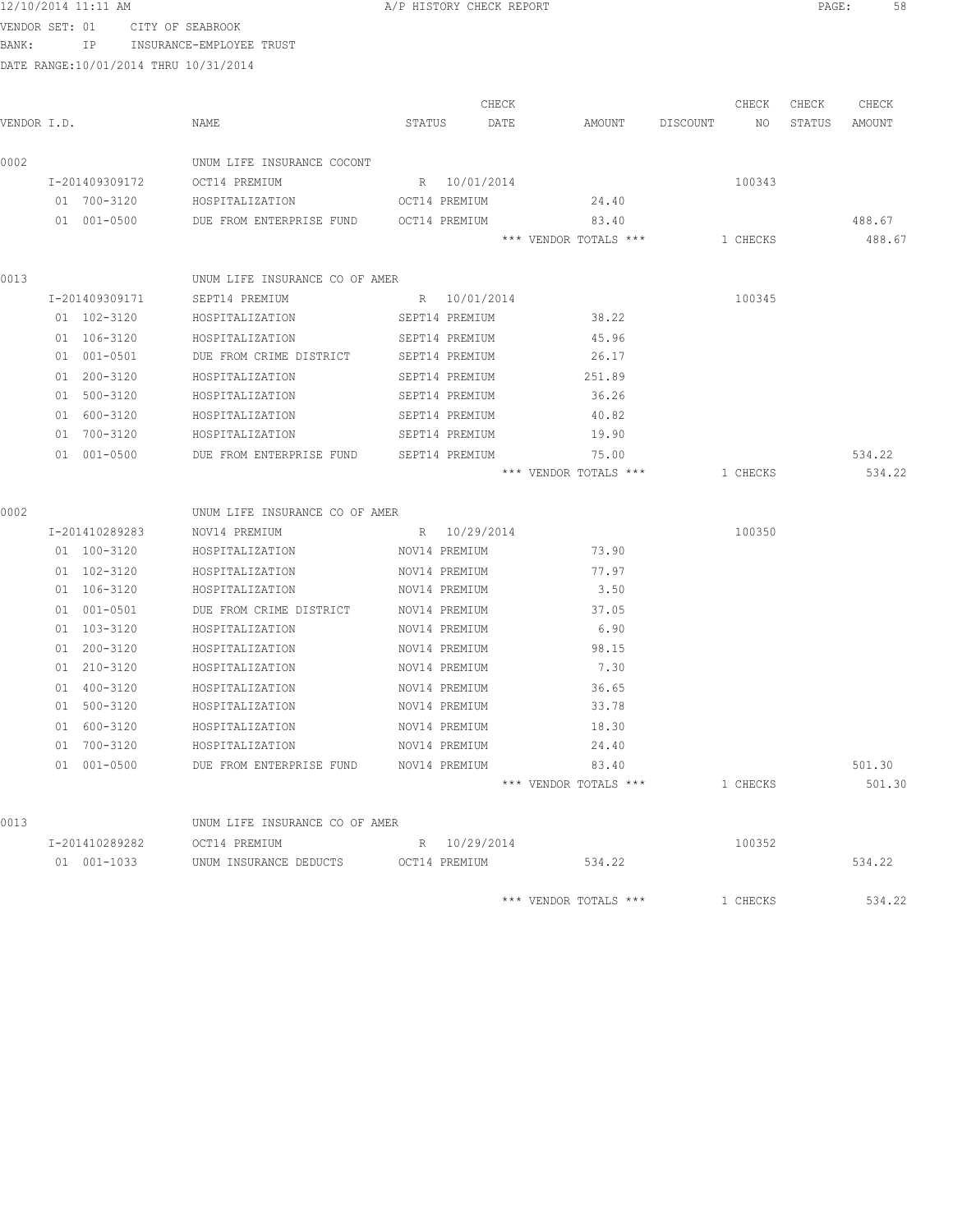### 12/10/2014 11:11 AM **Proved Contains A** A PHISTORY CHECK REPORT **PAGE:** 58

VENDOR SET: 01 CITY OF SEABROOK

BANK: IP INSURANCE-EMPLOYEE TRUST

|             |                |                                                 |                | CHECK |                       |          | CHECK    | CHECK  | CHECK  |
|-------------|----------------|-------------------------------------------------|----------------|-------|-----------------------|----------|----------|--------|--------|
| VENDOR I.D. |                | NAME                                            | STATUS         | DATE  | AMOUNT                | DISCOUNT | NO       | STATUS | AMOUNT |
| 0002        |                | UNUM LIFE INSURANCE COCONT                      |                |       |                       |          |          |        |        |
|             | I-201409309172 | OCT14 PREMIUM                                   | R 10/01/2014   |       |                       |          | 100343   |        |        |
|             | 01 700-3120    | HOSPITALIZATION                                 | OCT14 PREMIUM  |       | 24.40                 |          |          |        |        |
|             | 01 001-0500    | DUE FROM ENTERPRISE FUND                        | OCT14 PREMIUM  |       | 83.40                 |          |          |        | 488.67 |
|             |                |                                                 |                |       | *** VENDOR TOTALS *** |          | 1 CHECKS |        | 488.67 |
|             |                |                                                 |                |       |                       |          |          |        |        |
| 0013        |                | UNUM LIFE INSURANCE CO OF AMER                  |                |       |                       |          |          |        |        |
|             | I-201409309171 | SEPT14 PREMIUM                                  | R 10/01/2014   |       |                       |          | 100345   |        |        |
|             | 01 102-3120    | HOSPITALIZATION                                 | SEPT14 PREMIUM |       | 38.22                 |          |          |        |        |
|             | 01 106-3120    | HOSPITALIZATION                                 | SEPT14 PREMIUM |       | 45.96                 |          |          |        |        |
|             | 01 001-0501    | DUE FROM CRIME DISTRICT                         | SEPT14 PREMIUM |       | 26.17                 |          |          |        |        |
|             | 01 200-3120    | HOSPITALIZATION                                 | SEPT14 PREMIUM |       | 251.89                |          |          |        |        |
|             | 01 500-3120    | HOSPITALIZATION                                 | SEPT14 PREMIUM |       | 36.26                 |          |          |        |        |
|             | 01 600-3120    | HOSPITALIZATION                                 | SEPT14 PREMIUM |       | 40.82                 |          |          |        |        |
|             | 01 700-3120    | HOSPITALIZATION                                 | SEPT14 PREMIUM |       | 19.90                 |          |          |        |        |
|             | 01 001-0500    | DUE FROM ENTERPRISE FUND                        | SEPT14 PREMIUM |       | 75.00                 |          |          |        | 534.22 |
|             |                |                                                 |                |       | *** VENDOR TOTALS *** |          | 1 CHECKS |        | 534.22 |
|             |                |                                                 |                |       |                       |          |          |        |        |
| 0002        | I-201410289283 | UNUM LIFE INSURANCE CO OF AMER<br>NOV14 PREMIUM | R 10/29/2014   |       |                       |          | 100350   |        |        |
|             | 01 100-3120    | HOSPITALIZATION                                 | NOV14 PREMIUM  |       | 73.90                 |          |          |        |        |
|             |                |                                                 |                |       |                       |          |          |        |        |
|             | 01 102-3120    | HOSPITALIZATION                                 | NOV14 PREMIUM  |       | 77.97                 |          |          |        |        |
|             | 01 106-3120    | HOSPITALIZATION                                 | NOV14 PREMIUM  |       | 3.50                  |          |          |        |        |
|             | 01 001-0501    | DUE FROM CRIME DISTRICT                         | NOV14 PREMIUM  |       | 37.05                 |          |          |        |        |
|             | 01 103-3120    | HOSPITALIZATION                                 | NOV14 PREMIUM  |       | 6.90                  |          |          |        |        |
|             | 01 200-3120    | HOSPITALIZATION                                 | NOV14 PREMIUM  |       | 98.15                 |          |          |        |        |
|             | 01 210-3120    | HOSPITALIZATION                                 | NOV14 PREMIUM  |       | 7.30                  |          |          |        |        |
|             | 01 400-3120    | HOSPITALIZATION                                 | NOV14 PREMIUM  |       | 36.65                 |          |          |        |        |
|             | 01 500-3120    | HOSPITALIZATION                                 | NOV14 PREMIUM  |       | 33.78                 |          |          |        |        |
|             | 01 600-3120    | HOSPITALIZATION                                 | NOV14 PREMIUM  |       | 18.30                 |          |          |        |        |
|             | 01 700-3120    | HOSPITALIZATION                                 | NOV14 PREMIUM  |       | 24.40                 |          |          |        |        |
|             | 01 001-0500    | DUE FROM ENTERPRISE FUND                        | NOV14 PREMIUM  |       | 83.40                 |          |          |        | 501.30 |
|             |                |                                                 |                |       | *** VENDOR TOTALS *** |          | 1 CHECKS |        | 501.30 |
| 0013        |                | UNUM LIFE INSURANCE CO OF AMER                  |                |       |                       |          |          |        |        |
|             | I-201410289282 | OCT14 PREMIUM                                   | R 10/29/2014   |       |                       |          | 100352   |        |        |
|             | 01 001-1033    | UNUM INSURANCE DEDUCTS OCT14 PREMIUM            |                |       | 534.22                |          |          |        | 534.22 |
|             |                |                                                 |                |       | *** VENDOR TOTALS *** |          | 1 CHECKS |        | 534.22 |
|             |                |                                                 |                |       |                       |          |          |        |        |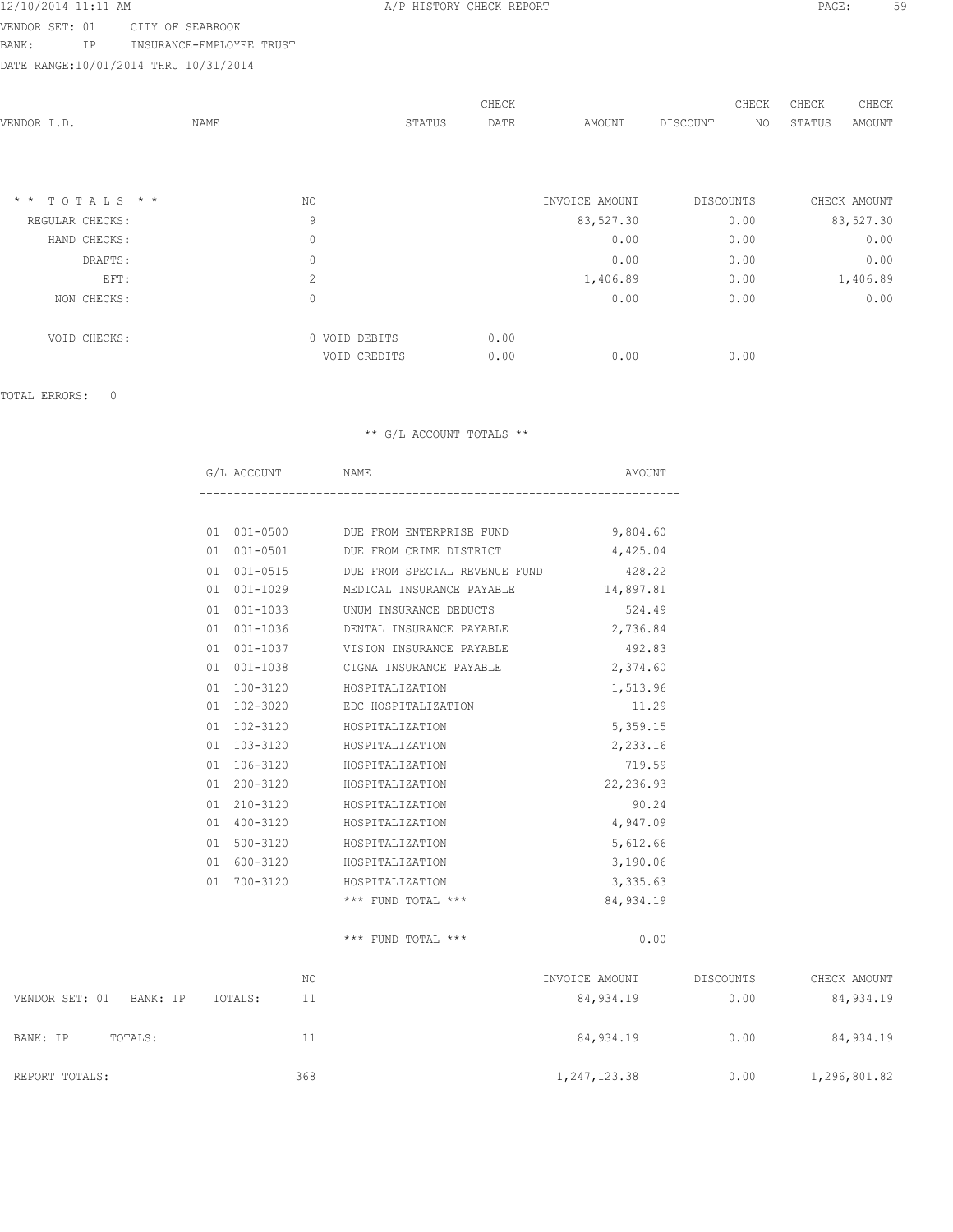VENDOR SET: 01 CITY OF SEABROOK

BANK: IP INSURANCE-EMPLOYEE TRUST

DATE RANGE:10/01/2014 THRU 10/31/2014

| VENDOR I.D.      | NAME |                | STATUS | CHECK<br>DATE | AMOUNT         | DISCOUNT  | CHECK<br>NO | CHECK<br>STATUS | CHECK<br><b>AMOUNT</b> |
|------------------|------|----------------|--------|---------------|----------------|-----------|-------------|-----------------|------------------------|
|                  |      |                |        |               |                |           |             |                 |                        |
| $*$ * TOTALS * * |      | NO.            |        |               | INVOICE AMOUNT | DISCOUNTS |             |                 | CHECK AMOUNT           |
| REGULAR CHECKS:  |      | 9              |        |               | 83,527.30      | 0.00      |             |                 | 83,527.30              |
| HAND CHECKS:     |      | $\circ$        |        |               | 0.00           | 0.00      |             |                 | 0.00                   |
| DRAFTS:          |      | $\mathbb O$    |        |               | 0.00           | 0.00      |             |                 | 0.00                   |
| EFT:             |      | $\overline{c}$ |        |               | 1,406.89       | 0.00      |             |                 | 1,406.89               |
| NON CHECKS:      |      | $\circ$        |        |               | 0.00           | 0.00      |             |                 | 0.00                   |
| VOID CHECKS:     |      | 0 VOID DEBITS  |        | 0.00          |                |           |             |                 |                        |
|                  |      | VOID CREDITS   |        | 0.00          | 0.00           | 0.00      |             |                 |                        |

TOTAL ERRORS: 0

### \*\* G/L ACCOUNT TOTALS \*\*

|    | G/L ACCOUNT NAME |                        |                                     | AMOUNT    |
|----|------------------|------------------------|-------------------------------------|-----------|
|    |                  |                        |                                     |           |
| 01 |                  |                        | 001-0500 DUE FROM ENTERPRISE FUND   | 9,804.60  |
| 01 | $001 - 0501$     |                        | DUE FROM CRIME DISTRICT             | 4,425.04  |
| 01 | $001 - 0515$     |                        | DUE FROM SPECIAL REVENUE FUND       | 428.22    |
| 01 | $001 - 1029$     |                        | MEDICAL INSURANCE PAYABLE 14,897.81 |           |
| 01 | $001 - 1033$     | UNUM INSURANCE DEDUCTS |                                     | 524.49    |
| 01 | $001 - 1036$     |                        | DENTAL INSURANCE PAYABLE            | 2,736.84  |
| 01 | $001 - 1037$     |                        | VISION INSURANCE PAYABLE            | 492.83    |
| 01 | 001-1038         |                        | CIGNA INSURANCE PAYABLE             | 2,374.60  |
| 01 | 100-3120         | HOSPITALIZATION        |                                     | 1,513.96  |
| 01 | 102-3020         | EDC HOSPITALIZATION    |                                     | 11.29     |
| 01 | 102-3120         | HOSPITALIZATION        |                                     | 5,359.15  |
| 01 | 103-3120         | HOSPITALIZATION        |                                     | 2,233.16  |
| 01 | 106-3120         | HOSPITALIZATION        |                                     | 719.59    |
| 01 | 200-3120         | HOSPITALIZATION        |                                     | 22,236.93 |
| 01 | $210 - 3120$     | HOSPITALIZATION        |                                     | 90.24     |
| 01 | $400 - 3120$     | HOSPITALIZATION        |                                     | 4,947.09  |
| 01 | $500 - 3120$     | HOSPITALIZATION        |                                     | 5,612.66  |
| 01 | 600-3120         | HOSPITALIZATION        |                                     | 3,190.06  |
| 01 | 700-3120         | HOSPITALIZATION        |                                     | 3,335.63  |
|    |                  | $***$ FUND TOTAL $***$ |                                     | 84,934.19 |

\*\*\* FUND TOTAL \*\*\* 0.00

 NO INVOICE AMOUNT DISCOUNTS CHECK AMOUNT VENDOR SET: 01 BANK: IP TOTALS: 11 84,934.19 0.00 84,934.19 BANK: IP TOTALS: 11 1 84,934.19 0.00 84,934.19 REPORT TOTALS: 368 368 368 1,247,123.38 0.00 1,296,801.82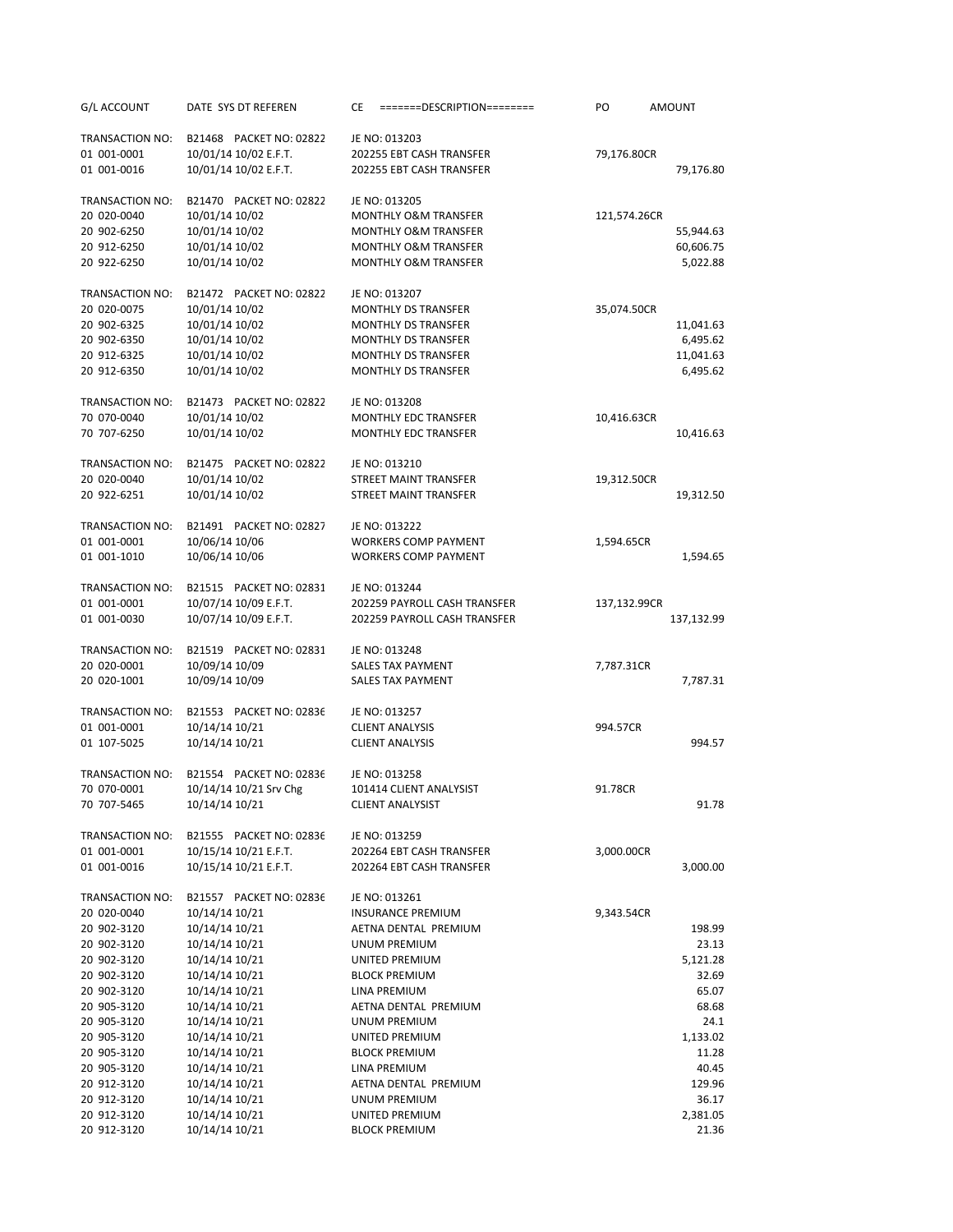| G/L ACCOUNT                | DATE SYS DT REFEREN              | СE<br>=======DESCRIPTION========                     | PO           | <b>AMOUNT</b>  |
|----------------------------|----------------------------------|------------------------------------------------------|--------------|----------------|
| TRANSACTION NO:            | B21468 PACKET NO: 02822          | JE NO: 013203                                        |              |                |
| 01 001-0001                | 10/01/14 10/02 E.F.T.            | 202255 EBT CASH TRANSFER                             | 79,176.80CR  |                |
| 01 001-0016                | 10/01/14 10/02 E.F.T.            | 202255 EBT CASH TRANSFER                             |              | 79,176.80      |
|                            |                                  |                                                      |              |                |
| TRANSACTION NO:            | B21470 PACKET NO: 02822          | JE NO: 013205                                        |              |                |
| 20 020-0040                | 10/01/14 10/02                   | MONTHLY O&M TRANSFER                                 | 121,574.26CR |                |
| 20 902-6250                | 10/01/14 10/02                   | <b>MONTHLY O&amp;M TRANSFER</b>                      |              | 55,944.63      |
| 20 912-6250                | 10/01/14 10/02                   | MONTHLY O&M TRANSFER                                 |              | 60,606.75      |
| 20 922-6250                | 10/01/14 10/02                   | <b>MONTHLY O&amp;M TRANSFER</b>                      |              | 5,022.88       |
| <b>TRANSACTION NO:</b>     | B21472 PACKET NO: 02822          | JE NO: 013207                                        |              |                |
| 20 020-0075                | 10/01/14 10/02                   | <b>MONTHLY DS TRANSFER</b>                           | 35,074.50CR  |                |
| 20 902-6325                | 10/01/14 10/02                   | <b>MONTHLY DS TRANSFER</b>                           |              | 11,041.63      |
| 20 902-6350                | 10/01/14 10/02                   | MONTHLY DS TRANSFER                                  |              | 6,495.62       |
| 20 912-6325                | 10/01/14 10/02                   | <b>MONTHLY DS TRANSFER</b>                           |              | 11,041.63      |
| 20 912-6350                | 10/01/14 10/02                   | <b>MONTHLY DS TRANSFER</b>                           |              | 6,495.62       |
|                            |                                  |                                                      |              |                |
| TRANSACTION NO:            | B21473 PACKET NO: 02822          | JE NO: 013208                                        |              |                |
| 70 070-0040                | 10/01/14 10/02                   | <b>MONTHLY EDC TRANSFER</b>                          | 10,416.63CR  |                |
| 70 707-6250                | 10/01/14 10/02                   | <b>MONTHLY EDC TRANSFER</b>                          |              | 10,416.63      |
| TRANSACTION NO:            | B21475 PACKET NO: 02822          | JE NO: 013210                                        |              |                |
| 20 020-0040                | 10/01/14 10/02                   | STREET MAINT TRANSFER                                | 19,312.50CR  |                |
| 20 922-6251                | 10/01/14 10/02                   | STREET MAINT TRANSFER                                |              | 19,312.50      |
| TRANSACTION NO:            | B21491 PACKET NO: 02827          | JE NO: 013222                                        |              |                |
| 01 001-0001                | 10/06/14 10/06                   | <b>WORKERS COMP PAYMENT</b>                          | 1,594.65CR   |                |
| 01 001-1010                | 10/06/14 10/06                   | <b>WORKERS COMP PAYMENT</b>                          |              | 1,594.65       |
|                            |                                  |                                                      |              |                |
| TRANSACTION NO:            | B21515 PACKET NO: 02831          | JE NO: 013244                                        |              |                |
| 01 001-0001                | 10/07/14 10/09 E.F.T.            | 202259 PAYROLL CASH TRANSFER                         | 137,132.99CR |                |
| 01 001-0030                | 10/07/14 10/09 E.F.T.            | 202259 PAYROLL CASH TRANSFER                         |              | 137,132.99     |
| TRANSACTION NO:            | B21519 PACKET NO: 02831          | JE NO: 013248                                        |              |                |
| 20 020-0001                | 10/09/14 10/09                   | SALES TAX PAYMENT                                    | 7,787.31CR   |                |
| 20 020-1001                | 10/09/14 10/09                   | SALES TAX PAYMENT                                    |              | 7,787.31       |
|                            |                                  |                                                      |              |                |
| TRANSACTION NO:            | B21553 PACKET NO: 02836          | JE NO: 013257                                        |              |                |
| 01 001-0001                | 10/14/14 10/21                   | <b>CLIENT ANALYSIS</b>                               | 994.57CR     |                |
| 01 107-5025                | 10/14/14 10/21                   | <b>CLIENT ANALYSIS</b>                               |              | 994.57         |
| TRANSACTION NO:            | B21554 PACKET NO: 02836          | JE NO: 013258                                        |              |                |
| 70 070-0001                | 10/14/14 10/21 Srv Chg           | 101414 CLIENT ANALYSIST                              | 91.78CR      |                |
| 70 707-5465                | 10/14/14 10/21                   | <b>CLIENT ANALYSIST</b>                              |              | 91.78          |
|                            |                                  |                                                      |              |                |
| TRANSACTION NO:            | B21555 PACKET NO: 02836          | JE NO: 013259                                        |              |                |
| 01 001-0001<br>01 001-0016 | 10/15/14 10/21 E.F.T.            | 202264 EBT CASH TRANSFER<br>202264 EBT CASH TRANSFER | 3,000.00CR   | 3,000.00       |
|                            | 10/15/14 10/21 E.F.T.            |                                                      |              |                |
| TRANSACTION NO:            | B21557 PACKET NO: 02836          | JE NO: 013261                                        |              |                |
| 20 020-0040                | 10/14/14 10/21                   | <b>INSURANCE PREMIUM</b>                             | 9,343.54CR   |                |
| 20 902-3120                | 10/14/14 10/21                   | AETNA DENTAL PREMIUM                                 |              | 198.99         |
| 20 902-3120                | 10/14/14 10/21                   | <b>UNUM PREMIUM</b>                                  |              | 23.13          |
| 20 902-3120                | 10/14/14 10/21                   | UNITED PREMIUM                                       |              | 5,121.28       |
| 20 902-3120                | 10/14/14 10/21                   | <b>BLOCK PREMIUM</b>                                 |              | 32.69          |
| 20 902-3120                | 10/14/14 10/21                   | LINA PREMIUM                                         |              | 65.07          |
| 20 905-3120                | 10/14/14 10/21                   | AETNA DENTAL PREMIUM                                 |              | 68.68          |
| 20 905-3120                | 10/14/14 10/21                   | UNUM PREMIUM                                         |              | 24.1           |
| 20 905-3120                | 10/14/14 10/21                   | UNITED PREMIUM                                       |              | 1,133.02       |
| 20 905-3120<br>20 905-3120 | 10/14/14 10/21<br>10/14/14 10/21 | <b>BLOCK PREMIUM</b><br>LINA PREMIUM                 |              | 11.28<br>40.45 |
| 20 912-3120                | 10/14/14 10/21                   | AETNA DENTAL PREMIUM                                 |              | 129.96         |
| 20 912-3120                | 10/14/14 10/21                   | UNUM PREMIUM                                         |              | 36.17          |
| 20 912-3120                | 10/14/14 10/21                   | UNITED PREMIUM                                       |              | 2,381.05       |
| 20 912-3120                | 10/14/14 10/21                   | <b>BLOCK PREMIUM</b>                                 |              | 21.36          |